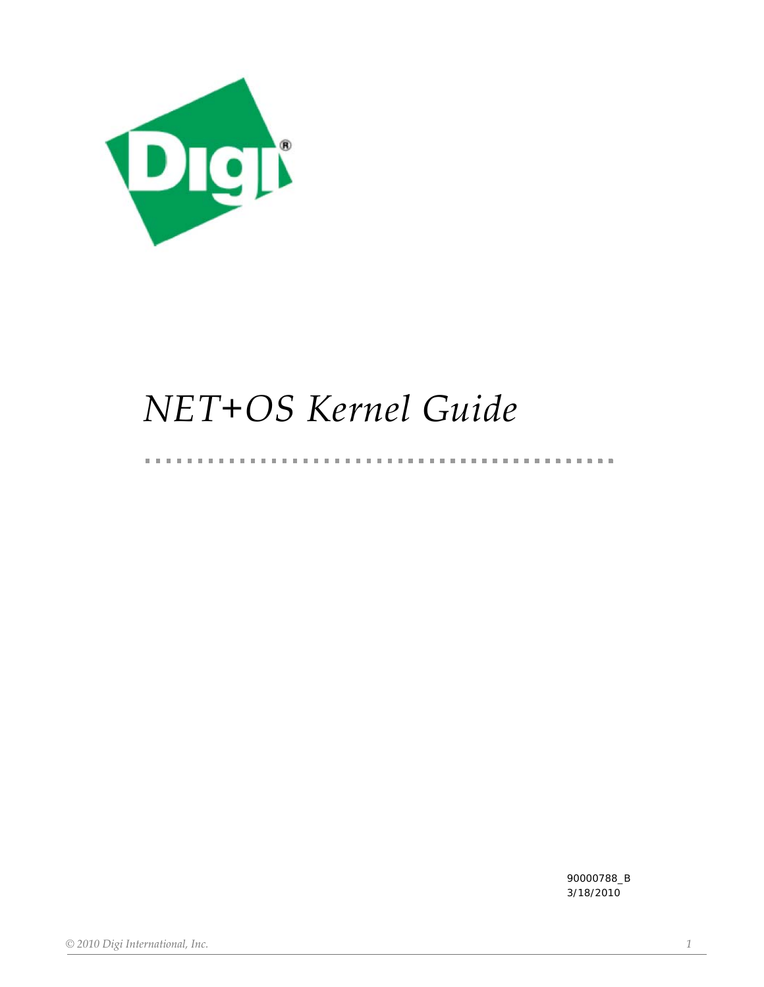

# *NET+OS Kernel Guide*

 $\mathbf{u}$ 

 $\mathbf{u}$  $\mathbb{R}^n$ 

90000788\_B 3/18/2010

. . . . . . . . . . . . . . . .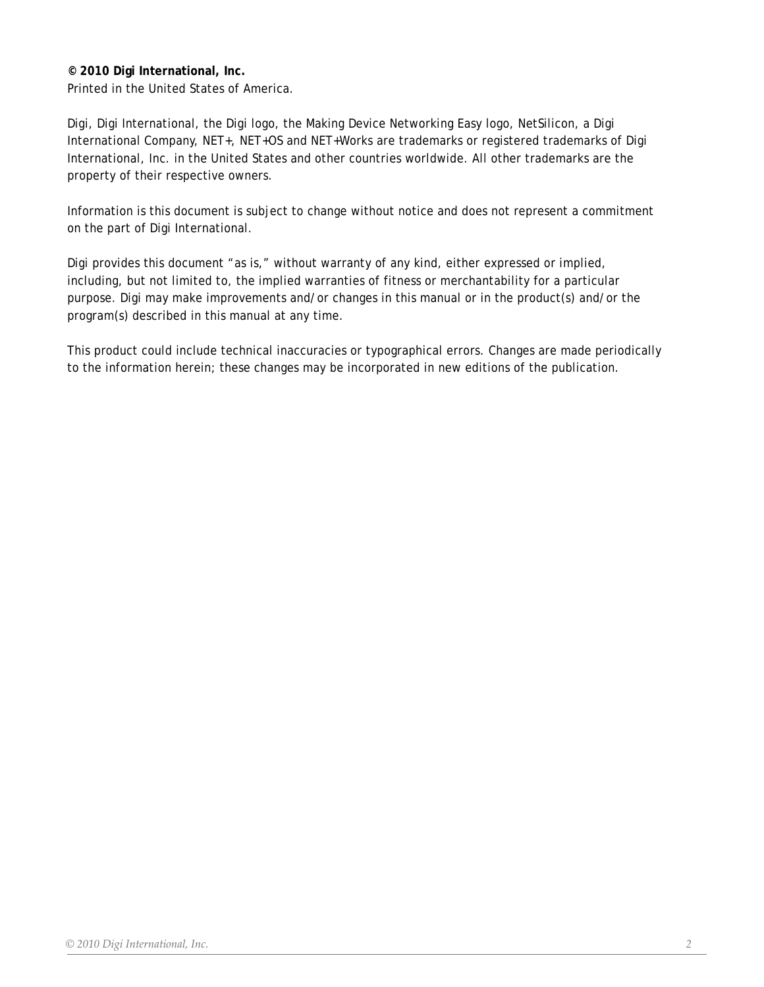# **© 2010 Digi International, Inc.**

Printed in the United States of America.

Digi, Digi International, the Digi logo, the Making Device Networking Easy logo, NetSilicon, a Digi International Company, NET+, NET+OS and NET+Works are trademarks or registered trademarks of Digi International, Inc. in the United States and other countries worldwide. All other trademarks are the property of their respective owners.

Information is this document is subject to change without notice and does not represent a commitment on the part of Digi International.

Digi provides this document "as is," without warranty of any kind, either expressed or implied, including, but not limited to, the implied warranties of fitness or merchantability for a particular purpose. Digi may make improvements and/or changes in this manual or in the product(s) and/or the program(s) described in this manual at any time.

This product could include technical inaccuracies or typographical errors. Changes are made periodically to the information herein; these changes may be incorporated in new editions of the publication.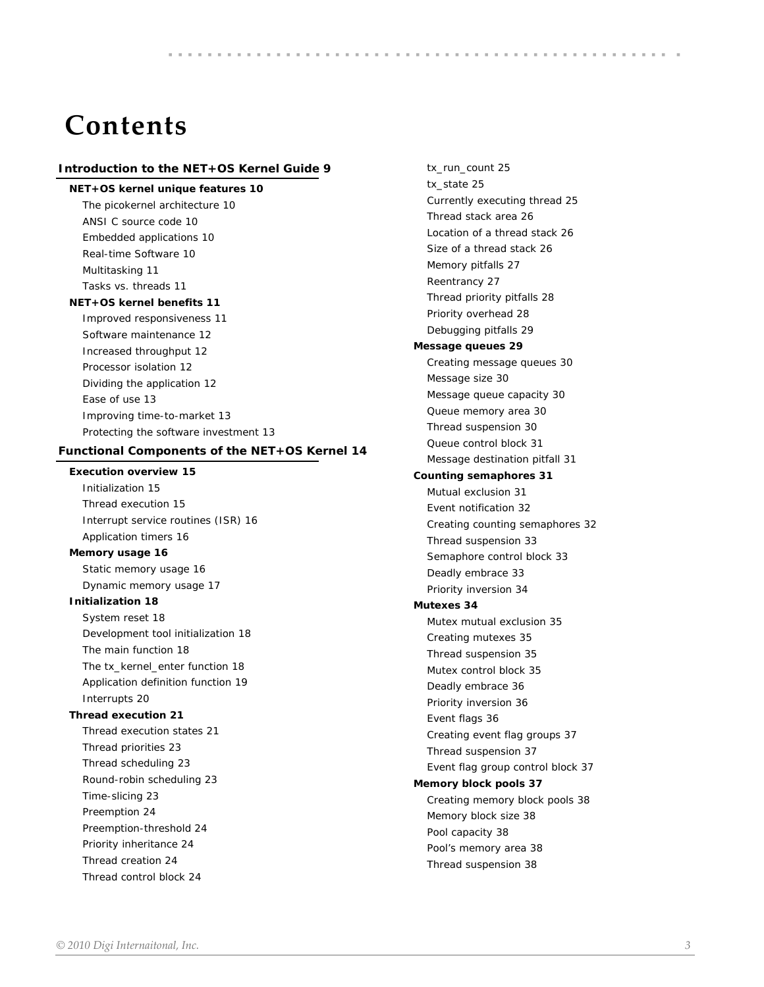# **Contents**

#### **[Introduction to the NET+OS Kernel Guide 9](#page-8-0)**

#### **[NET+OS kernel unique features 10](#page-9-0)**

*[The picokernel architecture 10](#page-9-1) [ANSI C source code 10](#page-9-2) [Embedded applications 10](#page-9-3) [Real-time Software 10](#page-9-4) [Multitasking 11](#page-10-0) [Tasks vs. threads 11](#page-10-1)*

#### **[NET+OS kernel benefits 11](#page-10-2)**

*[Improved responsiveness 11](#page-10-3) [Software maintenance 12](#page-11-0) [Increased throughput 12](#page-11-1) [Processor isolation 12](#page-11-2) [Dividing the application 12](#page-11-3) [Ease of use 13](#page-12-0) [Improving time-to-market 13](#page-12-1) [Protecting the software investment 13](#page-12-2)*

#### **[Functional Components of the NET+OS Kernel 14](#page-13-0)**

### **[Execution overview 15](#page-14-0)**

*[Initialization 15](#page-14-1) [Thread execution 15](#page-14-2) [Interrupt service routines \(ISR\) 16](#page-15-0) [Application timers 16](#page-15-1)*

#### **[Memory usage 16](#page-15-2)**

*[Static memory usage 16](#page-15-3) [Dynamic memory usage 17](#page-16-0)*

#### **[Initialization 18](#page-17-0)**

*[System reset 18](#page-17-1) [Development tool initialization 18](#page-17-2) [The main function 18](#page-17-3) [The tx\\_kernel\\_enter function 18](#page-17-4) [Application definition function 19](#page-18-0) [Interrupts 20](#page-19-0)*

#### **[Thread execution 21](#page-20-0)**

*[Thread execution states 21](#page-20-1) [Thread priorities 23](#page-22-0) [Thread scheduling 23](#page-22-1) [Round-robin scheduling 23](#page-22-2) [Time-slicing 23](#page-22-3) [Preemption 24](#page-23-0) [Preemption-threshold 24](#page-23-1) [Priority inheritance 24](#page-23-2) [Thread creation 24](#page-23-3) [Thread control block 24](#page-23-4)*

*[tx\\_run\\_count 25](#page-24-0) [tx\\_state 25](#page-24-1) [Currently executing thread 25](#page-24-2) [Thread stack area 26](#page-25-0) [Location of a thread stack 26](#page-25-1) [Size of a thread stack 26](#page-25-2) [Memory pitfalls 27](#page-26-0) [Reentrancy 27](#page-26-1) [Thread priority pitfalls 28](#page-27-0) [Priority overhead 28](#page-27-1) [Debugging pitfalls 29](#page-28-0)* **[Message queues 29](#page-28-1)** *[Creating message queues 30](#page-29-0) [Message size 30](#page-29-1) [Message queue capacity 30](#page-29-2) [Queue memory area 30](#page-29-3) [Thread suspension 30](#page-29-4) [Queue control block 31](#page-30-0) [Message destination pitfall 31](#page-30-1)* **[Counting semaphores 31](#page-30-2)** *[Mutual exclusion 31](#page-31-0) [Event notification 32](#page-31-1) [Creating counting semaphores 32](#page-31-2) [Thread suspension 33](#page-32-0) [Semaphore control block 33](#page-32-1) [Deadly embrace 33](#page-32-2) [Priority inversion 34](#page-33-0)* **[Mutexes 34](#page-33-1)** *[Mutex mutual exclusion 35](#page-34-0) [Creating mutexes 35](#page-34-1) [Thread suspension 35](#page-34-2) [Mutex control block 35](#page-34-3) [Deadly embrace 36](#page-35-0) [Priority inversion 36](#page-35-1) [Event flags 36](#page-35-2) [Creating event flag groups 37](#page-36-0) [Thread suspension 37](#page-36-1) [Event flag group control block 37](#page-36-2)* **[Memory block pools 37](#page-36-3)** *[Creating memory block pools 38](#page-37-0) [Memory block size 38](#page-37-1) [Pool capacity 38](#page-37-2) [Pool's memory area 38](#page-37-3) [Thread suspension 38](#page-37-4)*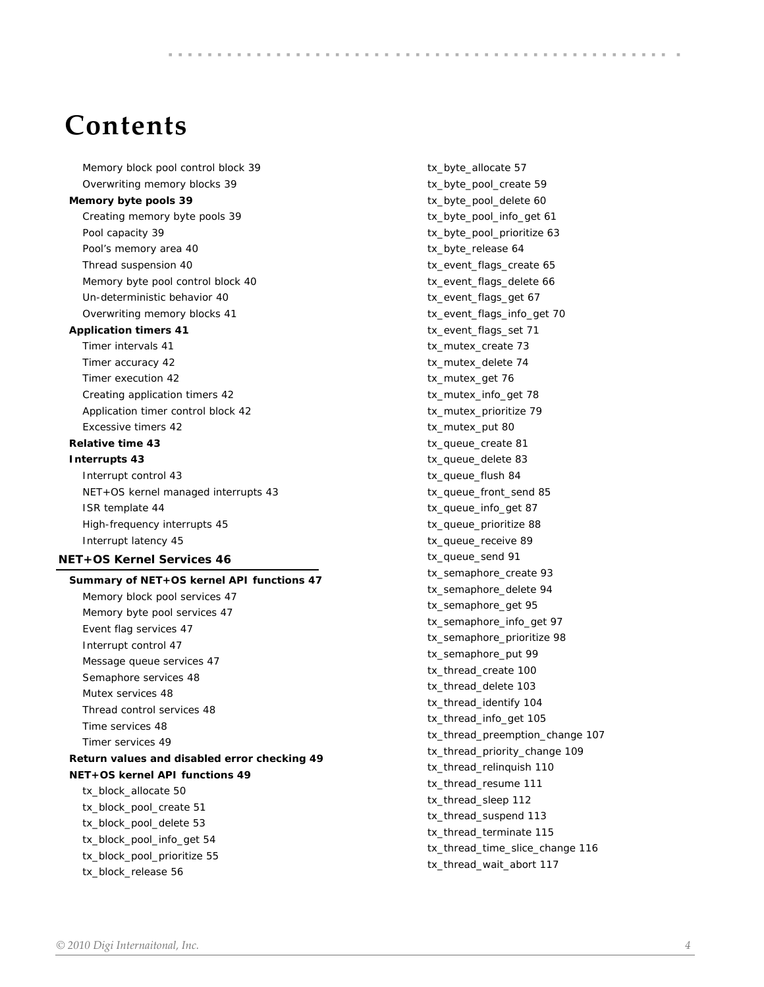# **Contents**

*[Memory block pool control block 39](#page-38-0) [Overwriting memory blocks 39](#page-38-1)* **[Memory byte pools 39](#page-38-2)** *[Creating memory byte pools 39](#page-38-3) [Pool capacity 39](#page-38-4) [Pool's memory area 40](#page-39-0) [Thread suspension 40](#page-39-1) [Memory byte pool control block 40](#page-39-2) [Un-deterministic behavior 40](#page-39-3) [Overwriting memory blocks 41](#page-40-0)* **[Application timers 41](#page-40-1)** *[Timer intervals 41](#page-40-2) [Timer accuracy 42](#page-41-0) [Timer execution 42](#page-41-1) [Creating application timers 42](#page-41-2) [Application timer control block 42](#page-41-3) [Excessive timers 42](#page-41-4)* **[Relative time 43](#page-42-0) [Interrupts 43](#page-42-1)** *[Interrupt control 43](#page-42-2) [NET+OS kernel managed interrupts 43](#page-42-3) [ISR template 44](#page-43-0) [High-frequency interrupts 45](#page-44-0) [Interrupt latency 45](#page-44-1)* **[NET+OS Kernel Services 46](#page-45-0) [Summary of NET+OS kernel API functions 47](#page-46-0)** *[Memory block pool services 47](#page-46-1)*

*[Memory byte pool services 47](#page-46-2) [Event flag services 47](#page-46-3) [Interrupt control 47](#page-46-4) [Message queue services 47](#page-46-5) [Semaphore services 48](#page-47-0) [Mutex services 48](#page-47-1) [Thread control services 48](#page-47-2) [Time services 48](#page-47-3) [Timer services 49](#page-48-0)*

#### **[Return values and disabled error checking 49](#page-48-1) [NET+OS kernel API functions 49](#page-48-2)**

*[tx\\_block\\_allocate 50](#page-49-0) [tx\\_block\\_pool\\_create 51](#page-50-0) [tx\\_block\\_pool\\_delete 53](#page-52-0) [tx\\_block\\_pool\\_info\\_get 54](#page-53-0) [tx\\_block\\_pool\\_prioritize 55](#page-54-0) [tx\\_block\\_release 56](#page-55-0)*

*[tx\\_byte\\_allocate 57](#page-56-0) [tx\\_byte\\_pool\\_create 59](#page-58-0) [tx\\_byte\\_pool\\_delete 60](#page-59-0) [tx\\_byte\\_pool\\_info\\_get 61](#page-60-0) [tx\\_byte\\_pool\\_prioritize 63](#page-62-0) [tx\\_byte\\_release 64](#page-63-0) [tx\\_event\\_flags\\_create 65](#page-64-0) [tx\\_event\\_flags\\_delete 66](#page-65-0) [tx\\_event\\_flags\\_get 67](#page-66-0) [tx\\_event\\_flags\\_info\\_get 70](#page-69-0) [tx\\_event\\_flags\\_set 71](#page-70-0) [tx\\_mutex\\_create 73](#page-72-0) [tx\\_mutex\\_delete 74](#page-73-0) [tx\\_mutex\\_get 76](#page-75-0) [tx\\_mutex\\_info\\_get 78](#page-77-0) [tx\\_mutex\\_prioritize 79](#page-78-0) [tx\\_mutex\\_put 80](#page-79-0) [tx\\_queue\\_create 81](#page-80-0) [tx\\_queue\\_delete 83](#page-82-0) [tx\\_queue\\_flush 84](#page-83-0) [tx\\_queue\\_front\\_send 85](#page-84-0) [tx\\_queue\\_info\\_get 87](#page-86-0) [tx\\_queue\\_prioritize 88](#page-87-0) [tx\\_queue\\_receive 89](#page-88-0) [tx\\_queue\\_send 91](#page-90-0) [tx\\_semaphore\\_create 93](#page-92-0) [tx\\_semaphore\\_delete 94](#page-93-0) [tx\\_semaphore\\_get 95](#page-94-0) [tx\\_semaphore\\_info\\_get 97](#page-96-0) [tx\\_semaphore\\_prioritize 98](#page-97-0) [tx\\_semaphore\\_put 99](#page-98-0) [tx\\_thread\\_create 100](#page-99-0) [tx\\_thread\\_delete 103](#page-102-0) [tx\\_thread\\_identify 104](#page-103-0) [tx\\_thread\\_info\\_get 105](#page-104-0) [tx\\_thread\\_preemption\\_change 107](#page-106-0) [tx\\_thread\\_priority\\_change 109](#page-108-0) [tx\\_thread\\_relinquish 110](#page-109-0) [tx\\_thread\\_resume 111](#page-110-0) [tx\\_thread\\_sleep 112](#page-111-0) [tx\\_thread\\_suspend 113](#page-112-0) [tx\\_thread\\_terminate 115](#page-114-0) [tx\\_thread\\_time\\_slice\\_change 116](#page-115-0) [tx\\_thread\\_wait\\_abort 117](#page-116-0)*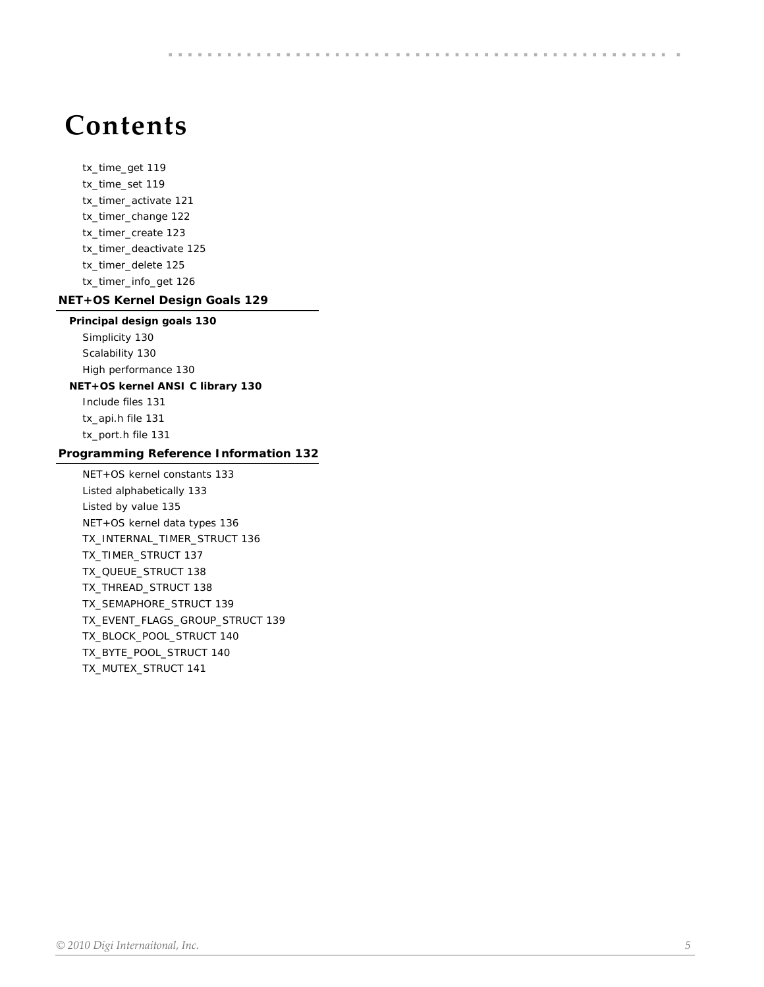# **Contents**

*[tx\\_time\\_get 119](#page-118-0) [tx\\_time\\_set 119](#page-118-1) [tx\\_timer\\_activate 121](#page-120-0) [tx\\_timer\\_change 122](#page-121-0) [tx\\_timer\\_create 123](#page-122-0) [tx\\_timer\\_deactivate 125](#page-124-0) [tx\\_timer\\_delete 125](#page-124-1) [tx\\_timer\\_info\\_get 126](#page-125-0)*

### **[NET+OS Kernel Design Goals 129](#page-128-0)**

#### **[Principal design goals 130](#page-129-0)**

*[Simplicity 130](#page-129-1) [Scalability 130](#page-129-2) [High performance 130](#page-129-3)*

# **[NET+OS kernel ANSI C library 130](#page-129-4)**

*[Include files 131](#page-130-0) [tx\\_api.h file 131](#page-130-1) [tx\\_port.h file 131](#page-130-2)*

#### **[Programming Reference Information 132](#page-131-0)**

*[NET+OS kernel constants 133](#page-132-0) [Listed alphabetically 133](#page-132-1) [Listed by value 135](#page-134-0) [NET+OS kernel data types 136](#page-135-0) [TX\\_INTERNAL\\_TIMER\\_STRUCT 136](#page-135-1) [TX\\_TIMER\\_STRUCT 137](#page-136-0) [TX\\_QUEUE\\_STRUCT 138](#page-137-0) [TX\\_THREAD\\_STRUCT 138](#page-137-1) [TX\\_SEMAPHORE\\_STRUCT 139](#page-138-0) [TX\\_EVENT\\_FLAGS\\_GROUP\\_STRUCT 139](#page-138-1) [TX\\_BLOCK\\_POOL\\_STRUCT 140](#page-139-0) [TX\\_BYTE\\_POOL\\_STRUCT 140](#page-139-1) [TX\\_MUTEX\\_STRUCT 141](#page-140-0)*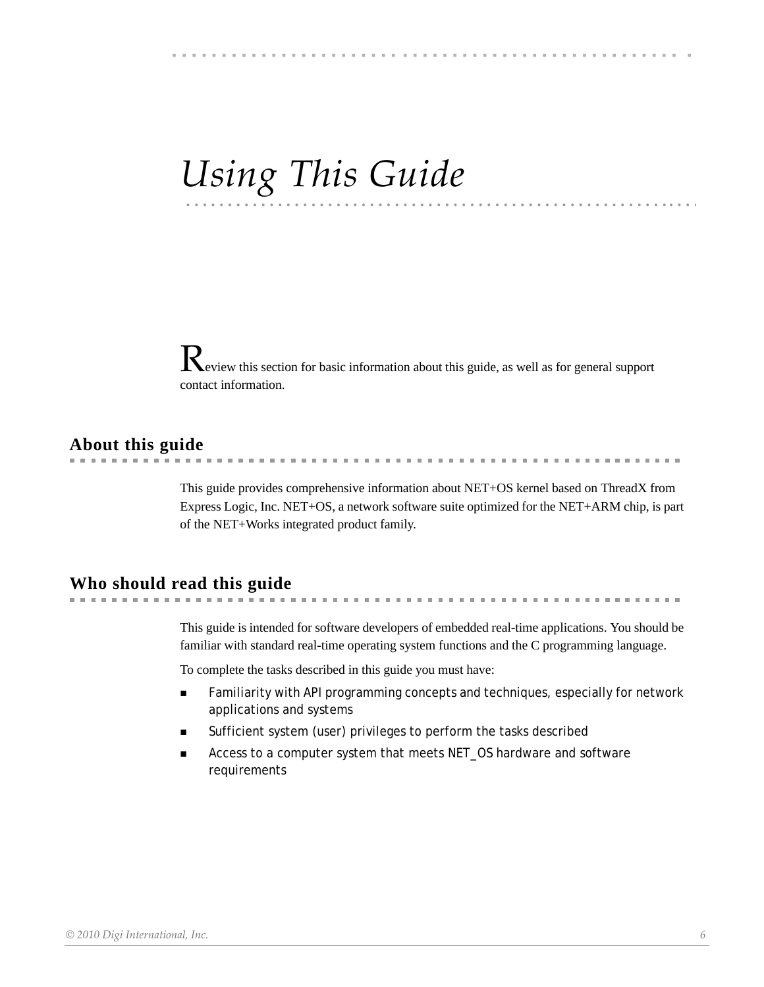# •••••••••••••••••••••••••••••••••••••••••••••••••••••••••• •••• *Using This Guide*

Review this section for basic information about this guide, as well as for general support contact information.

# **About this guide**

. . . . . . . . . . . . . . . . . . . . . . . . . . . . . . . . .

This guide provides comprehensive information about NET+OS kernel based on ThreadX from Express Logic, Inc. NET+OS, a network software suite optimized for the NET+ARM chip, is part of the NET+Works integrated product family.

# **Who should read this guide**

This guide is intended for software developers of embedded real-time applications. You should be familiar with standard real-time operating system functions and the C programming language.

To complete the tasks described in this guide you must have:

- **Familiarity with API programming concepts and techniques, especially for network** applications and systems
- Sufficient system (user) privileges to perform the tasks described
- Access to a computer system that meets NET\_OS hardware and software requirements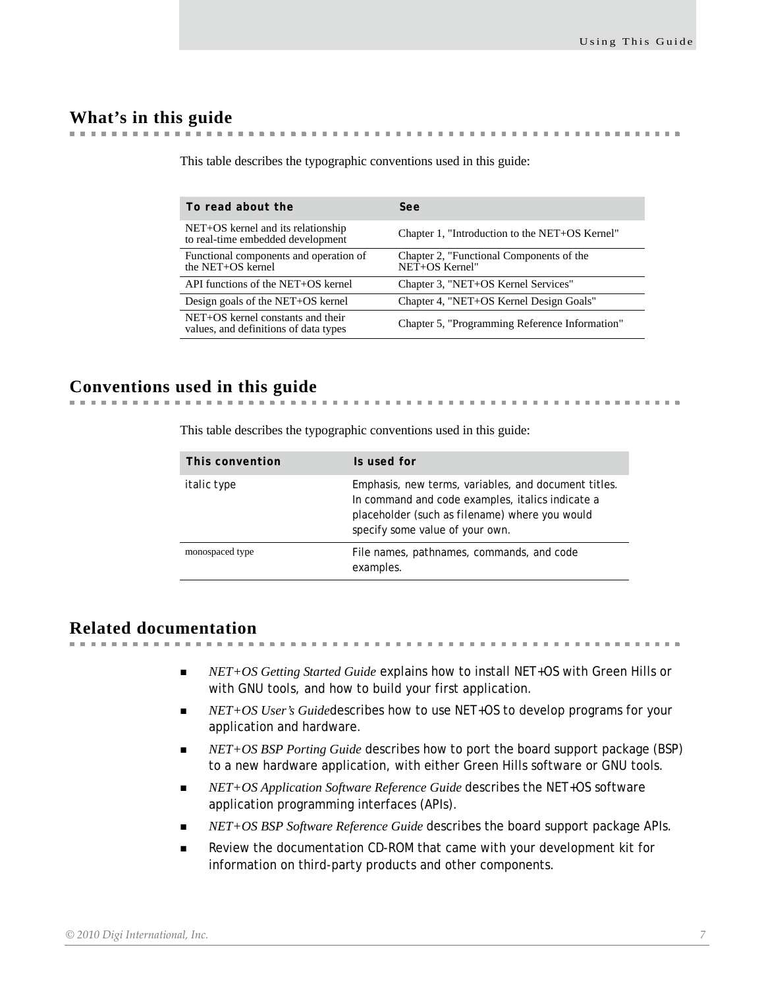. . . . . . . . . . . . . . .

# **What's in this guide**

| To read about the                                                          | See                                                        |
|----------------------------------------------------------------------------|------------------------------------------------------------|
| NET+OS kernel and its relationship<br>to real-time embedded development    | Chapter 1, "Introduction to the NET+OS Kernel"             |
| Functional components and operation of<br>the NET+OS kernel                | Chapter 2, "Functional Components of the<br>NET+OS Kernel" |
| API functions of the NET+OS kernel                                         | Chapter 3, "NET+OS Kernel Services"                        |
| Design goals of the NET+OS kernel                                          | Chapter 4, "NET+OS Kernel Design Goals"                    |
| NET+OS kernel constants and their<br>values, and definitions of data types | Chapter 5, "Programming Reference Information"             |

. . . . . . . . . . . .

This table describes the typographic conventions used in this guide:

# **Conventions used in this guide**

This table describes the typographic conventions used in this guide:

| This convention    | Is used for                                                                                                                                                                                           |
|--------------------|-------------------------------------------------------------------------------------------------------------------------------------------------------------------------------------------------------|
| <i>italic type</i> | Emphasis, new terms, variables, and document titles.<br>In command and code examples, italics indicate a<br>placeholder (such as <i>filename</i> ) where you would<br>specify some value of your own. |
| monospaced type    | File names, pathnames, commands, and code<br>examples.                                                                                                                                                |

# **Related documentation**

■ *NET+OS Getting Started Guide* explains how to install NET+OS with Green Hills or with GNU tools, and how to build your first application.

- *NET+OS User's Guide*describes how to use NET+OS to develop programs for your application and hardware.
- *NET+OS BSP Porting Guide* describes how to port the board support package (BSP) to a new hardware application, with either Green Hills software or GNU tools.
- *NET+OS Application Software Reference Guide* describes the NET+OS software application programming interfaces (APIs).
- *NET+OS BSP Software Reference Guide* describes the board support package APIs.
- Review the documentation CD-ROM that came with your development kit for information on third-party products and other components.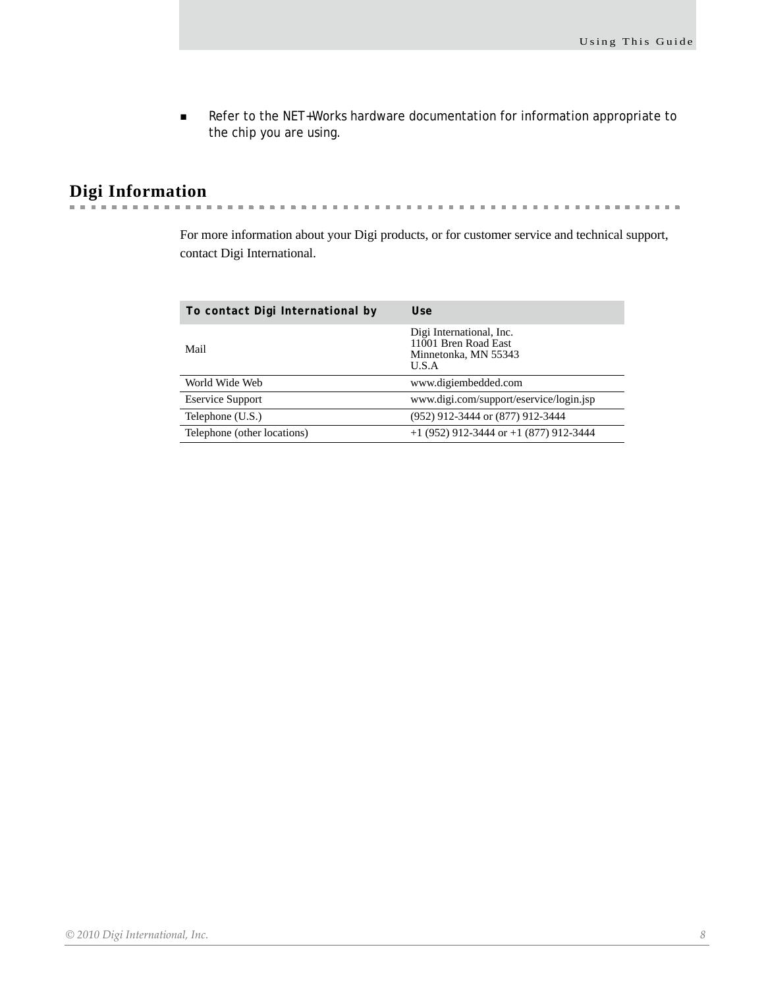Refer to the NET+Works hardware documentation for information appropriate to the chip you are using.

#### **Digi Information** a la

**CONTRACTOR**  $\alpha$  $\alpha$  ,  $\alpha$  $\alpha$ 

For more information about your Digi products, or for customer service and technical support, contact Digi International.

 $\sim$  $\sim$ 

| Use                                                                               |
|-----------------------------------------------------------------------------------|
| Digi International, Inc.<br>11001 Bren Road East<br>Minnetonka, MN 55343<br>U.S.A |
| www.digiembedded.com                                                              |
| www.digi.com/support/eservice/login.jsp                                           |
| (952) 912-3444 or (877) 912-3444                                                  |
| $+1$ (952) 912-3444 or $+1$ (877) 912-3444                                        |
|                                                                                   |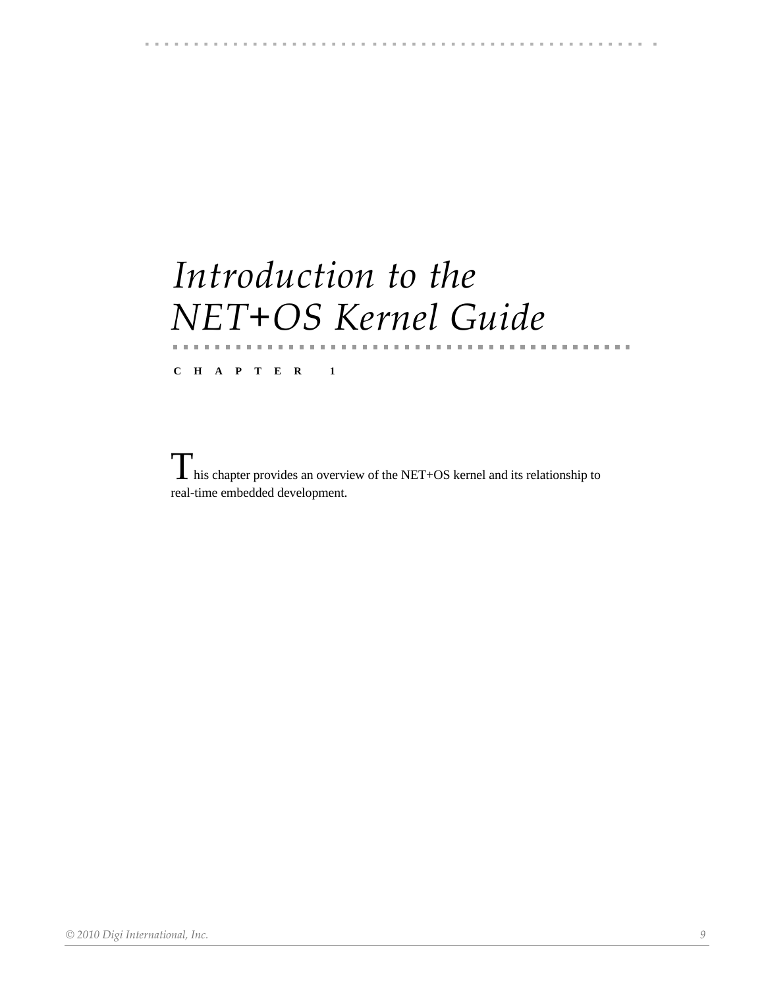# 

# <span id="page-8-0"></span>*Introduction to the NET+OS Kernel Guide*

**CHAPTER 1** 

. . . . . . . . . . . . . . .

 $\prod$  his chapter provides an overview of the NET+OS kernel and its relationship to real-time embedded development.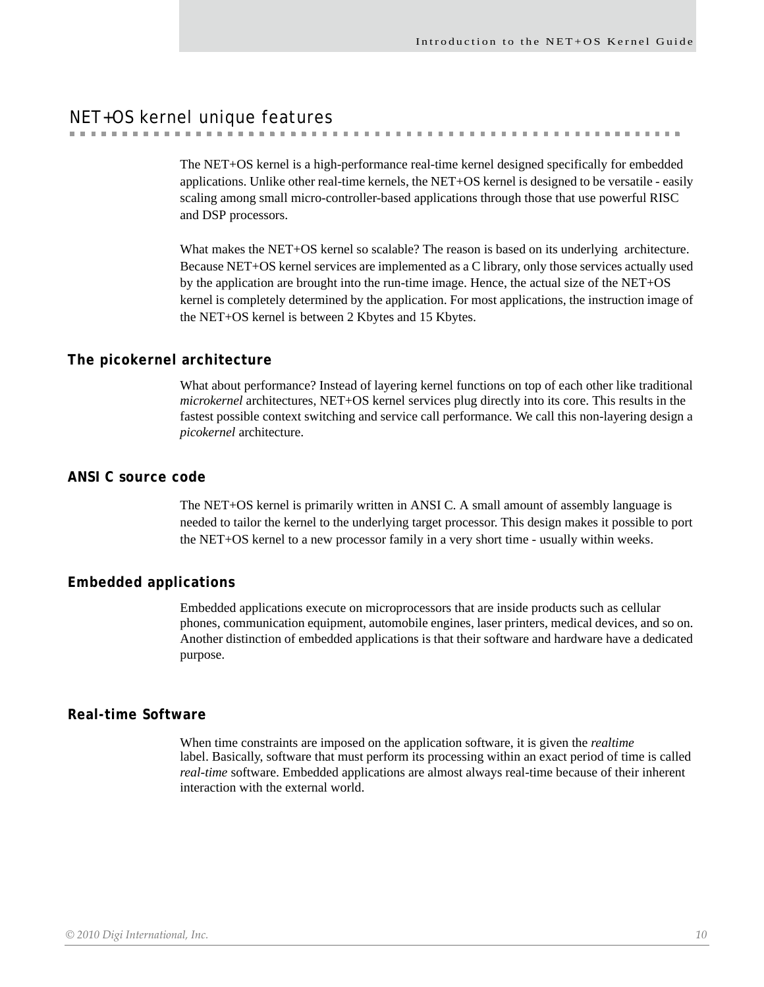. . . . . . . . . . . . . . . . . . . .

# <span id="page-9-0"></span>NET+OS kernel unique features

The NET+OS kernel is a high-performance real-time kernel designed specifically for embedded applications. Unlike other real-time kernels, the NET+OS kernel is designed to be versatile - easily scaling among small micro-controller-based applications through those that use powerful RISC and DSP processors.

What makes the NET+OS kernel so scalable? The reason is based on its underlying architecture. Because NET+OS kernel services are implemented as a C library, only those services actually used by the application are brought into the run-time image. Hence, the actual size of the NET+OS kernel is completely determined by the application. For most applications, the instruction image of the NET+OS kernel is between 2 Kbytes and 15 Kbytes.

#### <span id="page-9-1"></span>**The picokernel architecture**

What about performance? Instead of layering kernel functions on top of each other like traditional *microkernel* architectures, NET+OS kernel services plug directly into its core. This results in the fastest possible context switching and service call performance. We call this non-layering design a *picokernel* architecture.

#### <span id="page-9-2"></span>**ANSI C source code**

The NET+OS kernel is primarily written in ANSI C. A small amount of assembly language is needed to tailor the kernel to the underlying target processor. This design makes it possible to port the NET+OS kernel to a new processor family in a very short time - usually within weeks.

# <span id="page-9-3"></span>**Embedded applications**

Embedded applications execute on microprocessors that are inside products such as cellular phones, communication equipment, automobile engines, laser printers, medical devices, and so on. Another distinction of embedded applications is that their software and hardware have a dedicated purpose.

#### <span id="page-9-4"></span>**Real-time Software**

When time constraints are imposed on the application software, it is given the *realtime* label. Basically, software that must perform its processing within an exact period of time is called *real-time* software. Embedded applications are almost always real-time because of their inherent interaction with the external world.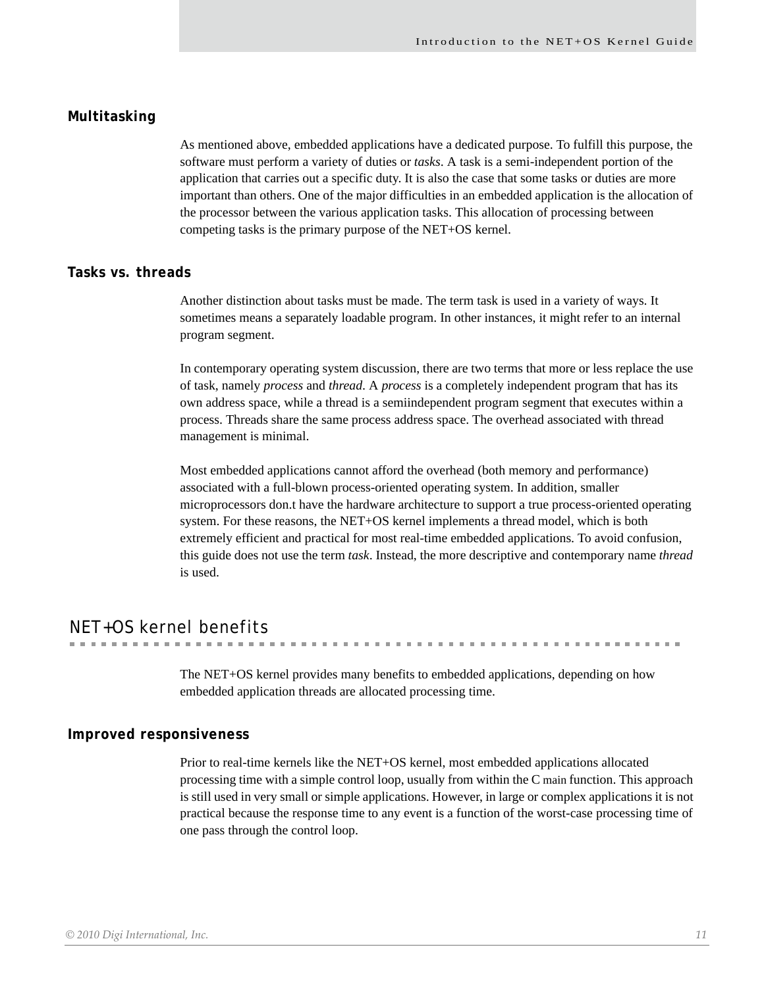### <span id="page-10-0"></span>**Multitasking**

As mentioned above, embedded applications have a dedicated purpose. To fulfill this purpose, the software must perform a variety of duties or *tasks*. A task is a semi-independent portion of the application that carries out a specific duty. It is also the case that some tasks or duties are more important than others. One of the major difficulties in an embedded application is the allocation of the processor between the various application tasks. This allocation of processing between competing tasks is the primary purpose of the NET+OS kernel.

#### <span id="page-10-1"></span>**Tasks vs. threads**

Another distinction about tasks must be made. The term task is used in a variety of ways. It sometimes means a separately loadable program. In other instances, it might refer to an internal program segment.

In contemporary operating system discussion, there are two terms that more or less replace the use of task, namely *process* and *thread*. A *process* is a completely independent program that has its own address space, while a thread is a semiindependent program segment that executes within a process. Threads share the same process address space. The overhead associated with thread management is minimal.

Most embedded applications cannot afford the overhead (both memory and performance) associated with a full-blown process-oriented operating system. In addition, smaller microprocessors don.t have the hardware architecture to support a true process-oriented operating system. For these reasons, the NET+OS kernel implements a thread model, which is both extremely efficient and practical for most real-time embedded applications. To avoid confusion, this guide does not use the term *task*. Instead, the more descriptive and contemporary name *thread*  is used.

# <span id="page-10-2"></span>NET+OS kernel benefits

The NET+OS kernel provides many benefits to embedded applications, depending on how embedded application threads are allocated processing time.

#### <span id="page-10-3"></span>**Improved responsiveness**

Prior to real-time kernels like the NET+OS kernel, most embedded applications allocated processing time with a simple control loop, usually from within the C main function. This approach is still used in very small or simple applications. However, in large or complex applications it is not practical because the response time to any event is a function of the worst-case processing time of one pass through the control loop.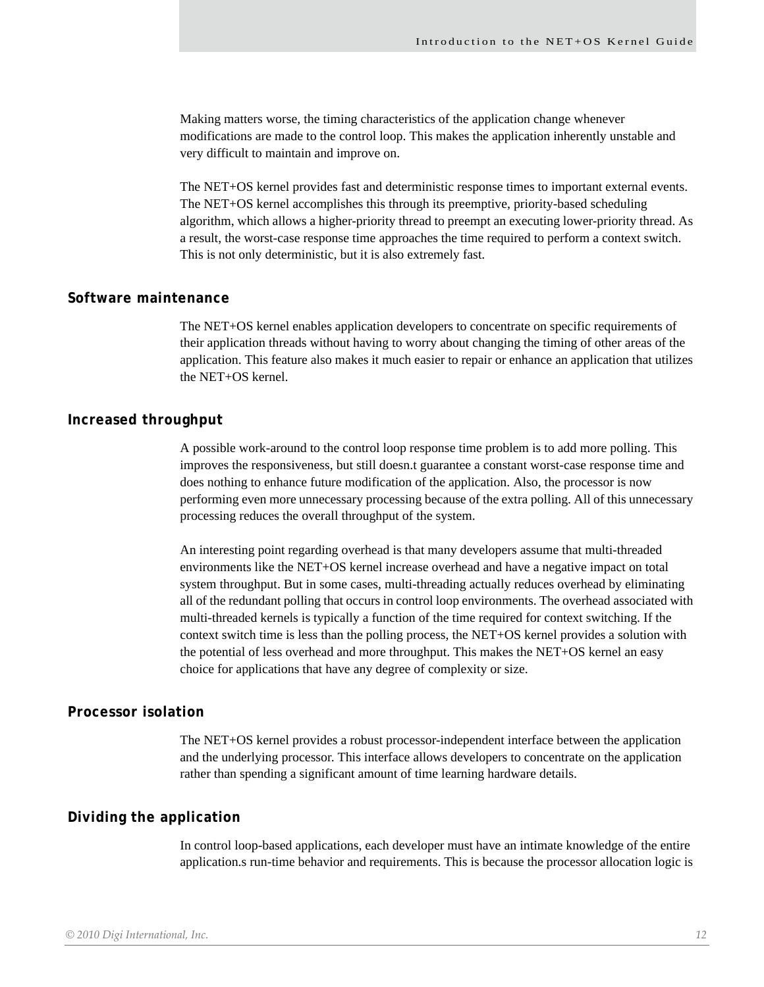Making matters worse, the timing characteristics of the application change whenever modifications are made to the control loop. This makes the application inherently unstable and very difficult to maintain and improve on.

The NET+OS kernel provides fast and deterministic response times to important external events. The NET+OS kernel accomplishes this through its preemptive, priority-based scheduling algorithm, which allows a higher-priority thread to preempt an executing lower-priority thread. As a result, the worst-case response time approaches the time required to perform a context switch. This is not only deterministic, but it is also extremely fast.

#### <span id="page-11-0"></span>**Software maintenance**

The NET+OS kernel enables application developers to concentrate on specific requirements of their application threads without having to worry about changing the timing of other areas of the application. This feature also makes it much easier to repair or enhance an application that utilizes the NET+OS kernel.

#### <span id="page-11-1"></span>**Increased throughput**

A possible work-around to the control loop response time problem is to add more polling. This improves the responsiveness, but still doesn.t guarantee a constant worst-case response time and does nothing to enhance future modification of the application. Also, the processor is now performing even more unnecessary processing because of the extra polling. All of this unnecessary processing reduces the overall throughput of the system.

An interesting point regarding overhead is that many developers assume that multi-threaded environments like the NET+OS kernel increase overhead and have a negative impact on total system throughput. But in some cases, multi-threading actually reduces overhead by eliminating all of the redundant polling that occurs in control loop environments. The overhead associated with multi-threaded kernels is typically a function of the time required for context switching. If the context switch time is less than the polling process, the NET+OS kernel provides a solution with the potential of less overhead and more throughput. This makes the NET+OS kernel an easy choice for applications that have any degree of complexity or size.

#### <span id="page-11-2"></span>**Processor isolation**

The NET+OS kernel provides a robust processor-independent interface between the application and the underlying processor. This interface allows developers to concentrate on the application rather than spending a significant amount of time learning hardware details.

### <span id="page-11-3"></span>**Dividing the application**

In control loop-based applications, each developer must have an intimate knowledge of the entire application.s run-time behavior and requirements. This is because the processor allocation logic is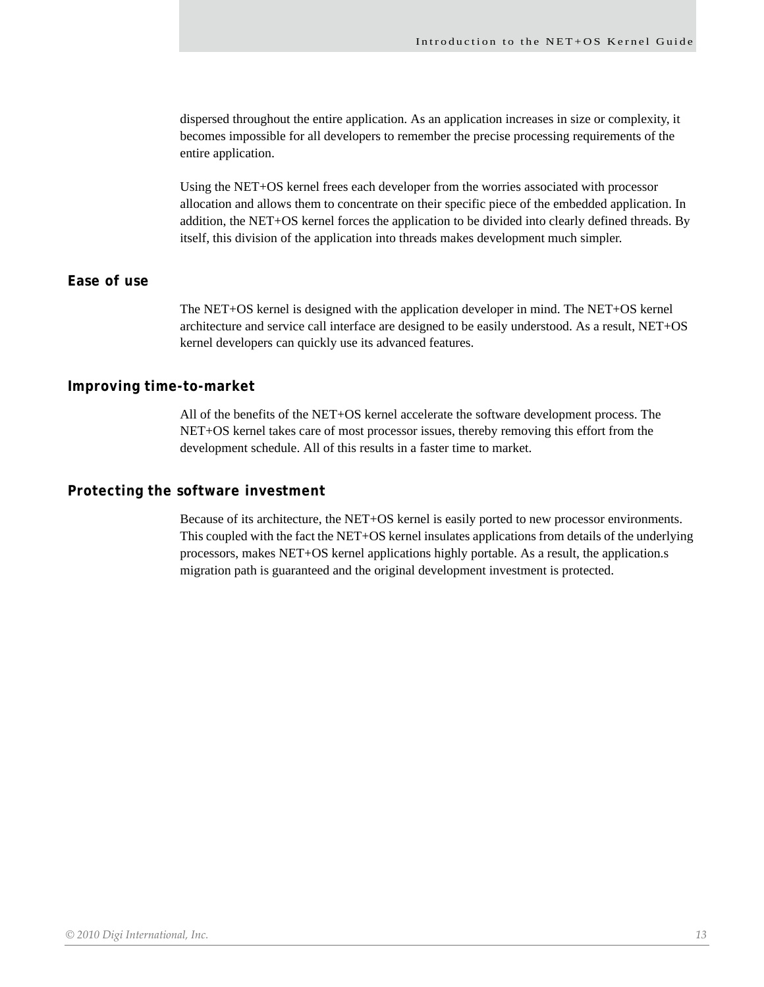dispersed throughout the entire application. As an application increases in size or complexity, it becomes impossible for all developers to remember the precise processing requirements of the entire application.

Using the NET+OS kernel frees each developer from the worries associated with processor allocation and allows them to concentrate on their specific piece of the embedded application. In addition, the NET+OS kernel forces the application to be divided into clearly defined threads. By itself, this division of the application into threads makes development much simpler.

# <span id="page-12-0"></span>**Ease of use**

The NET+OS kernel is designed with the application developer in mind. The NET+OS kernel architecture and service call interface are designed to be easily understood. As a result, NET+OS kernel developers can quickly use its advanced features.

# <span id="page-12-1"></span>**Improving time-to-market**

All of the benefits of the NET+OS kernel accelerate the software development process. The NET+OS kernel takes care of most processor issues, thereby removing this effort from the development schedule. All of this results in a faster time to market.

### <span id="page-12-2"></span>**Protecting the software investment**

Because of its architecture, the NET+OS kernel is easily ported to new processor environments. This coupled with the fact the NET+OS kernel insulates applications from details of the underlying processors, makes NET+OS kernel applications highly portable. As a result, the application.s migration path is guaranteed and the original development investment is protected.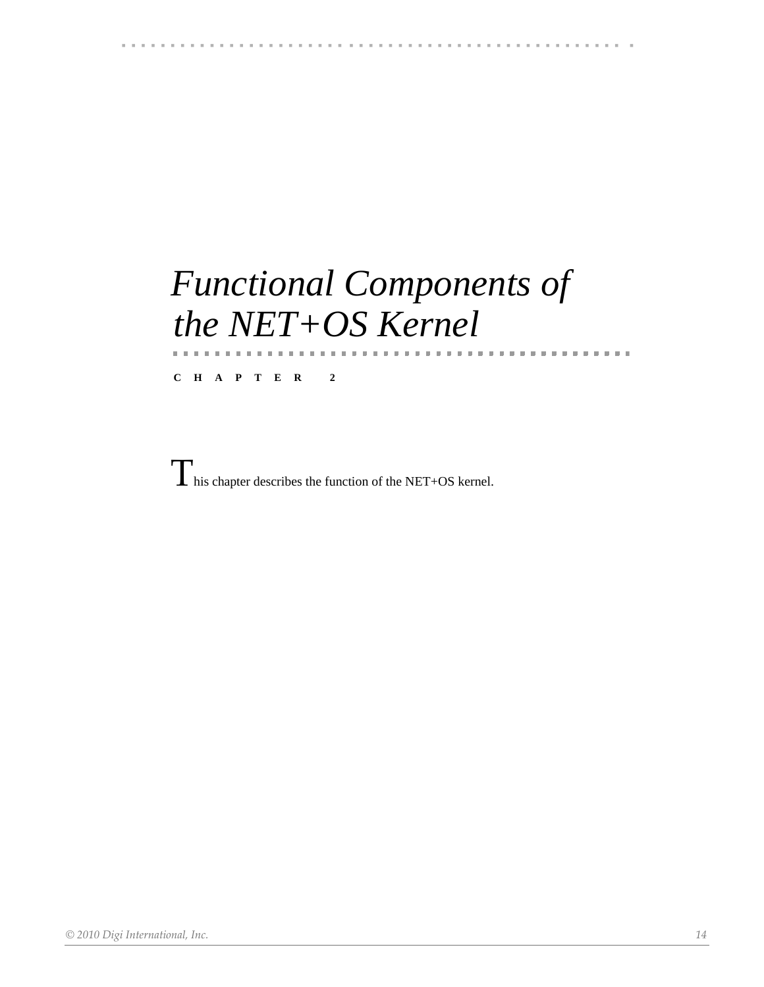# 

# <span id="page-13-0"></span>*Functional Components of the NET+OS Kernel*

. . . . . . . . . . . . . .

**CHAPTER 2** 

This chapter describes the function of the NET+OS kernel.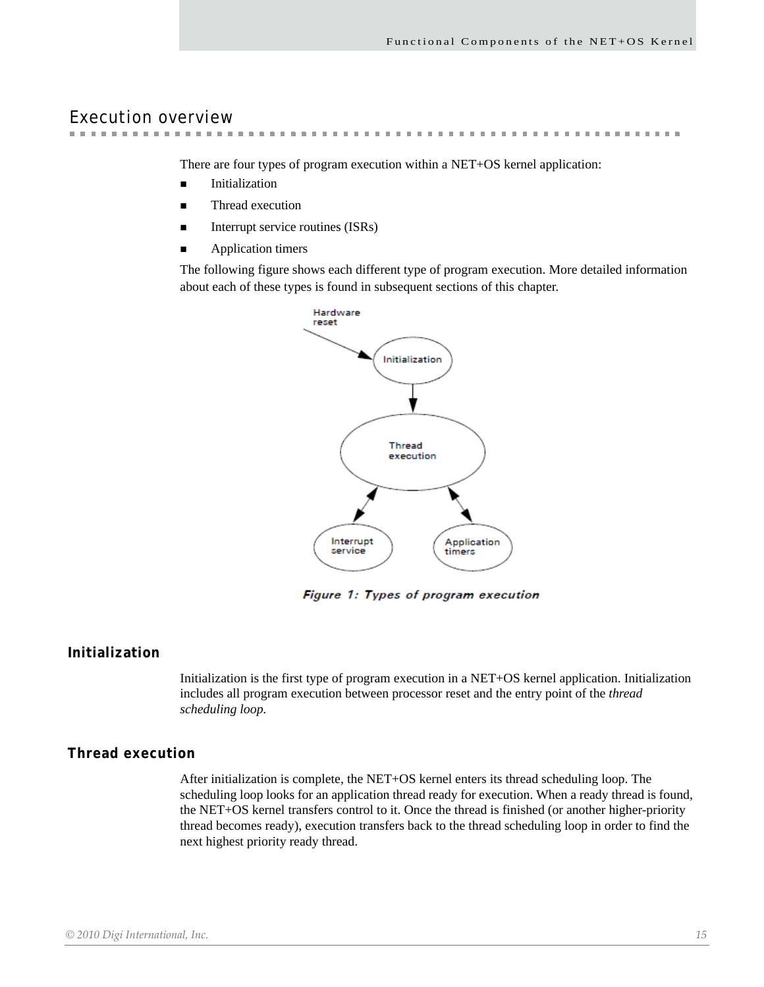# <span id="page-14-0"></span>Execution overview

 $\sim$ . . . . . . . . . .

There are four types of program execution within a NET+OS kernel application:

- **Initialization**
- Thread execution
- Interrupt service routines (ISRs)
- **Application timers**

The following figure shows each different type of program execution. More detailed information about each of these types is found in subsequent sections of this chapter.



Figure 1: Types of program execution

# <span id="page-14-1"></span>**Initialization**

Initialization is the first type of program execution in a NET+OS kernel application. Initialization includes all program execution between processor reset and the entry point of the *thread scheduling loop.*

# <span id="page-14-2"></span>**Thread execution**

After initialization is complete, the NET+OS kernel enters its thread scheduling loop. The scheduling loop looks for an application thread ready for execution. When a ready thread is found, the NET+OS kernel transfers control to it. Once the thread is finished (or another higher-priority thread becomes ready), execution transfers back to the thread scheduling loop in order to find the next highest priority ready thread.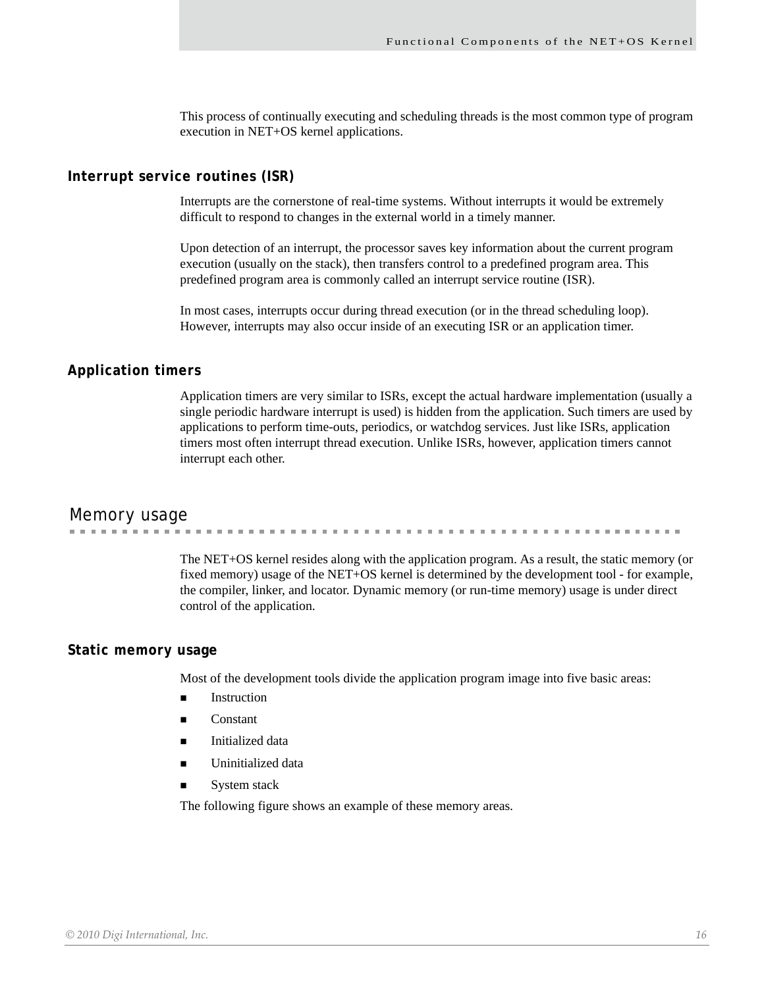This process of continually executing and scheduling threads is the most common type of program execution in NET+OS kernel applications.

#### <span id="page-15-0"></span>**Interrupt service routines (ISR)**

Interrupts are the cornerstone of real-time systems. Without interrupts it would be extremely difficult to respond to changes in the external world in a timely manner.

Upon detection of an interrupt, the processor saves key information about the current program execution (usually on the stack), then transfers control to a predefined program area. This predefined program area is commonly called an interrupt service routine (ISR).

In most cases, interrupts occur during thread execution (or in the thread scheduling loop). However, interrupts may also occur inside of an executing ISR or an application timer.

#### <span id="page-15-1"></span>**Application timers**

Application timers are very similar to ISRs, except the actual hardware implementation (usually a single periodic hardware interrupt is used) is hidden from the application. Such timers are used by applications to perform time-outs, periodics, or watchdog services. Just like ISRs, application timers most often interrupt thread execution. Unlike ISRs, however, application timers cannot interrupt each other.

# <span id="page-15-2"></span>Memory usage

**CONTRACTOR** . . . . . . . . . . . **. . . . . . . . . . . . .** 

> The NET+OS kernel resides along with the application program. As a result, the static memory (or fixed memory) usage of the NET+OS kernel is determined by the development tool - for example, the compiler, linker, and locator. Dynamic memory (or run-time memory) usage is under direct control of the application.

#### <span id="page-15-3"></span>**Static memory usage**

Most of the development tools divide the application program image into five basic areas:

- Instruction
- $\blacksquare$  Constant
- Initialized data
- Uninitialized data
- System stack

The following figure shows an example of these memory areas.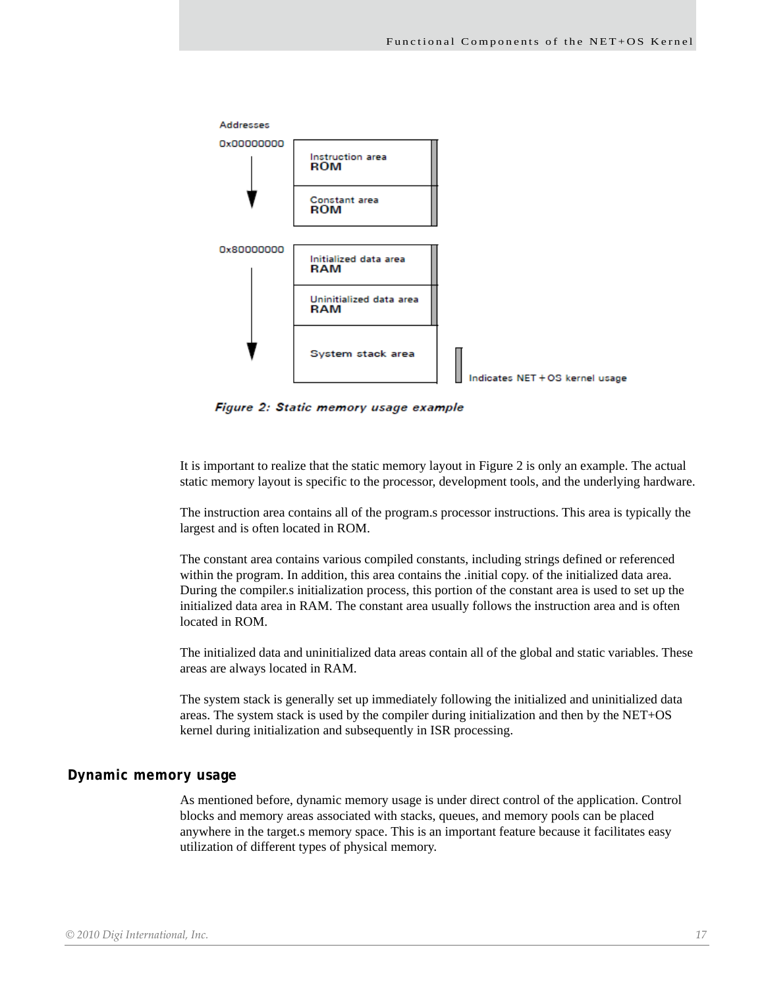

Figure 2: Static memory usage example

It is important to realize that the static memory layout in Figure 2 is only an example. The actual static memory layout is specific to the processor, development tools, and the underlying hardware.

The instruction area contains all of the program.s processor instructions. This area is typically the largest and is often located in ROM.

The constant area contains various compiled constants, including strings defined or referenced within the program. In addition, this area contains the .initial copy. of the initialized data area. During the compiler.s initialization process, this portion of the constant area is used to set up the initialized data area in RAM. The constant area usually follows the instruction area and is often located in ROM.

The initialized data and uninitialized data areas contain all of the global and static variables. These areas are always located in RAM.

The system stack is generally set up immediately following the initialized and uninitialized data areas. The system stack is used by the compiler during initialization and then by the NET+OS kernel during initialization and subsequently in ISR processing.

# <span id="page-16-0"></span>**Dynamic memory usage**

As mentioned before, dynamic memory usage is under direct control of the application. Control blocks and memory areas associated with stacks, queues, and memory pools can be placed anywhere in the target.s memory space. This is an important feature because it facilitates easy utilization of different types of physical memory.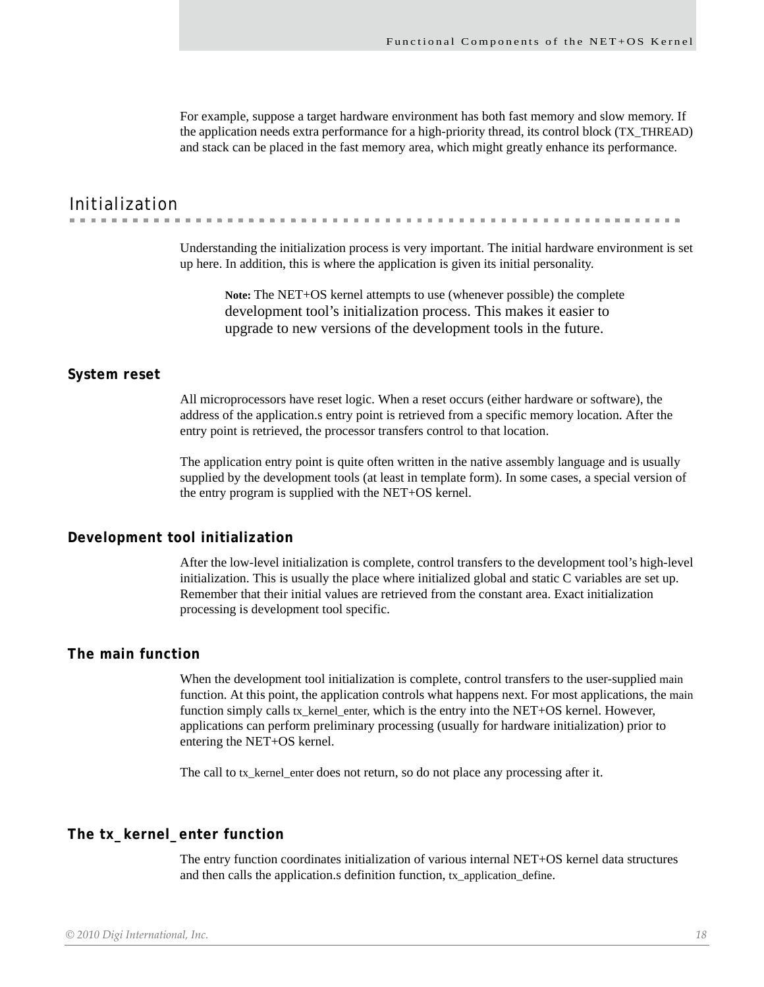For example, suppose a target hardware environment has both fast memory and slow memory. If the application needs extra performance for a high-priority thread, its control block (TX\_THREAD) and stack can be placed in the fast memory area, which might greatly enhance its performance.

# <span id="page-17-0"></span>Initialization

Understanding the initialization process is very important. The initial hardware environment is set

up here. In addition, this is where the application is given its initial personality.

**Note:** The NET+OS kernel attempts to use (whenever possible) the complete development tool's initialization process. This makes it easier to upgrade to new versions of the development tools in the future.

# <span id="page-17-1"></span>**System reset**

All microprocessors have reset logic. When a reset occurs (either hardware or software), the address of the application.s entry point is retrieved from a specific memory location. After the entry point is retrieved, the processor transfers control to that location.

The application entry point is quite often written in the native assembly language and is usually supplied by the development tools (at least in template form). In some cases, a special version of the entry program is supplied with the NET+OS kernel.

#### <span id="page-17-2"></span>**Development tool initialization**

After the low-level initialization is complete, control transfers to the development tool's high-level initialization. This is usually the place where initialized global and static C variables are set up. Remember that their initial values are retrieved from the constant area. Exact initialization processing is development tool specific.

### <span id="page-17-3"></span>**The main function**

When the development tool initialization is complete, control transfers to the user-supplied main function. At this point, the application controls what happens next. For most applications, the main function simply calls tx\_kernel\_enter, which is the entry into the NET+OS kernel. However, applications can perform preliminary processing (usually for hardware initialization) prior to entering the NET+OS kernel.

The call to tx\_kernel\_enter does not return, so do not place any processing after it.

# <span id="page-17-4"></span>**The tx\_kernel\_enter function**

The entry function coordinates initialization of various internal NET+OS kernel data structures and then calls the application.s definition function, tx\_application\_define.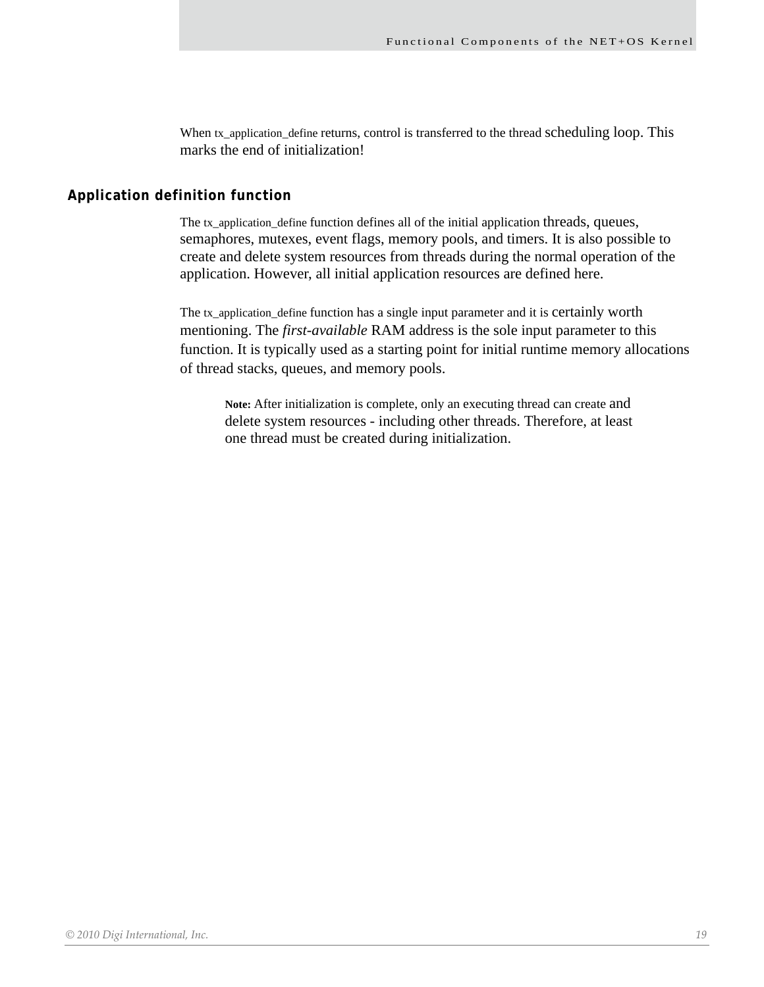When tx\_application\_define returns, control is transferred to the thread scheduling loop. This marks the end of initialization!

### <span id="page-18-0"></span>**Application definition function**

The tx\_application\_define function defines all of the initial application threads, queues, semaphores, mutexes, event flags, memory pools, and timers. It is also possible to create and delete system resources from threads during the normal operation of the application. However, all initial application resources are defined here.

The tx\_application\_define function has a single input parameter and it is certainly worth mentioning. The *first-available* RAM address is the sole input parameter to this function. It is typically used as a starting point for initial runtime memory allocations of thread stacks, queues, and memory pools.

**Note:** After initialization is complete, only an executing thread can create and delete system resources - including other threads. Therefore, at least one thread must be created during initialization.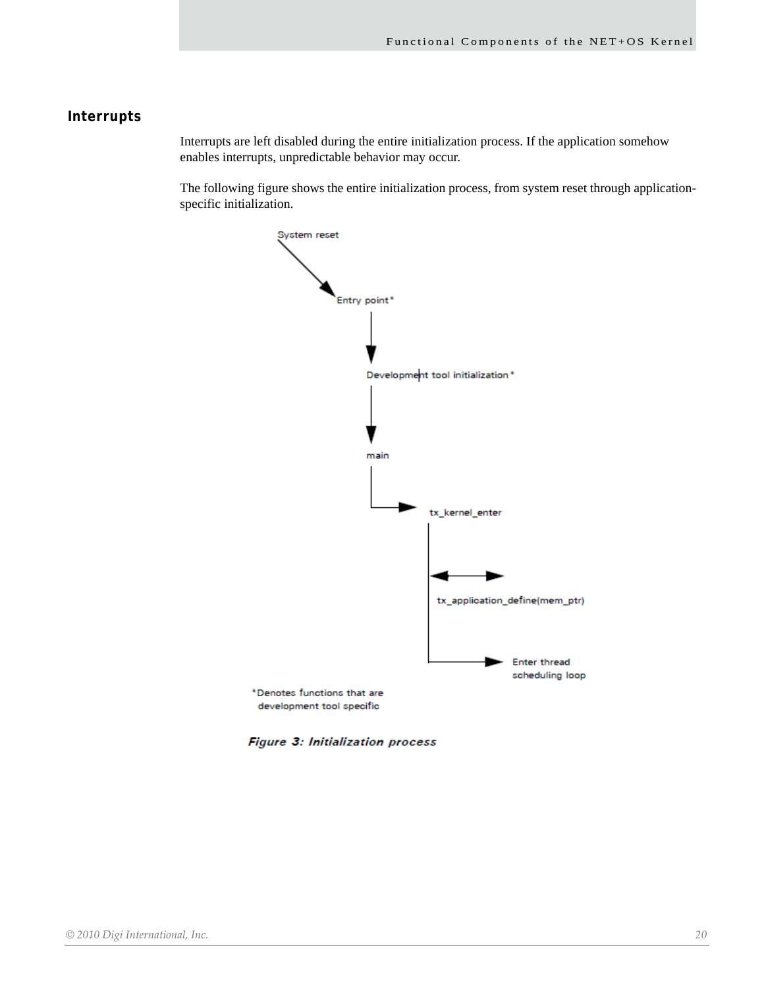# <span id="page-19-0"></span>**Interrupts**

Interrupts are left disabled during the entire initialization process. If the application somehow enables interrupts, unpredictable behavior may occur.

The following figure shows the entire initialization process, from system reset through applicationspecific initialization.



Figure 3: Initialization process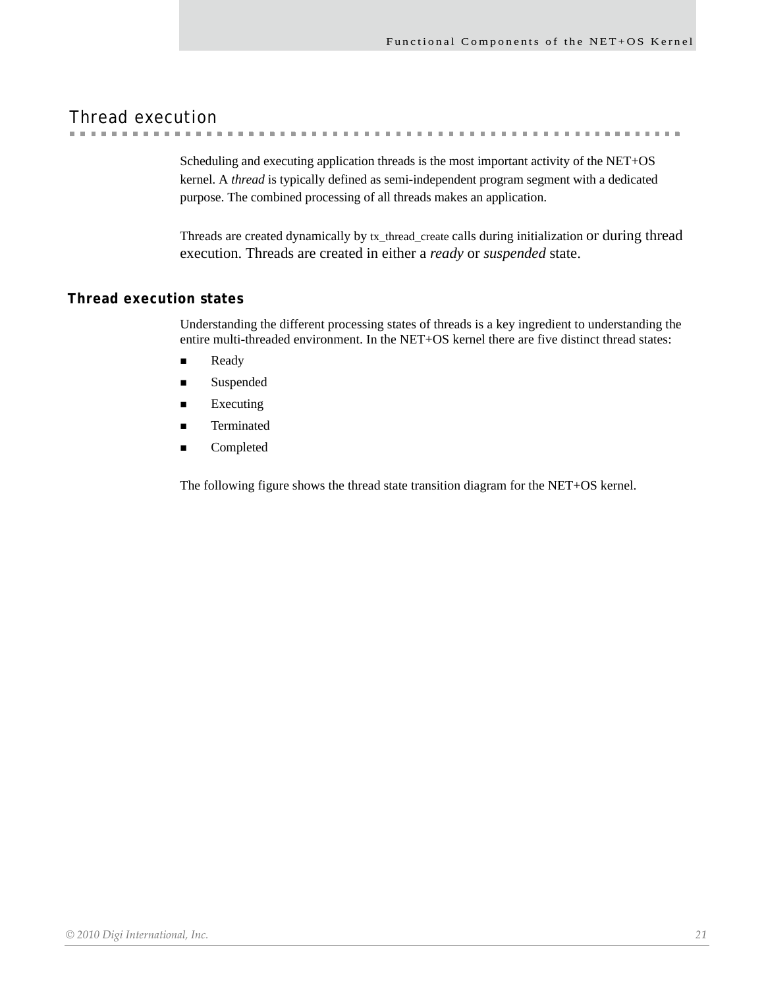. . . . . . . . . . . . .

# <span id="page-20-0"></span>Thread execution

Scheduling and executing application threads is the most important activity of the NET+OS kernel. A *thread* is typically defined as semi-independent program segment with a dedicated

. . . . . . . . . . . . . . . . . . .

 $\sim$ 

purpose. The combined processing of all threads makes an application.

Threads are created dynamically by tx\_thread\_create calls during initialization or during thread execution. Threads are created in either a *ready* or *suspended* state.

# <span id="page-20-1"></span>**Thread execution states**

Understanding the different processing states of threads is a key ingredient to understanding the entire multi-threaded environment. In the NET+OS kernel there are five distinct thread states:

- **Ready**
- **Suspended**
- $\blacksquare$  Executing
- Terminated
- Completed

The following figure shows the thread state transition diagram for the NET+OS kernel.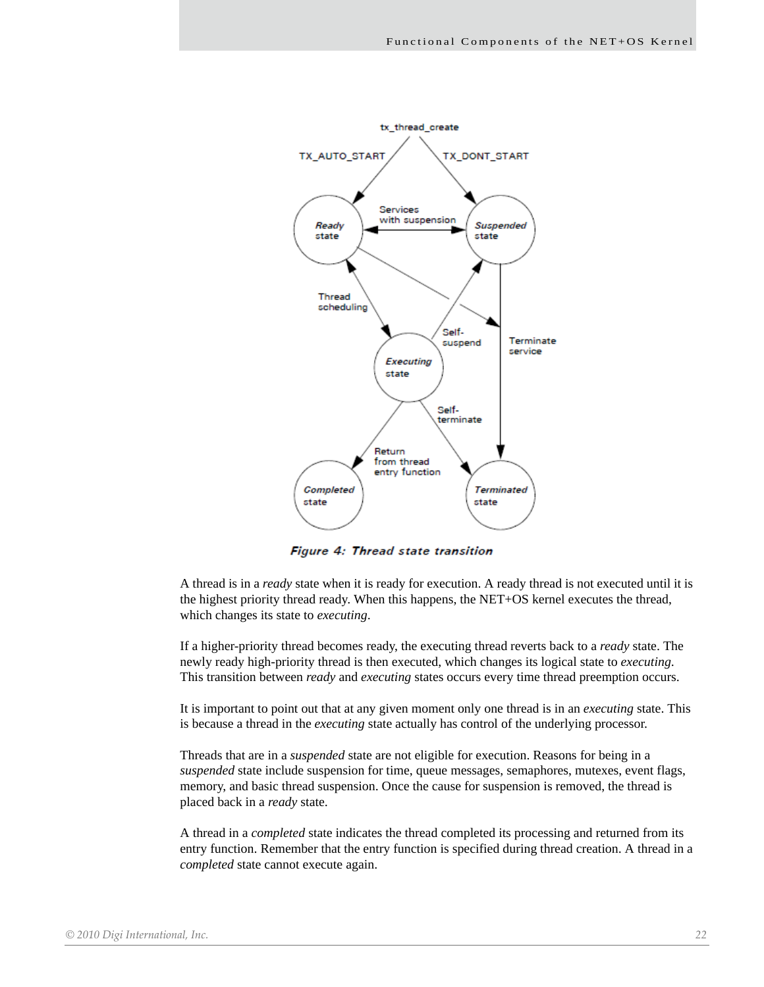

Figure 4: Thread state transition

A thread is in a *ready* state when it is ready for execution. A ready thread is not executed until it is the highest priority thread ready. When this happens, the NET+OS kernel executes the thread, which changes its state to *executing*.

If a higher-priority thread becomes ready, the executing thread reverts back to a *ready* state. The newly ready high-priority thread is then executed, which changes its logical state to *executing*. This transition between *ready* and *executing* states occurs every time thread preemption occurs.

It is important to point out that at any given moment only one thread is in an *executing* state. This is because a thread in the *executing* state actually has control of the underlying processor.

Threads that are in a *suspended* state are not eligible for execution. Reasons for being in a *suspended* state include suspension for time, queue messages, semaphores, mutexes, event flags, memory, and basic thread suspension. Once the cause for suspension is removed, the thread is placed back in a *ready* state.

A thread in a *completed* state indicates the thread completed its processing and returned from its entry function. Remember that the entry function is specified during thread creation. A thread in a *completed* state cannot execute again.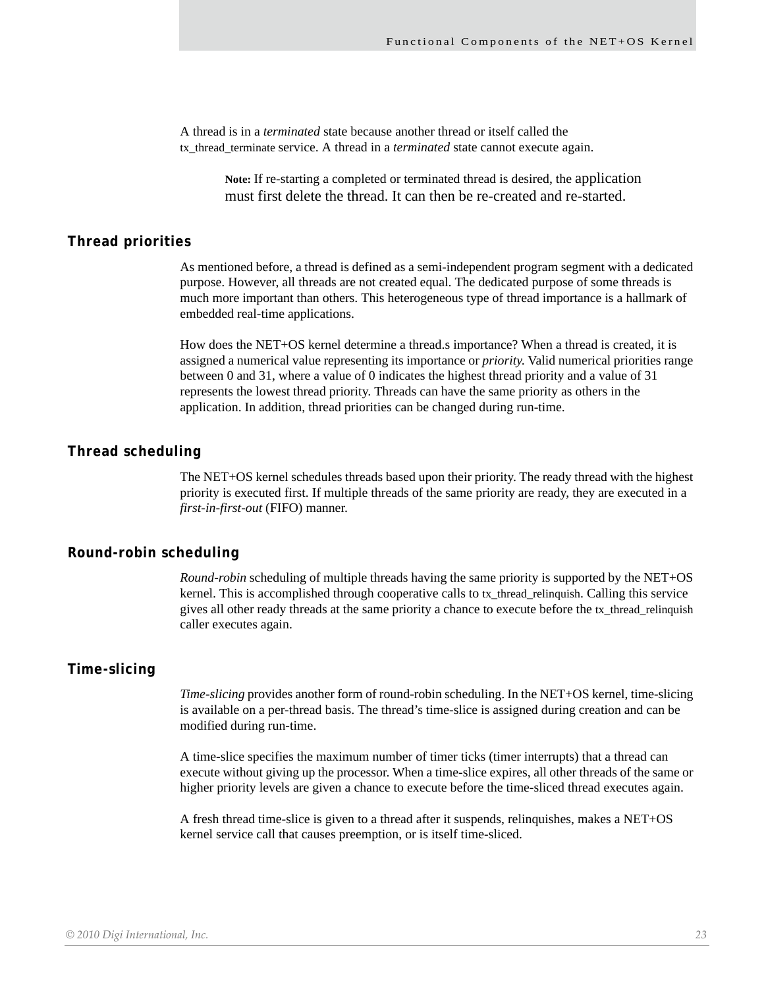A thread is in a *terminated* state because another thread or itself called the tx\_thread\_terminate service. A thread in a *terminated* state cannot execute again.

> **Note:** If re-starting a completed or terminated thread is desired, the application must first delete the thread. It can then be re-created and re-started.

#### <span id="page-22-0"></span>**Thread priorities**

As mentioned before, a thread is defined as a semi-independent program segment with a dedicated purpose. However, all threads are not created equal. The dedicated purpose of some threads is much more important than others. This heterogeneous type of thread importance is a hallmark of embedded real-time applications.

How does the NET+OS kernel determine a thread.s importance? When a thread is created, it is assigned a numerical value representing its importance or *priority*. Valid numerical priorities range between 0 and 31, where a value of 0 indicates the highest thread priority and a value of 31 represents the lowest thread priority. Threads can have the same priority as others in the application. In addition, thread priorities can be changed during run-time.

#### <span id="page-22-1"></span>**Thread scheduling**

The NET+OS kernel schedules threads based upon their priority. The ready thread with the highest priority is executed first. If multiple threads of the same priority are ready, they are executed in a *first-in-first-out* (FIFO) manner.

# <span id="page-22-2"></span>**Round-robin scheduling**

*Round-robin* scheduling of multiple threads having the same priority is supported by the NET+OS kernel. This is accomplished through cooperative calls to tx\_thread\_relinquish. Calling this service gives all other ready threads at the same priority a chance to execute before the tx\_thread\_relinquish caller executes again.

#### <span id="page-22-3"></span>**Time-slicing**

*Time-slicing* provides another form of round-robin scheduling. In the NET+OS kernel, time-slicing is available on a per-thread basis. The thread's time-slice is assigned during creation and can be modified during run-time.

A time-slice specifies the maximum number of timer ticks (timer interrupts) that a thread can execute without giving up the processor. When a time-slice expires, all other threads of the same or higher priority levels are given a chance to execute before the time-sliced thread executes again.

A fresh thread time-slice is given to a thread after it suspends, relinquishes, makes a NET+OS kernel service call that causes preemption, or is itself time-sliced.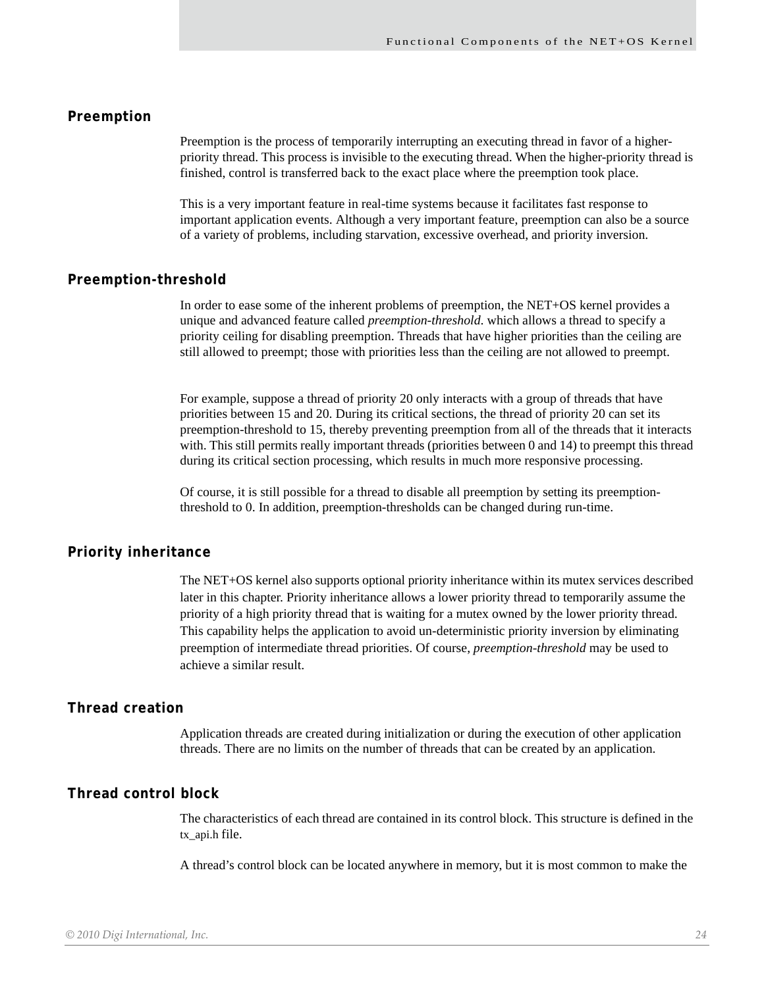# <span id="page-23-0"></span>**Preemption**

Preemption is the process of temporarily interrupting an executing thread in favor of a higherpriority thread. This process is invisible to the executing thread. When the higher-priority thread is finished, control is transferred back to the exact place where the preemption took place.

This is a very important feature in real-time systems because it facilitates fast response to important application events. Although a very important feature, preemption can also be a source of a variety of problems, including starvation, excessive overhead, and priority inversion.

#### <span id="page-23-1"></span>**Preemption-threshold**

In order to ease some of the inherent problems of preemption, the NET+OS kernel provides a unique and advanced feature called *preemption-threshold*. which allows a thread to specify a priority ceiling for disabling preemption. Threads that have higher priorities than the ceiling are still allowed to preempt; those with priorities less than the ceiling are not allowed to preempt.

For example, suppose a thread of priority 20 only interacts with a group of threads that have priorities between 15 and 20. During its critical sections, the thread of priority 20 can set its preemption-threshold to 15, thereby preventing preemption from all of the threads that it interacts with. This still permits really important threads (priorities between 0 and 14) to preempt this thread during its critical section processing, which results in much more responsive processing.

Of course, it is still possible for a thread to disable all preemption by setting its preemptionthreshold to 0. In addition, preemption-thresholds can be changed during run-time.

#### <span id="page-23-2"></span>**Priority inheritance**

The NET+OS kernel also supports optional priority inheritance within its mutex services described later in this chapter. Priority inheritance allows a lower priority thread to temporarily assume the priority of a high priority thread that is waiting for a mutex owned by the lower priority thread. This capability helps the application to avoid un-deterministic priority inversion by eliminating preemption of intermediate thread priorities. Of course, *preemption-threshold* may be used to achieve a similar result.

#### <span id="page-23-3"></span>**Thread creation**

Application threads are created during initialization or during the execution of other application threads. There are no limits on the number of threads that can be created by an application.

#### <span id="page-23-4"></span>**Thread control block**

The characteristics of each thread are contained in its control block. This structure is defined in the tx\_api.h file.

A thread's control block can be located anywhere in memory, but it is most common to make the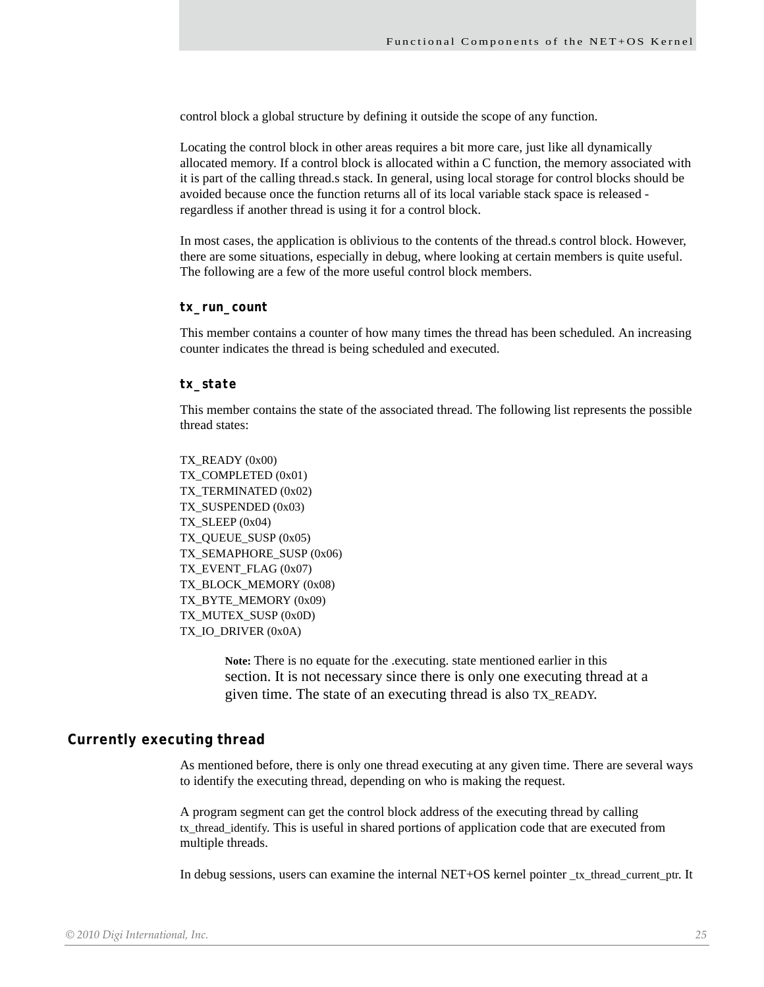control block a global structure by defining it outside the scope of any function.

Locating the control block in other areas requires a bit more care, just like all dynamically allocated memory. If a control block is allocated within a C function, the memory associated with it is part of the calling thread.s stack. In general, using local storage for control blocks should be avoided because once the function returns all of its local variable stack space is released regardless if another thread is using it for a control block.

In most cases, the application is oblivious to the contents of the thread.s control block. However, there are some situations, especially in debug, where looking at certain members is quite useful. The following are a few of the more useful control block members.

#### <span id="page-24-0"></span>*tx\_run\_count*

This member contains a counter of how many times the thread has been scheduled. An increasing counter indicates the thread is being scheduled and executed.

#### <span id="page-24-1"></span>*tx\_state*

This member contains the state of the associated thread. The following list represents the possible thread states:

TX\_READY (0x00) TX\_COMPLETED (0x01) TX\_TERMINATED (0x02) TX\_SUSPENDED (0x03) TX\_SLEEP (0x04) TX\_QUEUE\_SUSP (0x05) TX\_SEMAPHORE\_SUSP (0x06) TX\_EVENT\_FLAG (0x07) TX\_BLOCK\_MEMORY (0x08) TX\_BYTE\_MEMORY (0x09) TX\_MUTEX\_SUSP (0x0D) TX\_IO\_DRIVER (0x0A)

> **Note:** There is no equate for the .executing. state mentioned earlier in this section. It is not necessary since there is only one executing thread at a given time. The state of an executing thread is also TX\_READY.

### <span id="page-24-2"></span>**Currently executing thread**

As mentioned before, there is only one thread executing at any given time. There are several ways to identify the executing thread, depending on who is making the request.

A program segment can get the control block address of the executing thread by calling tx\_thread\_identify. This is useful in shared portions of application code that are executed from multiple threads.

In debug sessions, users can examine the internal NET+OS kernel pointer \_tx\_thread\_current\_ptr. It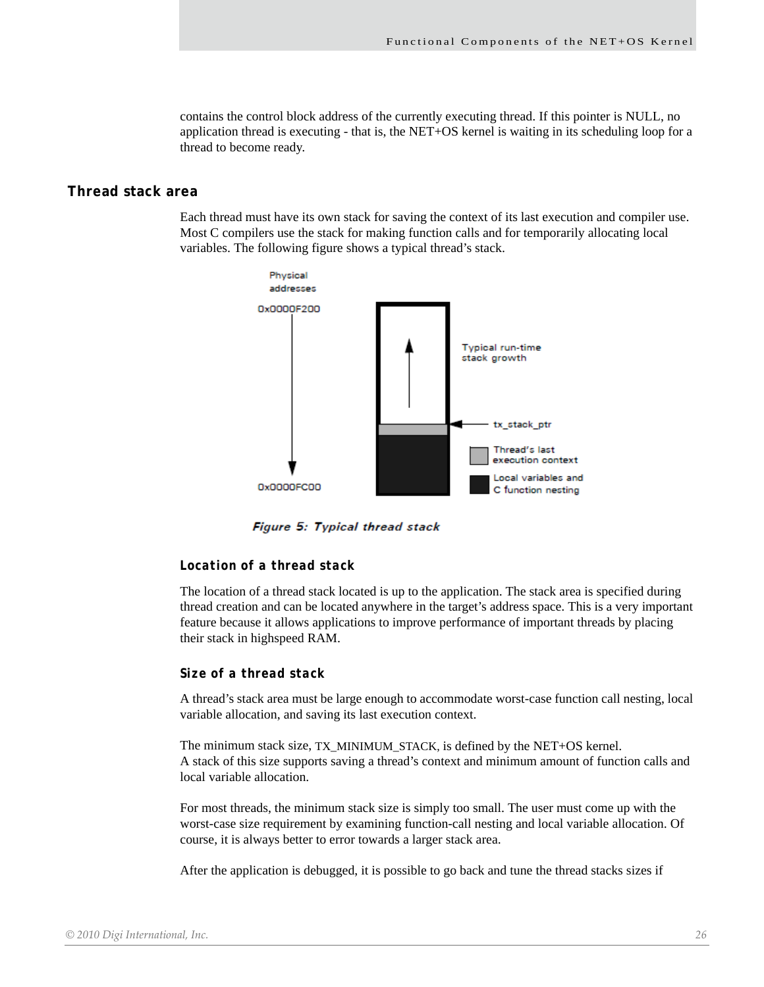contains the control block address of the currently executing thread. If this pointer is NULL, no application thread is executing - that is, the NET+OS kernel is waiting in its scheduling loop for a thread to become ready.

#### <span id="page-25-0"></span>**Thread stack area**

Each thread must have its own stack for saving the context of its last execution and compiler use. Most C compilers use the stack for making function calls and for temporarily allocating local variables. The following figure shows a typical thread's stack.



Figure 5: Typical thread stack

#### <span id="page-25-1"></span>*Location of a thread stack*

The location of a thread stack located is up to the application. The stack area is specified during thread creation and can be located anywhere in the target's address space. This is a very important feature because it allows applications to improve performance of important threads by placing their stack in highspeed RAM.

#### <span id="page-25-2"></span>*Size of a thread stack*

A thread's stack area must be large enough to accommodate worst-case function call nesting, local variable allocation, and saving its last execution context.

The minimum stack size, TX\_MINIMUM\_STACK, is defined by the NET+OS kernel. A stack of this size supports saving a thread's context and minimum amount of function calls and local variable allocation.

For most threads, the minimum stack size is simply too small. The user must come up with the worst-case size requirement by examining function-call nesting and local variable allocation. Of course, it is always better to error towards a larger stack area.

After the application is debugged, it is possible to go back and tune the thread stacks sizes if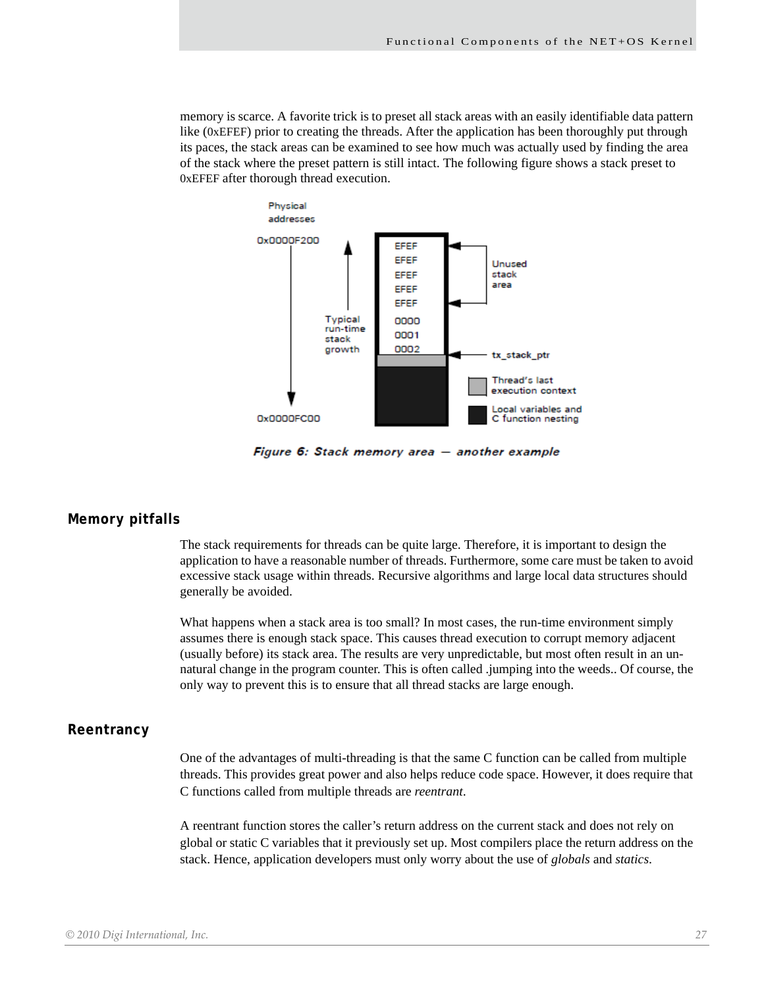memory is scarce. A favorite trick is to preset all stack areas with an easily identifiable data pattern like (0xEFEF) prior to creating the threads. After the application has been thoroughly put through its paces, the stack areas can be examined to see how much was actually used by finding the area of the stack where the preset pattern is still intact. The following figure shows a stack preset to 0xEFEF after thorough thread execution.



Figure 6: Stack memory area - another example

#### <span id="page-26-0"></span>**Memory pitfalls**

The stack requirements for threads can be quite large. Therefore, it is important to design the application to have a reasonable number of threads. Furthermore, some care must be taken to avoid excessive stack usage within threads. Recursive algorithms and large local data structures should generally be avoided.

What happens when a stack area is too small? In most cases, the run-time environment simply assumes there is enough stack space. This causes thread execution to corrupt memory adjacent (usually before) its stack area. The results are very unpredictable, but most often result in an unnatural change in the program counter. This is often called .jumping into the weeds.. Of course, the only way to prevent this is to ensure that all thread stacks are large enough.

#### <span id="page-26-1"></span>**Reentrancy**

One of the advantages of multi-threading is that the same C function can be called from multiple threads. This provides great power and also helps reduce code space. However, it does require that C functions called from multiple threads are *reentrant*.

A reentrant function stores the caller's return address on the current stack and does not rely on global or static C variables that it previously set up. Most compilers place the return address on the stack. Hence, application developers must only worry about the use of *globals* and *statics*.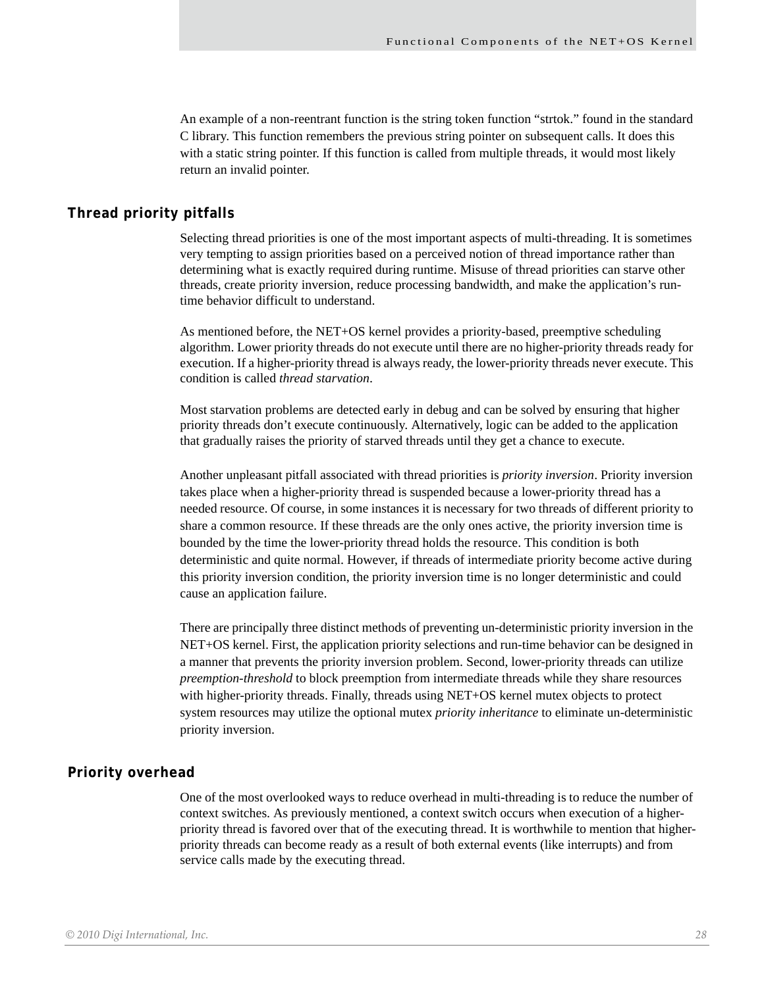An example of a non-reentrant function is the string token function "strtok." found in the standard C library. This function remembers the previous string pointer on subsequent calls. It does this with a static string pointer. If this function is called from multiple threads, it would most likely return an invalid pointer.

#### <span id="page-27-0"></span>**Thread priority pitfalls**

Selecting thread priorities is one of the most important aspects of multi-threading. It is sometimes very tempting to assign priorities based on a perceived notion of thread importance rather than determining what is exactly required during runtime. Misuse of thread priorities can starve other threads, create priority inversion, reduce processing bandwidth, and make the application's runtime behavior difficult to understand.

As mentioned before, the NET+OS kernel provides a priority-based, preemptive scheduling algorithm. Lower priority threads do not execute until there are no higher-priority threads ready for execution. If a higher-priority thread is always ready, the lower-priority threads never execute. This condition is called *thread starvation*.

Most starvation problems are detected early in debug and can be solved by ensuring that higher priority threads don't execute continuously. Alternatively, logic can be added to the application that gradually raises the priority of starved threads until they get a chance to execute.

Another unpleasant pitfall associated with thread priorities is *priority inversion*. Priority inversion takes place when a higher-priority thread is suspended because a lower-priority thread has a needed resource. Of course, in some instances it is necessary for two threads of different priority to share a common resource. If these threads are the only ones active, the priority inversion time is bounded by the time the lower-priority thread holds the resource. This condition is both deterministic and quite normal. However, if threads of intermediate priority become active during this priority inversion condition, the priority inversion time is no longer deterministic and could cause an application failure.

There are principally three distinct methods of preventing un-deterministic priority inversion in the NET+OS kernel. First, the application priority selections and run-time behavior can be designed in a manner that prevents the priority inversion problem. Second, lower-priority threads can utilize *preemption-threshold* to block preemption from intermediate threads while they share resources with higher-priority threads. Finally, threads using NET+OS kernel mutex objects to protect system resources may utilize the optional mutex *priority inheritance* to eliminate un-deterministic priority inversion.

#### <span id="page-27-1"></span>**Priority overhead**

One of the most overlooked ways to reduce overhead in multi-threading is to reduce the number of context switches. As previously mentioned, a context switch occurs when execution of a higherpriority thread is favored over that of the executing thread. It is worthwhile to mention that higherpriority threads can become ready as a result of both external events (like interrupts) and from service calls made by the executing thread.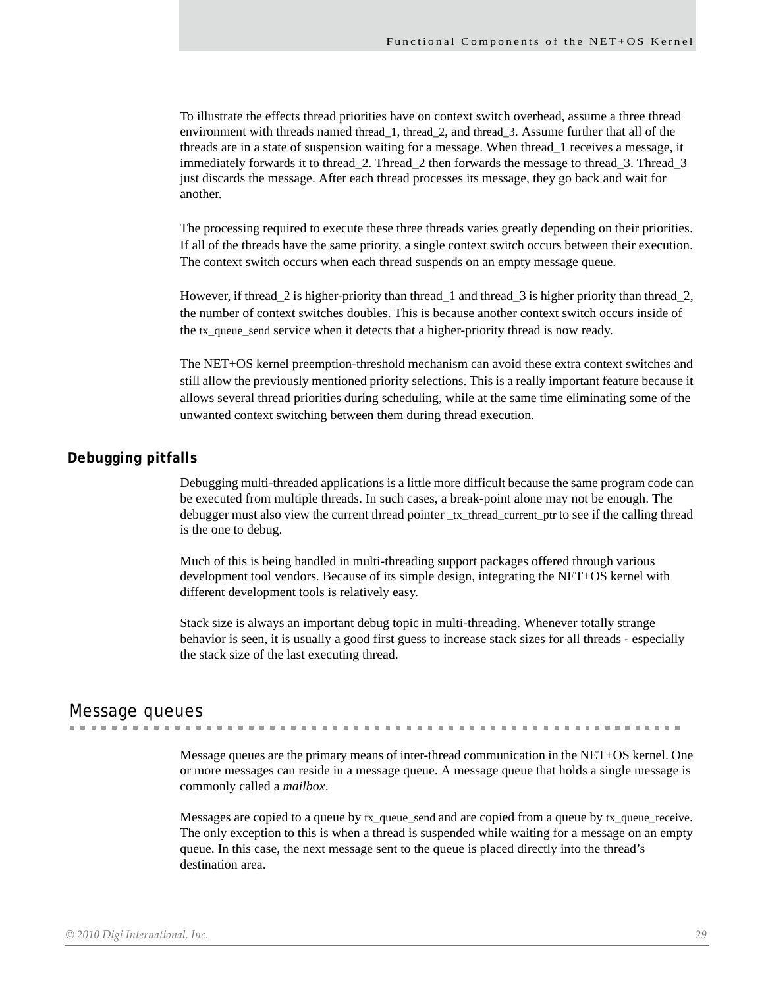To illustrate the effects thread priorities have on context switch overhead, assume a three thread environment with threads named thread 1, thread 2, and thread 3. Assume further that all of the threads are in a state of suspension waiting for a message. When thread\_1 receives a message, it immediately forwards it to thread\_2. Thread\_2 then forwards the message to thread\_3. Thread\_3 just discards the message. After each thread processes its message, they go back and wait for another.

The processing required to execute these three threads varies greatly depending on their priorities. If all of the threads have the same priority, a single context switch occurs between their execution. The context switch occurs when each thread suspends on an empty message queue.

However, if thread\_2 is higher-priority than thread\_1 and thread\_3 is higher priority than thread\_2, the number of context switches doubles. This is because another context switch occurs inside of the tx\_queue\_send service when it detects that a higher-priority thread is now ready.

The NET+OS kernel preemption-threshold mechanism can avoid these extra context switches and still allow the previously mentioned priority selections. This is a really important feature because it allows several thread priorities during scheduling, while at the same time eliminating some of the unwanted context switching between them during thread execution.

# <span id="page-28-0"></span>**Debugging pitfalls**

Debugging multi-threaded applications is a little more difficult because the same program code can be executed from multiple threads. In such cases, a break-point alone may not be enough. The debugger must also view the current thread pointer \_tx\_thread\_current\_ptr to see if the calling thread is the one to debug.

Much of this is being handled in multi-threading support packages offered through various development tool vendors. Because of its simple design, integrating the NET+OS kernel with different development tools is relatively easy.

Stack size is always an important debug topic in multi-threading. Whenever totally strange behavior is seen, it is usually a good first guess to increase stack sizes for all threads - especially the stack size of the last executing thread.

# <span id="page-28-1"></span>Message queues

Message queues are the primary means of inter-thread communication in the NET+OS kernel. One or more messages can reside in a message queue. A message queue that holds a single message is commonly called a *mailbox*.

Messages are copied to a queue by tx queue send and are copied from a queue by tx queue receive. The only exception to this is when a thread is suspended while waiting for a message on an empty queue. In this case, the next message sent to the queue is placed directly into the thread's destination area.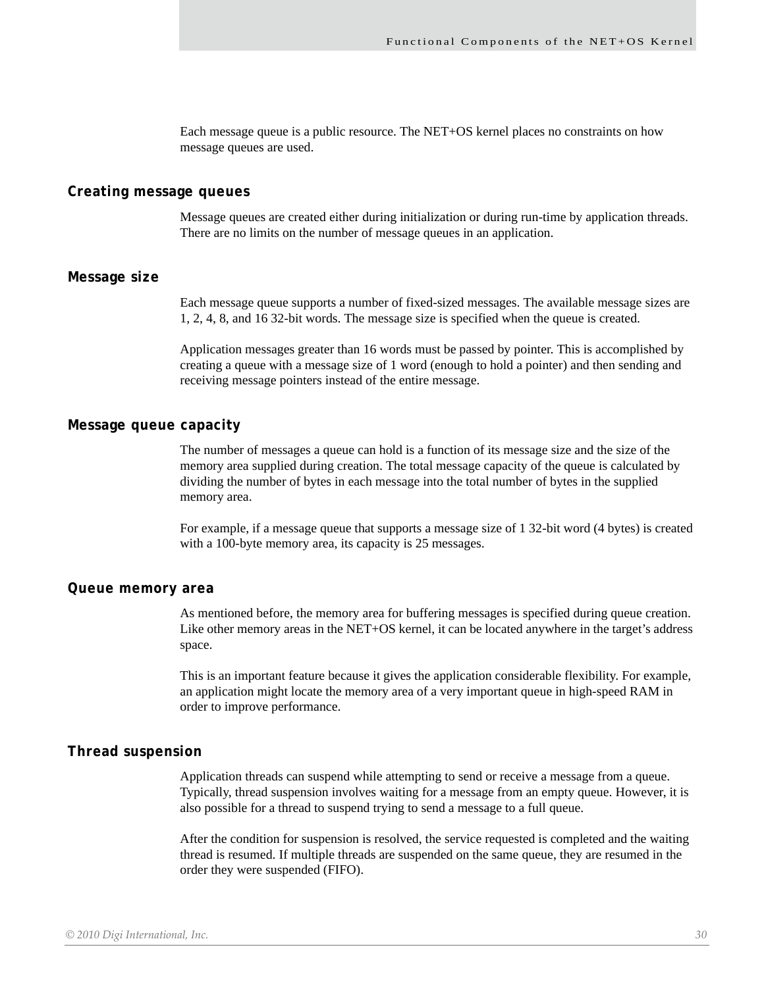Each message queue is a public resource. The NET+OS kernel places no constraints on how message queues are used.

#### <span id="page-29-0"></span>**Creating message queues**

Message queues are created either during initialization or during run-time by application threads. There are no limits on the number of message queues in an application.

#### <span id="page-29-1"></span>**Message size**

Each message queue supports a number of fixed-sized messages. The available message sizes are 1, 2, 4, 8, and 16 32-bit words. The message size is specified when the queue is created.

Application messages greater than 16 words must be passed by pointer. This is accomplished by creating a queue with a message size of 1 word (enough to hold a pointer) and then sending and receiving message pointers instead of the entire message.

# <span id="page-29-2"></span>**Message queue capacity**

The number of messages a queue can hold is a function of its message size and the size of the memory area supplied during creation. The total message capacity of the queue is calculated by dividing the number of bytes in each message into the total number of bytes in the supplied memory area.

For example, if a message queue that supports a message size of 1 32-bit word (4 bytes) is created with a 100-byte memory area, its capacity is 25 messages.

#### <span id="page-29-3"></span>**Queue memory area**

As mentioned before, the memory area for buffering messages is specified during queue creation. Like other memory areas in the NET+OS kernel, it can be located anywhere in the target's address space.

This is an important feature because it gives the application considerable flexibility. For example, an application might locate the memory area of a very important queue in high-speed RAM in order to improve performance.

#### <span id="page-29-4"></span>**Thread suspension**

Application threads can suspend while attempting to send or receive a message from a queue. Typically, thread suspension involves waiting for a message from an empty queue. However, it is also possible for a thread to suspend trying to send a message to a full queue.

After the condition for suspension is resolved, the service requested is completed and the waiting thread is resumed. If multiple threads are suspended on the same queue, they are resumed in the order they were suspended (FIFO).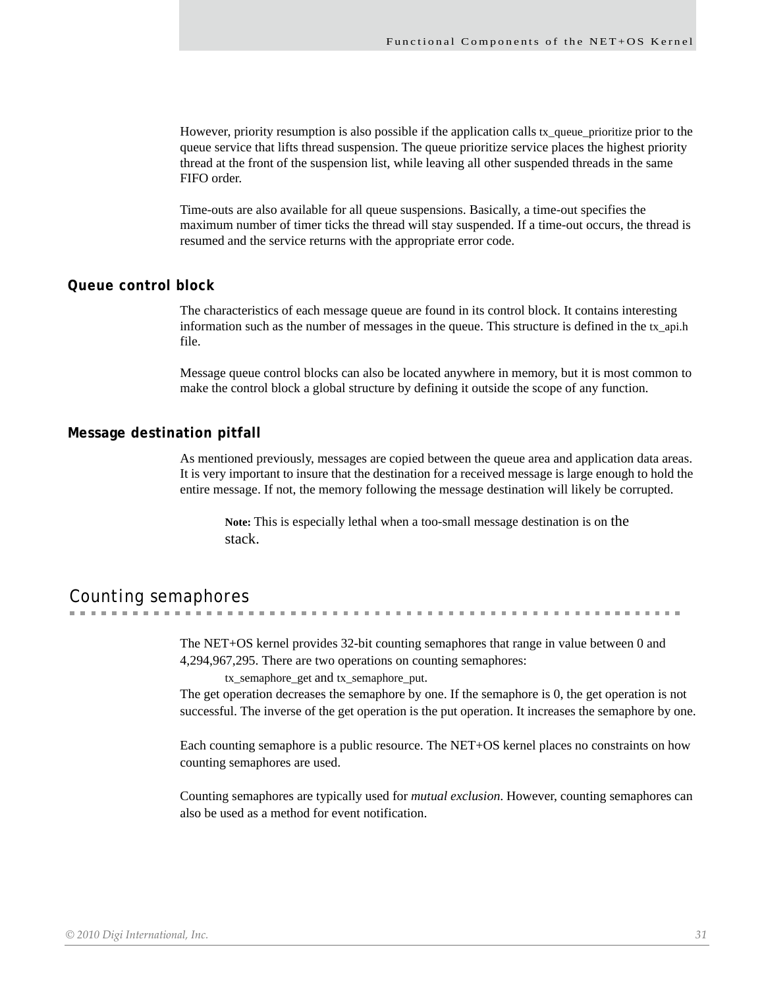However, priority resumption is also possible if the application calls tx\_queue\_prioritize prior to the queue service that lifts thread suspension. The queue prioritize service places the highest priority thread at the front of the suspension list, while leaving all other suspended threads in the same FIFO order.

Time-outs are also available for all queue suspensions. Basically, a time-out specifies the maximum number of timer ticks the thread will stay suspended. If a time-out occurs, the thread is resumed and the service returns with the appropriate error code.

# <span id="page-30-0"></span>**Queue control block**

The characteristics of each message queue are found in its control block. It contains interesting information such as the number of messages in the queue. This structure is defined in the tx\_api.h file.

Message queue control blocks can also be located anywhere in memory, but it is most common to make the control block a global structure by defining it outside the scope of any function.

#### <span id="page-30-1"></span>**Message destination pitfall**

As mentioned previously, messages are copied between the queue area and application data areas. It is very important to insure that the destination for a received message is large enough to hold the entire message. If not, the memory following the message destination will likely be corrupted.

**Note:** This is especially lethal when a too-small message destination is on the stack.

# <span id="page-30-2"></span>Counting semaphores

The NET+OS kernel provides 32-bit counting semaphores that range in value between 0 and 4,294,967,295. There are two operations on counting semaphores:

tx\_semaphore\_get and tx\_semaphore\_put.

The get operation decreases the semaphore by one. If the semaphore is 0, the get operation is not successful. The inverse of the get operation is the put operation. It increases the semaphore by one.

Each counting semaphore is a public resource. The NET+OS kernel places no constraints on how counting semaphores are used.

Counting semaphores are typically used for *mutual exclusion*. However, counting semaphores can also be used as a method for event notification.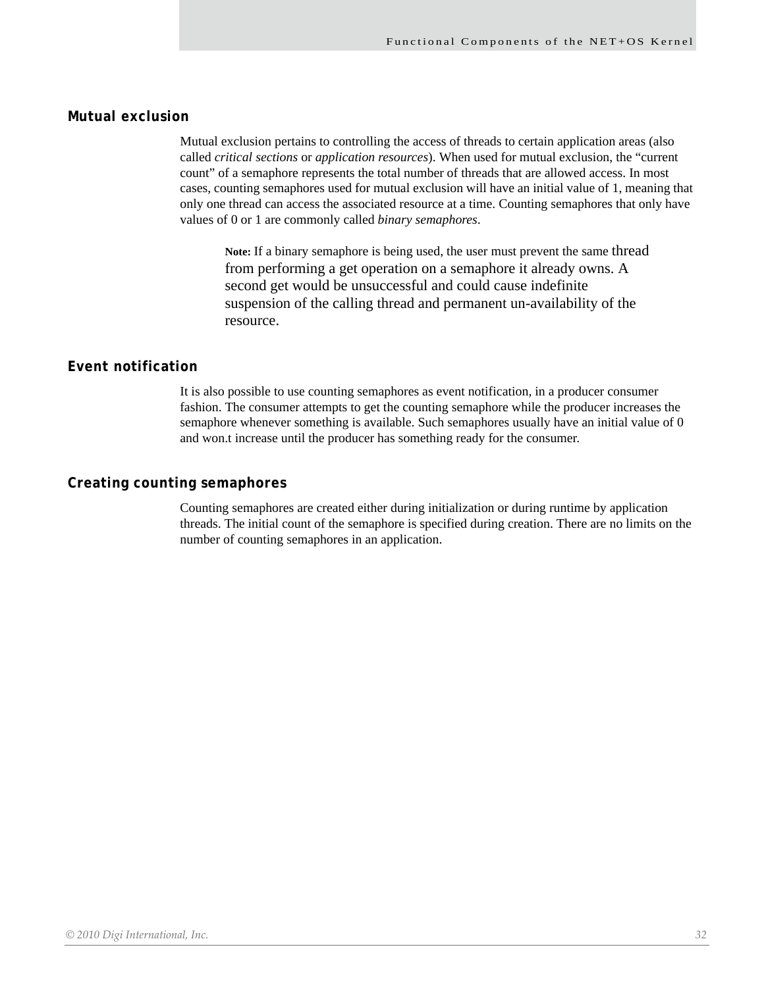# <span id="page-31-0"></span>**Mutual exclusion**

Mutual exclusion pertains to controlling the access of threads to certain application areas (also called *critical sections* or *application resources*). When used for mutual exclusion, the "current count" of a semaphore represents the total number of threads that are allowed access. In most cases, counting semaphores used for mutual exclusion will have an initial value of 1, meaning that only one thread can access the associated resource at a time. Counting semaphores that only have values of 0 or 1 are commonly called *binary semaphores*.

**Note:** If a binary semaphore is being used, the user must prevent the same thread from performing a get operation on a semaphore it already owns. A second get would be unsuccessful and could cause indefinite suspension of the calling thread and permanent un-availability of the resource.

# <span id="page-31-1"></span>**Event notification**

It is also possible to use counting semaphores as event notification, in a producer consumer fashion. The consumer attempts to get the counting semaphore while the producer increases the semaphore whenever something is available. Such semaphores usually have an initial value of 0 and won.t increase until the producer has something ready for the consumer.

### <span id="page-31-2"></span>**Creating counting semaphores**

Counting semaphores are created either during initialization or during runtime by application threads. The initial count of the semaphore is specified during creation. There are no limits on the number of counting semaphores in an application.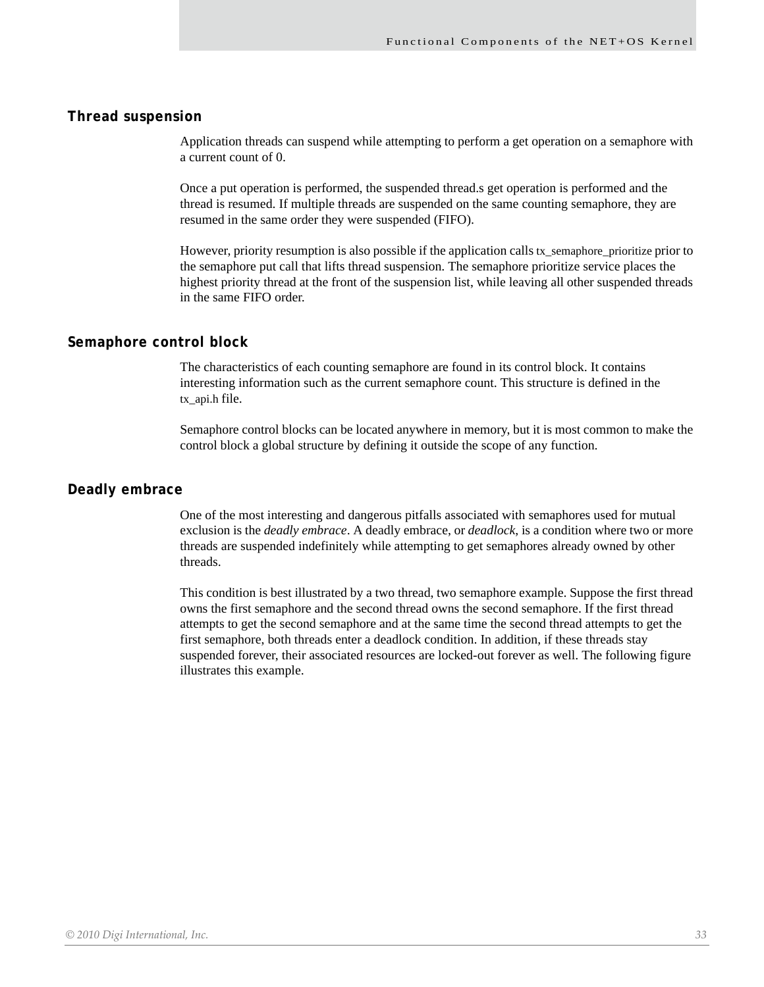# <span id="page-32-0"></span>**Thread suspension**

Application threads can suspend while attempting to perform a get operation on a semaphore with a current count of 0.

Once a put operation is performed, the suspended thread.s get operation is performed and the thread is resumed. If multiple threads are suspended on the same counting semaphore, they are resumed in the same order they were suspended (FIFO).

However, priority resumption is also possible if the application calls tx\_semaphore\_prioritize prior to the semaphore put call that lifts thread suspension. The semaphore prioritize service places the highest priority thread at the front of the suspension list, while leaving all other suspended threads in the same FIFO order.

### <span id="page-32-1"></span>**Semaphore control block**

The characteristics of each counting semaphore are found in its control block. It contains interesting information such as the current semaphore count. This structure is defined in the tx\_api.h file.

Semaphore control blocks can be located anywhere in memory, but it is most common to make the control block a global structure by defining it outside the scope of any function.

#### <span id="page-32-2"></span>**Deadly embrace**

One of the most interesting and dangerous pitfalls associated with semaphores used for mutual exclusion is the *deadly embrace*. A deadly embrace, or *deadlock*, is a condition where two or more threads are suspended indefinitely while attempting to get semaphores already owned by other threads.

This condition is best illustrated by a two thread, two semaphore example. Suppose the first thread owns the first semaphore and the second thread owns the second semaphore. If the first thread attempts to get the second semaphore and at the same time the second thread attempts to get the first semaphore, both threads enter a deadlock condition. In addition, if these threads stay suspended forever, their associated resources are locked-out forever as well. The following figure illustrates this example.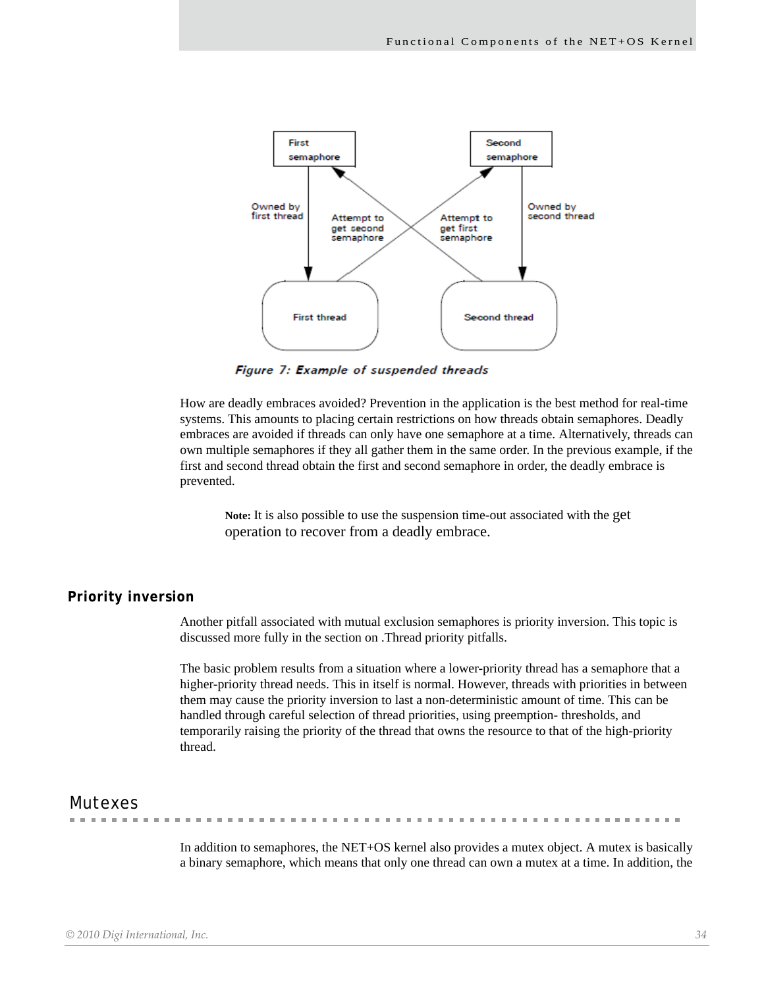

Figure 7: Example of suspended threads

How are deadly embraces avoided? Prevention in the application is the best method for real-time systems. This amounts to placing certain restrictions on how threads obtain semaphores. Deadly embraces are avoided if threads can only have one semaphore at a time. Alternatively, threads can own multiple semaphores if they all gather them in the same order. In the previous example, if the first and second thread obtain the first and second semaphore in order, the deadly embrace is prevented.

**Note:** It is also possible to use the suspension time-out associated with the get operation to recover from a deadly embrace.

#### <span id="page-33-0"></span>**Priority inversion**

Another pitfall associated with mutual exclusion semaphores is priority inversion. This topic is discussed more fully in the section on .Thread priority pitfalls.

The basic problem results from a situation where a lower-priority thread has a semaphore that a higher-priority thread needs. This in itself is normal. However, threads with priorities in between them may cause the priority inversion to last a non-deterministic amount of time. This can be handled through careful selection of thread priorities, using preemption- thresholds, and temporarily raising the priority of the thread that owns the resource to that of the high-priority thread.

# <span id="page-33-1"></span>Mutexes

. . . . . . . .

In addition to semaphores, the NET+OS kernel also provides a mutex object. A mutex is basically a binary semaphore, which means that only one thread can own a mutex at a time. In addition, the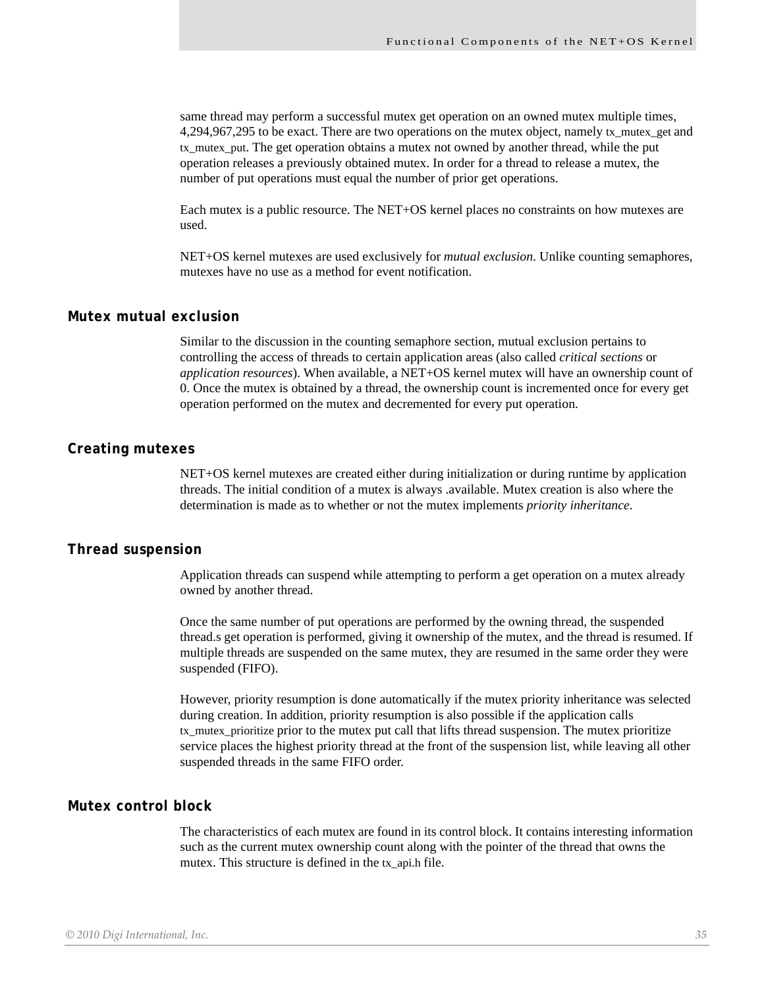same thread may perform a successful mutex get operation on an owned mutex multiple times, 4,294,967,295 to be exact. There are two operations on the mutex object, namely tx\_mutex\_get and tx\_mutex\_put. The get operation obtains a mutex not owned by another thread, while the put operation releases a previously obtained mutex. In order for a thread to release a mutex, the number of put operations must equal the number of prior get operations.

Each mutex is a public resource. The NET+OS kernel places no constraints on how mutexes are used.

NET+OS kernel mutexes are used exclusively for *mutual exclusion*. Unlike counting semaphores, mutexes have no use as a method for event notification.

#### <span id="page-34-0"></span>**Mutex mutual exclusion**

Similar to the discussion in the counting semaphore section, mutual exclusion pertains to controlling the access of threads to certain application areas (also called *critical sections* or *application resources*). When available, a NET+OS kernel mutex will have an ownership count of 0. Once the mutex is obtained by a thread, the ownership count is incremented once for every get operation performed on the mutex and decremented for every put operation.

#### <span id="page-34-1"></span>**Creating mutexes**

NET+OS kernel mutexes are created either during initialization or during runtime by application threads. The initial condition of a mutex is always .available. Mutex creation is also where the determination is made as to whether or not the mutex implements *priority inheritance.*

#### <span id="page-34-2"></span>**Thread suspension**

Application threads can suspend while attempting to perform a get operation on a mutex already owned by another thread.

Once the same number of put operations are performed by the owning thread, the suspended thread.s get operation is performed, giving it ownership of the mutex, and the thread is resumed. If multiple threads are suspended on the same mutex, they are resumed in the same order they were suspended (FIFO).

However, priority resumption is done automatically if the mutex priority inheritance was selected during creation. In addition, priority resumption is also possible if the application calls tx\_mutex\_prioritize prior to the mutex put call that lifts thread suspension. The mutex prioritize service places the highest priority thread at the front of the suspension list, while leaving all other suspended threads in the same FIFO order.

#### <span id="page-34-3"></span>**Mutex control block**

The characteristics of each mutex are found in its control block. It contains interesting information such as the current mutex ownership count along with the pointer of the thread that owns the mutex. This structure is defined in the tx\_api.h file.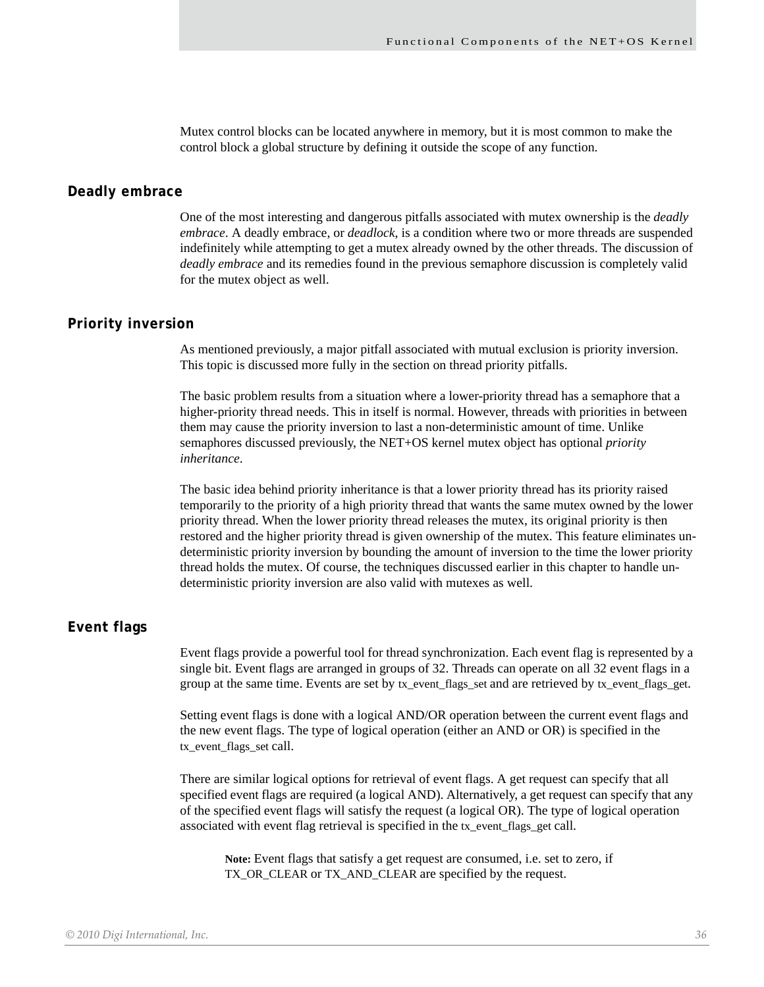Mutex control blocks can be located anywhere in memory, but it is most common to make the control block a global structure by defining it outside the scope of any function.

#### <span id="page-35-0"></span>**Deadly embrace**

One of the most interesting and dangerous pitfalls associated with mutex ownership is the *deadly embrace*. A deadly embrace, or *deadlock*, is a condition where two or more threads are suspended indefinitely while attempting to get a mutex already owned by the other threads. The discussion of *deadly embrace* and its remedies found in the previous semaphore discussion is completely valid for the mutex object as well.

# <span id="page-35-1"></span>**Priority inversion**

As mentioned previously, a major pitfall associated with mutual exclusion is priority inversion. This topic is discussed more fully in the section on thread priority pitfalls.

The basic problem results from a situation where a lower-priority thread has a semaphore that a higher-priority thread needs. This in itself is normal. However, threads with priorities in between them may cause the priority inversion to last a non-deterministic amount of time. Unlike semaphores discussed previously, the NET+OS kernel mutex object has optional *priority inheritance*.

The basic idea behind priority inheritance is that a lower priority thread has its priority raised temporarily to the priority of a high priority thread that wants the same mutex owned by the lower priority thread. When the lower priority thread releases the mutex, its original priority is then restored and the higher priority thread is given ownership of the mutex. This feature eliminates undeterministic priority inversion by bounding the amount of inversion to the time the lower priority thread holds the mutex. Of course, the techniques discussed earlier in this chapter to handle undeterministic priority inversion are also valid with mutexes as well.

# <span id="page-35-2"></span>**Event flags**

Event flags provide a powerful tool for thread synchronization. Each event flag is represented by a single bit. Event flags are arranged in groups of 32. Threads can operate on all 32 event flags in a group at the same time. Events are set by tx\_event\_flags\_set and are retrieved by tx\_event\_flags\_get.

Setting event flags is done with a logical AND/OR operation between the current event flags and the new event flags. The type of logical operation (either an AND or OR) is specified in the tx\_event\_flags\_set call.

There are similar logical options for retrieval of event flags. A get request can specify that all specified event flags are required (a logical AND). Alternatively, a get request can specify that any of the specified event flags will satisfy the request (a logical OR). The type of logical operation associated with event flag retrieval is specified in the tx\_event\_flags\_get call.

**Note:** Event flags that satisfy a get request are consumed, i.e. set to zero, if TX\_OR\_CLEAR or TX\_AND\_CLEAR are specified by the request.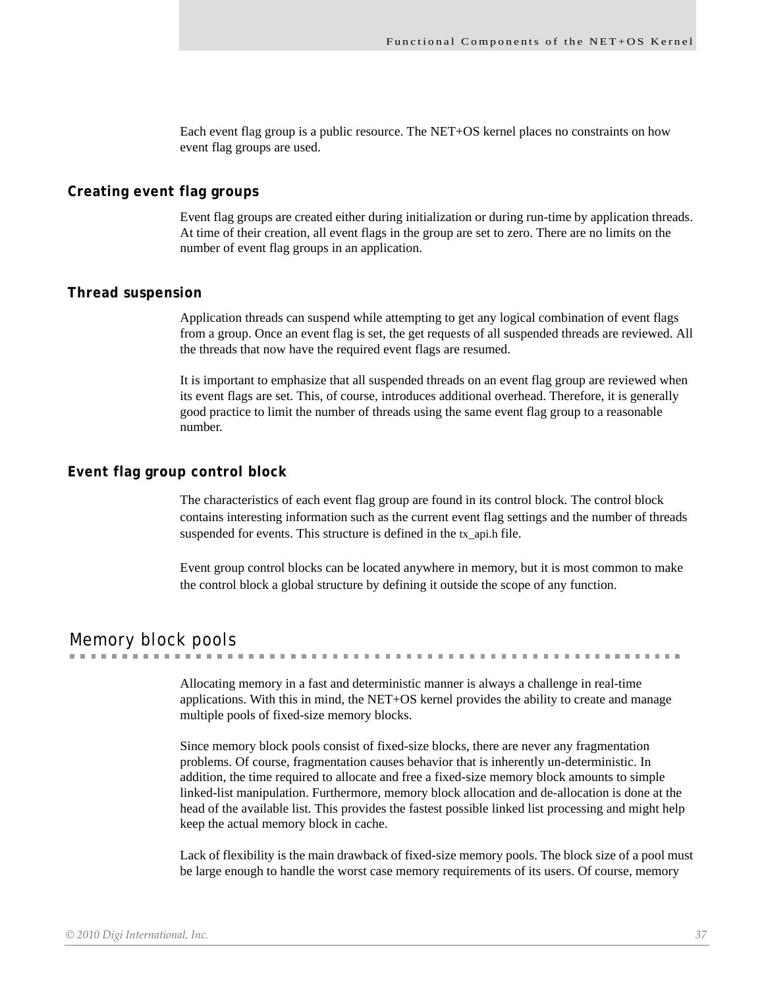Each event flag group is a public resource. The NET+OS kernel places no constraints on how event flag groups are used.

### **Creating event flag groups**

Event flag groups are created either during initialization or during run-time by application threads. At time of their creation, all event flags in the group are set to zero. There are no limits on the number of event flag groups in an application.

#### **Thread suspension**

Application threads can suspend while attempting to get any logical combination of event flags from a group. Once an event flag is set, the get requests of all suspended threads are reviewed. All the threads that now have the required event flags are resumed.

It is important to emphasize that all suspended threads on an event flag group are reviewed when its event flags are set. This, of course, introduces additional overhead. Therefore, it is generally good practice to limit the number of threads using the same event flag group to a reasonable number.

### **Event flag group control block**

The characteristics of each event flag group are found in its control block. The control block contains interesting information such as the current event flag settings and the number of threads suspended for events. This structure is defined in the tx\_api.h file.

Event group control blocks can be located anywhere in memory, but it is most common to make the control block a global structure by defining it outside the scope of any function.

#### Memory block pools

Allocating memory in a fast and deterministic manner is always a challenge in real-time applications. With this in mind, the NET+OS kernel provides the ability to create and manage

multiple pools of fixed-size memory blocks. Since memory block pools consist of fixed-size blocks, there are never any fragmentation

problems. Of course, fragmentation causes behavior that is inherently un-deterministic. In addition, the time required to allocate and free a fixed-size memory block amounts to simple linked-list manipulation. Furthermore, memory block allocation and de-allocation is done at the head of the available list. This provides the fastest possible linked list processing and might help keep the actual memory block in cache.

Lack of flexibility is the main drawback of fixed-size memory pools. The block size of a pool must be large enough to handle the worst case memory requirements of its users. Of course, memory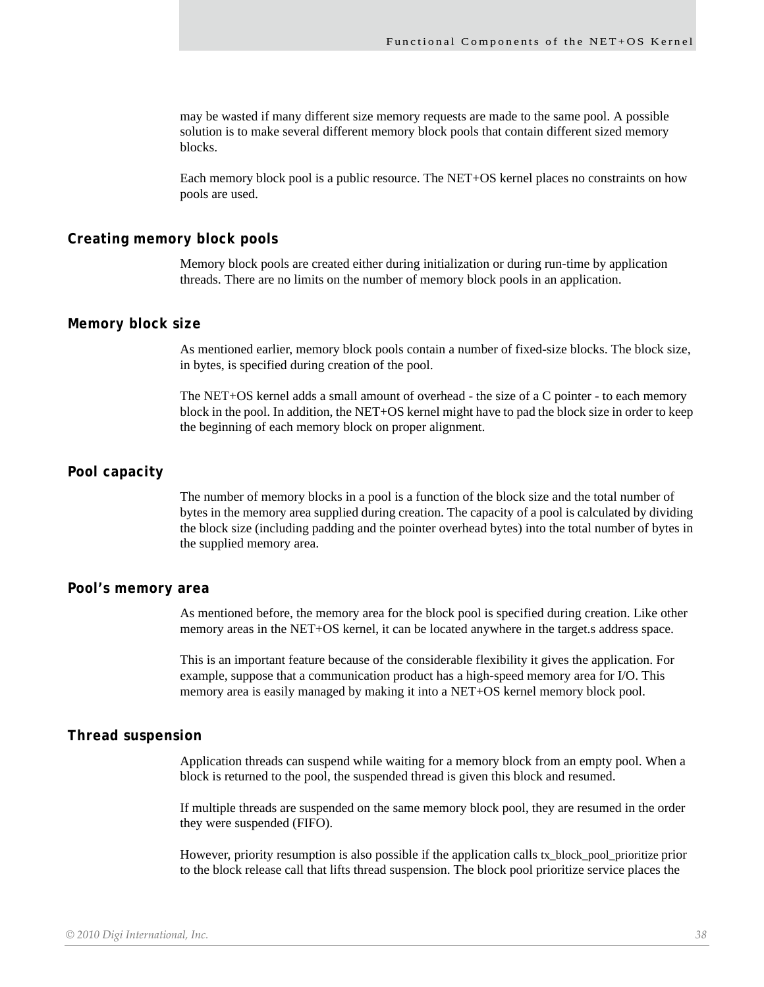may be wasted if many different size memory requests are made to the same pool. A possible solution is to make several different memory block pools that contain different sized memory blocks.

Each memory block pool is a public resource. The NET+OS kernel places no constraints on how pools are used.

#### **Creating memory block pools**

Memory block pools are created either during initialization or during run-time by application threads. There are no limits on the number of memory block pools in an application.

#### **Memory block size**

As mentioned earlier, memory block pools contain a number of fixed-size blocks. The block size, in bytes, is specified during creation of the pool.

The NET+OS kernel adds a small amount of overhead - the size of a C pointer - to each memory block in the pool. In addition, the NET+OS kernel might have to pad the block size in order to keep the beginning of each memory block on proper alignment.

#### **Pool capacity**

The number of memory blocks in a pool is a function of the block size and the total number of bytes in the memory area supplied during creation. The capacity of a pool is calculated by dividing the block size (including padding and the pointer overhead bytes) into the total number of bytes in the supplied memory area.

#### **Pool's memory area**

As mentioned before, the memory area for the block pool is specified during creation. Like other memory areas in the NET+OS kernel, it can be located anywhere in the target.s address space.

This is an important feature because of the considerable flexibility it gives the application. For example, suppose that a communication product has a high-speed memory area for I/O. This memory area is easily managed by making it into a NET+OS kernel memory block pool.

#### **Thread suspension**

Application threads can suspend while waiting for a memory block from an empty pool. When a block is returned to the pool, the suspended thread is given this block and resumed.

If multiple threads are suspended on the same memory block pool, they are resumed in the order they were suspended (FIFO).

However, priority resumption is also possible if the application calls tx\_block\_pool\_prioritize prior to the block release call that lifts thread suspension. The block pool prioritize service places the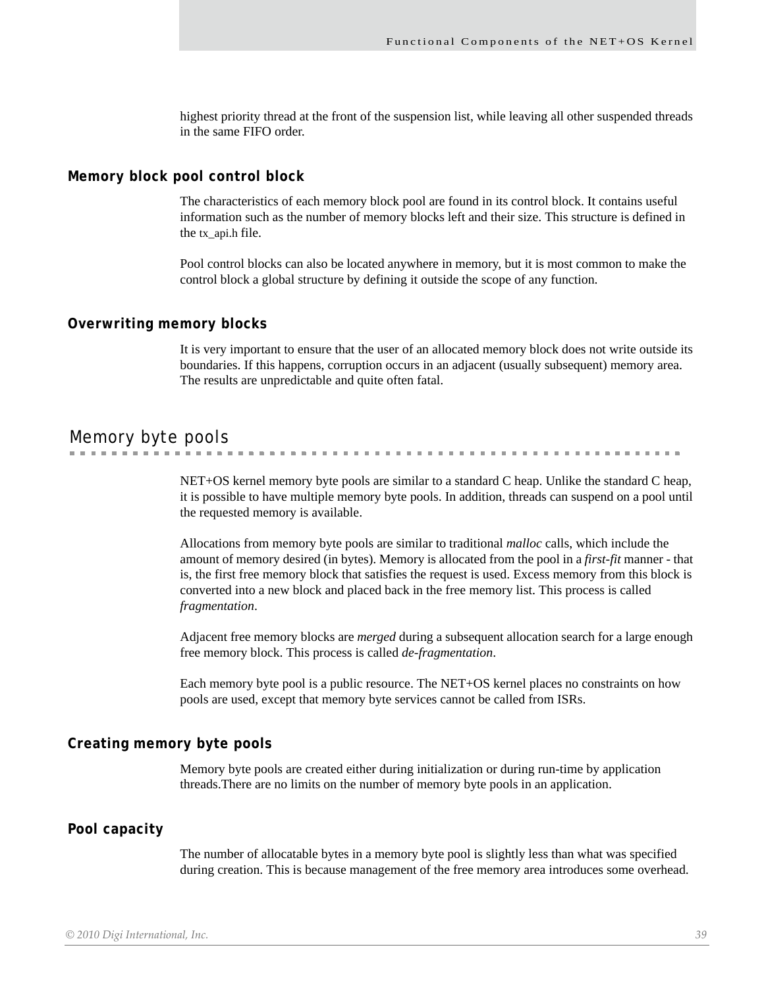highest priority thread at the front of the suspension list, while leaving all other suspended threads in the same FIFO order.

#### **Memory block pool control block**

The characteristics of each memory block pool are found in its control block. It contains useful information such as the number of memory blocks left and their size. This structure is defined in the tx\_api.h file.

Pool control blocks can also be located anywhere in memory, but it is most common to make the control block a global structure by defining it outside the scope of any function.

#### **Overwriting memory blocks**

It is very important to ensure that the user of an allocated memory block does not write outside its boundaries. If this happens, corruption occurs in an adjacent (usually subsequent) memory area. The results are unpredictable and quite often fatal.

### Memory byte pools

NET+OS kernel memory byte pools are similar to a standard C heap. Unlike the standard C heap, it is possible to have multiple memory byte pools. In addition, threads can suspend on a pool until the requested memory is available.

Allocations from memory byte pools are similar to traditional *malloc* calls, which include the amount of memory desired (in bytes). Memory is allocated from the pool in a *first-fit* manner - that is, the first free memory block that satisfies the request is used. Excess memory from this block is converted into a new block and placed back in the free memory list. This process is called *fragmentation*.

Adjacent free memory blocks are *merged* during a subsequent allocation search for a large enough free memory block. This process is called *de-fragmentation*.

Each memory byte pool is a public resource. The NET+OS kernel places no constraints on how pools are used, except that memory byte services cannot be called from ISRs.

### **Creating memory byte pools**

Memory byte pools are created either during initialization or during run-time by application threads.There are no limits on the number of memory byte pools in an application.

#### **Pool capacity**

The number of allocatable bytes in a memory byte pool is slightly less than what was specified during creation. This is because management of the free memory area introduces some overhead.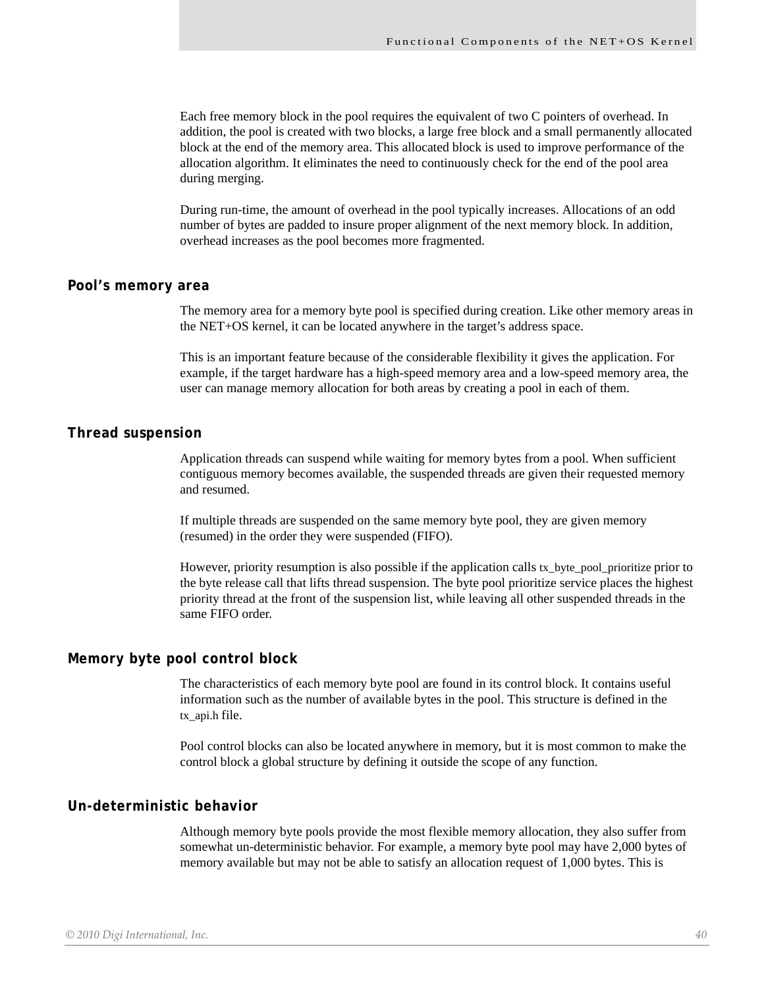Each free memory block in the pool requires the equivalent of two C pointers of overhead. In addition, the pool is created with two blocks, a large free block and a small permanently allocated block at the end of the memory area. This allocated block is used to improve performance of the allocation algorithm. It eliminates the need to continuously check for the end of the pool area during merging.

During run-time, the amount of overhead in the pool typically increases. Allocations of an odd number of bytes are padded to insure proper alignment of the next memory block. In addition, overhead increases as the pool becomes more fragmented.

#### **Pool's memory area**

The memory area for a memory byte pool is specified during creation. Like other memory areas in the NET+OS kernel, it can be located anywhere in the target's address space.

This is an important feature because of the considerable flexibility it gives the application. For example, if the target hardware has a high-speed memory area and a low-speed memory area, the user can manage memory allocation for both areas by creating a pool in each of them.

#### **Thread suspension**

Application threads can suspend while waiting for memory bytes from a pool. When sufficient contiguous memory becomes available, the suspended threads are given their requested memory and resumed.

If multiple threads are suspended on the same memory byte pool, they are given memory (resumed) in the order they were suspended (FIFO).

However, priority resumption is also possible if the application calls tx\_byte\_pool\_prioritize prior to the byte release call that lifts thread suspension. The byte pool prioritize service places the highest priority thread at the front of the suspension list, while leaving all other suspended threads in the same FIFO order.

### **Memory byte pool control block**

The characteristics of each memory byte pool are found in its control block. It contains useful information such as the number of available bytes in the pool. This structure is defined in the tx\_api.h file.

Pool control blocks can also be located anywhere in memory, but it is most common to make the control block a global structure by defining it outside the scope of any function.

#### **Un-deterministic behavior**

Although memory byte pools provide the most flexible memory allocation, they also suffer from somewhat un-deterministic behavior. For example, a memory byte pool may have 2,000 bytes of memory available but may not be able to satisfy an allocation request of 1,000 bytes. This is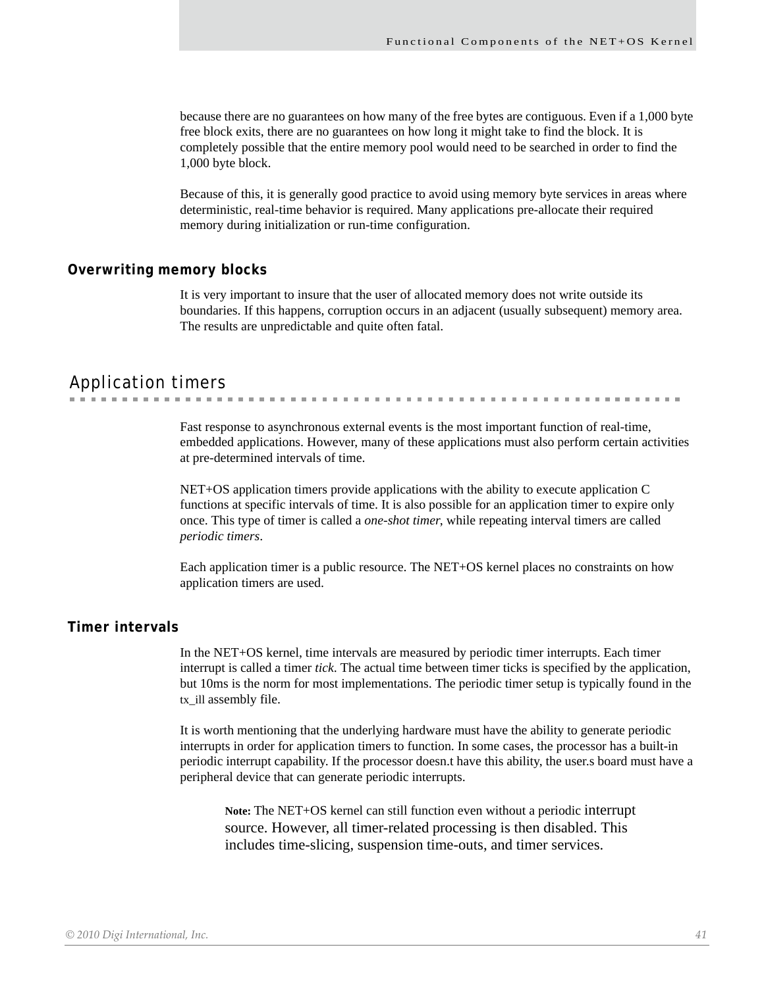. . . . . . . . . . . .

because there are no guarantees on how many of the free bytes are contiguous. Even if a 1,000 byte free block exits, there are no guarantees on how long it might take to find the block. It is completely possible that the entire memory pool would need to be searched in order to find the 1,000 byte block.

Because of this, it is generally good practice to avoid using memory byte services in areas where deterministic, real-time behavior is required. Many applications pre-allocate their required memory during initialization or run-time configuration.

### **Overwriting memory blocks**

It is very important to insure that the user of allocated memory does not write outside its boundaries. If this happens, corruption occurs in an adjacent (usually subsequent) memory area. The results are unpredictable and quite often fatal.

### Application timers

Fast response to asynchronous external events is the most important function of real-time, embedded applications. However, many of these applications must also perform certain activities at pre-determined intervals of time.

NET+OS application timers provide applications with the ability to execute application C functions at specific intervals of time. It is also possible for an application timer to expire only once. This type of timer is called a *one-shot timer*, while repeating interval timers are called *periodic timers*.

Each application timer is a public resource. The NET+OS kernel places no constraints on how application timers are used.

### **Timer intervals**

In the NET+OS kernel, time intervals are measured by periodic timer interrupts. Each timer interrupt is called a timer *tick*. The actual time between timer ticks is specified by the application, but 10ms is the norm for most implementations. The periodic timer setup is typically found in the tx\_ill assembly file.

It is worth mentioning that the underlying hardware must have the ability to generate periodic interrupts in order for application timers to function. In some cases, the processor has a built-in periodic interrupt capability. If the processor doesn.t have this ability, the user.s board must have a peripheral device that can generate periodic interrupts.

**Note:** The NET+OS kernel can still function even without a periodic interrupt source. However, all timer-related processing is then disabled. This includes time-slicing, suspension time-outs, and timer services.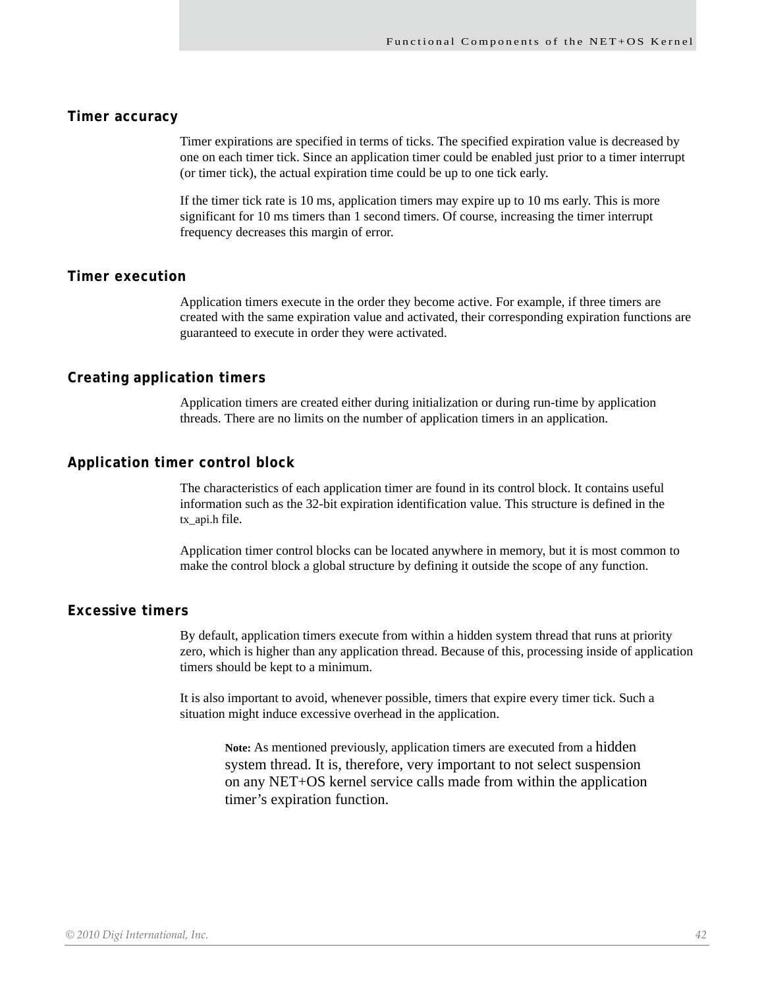#### **Timer accuracy**

Timer expirations are specified in terms of ticks. The specified expiration value is decreased by one on each timer tick. Since an application timer could be enabled just prior to a timer interrupt (or timer tick), the actual expiration time could be up to one tick early.

If the timer tick rate is 10 ms, application timers may expire up to 10 ms early. This is more significant for 10 ms timers than 1 second timers. Of course, increasing the timer interrupt frequency decreases this margin of error.

#### **Timer execution**

Application timers execute in the order they become active. For example, if three timers are created with the same expiration value and activated, their corresponding expiration functions are guaranteed to execute in order they were activated.

### **Creating application timers**

Application timers are created either during initialization or during run-time by application threads. There are no limits on the number of application timers in an application.

### **Application timer control block**

The characteristics of each application timer are found in its control block. It contains useful information such as the 32-bit expiration identification value. This structure is defined in the tx\_api.h file.

Application timer control blocks can be located anywhere in memory, but it is most common to make the control block a global structure by defining it outside the scope of any function.

### **Excessive timers**

By default, application timers execute from within a hidden system thread that runs at priority zero, which is higher than any application thread. Because of this, processing inside of application timers should be kept to a minimum.

It is also important to avoid, whenever possible, timers that expire every timer tick. Such a situation might induce excessive overhead in the application.

**Note:** As mentioned previously, application timers are executed from a hidden system thread. It is, therefore, very important to not select suspension on any NET+OS kernel service calls made from within the application timer's expiration function.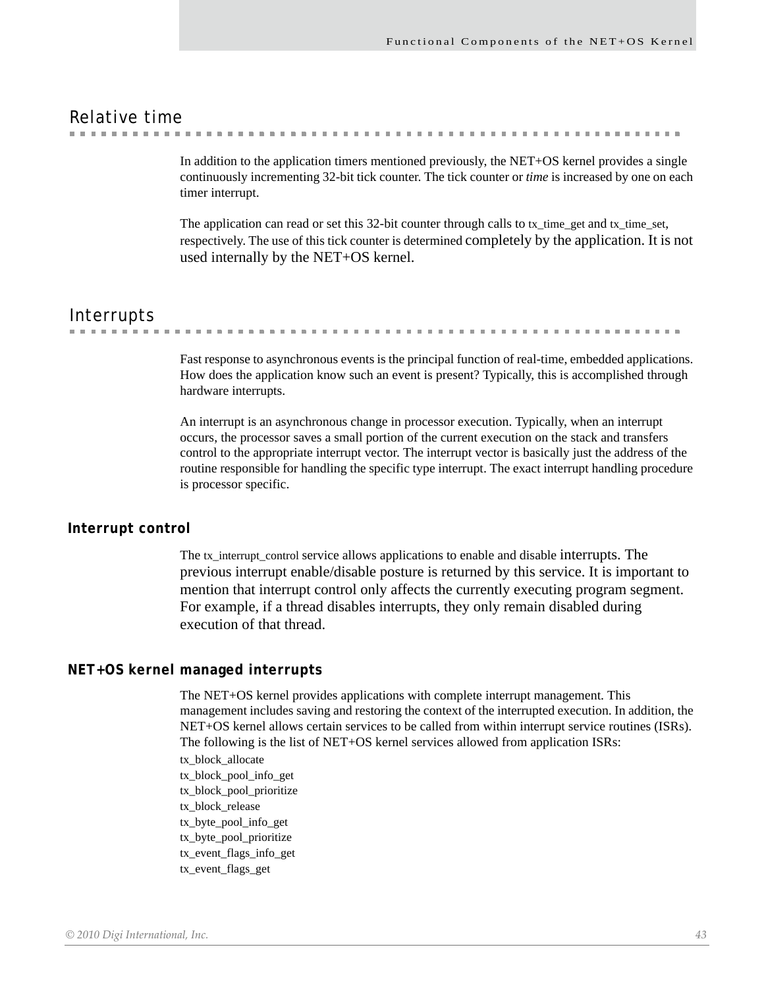## Relative time

a construction of the construction **CONTRACTOR**  $\sim$  $\sim$ 

> In addition to the application timers mentioned previously, the NET+OS kernel provides a single continuously incrementing 32-bit tick counter. The tick counter or *time* is increased by one on each timer interrupt.

> The application can read or set this 32-bit counter through calls to tx\_time\_get and tx\_time\_set, respectively. The use of this tick counter is determined completely by the application. It is not used internally by the NET+OS kernel.

### Interrupts

. . . . . . . . .

> Fast response to asynchronous events is the principal function of real-time, embedded applications. How does the application know such an event is present? Typically, this is accomplished through hardware interrupts.

> An interrupt is an asynchronous change in processor execution. Typically, when an interrupt occurs, the processor saves a small portion of the current execution on the stack and transfers control to the appropriate interrupt vector. The interrupt vector is basically just the address of the routine responsible for handling the specific type interrupt. The exact interrupt handling procedure is processor specific.

### **Interrupt control**

The tx\_interrupt\_control service allows applications to enable and disable interrupts. The previous interrupt enable/disable posture is returned by this service. It is important to mention that interrupt control only affects the currently executing program segment. For example, if a thread disables interrupts, they only remain disabled during execution of that thread.

### **NET+OS kernel managed interrupts**

The NET+OS kernel provides applications with complete interrupt management. This management includes saving and restoring the context of the interrupted execution. In addition, the NET+OS kernel allows certain services to be called from within interrupt service routines (ISRs). The following is the list of NET+OS kernel services allowed from application ISRs:

tx\_block\_allocate tx\_block\_pool\_info\_get tx\_block\_pool\_prioritize tx\_block\_release tx\_byte\_pool\_info\_get tx\_byte\_pool\_prioritize tx\_event\_flags\_info\_get tx\_event\_flags\_get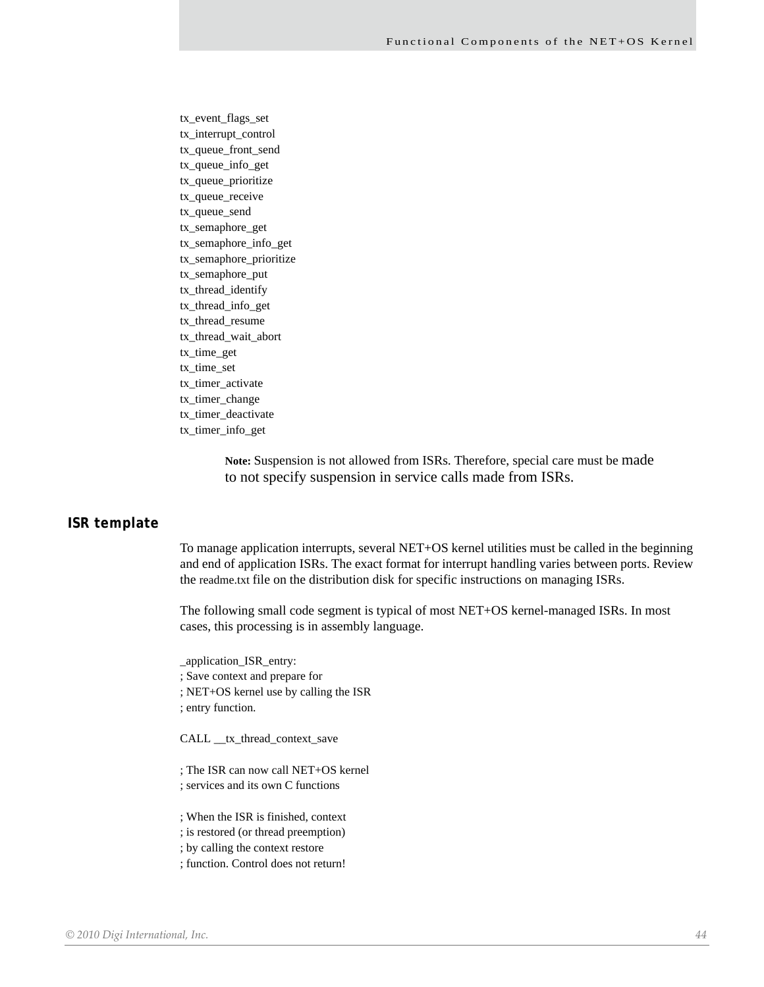tx\_event\_flags\_set tx\_interrupt\_control tx\_queue\_front\_send tx\_queue\_info\_get tx\_queue\_prioritize tx\_queue\_receive tx\_queue\_send tx\_semaphore\_get tx\_semaphore\_info\_get tx\_semaphore\_prioritize tx\_semaphore\_put tx\_thread\_identify tx\_thread\_info\_get tx\_thread\_resume tx\_thread\_wait\_abort tx\_time\_get tx\_time\_set tx\_timer\_activate tx\_timer\_change tx\_timer\_deactivate tx\_timer\_info\_get

> **Note:** Suspension is not allowed from ISRs. Therefore, special care must be made to not specify suspension in service calls made from ISRs.

#### **ISR template**

To manage application interrupts, several NET+OS kernel utilities must be called in the beginning and end of application ISRs. The exact format for interrupt handling varies between ports. Review the readme.txt file on the distribution disk for specific instructions on managing ISRs.

The following small code segment is typical of most NET+OS kernel-managed ISRs. In most cases, this processing is in assembly language.

\_application\_ISR\_entry:

; Save context and prepare for

; NET+OS kernel use by calling the ISR

; entry function.

CALL \_\_tx\_thread\_context\_save

; The ISR can now call NET+OS kernel

- ; services and its own C functions
- ; When the ISR is finished, context
- ; is restored (or thread preemption)
- ; by calling the context restore
- ; function. Control does not return!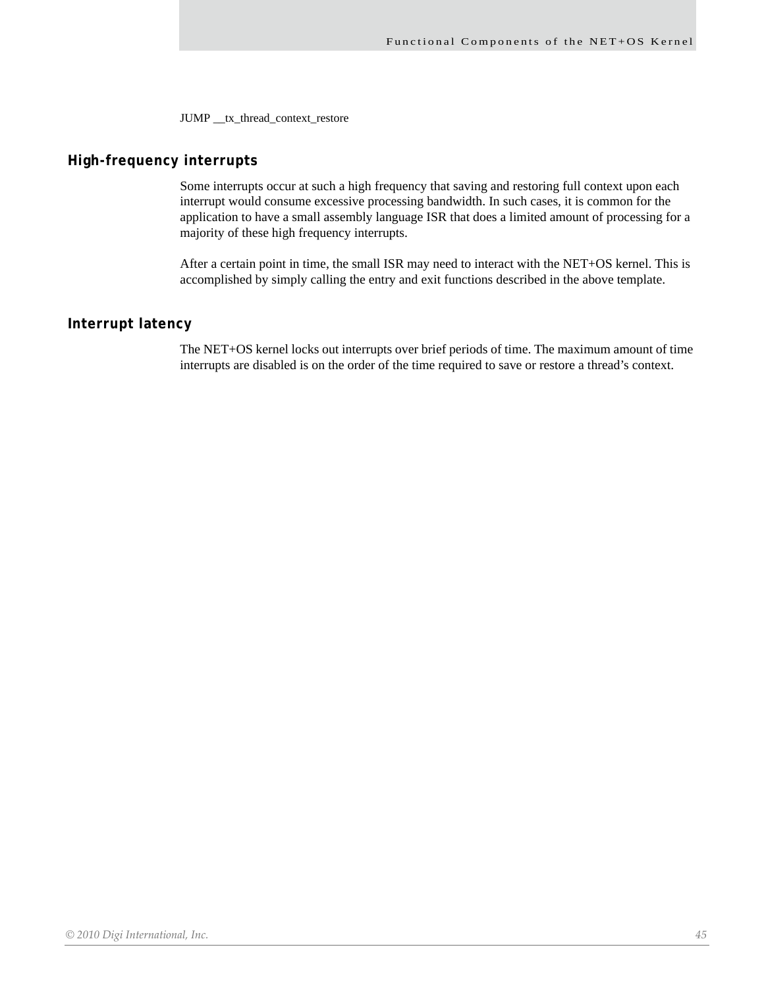JUMP \_\_ tx\_thread\_context\_restore

### **High-frequency interrupts**

Some interrupts occur at such a high frequency that saving and restoring full context upon each interrupt would consume excessive processing bandwidth. In such cases, it is common for the application to have a small assembly language ISR that does a limited amount of processing for a majority of these high frequency interrupts.

After a certain point in time, the small ISR may need to interact with the NET+OS kernel. This is accomplished by simply calling the entry and exit functions described in the above template.

### **Interrupt latency**

The NET+OS kernel locks out interrupts over brief periods of time. The maximum amount of time interrupts are disabled is on the order of the time required to save or restore a thread's context.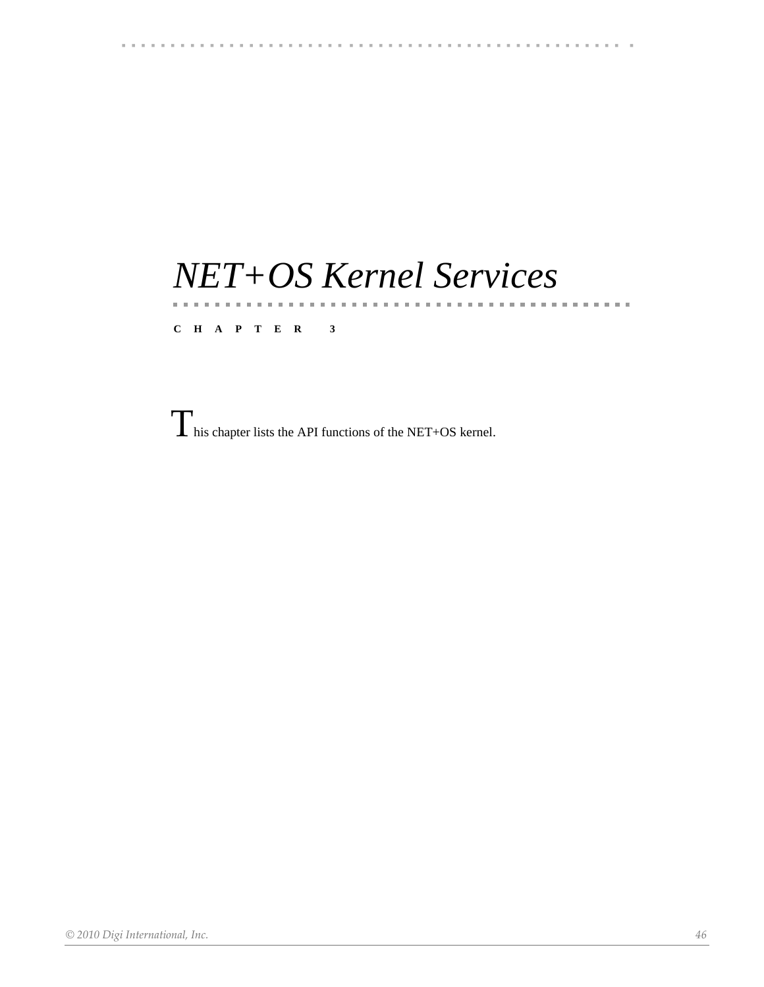### 

## *NET+OS Kernel Services*

### **CHAPTER 3**

 $\label{eq:3.1} \mathbf{u}^{\top} \mathbf{u}^{\top} = \mathbf{u}^{\top} \mathbf{u}^{\top} \mathbf{u}^{\top} = \mathbf{u}^{\top} \mathbf{u}^{\top} \mathbf{u}^{\top}$ 

 $\prod$  his chapter lists the API functions of the NET+OS kernel.

*© 2010 Digi International, Inc. 46*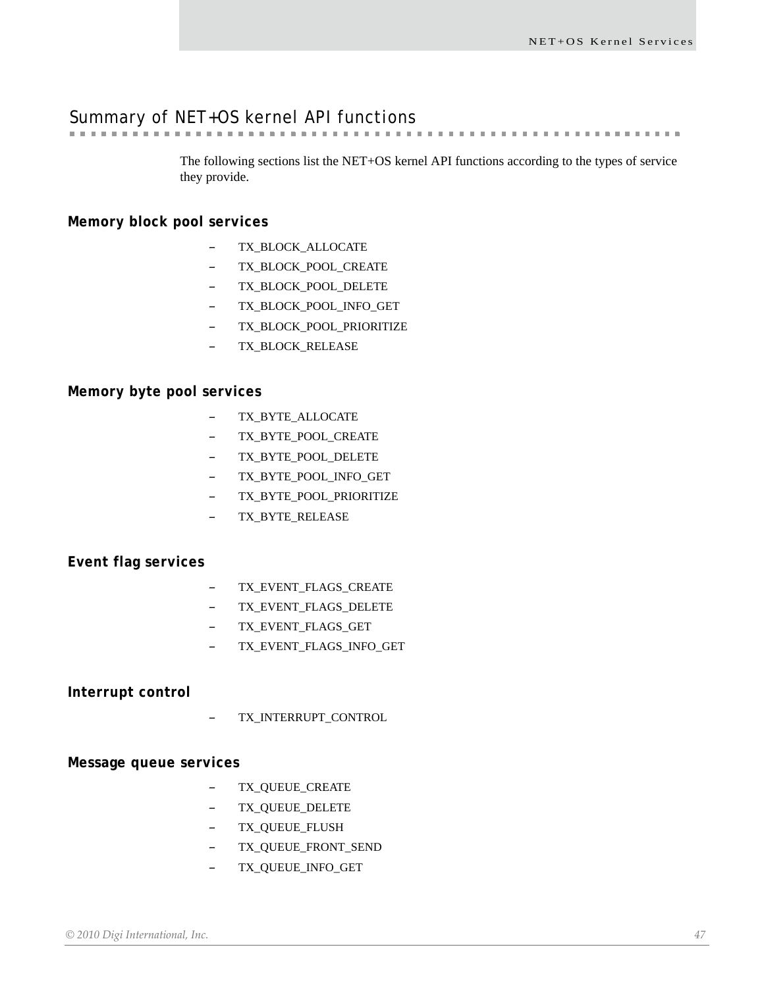# Summary of NET+OS kernel API functions

The following sections list the NET+OS kernel API functions according to the types of service they provide.

### **Memory block pool services**

- TX\_BLOCK\_ALLOCATE
- TX\_BLOCK\_POOL\_CREATE
- TX\_BLOCK\_POOL\_DELETE
- TX\_BLOCK\_POOL\_INFO\_GET
- TX\_BLOCK\_POOL\_PRIORITIZE
- TX\_BLOCK\_RELEASE

### **Memory byte pool services**

- TX\_BYTE\_ALLOCATE
- TX\_BYTE\_POOL\_CREATE
- TX\_BYTE\_POOL\_DELETE
- TX\_BYTE\_POOL\_INFO\_GET
- TX\_BYTE\_POOL\_PRIORITIZE
- TX\_BYTE\_RELEASE

### **Event flag services**

- TX\_EVENT\_FLAGS\_CREATE
- TX\_EVENT\_FLAGS\_DELETE
- TX\_EVENT\_FLAGS\_GET
- TX\_EVENT\_FLAGS\_INFO\_GET

### **Interrupt control**

– TX\_INTERRUPT\_CONTROL

### **Message queue services**

- TX\_QUEUE\_CREATE
- TX\_QUEUE\_DELETE
- TX\_QUEUE\_FLUSH
- TX\_QUEUE\_FRONT\_SEND
- TX\_QUEUE\_INFO\_GET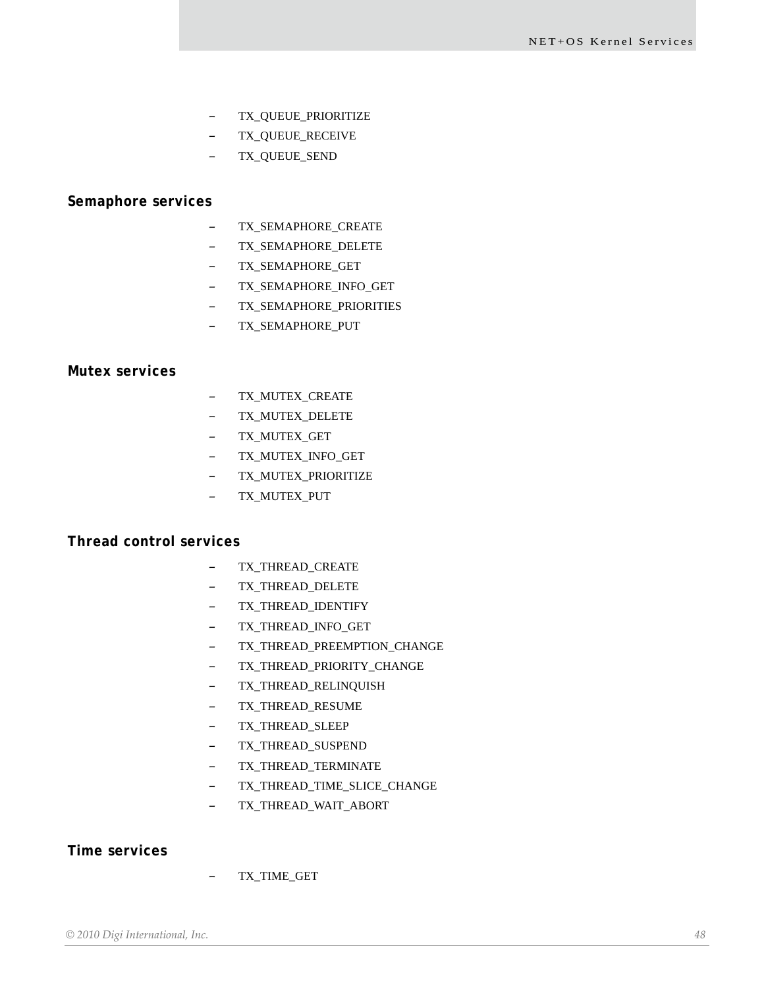- TX\_QUEUE\_PRIORITIZE
- TX\_QUEUE\_RECEIVE
- TX\_QUEUE\_SEND

#### **Semaphore services**

- TX\_SEMAPHORE\_CREATE
- TX\_SEMAPHORE\_DELETE
- TX\_SEMAPHORE\_GET
- TX\_SEMAPHORE\_INFO\_GET
- TX\_SEMAPHORE\_PRIORITIES
- TX\_SEMAPHORE\_PUT

### **Mutex services**

- TX\_MUTEX\_CREATE
- TX\_MUTEX\_DELETE
- TX\_MUTEX\_GET
- TX\_MUTEX\_INFO\_GET
- TX\_MUTEX\_PRIORITIZE
- TX\_MUTEX\_PUT

### **Thread control services**

- TX\_THREAD\_CREATE
- TX\_THREAD\_DELETE
- TX\_THREAD\_IDENTIFY
- TX\_THREAD\_INFO\_GET
- TX\_THREAD\_PREEMPTION\_CHANGE
- TX\_THREAD\_PRIORITY\_CHANGE
- TX\_THREAD\_RELINQUISH
- TX\_THREAD\_RESUME
- TX\_THREAD\_SLEEP
- TX\_THREAD\_SUSPEND
- TX\_THREAD\_TERMINATE
- TX\_THREAD\_TIME\_SLICE\_CHANGE
- TX\_THREAD\_WAIT\_ABORT

### **Time services**

– TX\_TIME\_GET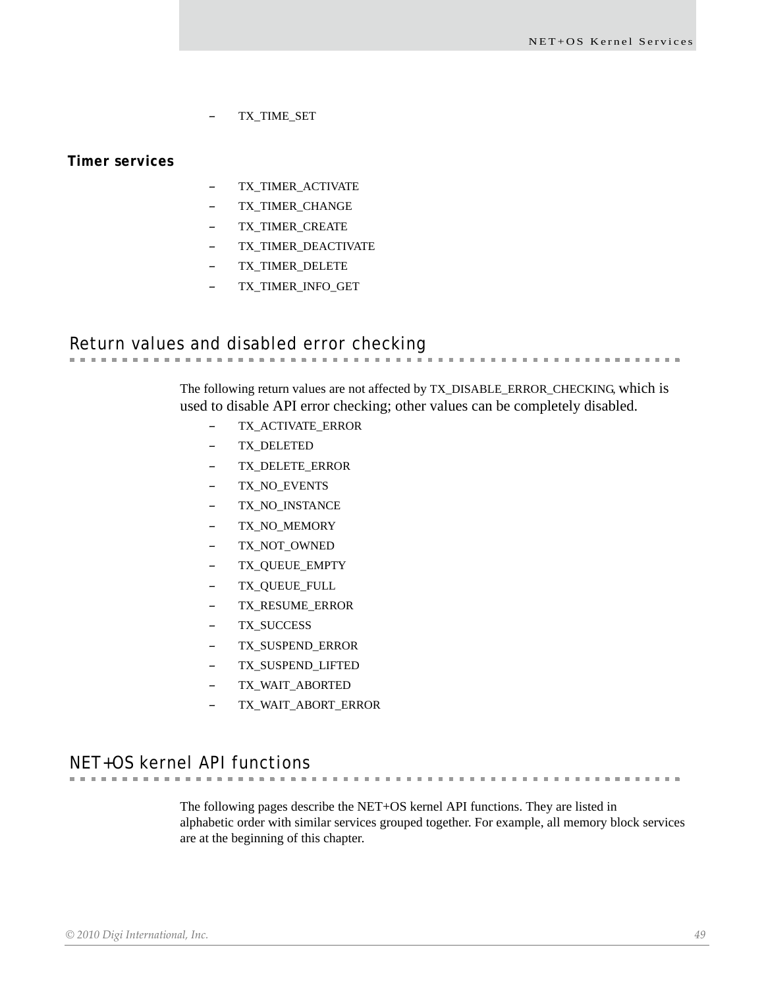**. . . . . . . . . . . . .** 

– TX\_TIME\_SET

**Timer services**

- TX\_TIMER\_ACTIVATE
- TX\_TIMER\_CHANGE
- TX\_TIMER\_CREATE
- TX\_TIMER\_DEACTIVATE
- TX\_TIMER\_DELETE
- TX\_TIMER\_INFO\_GET

## Return values and disabled error checking

The following return values are not affected by TX\_DISABLE\_ERROR\_CHECKING, which is used to disable API error checking; other values can be completely disabled.

**CONTRACTOR** 

- TX\_ACTIVATE\_ERROR
- TX\_DELETED
- TX\_DELETE\_ERROR
- TX\_NO\_EVENTS
- TX\_NO\_INSTANCE
- TX\_NO\_MEMORY
- TX\_NOT\_OWNED
- TX\_QUEUE\_EMPTY
- TX\_QUEUE\_FULL
- TX\_RESUME\_ERROR
- TX\_SUCCESS
- TX\_SUSPEND\_ERROR
- TX\_SUSPEND\_LIFTED
- TX\_WAIT\_ABORTED
- TX\_WAIT\_ABORT\_ERROR

NET+OS kernel API functions

The following pages describe the NET+OS kernel API functions. They are listed in alphabetic order with similar services grouped together. For example, all memory block services are at the beginning of this chapter.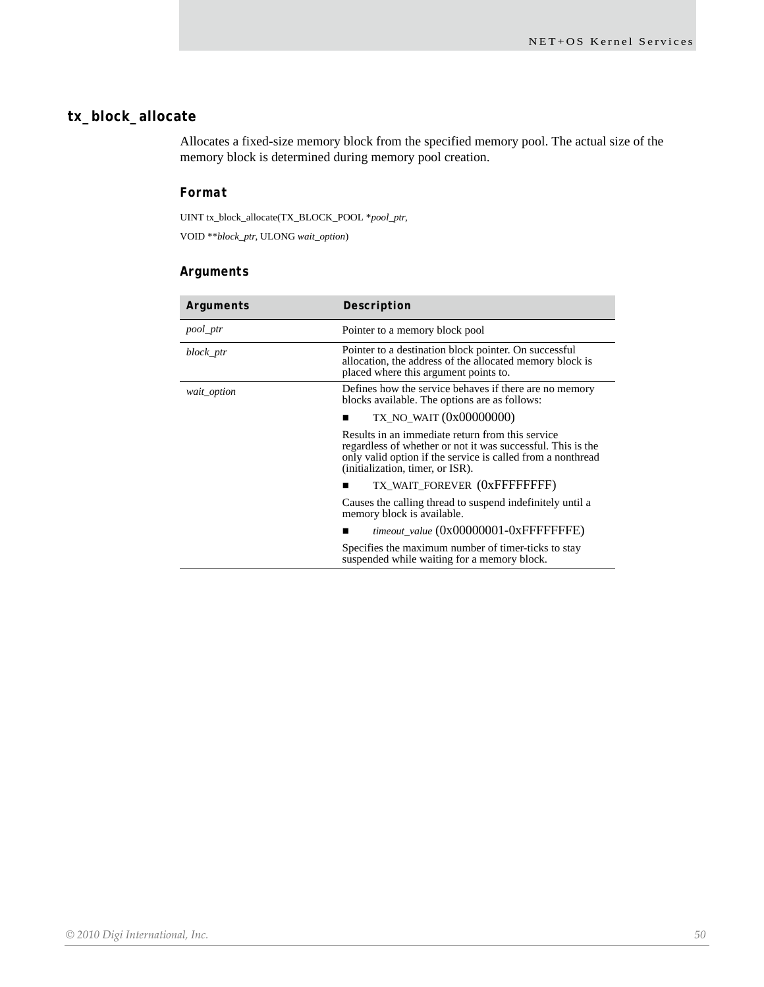### **tx\_block\_allocate**

Allocates a fixed-size memory block from the specified memory pool. The actual size of the memory block is determined during memory pool creation.

### *Format*

UINT tx\_block\_allocate(TX\_BLOCK\_POOL \**pool\_ptr*,

VOID \*\**block\_ptr*, ULONG *wait\_option*)

### *Arguments*

| Arguments   | Description                                                                                                                                                                                                        |
|-------------|--------------------------------------------------------------------------------------------------------------------------------------------------------------------------------------------------------------------|
| pool_ptr    | Pointer to a memory block pool                                                                                                                                                                                     |
| block_ptr   | Pointer to a destination block pointer. On successful<br>allocation, the address of the allocated memory block is<br>placed where this argument points to.                                                         |
| wait_option | Defines how the service behaves if there are no memory<br>blocks available. The options are as follows:                                                                                                            |
|             | TX_NO_WAIT (0x00000000)                                                                                                                                                                                            |
|             | Results in an immediate return from this service<br>regardless of whether or not it was successful. This is the<br>only valid option if the service is called from a nonthread<br>(initialization, timer, or ISR). |
|             | TX WAIT FOREVER (OXFFFFFFFFF)                                                                                                                                                                                      |
|             | Causes the calling thread to suspend indefinitely until a<br>memory block is available.                                                                                                                            |
|             | timeout_value (0x00000001-0xFFFFFFFE)                                                                                                                                                                              |
|             | Specifies the maximum number of timer-ticks to stay<br>suspended while waiting for a memory block.                                                                                                                 |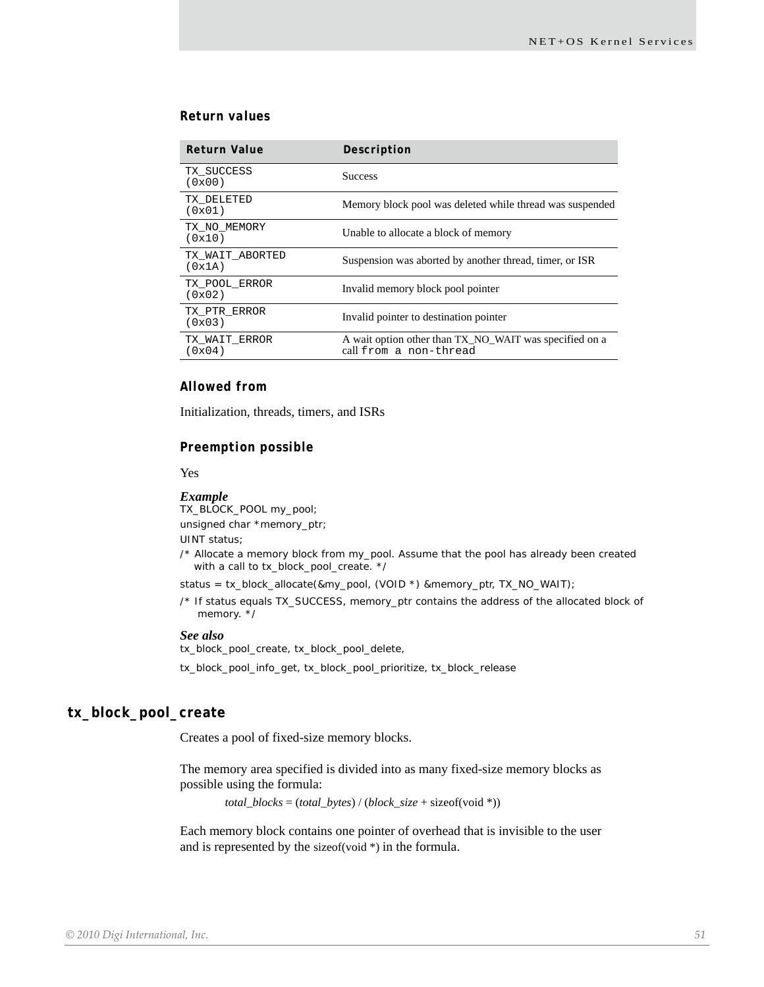### *Return values*

| Return Value              | Description                                                                      |
|---------------------------|----------------------------------------------------------------------------------|
| TX SUCCESS<br>(0x00)      | <b>Success</b>                                                                   |
| TX DELETED<br>(0x01)      | Memory block pool was deleted while thread was suspended                         |
| TX NO MEMORY<br>(0x10)    | Unable to allocate a block of memory                                             |
| TX WAIT ABORTED<br>(0x1A) | Suspension was aborted by another thread, timer, or ISR                          |
| TX POOL ERROR<br>(0x02)   | Invalid memory block pool pointer                                                |
| TX PTR ERROR<br>(0x03)    | Invalid pointer to destination pointer                                           |
| TX WAIT ERROR<br>(0x04)   | A wait option other than TX_NO_WAIT was specified on a<br>call from a non-thread |

#### *Allowed from*

Initialization, threads, timers, and ISRs

#### *Preemption possible*

Yes

#### *Example*

TX\_BLOCK\_POOL my\_pool; unsigned char \*memory\_ptr; UINT status; /\* Allocate a memory block from my\_pool. Assume that the pool has already been created with a call to tx\_block\_pool\_create. \*/

status = tx\_block\_allocate(&my\_pool, (VOID \*) &memory\_ptr, TX\_NO\_WAIT);

/\* If status equals TX\_SUCCESS, memory\_ptr contains the address of the allocated block of memory. \*/

#### *See also*

tx\_block\_pool\_create, tx\_block\_pool\_delete, tx\_block\_pool\_info\_get, tx\_block\_pool\_prioritize, tx\_block\_release

#### **tx\_block\_pool\_create**

Creates a pool of fixed-size memory blocks.

The memory area specified is divided into as many fixed-size memory blocks as possible using the formula:

*total\_blocks* = (*total\_bytes*) / (*block\_size* + sizeof(void \*))

Each memory block contains one pointer of overhead that is invisible to the user and is represented by the sizeof(void \*) in the formula.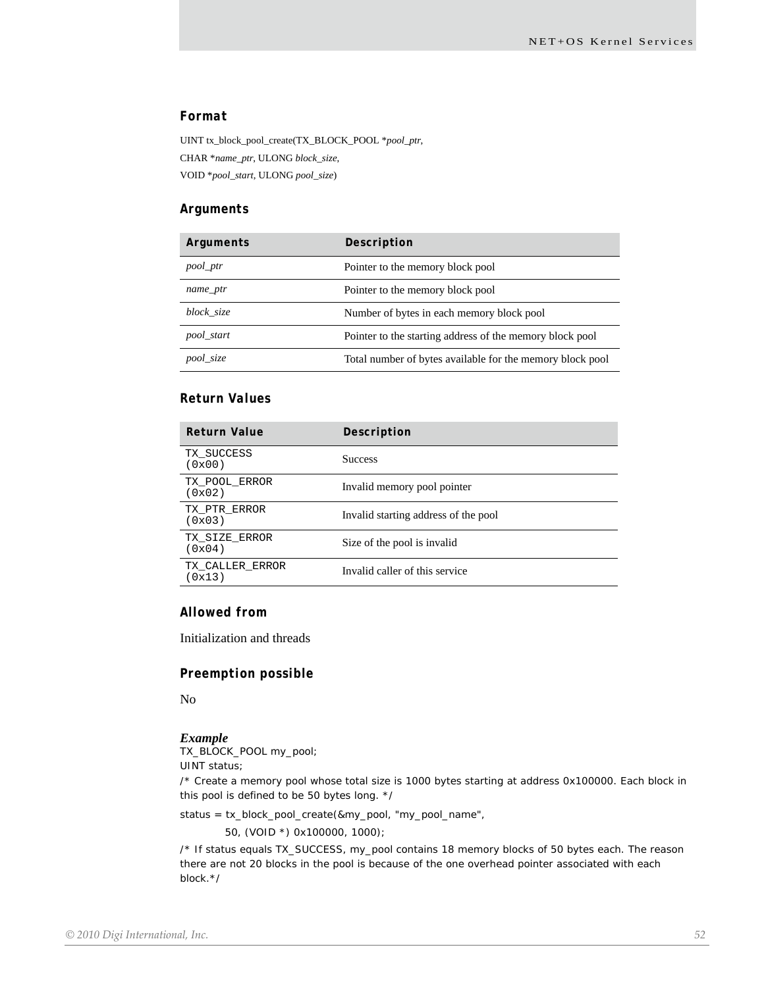### *Format*

UINT tx\_block\_pool\_create(TX\_BLOCK\_POOL \**pool\_ptr*, CHAR \**name\_ptr*, ULONG *block\_size*, VOID \**pool\_start*, ULONG *pool\_size*)

#### *Arguments*

| Arguments  | Description                                               |
|------------|-----------------------------------------------------------|
| pool_ptr   | Pointer to the memory block pool                          |
| name_ptr   | Pointer to the memory block pool                          |
| block size | Number of bytes in each memory block pool                 |
| pool_start | Pointer to the starting address of the memory block pool  |
| pool_size  | Total number of bytes available for the memory block pool |

### *Return Values*

| <b>Return Value</b>       | Description                          |
|---------------------------|--------------------------------------|
| TX SUCCESS<br>(0x00)      | <b>Success</b>                       |
| TX_POOL_ERROR<br>(0x02)   | Invalid memory pool pointer          |
| TX PTR ERROR<br>(0x03)    | Invalid starting address of the pool |
| TX SIZE ERROR<br>(0x04)   | Size of the pool is invalid          |
| TX CALLER ERROR<br>(0x13) | Invalid caller of this service       |

### *Allowed from*

Initialization and threads

#### *Preemption possible*

No

#### *Example*

TX\_BLOCK\_POOL my\_pool; UINT status;

/\* Create a memory pool whose total size is 1000 bytes starting at address 0x100000. Each block in this pool is defined to be 50 bytes long. \*/

status = tx\_block\_pool\_create(&my\_pool, "my\_pool\_name",

50, (VOID \*) 0x100000, 1000);

/\* If status equals TX\_SUCCESS, my\_pool contains 18 memory blocks of 50 bytes each. The reason there are not 20 blocks in the pool is because of the one overhead pointer associated with each block.\*/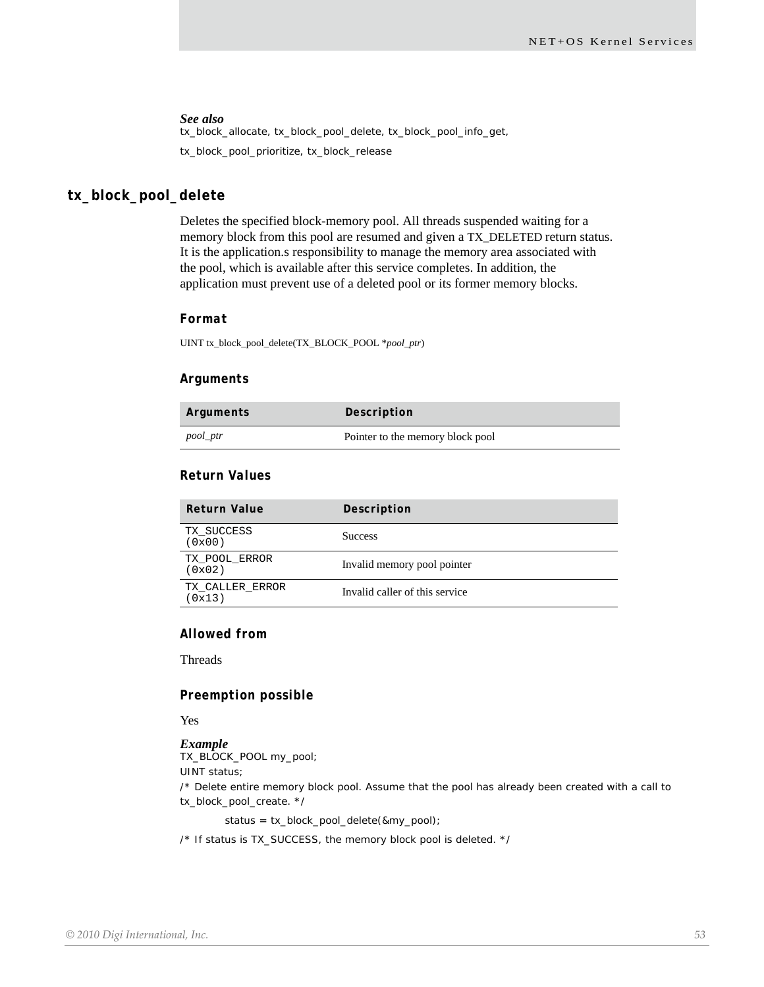tx\_block\_allocate, tx\_block\_pool\_delete, tx\_block\_pool\_info\_get, tx\_block\_pool\_prioritize, tx\_block\_release

### **tx\_block\_pool\_delete**

Deletes the specified block-memory pool. All threads suspended waiting for a memory block from this pool are resumed and given a TX\_DELETED return status. It is the application.s responsibility to manage the memory area associated with the pool, which is available after this service completes. In addition, the application must prevent use of a deleted pool or its former memory blocks.

#### *Format*

UINT tx\_block\_pool\_delete(TX\_BLOCK\_POOL \**pool\_ptr*)

#### *Arguments*

| Arguments | Description                      |
|-----------|----------------------------------|
| pool_ptr  | Pointer to the memory block pool |

### *Return Values*

| <b>Return Value</b>       | Description                    |
|---------------------------|--------------------------------|
| TX SUCCESS<br>(0x00)      | <b>Success</b>                 |
| TX POOL ERROR<br>(0x02)   | Invalid memory pool pointer    |
| TX CALLER ERROR<br>(0x13) | Invalid caller of this service |

### *Allowed from*

**Threads** 

#### *Preemption possible*

#### Yes

#### *Example*

TX\_BLOCK\_POOL my\_pool;

UINT status;

/\* Delete entire memory block pool. Assume that the pool has already been created with a call to tx\_block\_pool\_create. \*/

status = tx\_block\_pool\_delete(&my\_pool);

/\* If status is TX\_SUCCESS, the memory block pool is deleted. \*/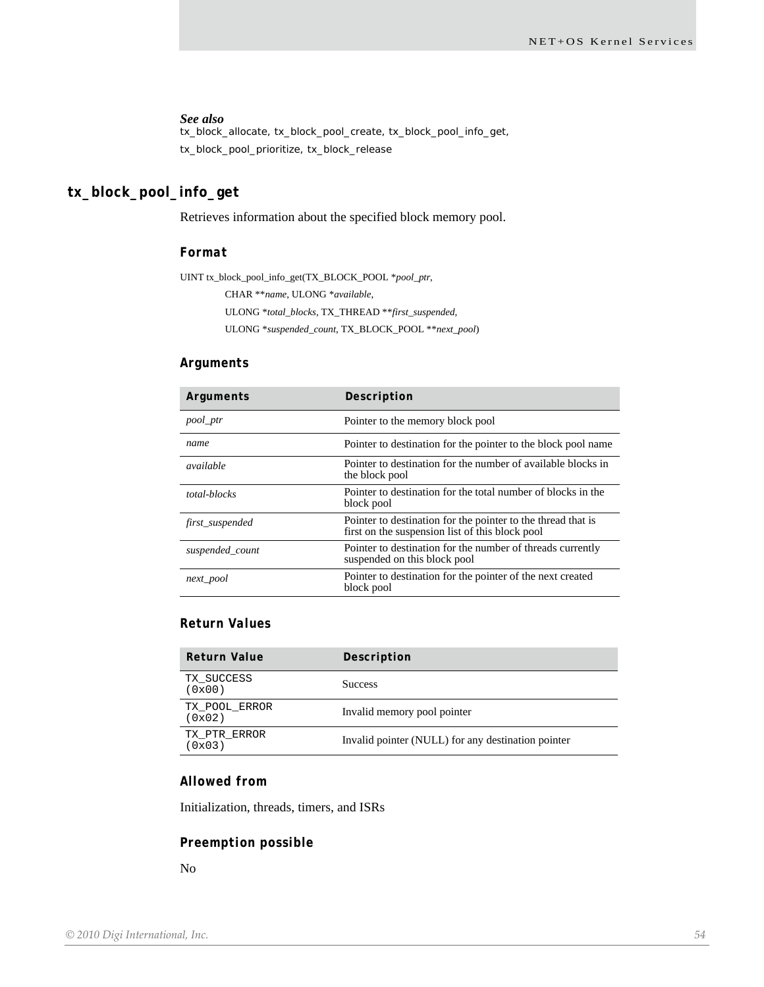tx\_block\_allocate, tx\_block\_pool\_create, tx\_block\_pool\_info\_get, tx\_block\_pool\_prioritize, tx\_block\_release

### **tx\_block\_pool\_info\_get**

Retrieves information about the specified block memory pool.

#### *Format*

UINT tx\_block\_pool\_info\_get(TX\_BLOCK\_POOL \**pool\_ptr*, CHAR \*\**name*, ULONG \**available*,

ULONG \**total\_blocks*, TX\_THREAD \*\**first\_suspended*,

ULONG \**suspended\_count*, TX\_BLOCK\_POOL \*\**next\_pool*)

#### *Arguments*

| Arguments       | Description                                                                                                     |
|-----------------|-----------------------------------------------------------------------------------------------------------------|
| pool_ptr        | Pointer to the memory block pool                                                                                |
| name            | Pointer to destination for the pointer to the block pool name                                                   |
| available       | Pointer to destination for the number of available blocks in<br>the block pool                                  |
| total-blocks    | Pointer to destination for the total number of blocks in the<br>block pool                                      |
| first_suspended | Pointer to destination for the pointer to the thread that is<br>first on the suspension list of this block pool |
| suspended_count | Pointer to destination for the number of threads currently<br>suspended on this block pool                      |
| next_pool       | Pointer to destination for the pointer of the next created<br>block pool                                        |

### *Return Values*

| Return Value            | Description                                        |
|-------------------------|----------------------------------------------------|
| TX SUCCESS<br>(0x00)    | <b>Success</b>                                     |
| TX POOL ERROR<br>(0x02) | Invalid memory pool pointer                        |
| TX PTR ERROR<br>(0x03)  | Invalid pointer (NULL) for any destination pointer |

### *Allowed from*

Initialization, threads, timers, and ISRs

#### *Preemption possible*

No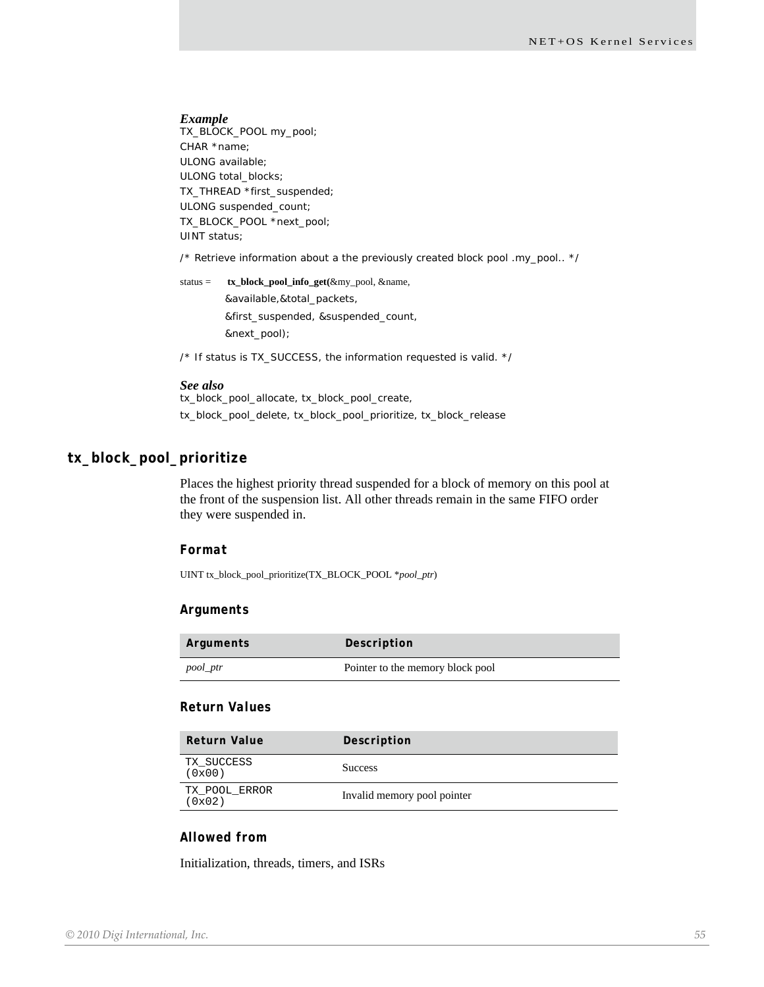#### *Example*

TX\_BLOCK\_POOL my\_pool; CHAR \*name; ULONG available; ULONG total\_blocks; TX\_THREAD \*first\_suspended; ULONG suspended\_count; TX\_BLOCK\_POOL \*next\_pool; UINT status;

/\* Retrieve information about a the previously created block pool .my\_pool.. \*/

status = **tx\_block\_pool\_info\_get(**&my\_pool, &name, &available,&total\_packets, &first\_suspended, &suspended\_count, &next\_pool);

/\* If status is TX\_SUCCESS, the information requested is valid. \*/

#### *See also*

tx\_block\_pool\_allocate, tx\_block\_pool\_create, tx\_block\_pool\_delete, tx\_block\_pool\_prioritize, tx\_block\_release

#### **tx\_block\_pool\_prioritize**

Places the highest priority thread suspended for a block of memory on this pool at the front of the suspension list. All other threads remain in the same FIFO order they were suspended in.

#### *Format*

UINT tx\_block\_pool\_prioritize(TX\_BLOCK\_POOL \**pool\_ptr*)

#### *Arguments*

| Arguments | Description                      |
|-----------|----------------------------------|
| pool_ptr  | Pointer to the memory block pool |

#### *Return Values*

| Return Value            | Description                 |
|-------------------------|-----------------------------|
| TX SUCCESS<br>(0x00)    | <b>Success</b>              |
| TX POOL ERROR<br>(0x02) | Invalid memory pool pointer |

### *Allowed from*

Initialization, threads, timers, and ISRs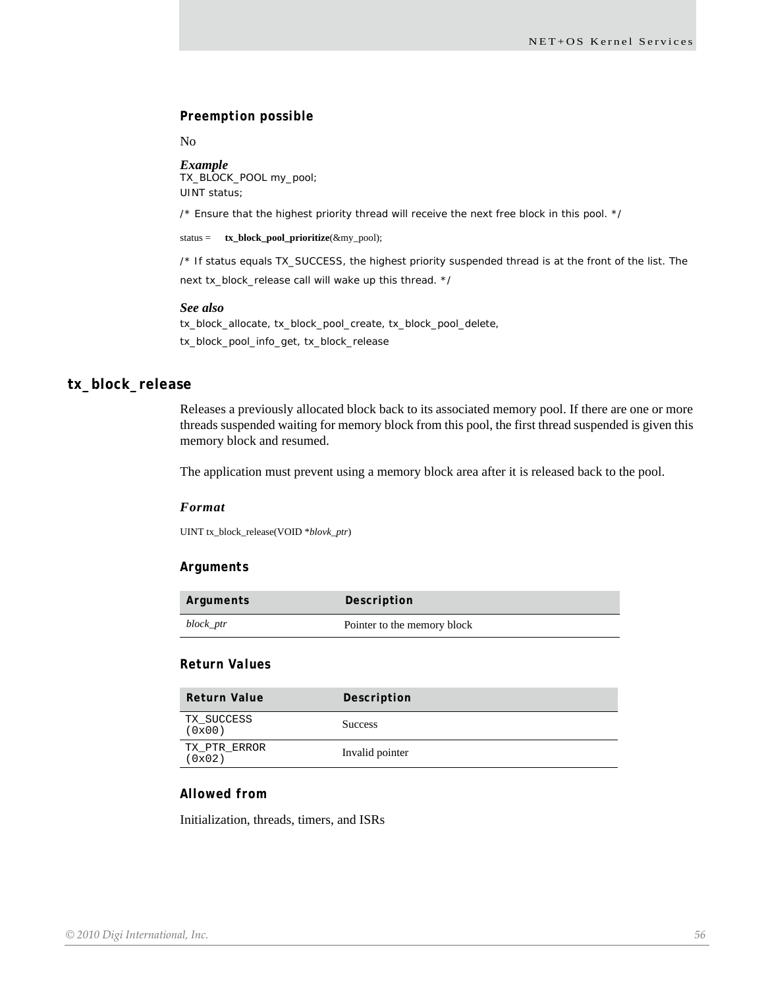#### *Preemption possible*

No

#### *Example*

TX\_BLOCK\_POOL my\_pool; UINT status;

/\* Ensure that the highest priority thread will receive the next free block in this pool. \*/

status = **tx\_block\_pool\_prioritize**(&my\_pool);

/\* If status equals TX\_SUCCESS, the highest priority suspended thread is at the front of the list. The next tx\_block\_release call will wake up this thread. \*/

#### *See also*

tx\_block\_allocate, tx\_block\_pool\_create, tx\_block\_pool\_delete, tx\_block\_pool\_info\_get, tx\_block\_release

### **tx\_block\_release**

Releases a previously allocated block back to its associated memory pool. If there are one or more threads suspended waiting for memory block from this pool, the first thread suspended is given this memory block and resumed.

The application must prevent using a memory block area after it is released back to the pool.

#### *Format*

UINT tx\_block\_release(VOID \**blovk\_ptr*)

#### *Arguments*

| Arguments | Description                 |
|-----------|-----------------------------|
| block_ptr | Pointer to the memory block |

#### *Return Values*

| <b>Return Value</b>    | Description     |
|------------------------|-----------------|
| TX SUCCESS<br>(0x00)   | <b>Success</b>  |
| TX PTR ERROR<br>(0x02) | Invalid pointer |

### *Allowed from*

Initialization, threads, timers, and ISRs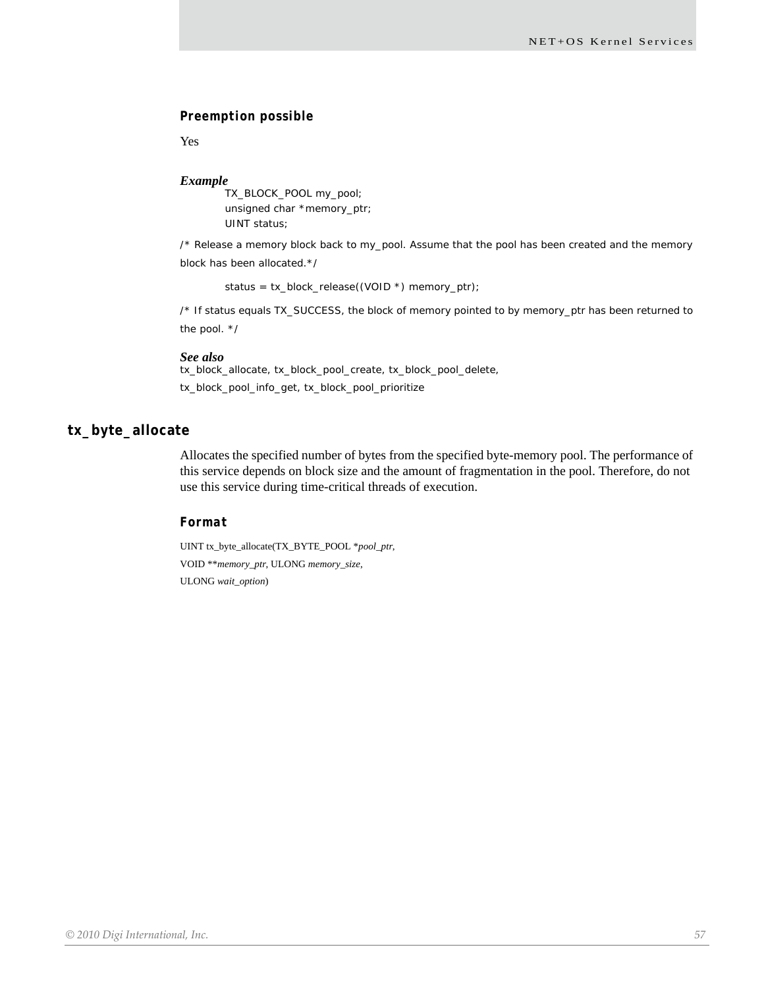### *Preemption possible*

Yes

#### *Example*

TX\_BLOCK\_POOL my\_pool; unsigned char \*memory\_ptr; UINT status;

/\* Release a memory block back to my\_pool. Assume that the pool has been created and the memory block has been allocated.\*/

status = tx\_block\_release((VOID \*) memory\_ptr);

/\* If status equals TX\_SUCCESS, the block of memory pointed to by memory\_ptr has been returned to the pool. \*/

#### *See also*

tx\_block\_allocate, tx\_block\_pool\_create, tx\_block\_pool\_delete, tx\_block\_pool\_info\_get, tx\_block\_pool\_prioritize

### **tx\_byte\_allocate**

Allocates the specified number of bytes from the specified byte-memory pool. The performance of this service depends on block size and the amount of fragmentation in the pool. Therefore, do not use this service during time-critical threads of execution.

### *Format*

UINT tx\_byte\_allocate(TX\_BYTE\_POOL \**pool\_ptr*, VOID \*\**memory\_ptr*, ULONG *memory\_size*, ULONG *wait\_option*)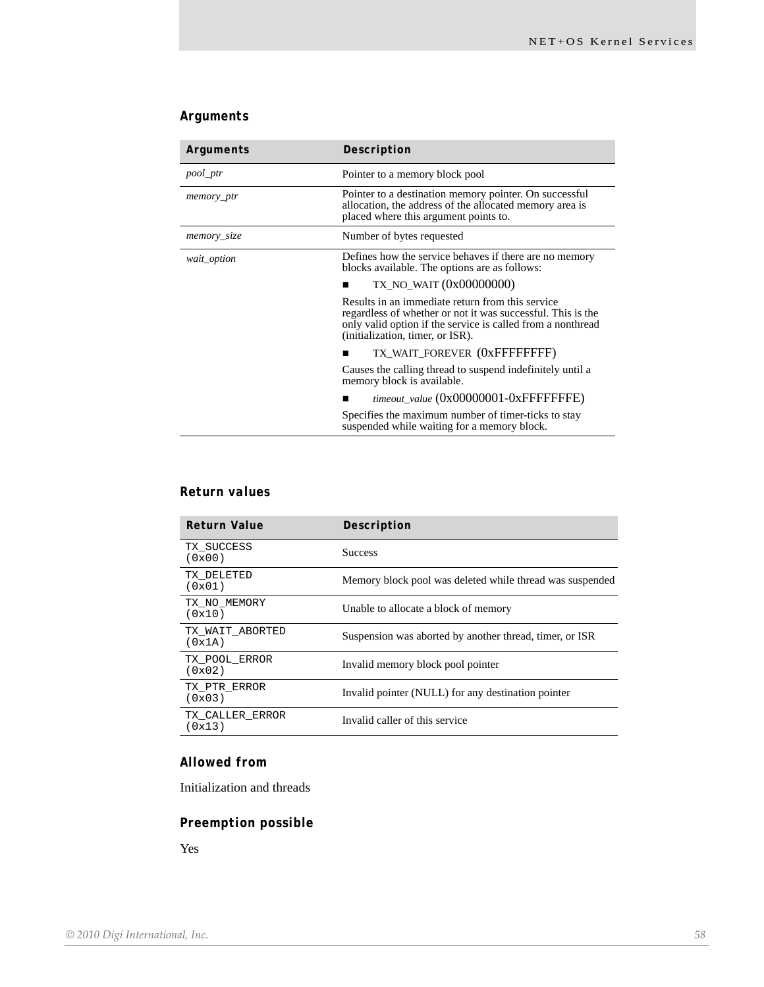### *Arguments*

| Arguments   | Description                                                                                                                                                                                                        |
|-------------|--------------------------------------------------------------------------------------------------------------------------------------------------------------------------------------------------------------------|
| pool_ptr    | Pointer to a memory block pool                                                                                                                                                                                     |
| memory_ptr  | Pointer to a destination memory pointer. On successful<br>allocation, the address of the allocated memory area is<br>placed where this argument points to.                                                         |
| memory_size | Number of bytes requested                                                                                                                                                                                          |
| wait_option | Defines how the service behaves if there are no memory<br>blocks available. The options are as follows:                                                                                                            |
|             | TX_NO_WAIT (0x00000000)                                                                                                                                                                                            |
|             | Results in an immediate return from this service<br>regardless of whether or not it was successful. This is the<br>only valid option if the service is called from a nonthread<br>(initialization, timer, or ISR). |
|             | TX_WAIT_FOREVER (0xFFFFFFFFF)                                                                                                                                                                                      |
|             | Causes the calling thread to suspend indefinitely until a<br>memory block is available.                                                                                                                            |
|             | timeout_value (0x00000001-0xFFFFFFFE)                                                                                                                                                                              |
|             | Specifies the maximum number of timer-ticks to stay<br>suspended while waiting for a memory block.                                                                                                                 |

### *Return values*

| <b>Return Value</b>       | Description                                              |
|---------------------------|----------------------------------------------------------|
| TX SUCCESS<br>(0x00)      | <b>Success</b>                                           |
| TX DELETED<br>(0x01)      | Memory block pool was deleted while thread was suspended |
| TX NO MEMORY<br>(0x10)    | Unable to allocate a block of memory                     |
| TX WAIT ABORTED<br>(0x1A) | Suspension was aborted by another thread, timer, or ISR  |
| TX POOL ERROR<br>(0x02)   | Invalid memory block pool pointer                        |
| TX PTR ERROR<br>(0x03)    | Invalid pointer (NULL) for any destination pointer       |
| TX CALLER ERROR<br>(0x13) | Invalid caller of this service                           |

### *Allowed from*

Initialization and threads

### *Preemption possible*

Yes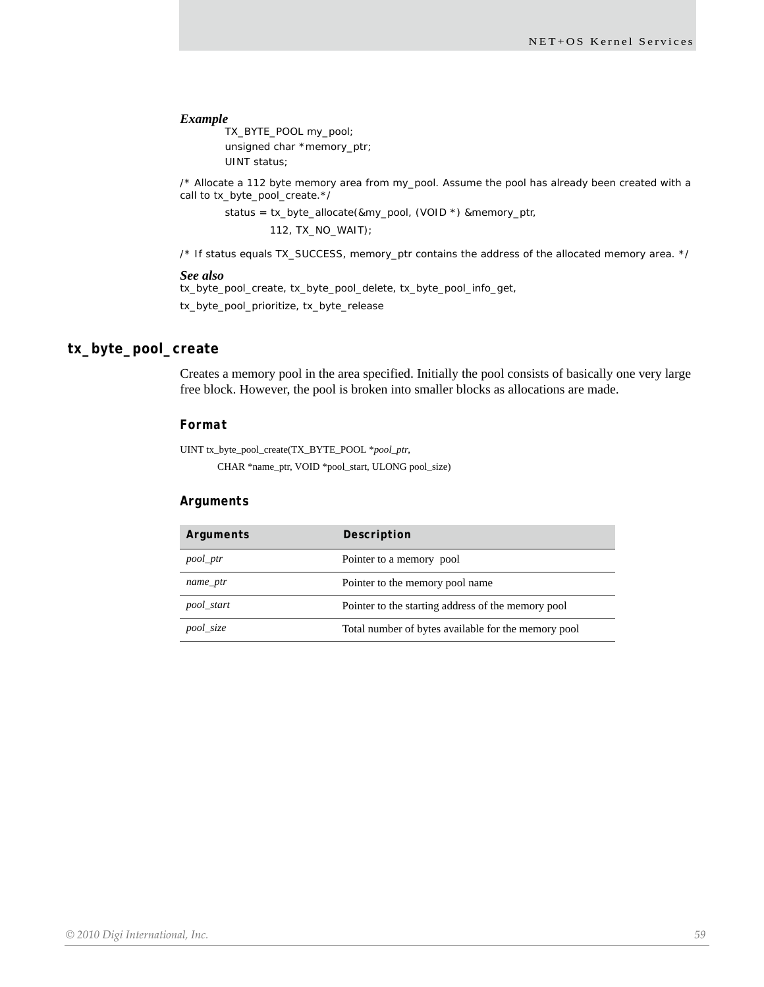#### *Example*

TX\_BYTE\_POOL my\_pool; unsigned char \*memory\_ptr; UINT status;

/\* Allocate a 112 byte memory area from my\_pool. Assume the pool has already been created with a call to tx\_byte\_pool\_create.\*/

status = tx\_byte\_allocate(&my\_pool, (VOID \*) &memory\_ptr, 112, TX\_NO\_WAIT);

/\* If status equals TX\_SUCCESS, memory\_ptr contains the address of the allocated memory area. \*/

#### *See also*

tx\_byte\_pool\_create, tx\_byte\_pool\_delete, tx\_byte\_pool\_info\_get, tx\_byte\_pool\_prioritize, tx\_byte\_release

### **tx\_byte\_pool\_create**

Creates a memory pool in the area specified. Initially the pool consists of basically one very large free block. However, the pool is broken into smaller blocks as allocations are made.

#### *Format*

UINT tx\_byte\_pool\_create(TX\_BYTE\_POOL \**pool\_ptr*,

CHAR \*name\_ptr, VOID \*pool\_start, ULONG pool\_size)

#### *Arguments*

| Arguments  | Description                                         |
|------------|-----------------------------------------------------|
| pool_ptr   | Pointer to a memory pool                            |
| name_ptr   | Pointer to the memory pool name                     |
| pool_start | Pointer to the starting address of the memory pool  |
| pool_size  | Total number of bytes available for the memory pool |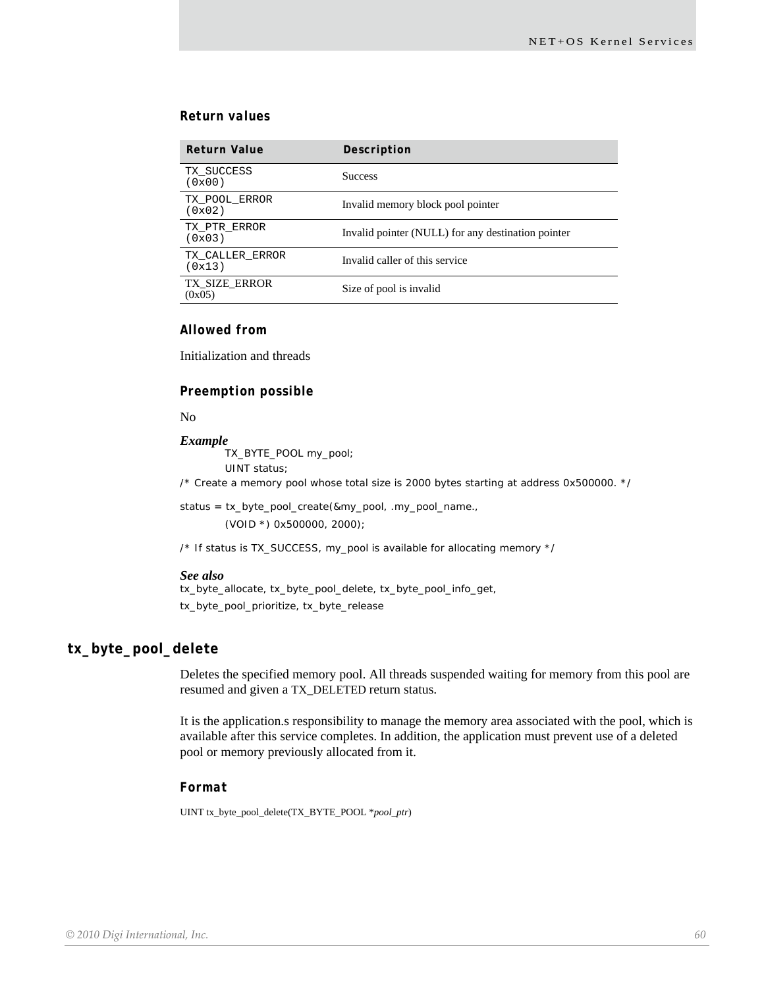### *Return values*

| <b>Return Value</b>            | Description                                        |
|--------------------------------|----------------------------------------------------|
| TX SUCCESS<br>(0x00)           | <b>Success</b>                                     |
| TX POOL ERROR<br>(0x02)        | Invalid memory block pool pointer                  |
| TX PTR ERROR<br>(0x03)         | Invalid pointer (NULL) for any destination pointer |
| TX CALLER ERROR<br>(0x13)      | Invalid caller of this service                     |
| <b>TX SIZE ERROR</b><br>(0x05) | Size of pool is invalid                            |

### *Allowed from*

Initialization and threads

#### *Preemption possible*

#### No

#### *Example*

TX\_BYTE\_POOL my\_pool; UINT status;

/\* Create a memory pool whose total size is 2000 bytes starting at address 0x500000. \*/

status = tx\_byte\_pool\_create(&my\_pool, .my\_pool\_name., (VOID \*) 0x500000, 2000);

/\* If status is TX\_SUCCESS, my\_pool is available for allocating memory \*/

#### *See also*

tx\_byte\_allocate, tx\_byte\_pool\_delete, tx\_byte\_pool\_info\_get, tx\_byte\_pool\_prioritize, tx\_byte\_release

#### **tx\_byte\_pool\_delete**

Deletes the specified memory pool. All threads suspended waiting for memory from this pool are resumed and given a TX\_DELETED return status.

It is the application.s responsibility to manage the memory area associated with the pool, which is available after this service completes. In addition, the application must prevent use of a deleted pool or memory previously allocated from it.

#### *Format*

UINT tx\_byte\_pool\_delete(TX\_BYTE\_POOL \**pool\_ptr*)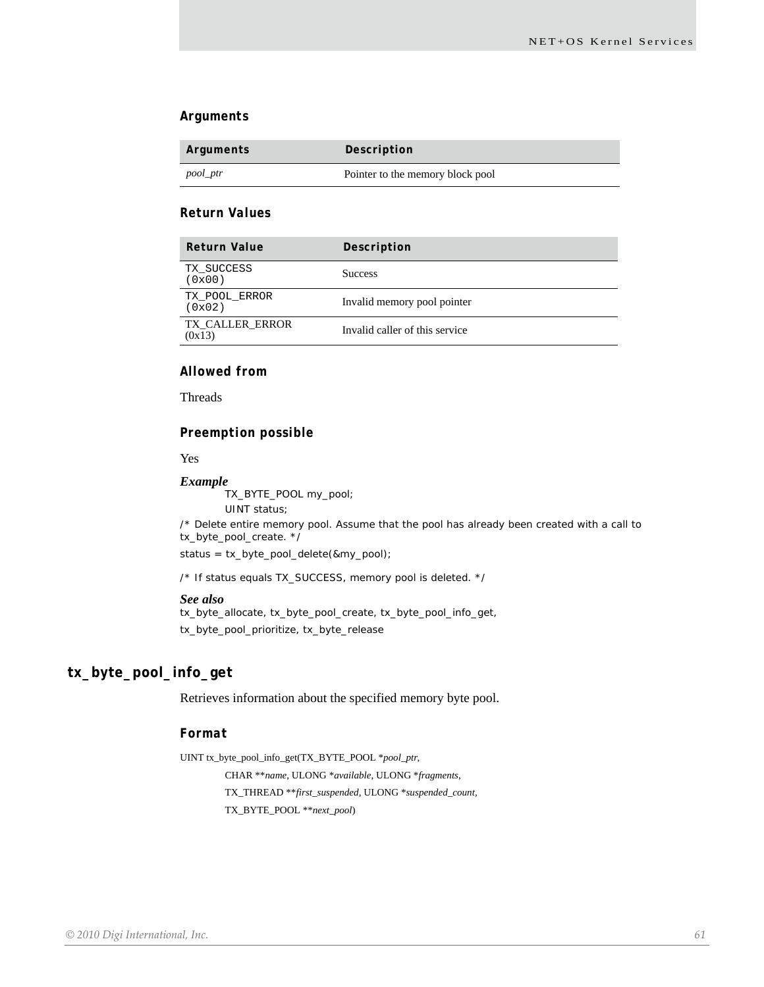#### *Arguments*

| Arguments | Description                      |
|-----------|----------------------------------|
| pool_ptr  | Pointer to the memory block pool |

### *Return Values*

| <b>Return Value</b>              | Description                    |
|----------------------------------|--------------------------------|
| TX SUCCESS<br>(0x00)             | <b>Success</b>                 |
| TX POOL ERROR<br>(0x02)          | Invalid memory pool pointer    |
| <b>TX CALLER ERROR</b><br>(0x13) | Invalid caller of this service |

### *Allowed from*

Threads

#### *Preemption possible*

Yes

#### *Example*

TX\_BYTE\_POOL my\_pool;

UINT status;

/\* Delete entire memory pool. Assume that the pool has already been created with a call to tx\_byte\_pool\_create. \*/

status = tx\_byte\_pool\_delete(&my\_pool);

/\* If status equals TX\_SUCCESS, memory pool is deleted. \*/

#### *See also*

tx\_byte\_allocate, tx\_byte\_pool\_create, tx\_byte\_pool\_info\_get, tx\_byte\_pool\_prioritize, tx\_byte\_release

### **tx\_byte\_pool\_info\_get**

Retrieves information about the specified memory byte pool.

#### *Format*

UINT tx\_byte\_pool\_info\_get(TX\_BYTE\_POOL \**pool\_ptr*, CHAR \*\**name*, ULONG \**available*, ULONG \**fragments*, TX\_THREAD \*\**first\_suspended*, ULONG \**suspended\_count*, TX\_BYTE\_POOL \*\**next\_pool*)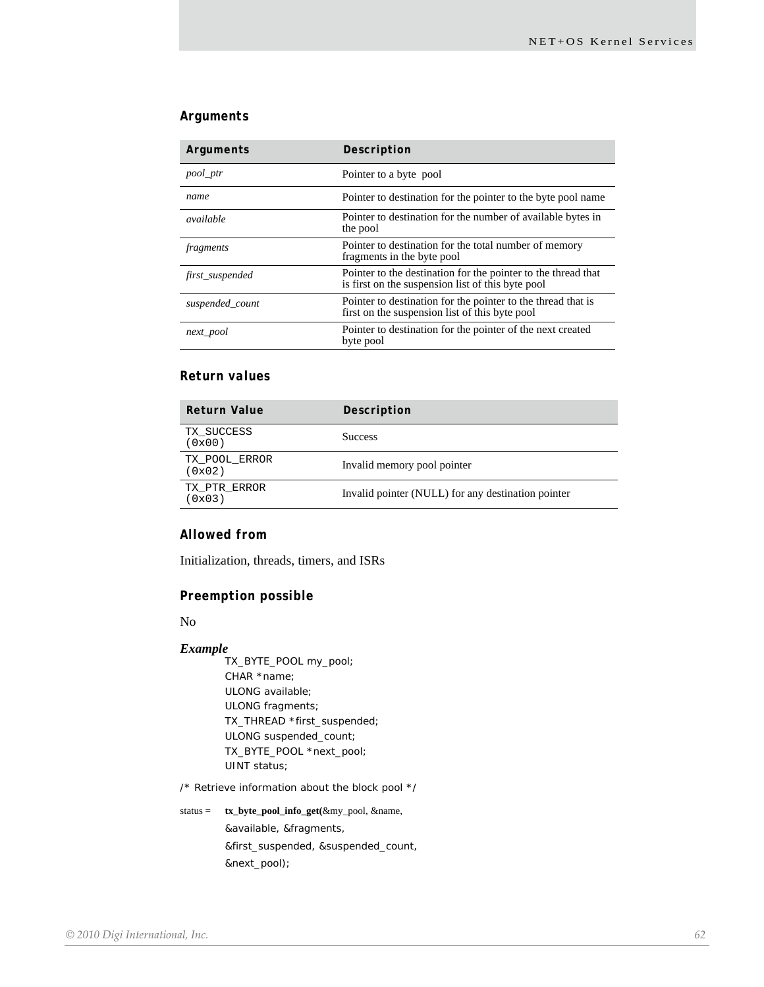### *Arguments*

| Arguments       | Description                                                                                                        |
|-----------------|--------------------------------------------------------------------------------------------------------------------|
| pool_ptr        | Pointer to a byte pool                                                                                             |
| name            | Pointer to destination for the pointer to the byte pool name                                                       |
| available       | Pointer to destination for the number of available bytes in<br>the pool                                            |
| fragments       | Pointer to destination for the total number of memory<br>fragments in the byte pool                                |
| first_suspended | Pointer to the destination for the pointer to the thread that<br>is first on the suspension list of this byte pool |
| suspended_count | Pointer to destination for the pointer to the thread that is<br>first on the suspension list of this byte pool     |
| next pool       | Pointer to destination for the pointer of the next created<br>byte pool                                            |

### *Return values*

| <b>Return Value</b>     | Description                                        |
|-------------------------|----------------------------------------------------|
| TX SUCCESS<br>(0x00)    | <b>Success</b>                                     |
| TX POOL ERROR<br>(0x02) | Invalid memory pool pointer                        |
| TX PTR ERROR<br>(0x03)  | Invalid pointer (NULL) for any destination pointer |
|                         |                                                    |

### *Allowed from*

Initialization, threads, timers, and ISRs

### *Preemption possible*

No

#### *Example*

TX\_BYTE\_POOL my\_pool; CHAR \*name; ULONG available; ULONG fragments; TX\_THREAD \*first\_suspended; ULONG suspended\_count; TX\_BYTE\_POOL \*next\_pool; UINT status;

/\* Retrieve information about the block pool \*/

status = **tx\_byte\_pool\_info\_get(**&my\_pool, &name, &available, &fragments, &first\_suspended, &suspended\_count, &next\_pool);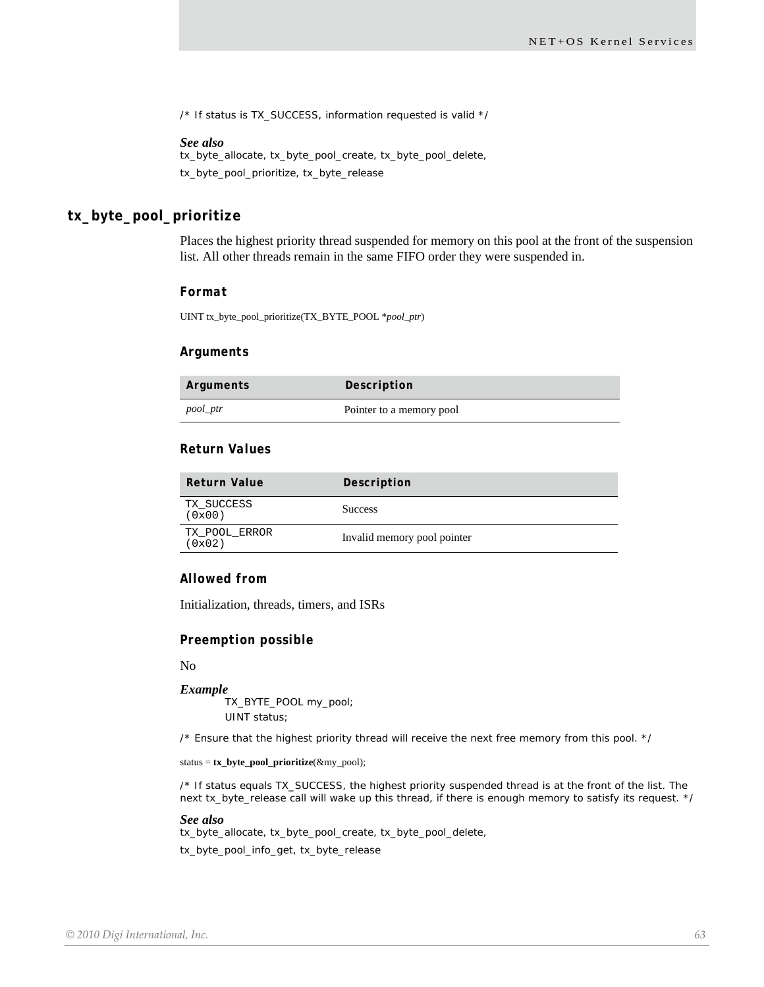/\* If status is TX\_SUCCESS, information requested is valid \*/

#### *See also*

tx\_byte\_allocate, tx\_byte\_pool\_create, tx\_byte\_pool\_delete, tx\_byte\_pool\_prioritize, tx\_byte\_release

### **tx\_byte\_pool\_prioritize**

Places the highest priority thread suspended for memory on this pool at the front of the suspension list. All other threads remain in the same FIFO order they were suspended in.

#### *Format*

UINT tx\_byte\_pool\_prioritize(TX\_BYTE\_POOL \**pool\_ptr*)

#### *Arguments*

| Arguments | Description              |
|-----------|--------------------------|
| pool_ptr  | Pointer to a memory pool |

#### *Return Values*

| Return Value            | Description                 |
|-------------------------|-----------------------------|
| TX SUCCESS<br>(0x00)    | <b>Success</b>              |
| TX POOL ERROR<br>(0x02) | Invalid memory pool pointer |

#### *Allowed from*

Initialization, threads, timers, and ISRs

#### *Preemption possible*

No

#### *Example*

TX\_BYTE\_POOL my\_pool; UINT status;

/\* Ensure that the highest priority thread will receive the next free memory from this pool. \*/

status = **tx\_byte\_pool\_prioritize**(&my\_pool);

/\* If status equals TX\_SUCCESS, the highest priority suspended thread is at the front of the list. The next tx\_byte\_release call will wake up this thread, if there is enough memory to satisfy its request. \*/

#### *See also*

tx\_byte\_allocate, tx\_byte\_pool\_create, tx\_byte\_pool\_delete, tx\_byte\_pool\_info\_get, tx\_byte\_release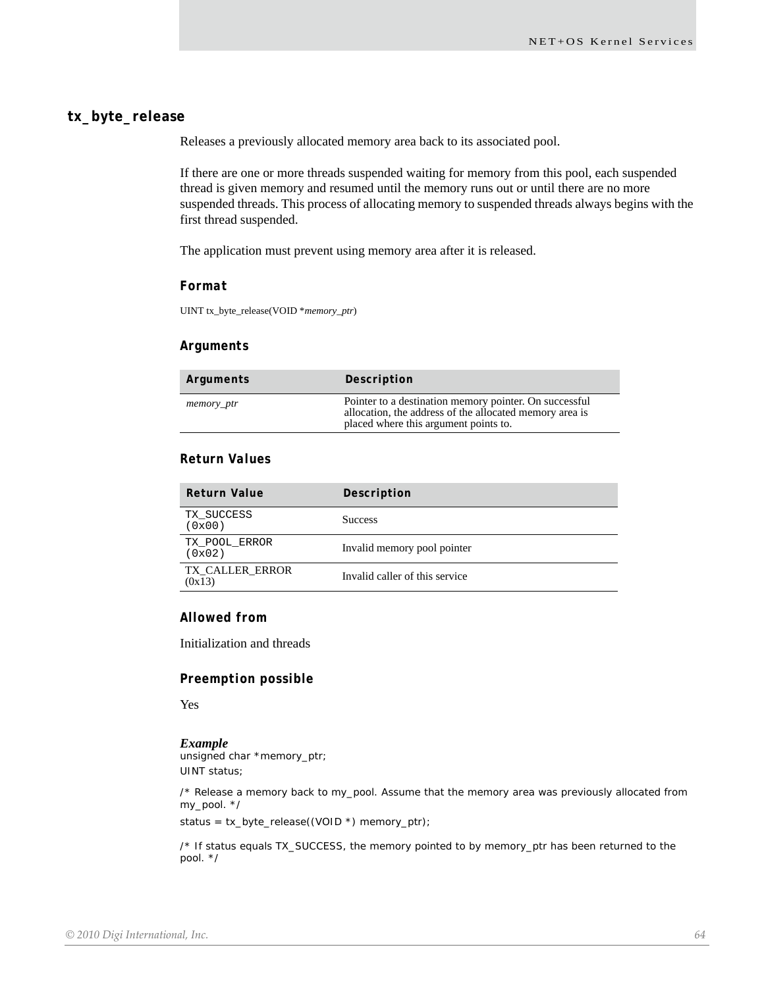### **tx\_byte\_release**

Releases a previously allocated memory area back to its associated pool.

If there are one or more threads suspended waiting for memory from this pool, each suspended thread is given memory and resumed until the memory runs out or until there are no more suspended threads. This process of allocating memory to suspended threads always begins with the first thread suspended.

The application must prevent using memory area after it is released.

#### *Format*

UINT tx\_byte\_release(VOID \**memory\_ptr*)

#### *Arguments*

| Arguments  | Description                                                                                                                                                |
|------------|------------------------------------------------------------------------------------------------------------------------------------------------------------|
| memory_ptr | Pointer to a destination memory pointer. On successful<br>allocation, the address of the allocated memory area is<br>placed where this argument points to. |

### *Return Values*

| <b>Return Value</b>       | Description                    |
|---------------------------|--------------------------------|
| TX SUCCESS<br>(0x00)      | <b>Success</b>                 |
| TX POOL ERROR<br>(0x02)   | Invalid memory pool pointer    |
| TX CALLER ERROR<br>(0x13) | Invalid caller of this service |

### *Allowed from*

Initialization and threads

#### *Preemption possible*

Yes

#### *Example*

unsigned char \*memory\_ptr; UINT status;

/\* Release a memory back to my\_pool. Assume that the memory area was previously allocated from my\_pool. \*/

status = tx\_byte\_release((VOID \*) memory\_ptr);

/\* If status equals TX\_SUCCESS, the memory pointed to by memory\_ptr has been returned to the pool. \*/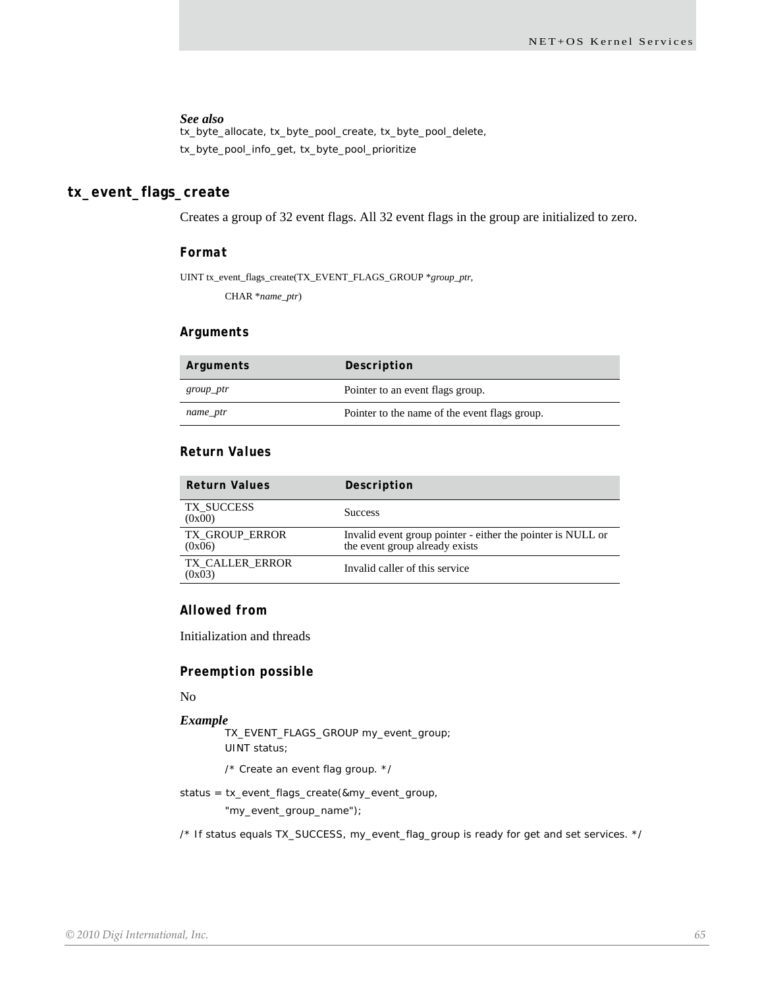tx\_byte\_allocate, tx\_byte\_pool\_create, tx\_byte\_pool\_delete, tx\_byte\_pool\_info\_get, tx\_byte\_pool\_prioritize

### **tx\_event\_flags\_create**

Creates a group of 32 event flags. All 32 event flags in the group are initialized to zero.

#### *Format*

UINT tx\_event\_flags\_create(TX\_EVENT\_FLAGS\_GROUP \**group\_ptr*,

CHAR \**name\_ptr*)

#### *Arguments*

| Arguments | Description                                   |
|-----------|-----------------------------------------------|
| group_ptr | Pointer to an event flags group.              |
| name_ptr  | Pointer to the name of the event flags group. |

#### *Return Values*

| Return Values                   | Description                                                                                   |
|---------------------------------|-----------------------------------------------------------------------------------------------|
| TX SUCCESS<br>(0x00)            | <b>Success</b>                                                                                |
| <b>TX GROUP ERROR</b><br>(0x06) | Invalid event group pointer - either the pointer is NULL or<br>the event group already exists |
| TX CALLER ERROR<br>(0x03)       | Invalid caller of this service                                                                |

### *Allowed from*

Initialization and threads

#### *Preemption possible*

No

#### *Example* TX\_EVENT\_FLAGS\_GROUP my\_event\_group;

UINT status;

- /\* Create an event flag group. \*/
- status = tx\_event\_flags\_create(&my\_event\_group,

"my\_event\_group\_name");

/\* If status equals TX\_SUCCESS, my\_event\_flag\_group is ready for get and set services. \*/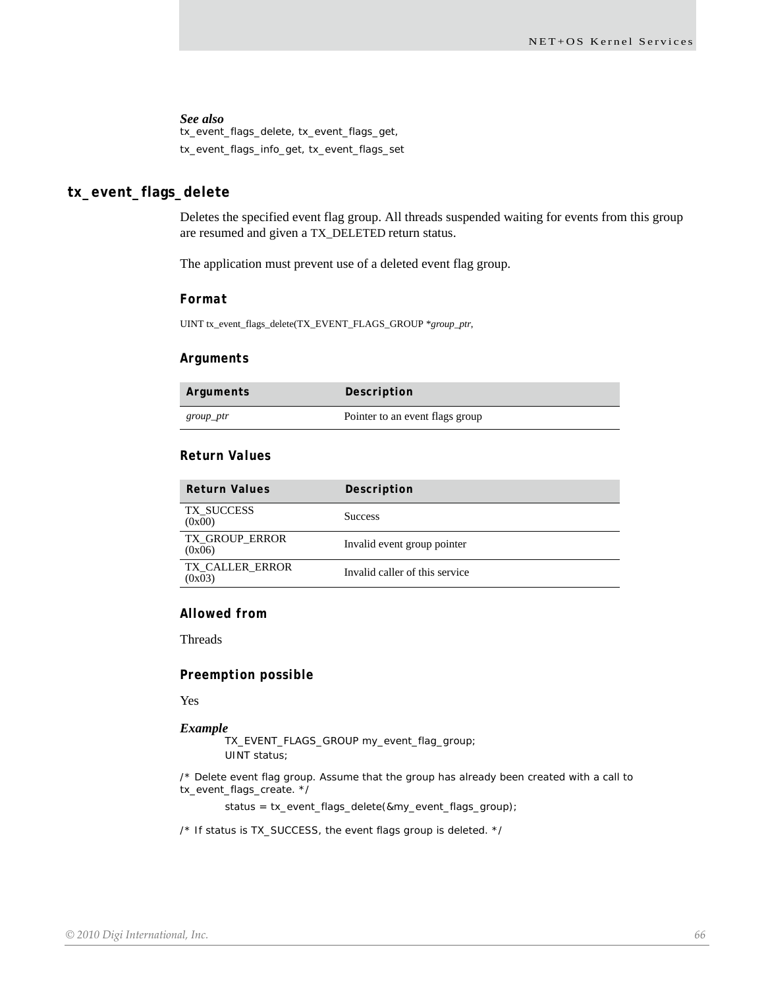tx\_event\_flags\_delete, tx\_event\_flags\_get, tx\_event\_flags\_info\_get, tx\_event\_flags\_set

### **tx\_event\_flags\_delete**

Deletes the specified event flag group. All threads suspended waiting for events from this group are resumed and given a TX\_DELETED return status.

The application must prevent use of a deleted event flag group.

#### *Format*

UINT tx\_event\_flags\_delete(TX\_EVENT\_FLAGS\_GROUP \**group\_ptr*,

#### *Arguments*

| Arguments | Description                     |
|-----------|---------------------------------|
| group_ptr | Pointer to an event flags group |

#### *Return Values*

| <b>Return Values</b>            | Description                    |
|---------------------------------|--------------------------------|
| TX SUCCESS<br>(0x00)            | <b>Success</b>                 |
| <b>TX GROUP ERROR</b><br>(0x06) | Invalid event group pointer    |
| TX CALLER ERROR<br>(0x03)       | Invalid caller of this service |

#### *Allowed from*

Threads

#### *Preemption possible*

Yes

#### *Example*

TX\_EVENT\_FLAGS\_GROUP my\_event\_flag\_group; UINT status;

/\* Delete event flag group. Assume that the group has already been created with a call to tx\_event\_flags\_create. \*/

status = tx\_event\_flags\_delete(&my\_event\_flags\_group);

/\* If status is TX\_SUCCESS, the event flags group is deleted. \*/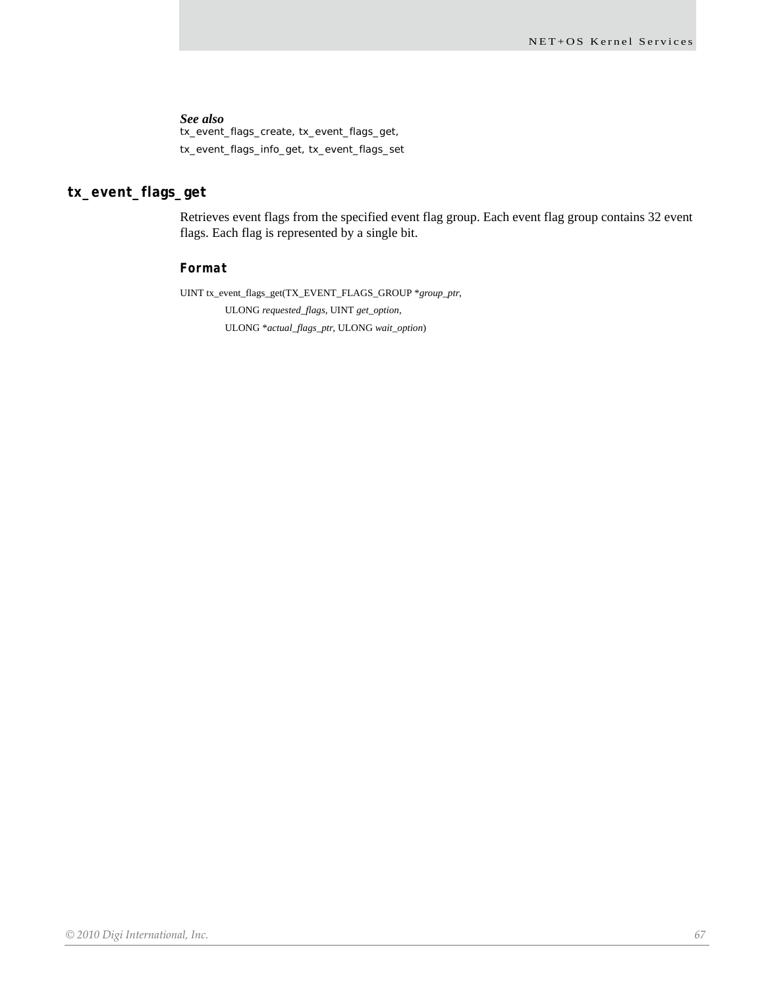tx\_event\_flags\_create, tx\_event\_flags\_get, tx\_event\_flags\_info\_get, tx\_event\_flags\_set

### **tx\_event\_flags\_get**

Retrieves event flags from the specified event flag group. Each event flag group contains 32 event flags. Each flag is represented by a single bit.

### *Format*

UINT tx\_event\_flags\_get(TX\_EVENT\_FLAGS\_GROUP \**group\_ptr*,

ULONG *requested\_flags*, UINT *get\_option*, ULONG \**actual\_flags\_ptr*, ULONG *wait\_option*)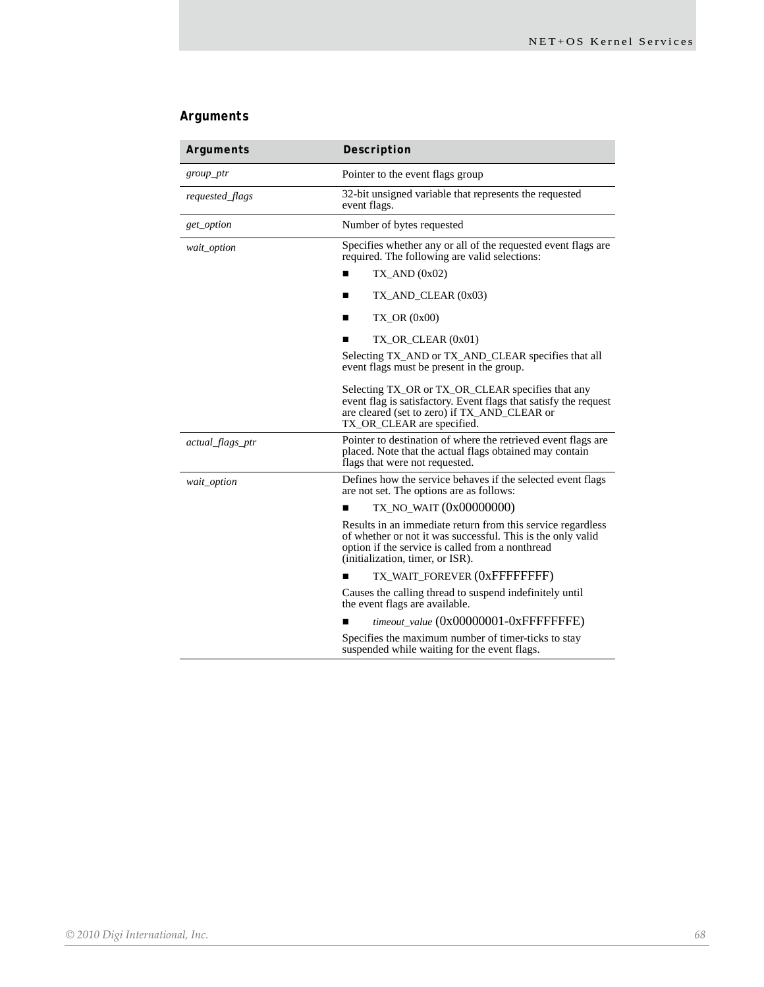### *Arguments*

| Arguments        | Description                                                                                                                                                                                                        |
|------------------|--------------------------------------------------------------------------------------------------------------------------------------------------------------------------------------------------------------------|
| group_ptr        | Pointer to the event flags group                                                                                                                                                                                   |
| requested_flags  | 32-bit unsigned variable that represents the requested<br>event flags.                                                                                                                                             |
| get_option       | Number of bytes requested                                                                                                                                                                                          |
| wait_option      | Specifies whether any or all of the requested event flags are<br>required. The following are valid selections:                                                                                                     |
|                  | $TX$ AND $(0x02)$                                                                                                                                                                                                  |
|                  | $TX$ _AND_CLEAR $(0x03)$<br>П                                                                                                                                                                                      |
|                  | $TX_OR(0x00)$<br>■                                                                                                                                                                                                 |
|                  | $TX$ OR CLEAR $(0x01)$                                                                                                                                                                                             |
|                  | Selecting TX_AND or TX_AND_CLEAR specifies that all<br>event flags must be present in the group.                                                                                                                   |
|                  | Selecting TX_OR or TX_OR_CLEAR specifies that any<br>event flag is satisfactory. Event flags that satisfy the request<br>are cleared (set to zero) if TX_AND_CLEAR or<br>TX_OR_CLEAR are specified.                |
| actual_flags_ptr | Pointer to destination of where the retrieved event flags are<br>placed. Note that the actual flags obtained may contain<br>flags that were not requested.                                                         |
| wait_option      | Defines how the service behaves if the selected event flags<br>are not set. The options are as follows:                                                                                                            |
|                  | TX_NO_WAIT (0x00000000)                                                                                                                                                                                            |
|                  | Results in an immediate return from this service regardless<br>of whether or not it was successful. This is the only valid<br>option if the service is called from a nonthread<br>(initialization, timer, or ISR). |
|                  | TX_WAIT_FOREVER (0xFFFFFFFFF)                                                                                                                                                                                      |
|                  | Causes the calling thread to suspend indefinitely until<br>the event flags are available.                                                                                                                          |
|                  | timeout_value (0x00000001-0xFFFFFFFE)                                                                                                                                                                              |
|                  | Specifies the maximum number of timer-ticks to stay<br>suspended while waiting for the event flags.                                                                                                                |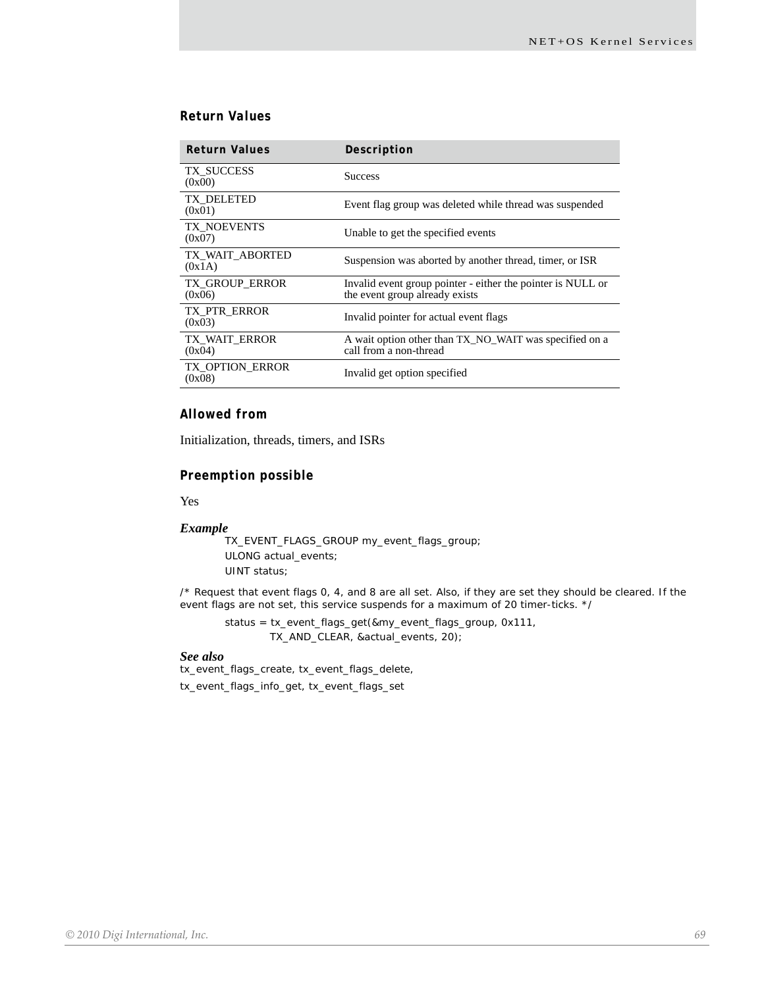### *Return Values*

| <b>Return Values</b>             | Description                                                                                   |
|----------------------------------|-----------------------------------------------------------------------------------------------|
| TX SUCCESS<br>(0x00)             | <b>Success</b>                                                                                |
| TX DELETED<br>(0x01)             | Event flag group was deleted while thread was suspended                                       |
| TX NOEVENTS<br>(0x07)            | Unable to get the specified events                                                            |
| TX WAIT ABORTED<br>(0x1A)        | Suspension was aborted by another thread, timer, or ISR                                       |
| TX_GROUP_ERROR<br>(0x06)         | Invalid event group pointer - either the pointer is NULL or<br>the event group already exists |
| TX PTR ERROR<br>(0x03)           | Invalid pointer for actual event flags                                                        |
| TX WAIT ERROR<br>(0x04)          | A wait option other than TX_NO_WAIT was specified on a<br>call from a non-thread              |
| <b>TX OPTION_ERROR</b><br>(0x08) | Invalid get option specified                                                                  |

### *Allowed from*

Initialization, threads, timers, and ISRs

#### *Preemption possible*

Yes

#### *Example*

TX\_EVENT\_FLAGS\_GROUP my\_event\_flags\_group; ULONG actual\_events; UINT status;

/\* Request that event flags 0, 4, and 8 are all set. Also, if they are set they should be cleared. If the event flags are not set, this service suspends for a maximum of 20 timer-ticks. \*/

status = tx\_event\_flags\_get(&my\_event\_flags\_group, 0x111, TX\_AND\_CLEAR, &actual\_events, 20);

#### *See also*

tx\_event\_flags\_create, tx\_event\_flags\_delete, tx\_event\_flags\_info\_get, tx\_event\_flags\_set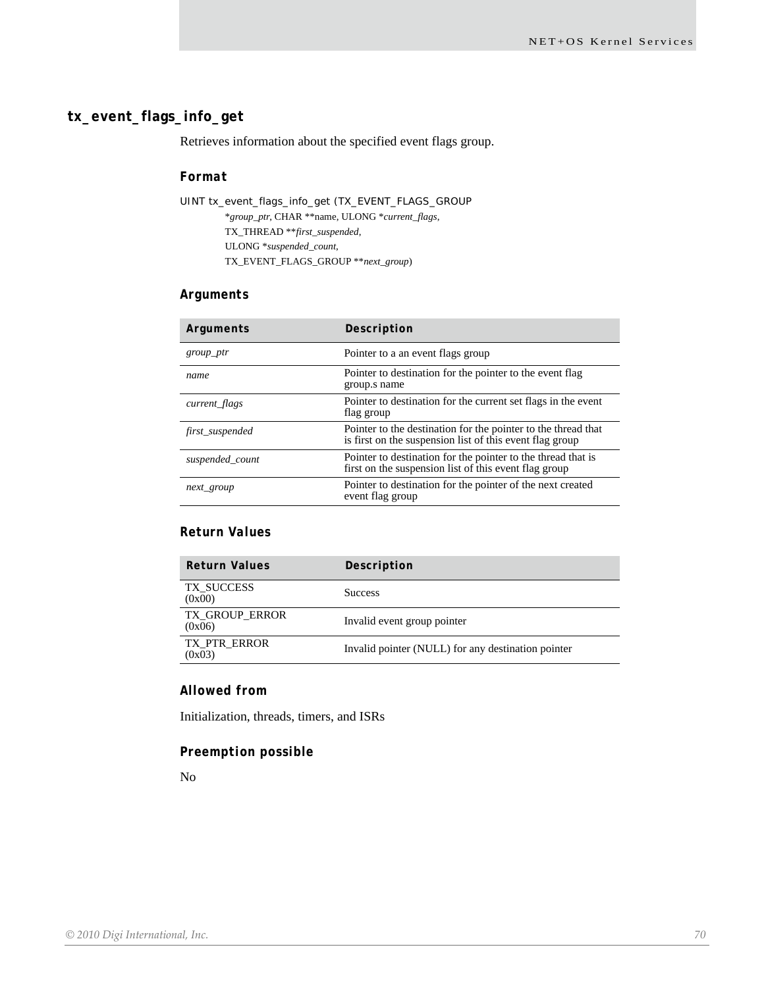### **tx\_event\_flags\_info\_get**

Retrieves information about the specified event flags group.

#### *Format*

UINT tx\_event\_flags\_info\_get (TX\_EVENT\_FLAGS\_GROUP \**group\_ptr*, CHAR \*\*name, ULONG \**current\_flags*, TX\_THREAD \*\**first\_suspended*, ULONG \**suspended\_count*, TX\_EVENT\_FLAGS\_GROUP \*\**next\_group*)

### *Arguments*

| Arguments       | Description                                                                                                               |
|-----------------|---------------------------------------------------------------------------------------------------------------------------|
| $group\_ptr$    | Pointer to a an event flags group                                                                                         |
| name            | Pointer to destination for the pointer to the event flag<br>group.s name                                                  |
| current_flags   | Pointer to destination for the current set flags in the event<br>flag group                                               |
| first_suspended | Pointer to the destination for the pointer to the thread that<br>is first on the suspension list of this event flag group |
| suspended_count | Pointer to destination for the pointer to the thread that is<br>first on the suspension list of this event flag group     |
| next_group      | Pointer to destination for the pointer of the next created<br>event flag group                                            |

### *Return Values*

| Description                                        |
|----------------------------------------------------|
| <b>Success</b>                                     |
| Invalid event group pointer                        |
| Invalid pointer (NULL) for any destination pointer |
|                                                    |

### *Allowed from*

Initialization, threads, timers, and ISRs

#### *Preemption possible*

No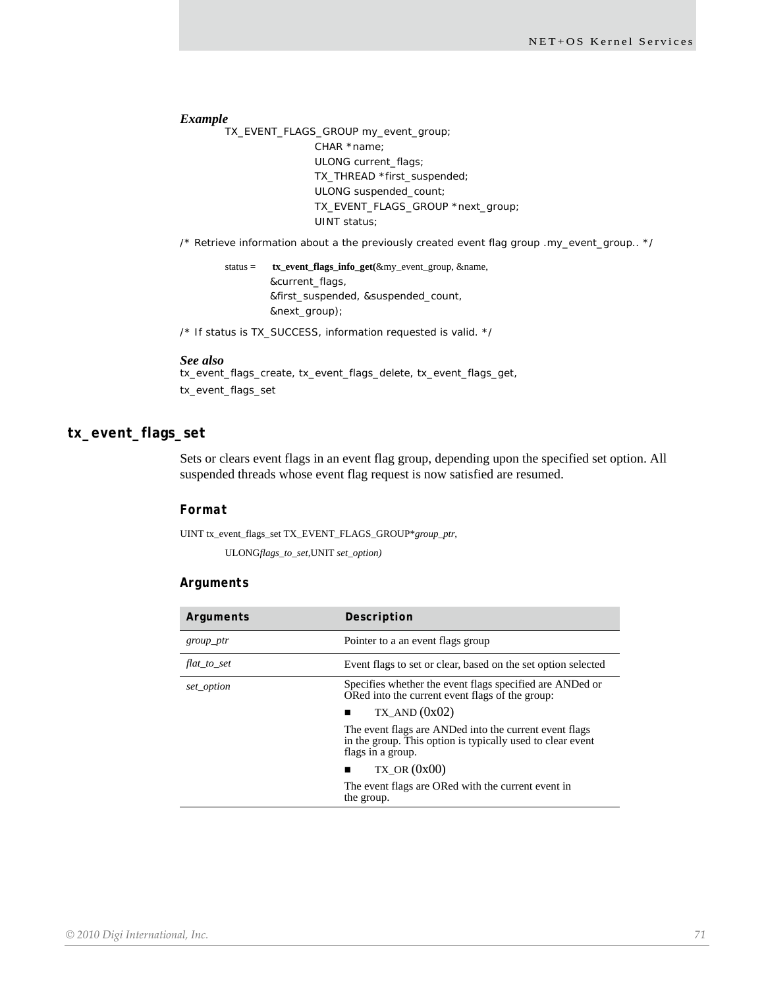*Example*

TX\_EVENT\_FLAGS\_GROUP my\_event\_group; CHAR \*name; ULONG current\_flags; TX\_THREAD \*first\_suspended; ULONG suspended\_count; TX\_EVENT\_FLAGS\_GROUP \*next\_group; UINT status;

/\* Retrieve information about a the previously created event flag group .my\_event\_group.. \*/

status = **tx\_event\_flags\_info\_get(**&my\_event\_group, &name, &current\_flags, &first\_suspended, &suspended\_count, &next\_group);

/\* If status is TX\_SUCCESS, information requested is valid. \*/

#### *See also*

tx\_event\_flags\_create, tx\_event\_flags\_delete, tx\_event\_flags\_get, tx\_event\_flags\_set

### **tx\_event\_flags\_set**

Sets or clears event flags in an event flag group, depending upon the specified set option. All suspended threads whose event flag request is now satisfied are resumed.

### *Format*

UINT tx\_event\_flags\_set TX\_EVENT\_FLAGS\_GROUP\**group\_ptr*,

ULONG*flags\_to\_set,*UNIT *set\_option)*

#### *Arguments*

| Arguments   | Description                                                                                                                               |
|-------------|-------------------------------------------------------------------------------------------------------------------------------------------|
| group_ptr   | Pointer to a an event flags group                                                                                                         |
| flat_to_set | Event flags to set or clear, based on the set option selected                                                                             |
| set_option  | Specifies whether the event flags specified are ANDed or<br>ORed into the current event flags of the group:                               |
|             | TX AND $(0x02)$<br>п                                                                                                                      |
|             | The event flags are ANDed into the current event flags<br>in the group. This option is typically used to clear event<br>flags in a group. |
|             | $TX$ OR $(0x00)$                                                                                                                          |
|             | The event flags are ORed with the current event in<br>the group.                                                                          |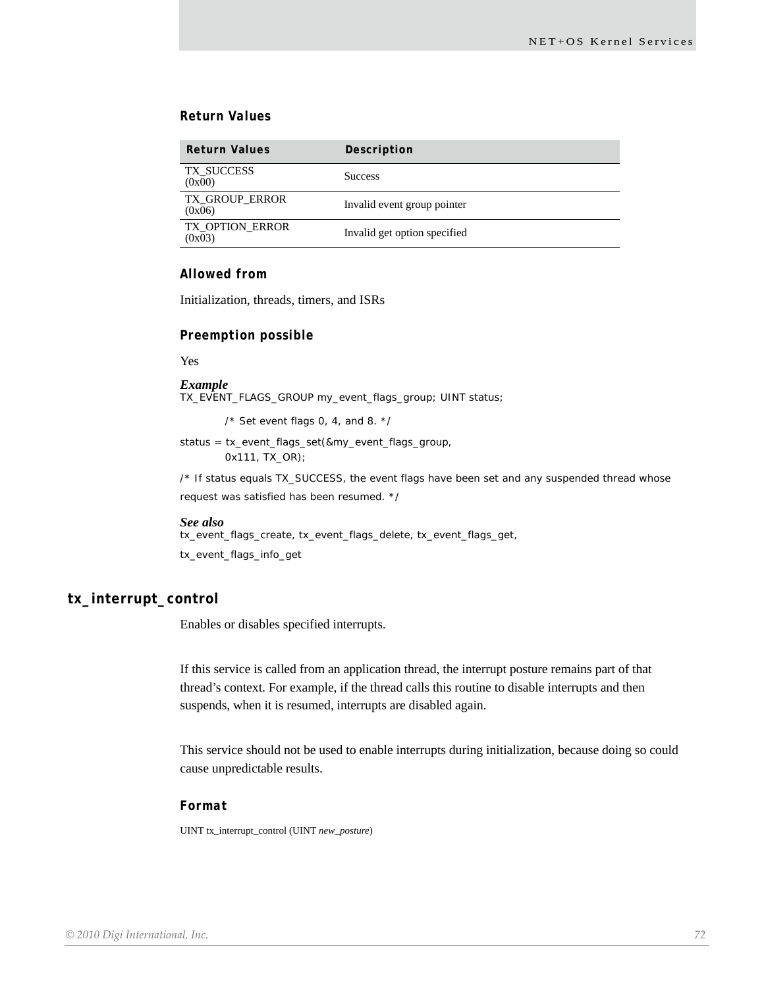### *Return Values*

| <b>Return Values</b>            | Description                  |
|---------------------------------|------------------------------|
| TX SUCCESS<br>(0x00)            | <b>Success</b>               |
| <b>TX GROUP ERROR</b><br>(0x06) | Invalid event group pointer  |
| TX OPTION ERROR<br>(0x03)       | Invalid get option specified |

#### *Allowed from*

Initialization, threads, timers, and ISRs

#### *Preemption possible*

Yes

*Example* TX\_EVENT\_FLAGS\_GROUP my\_event\_flags\_group; UINT status;

/\* Set event flags 0, 4, and 8. \*/

status = tx\_event\_flags\_set(&my\_event\_flags\_group, 0x111, TX\_OR);

/\* If status equals TX\_SUCCESS, the event flags have been set and any suspended thread whose request was satisfied has been resumed. \*/

#### *See also*

tx\_event\_flags\_create, tx\_event\_flags\_delete, tx\_event\_flags\_get, tx\_event\_flags\_info\_get

### **tx\_interrupt\_control**

Enables or disables specified interrupts.

If this service is called from an application thread, the interrupt posture remains part of that thread's context. For example, if the thread calls this routine to disable interrupts and then suspends, when it is resumed, interrupts are disabled again.

This service should not be used to enable interrupts during initialization, because doing so could cause unpredictable results.

#### *Format*

UINT tx\_interrupt\_control (UINT *new\_posture*)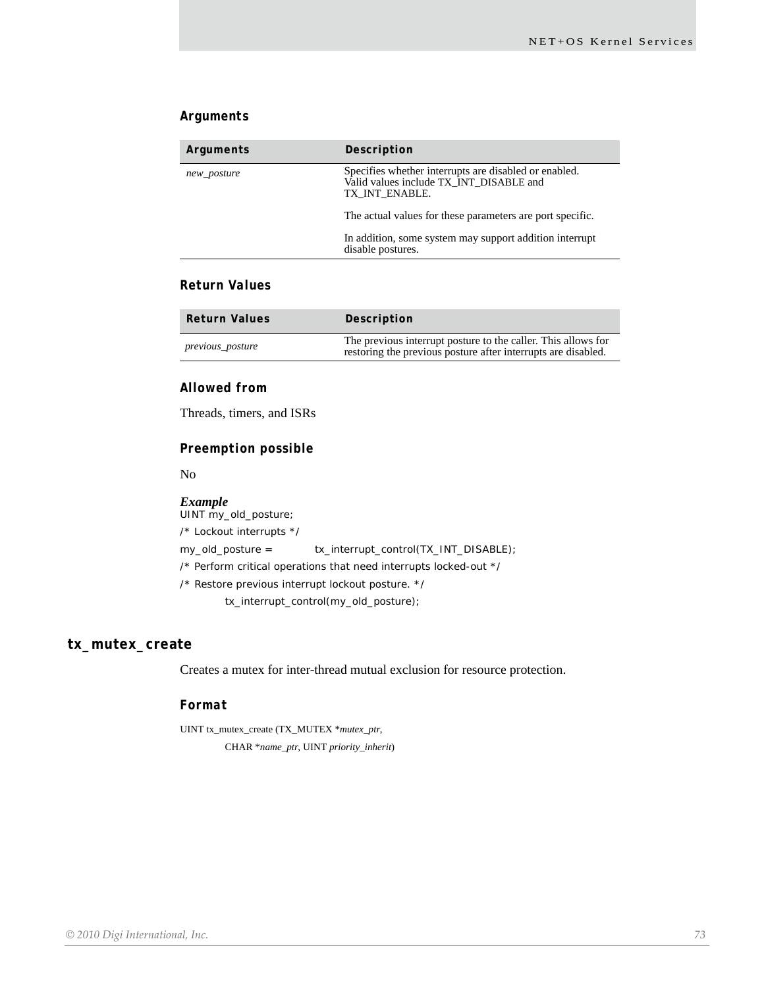## *Arguments*

| Arguments   | Description                                                                                                        |
|-------------|--------------------------------------------------------------------------------------------------------------------|
| new_posture | Specifies whether interrupts are disabled or enabled.<br>Valid values include TX INT DISABLE and<br>TX INT ENABLE. |
|             | The actual values for these parameters are port specific.                                                          |
|             | In addition, some system may support addition interrupt<br>disable postures.                                       |

## *Return Values*

| <b>Return Values</b> | Description                                                                                                                    |
|----------------------|--------------------------------------------------------------------------------------------------------------------------------|
| previous_posture     | The previous interrupt posture to the caller. This allows for<br>restoring the previous posture after interrupts are disabled. |

## *Allowed from*

Threads, timers, and ISRs

# *Preemption possible*

No

## *Example*

UINT my\_old\_posture;

/\* Lockout interrupts \*/

my\_old\_posture = tx\_interrupt\_control(TX\_INT\_DISABLE);

/\* Perform critical operations that need interrupts locked-out \*/

/\* Restore previous interrupt lockout posture. \*/

tx\_interrupt\_control(my\_old\_posture);

## **tx\_mutex\_create**

Creates a mutex for inter-thread mutual exclusion for resource protection.

#### *Format*

UINT tx\_mutex\_create (TX\_MUTEX \**mutex\_ptr*, CHAR \**name\_ptr*, UINT *priority\_inherit*)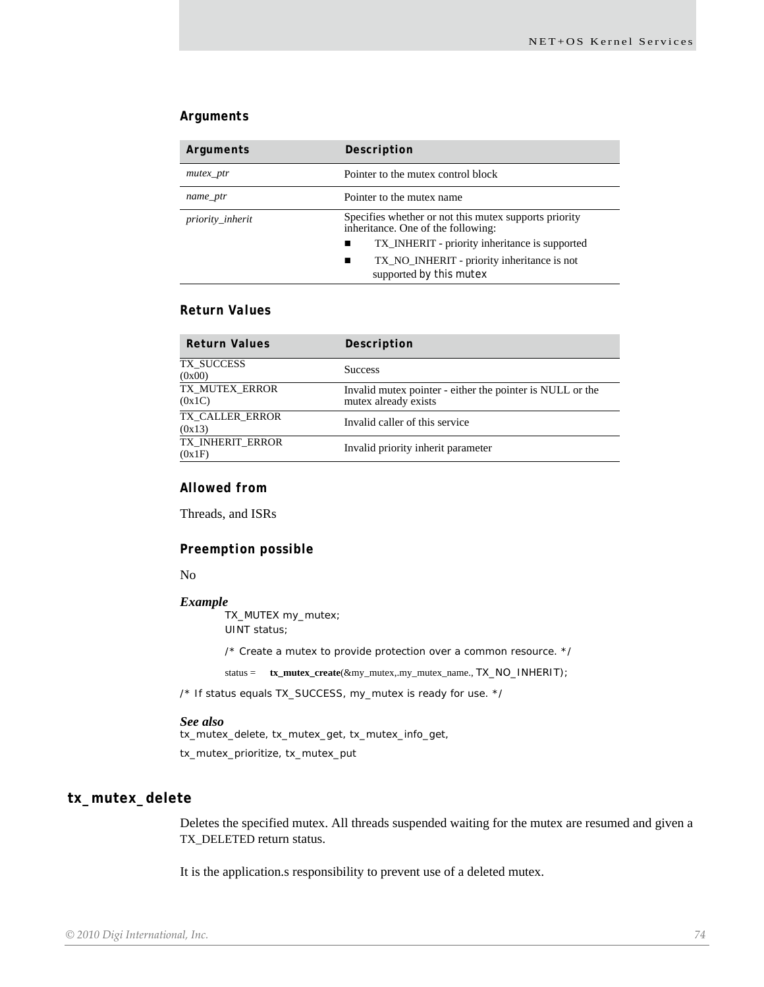## *Arguments*

| Arguments        | Description                                                                                 |
|------------------|---------------------------------------------------------------------------------------------|
| $m$ utex_ptr     | Pointer to the mutex control block                                                          |
| name_ptr         | Pointer to the mutex name                                                                   |
| priority_inherit | Specifies whether or not this mutex supports priority<br>inheritance. One of the following: |
|                  | TX_INHERIT - priority inheritance is supported<br>п                                         |
|                  | TX_NO_INHERIT - priority inheritance is not<br>■<br>supported by this mutex                 |

## *Return Values*

| <b>Return Values</b>       | Description                                                                       |
|----------------------------|-----------------------------------------------------------------------------------|
| TX SUCCESS<br>(0x00)       | <b>Success</b>                                                                    |
| TX MUTEX ERROR<br>(0x1C)   | Invalid mutex pointer - either the pointer is NULL or the<br>mutex already exists |
| TX_CALLER_ERROR<br>(0x13)  | Invalid caller of this service                                                    |
| TX INHERIT ERROR<br>(0x1F) | Invalid priority inherit parameter                                                |

## *Allowed from*

Threads, and ISRs

### *Preemption possible*

#### No

#### *Example*

TX\_MUTEX my\_mutex; UINT status;

/\* Create a mutex to provide protection over a common resource. \*/

status = **tx\_mutex\_create**(&my\_mutex,.my\_mutex\_name., TX\_NO\_INHERIT);

/\* If status equals TX\_SUCCESS, my\_mutex is ready for use. \*/

## *See also*

tx\_mutex\_delete, tx\_mutex\_get, tx\_mutex\_info\_get, tx\_mutex\_prioritize, tx\_mutex\_put

# **tx\_mutex\_delete**

Deletes the specified mutex. All threads suspended waiting for the mutex are resumed and given a TX\_DELETED return status.

It is the application.s responsibility to prevent use of a deleted mutex.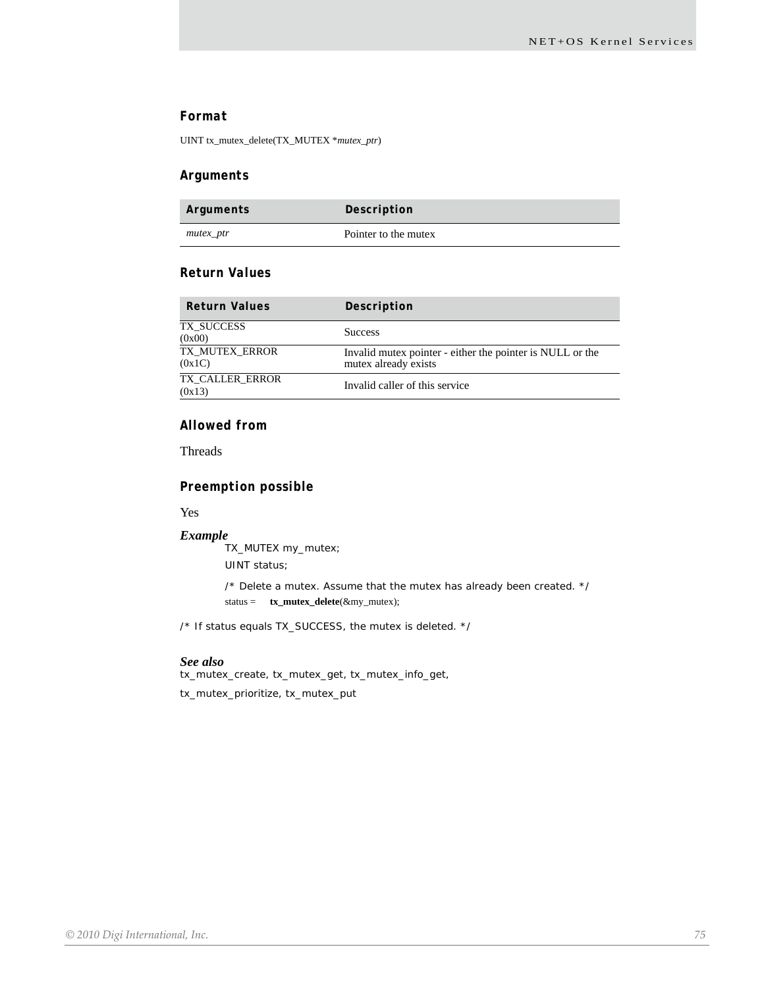## *Format*

UINT tx\_mutex\_delete(TX\_MUTEX \**mutex\_ptr*)

## *Arguments*

| Arguments | Description          |
|-----------|----------------------|
| mutex_ptr | Pointer to the mutex |

## *Return Values*

| <b>Return Values</b>      | Description                                                                       |
|---------------------------|-----------------------------------------------------------------------------------|
| TX SUCCESS<br>(0x00)      | <b>Success</b>                                                                    |
| TX MUTEX ERROR<br>(0x1C)  | Invalid mutex pointer - either the pointer is NULL or the<br>mutex already exists |
| TX CALLER ERROR<br>(0x13) | Invalid caller of this service                                                    |

## *Allowed from*

Threads

## *Preemption possible*

Yes

#### *Example*

TX\_MUTEX my\_mutex; UINT status;

> /\* Delete a mutex. Assume that the mutex has already been created. \*/ status = **tx\_mutex\_delete**(&my\_mutex);

/\* If status equals TX\_SUCCESS, the mutex is deleted. \*/

#### *See also*

tx\_mutex\_create, tx\_mutex\_get, tx\_mutex\_info\_get,

tx\_mutex\_prioritize, tx\_mutex\_put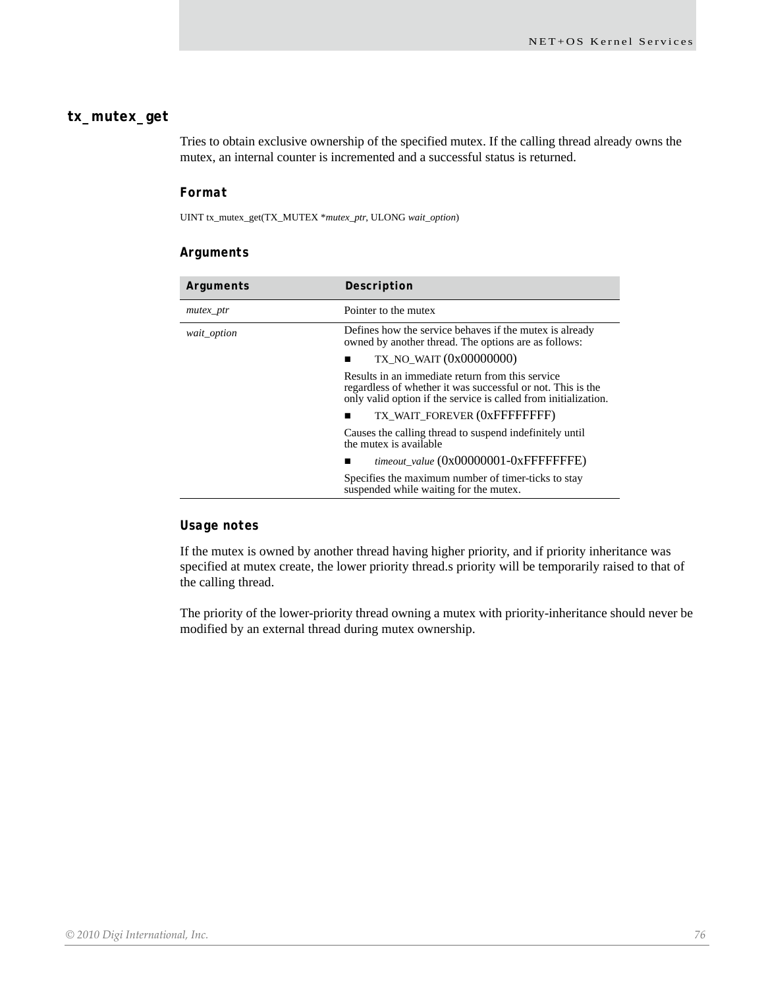## **tx\_mutex\_get**

Tries to obtain exclusive ownership of the specified mutex. If the calling thread already owns the mutex, an internal counter is incremented and a successful status is returned.

## *Format*

UINT tx\_mutex\_get(TX\_MUTEX \**mutex\_ptr*, ULONG *wait\_option*)

## *Arguments*

| Arguments   | Description                                                                                                                                                                        |
|-------------|------------------------------------------------------------------------------------------------------------------------------------------------------------------------------------|
| mutex_ptr   | Pointer to the mutex                                                                                                                                                               |
| wait_option | Defines how the service behaves if the mutex is already<br>owned by another thread. The options are as follows:                                                                    |
|             | TX NO WAIT $(0x00000000)$                                                                                                                                                          |
|             | Results in an immediate return from this service<br>regardless of whether it was successful or not. This is the<br>only valid option if the service is called from initialization. |
|             | TX WAIT FOREVER (OXFFFFFFFFF)                                                                                                                                                      |
|             | Causes the calling thread to suspend indefinitely until<br>the mutex is available                                                                                                  |
|             | timeout value (0x00000001-0xFFFFFFFE)                                                                                                                                              |
|             | Specifies the maximum number of timer-ticks to stay<br>suspended while waiting for the mutex.                                                                                      |

## *Usage notes*

If the mutex is owned by another thread having higher priority, and if priority inheritance was specified at mutex create, the lower priority thread.s priority will be temporarily raised to that of the calling thread.

The priority of the lower-priority thread owning a mutex with priority-inheritance should never be modified by an external thread during mutex ownership.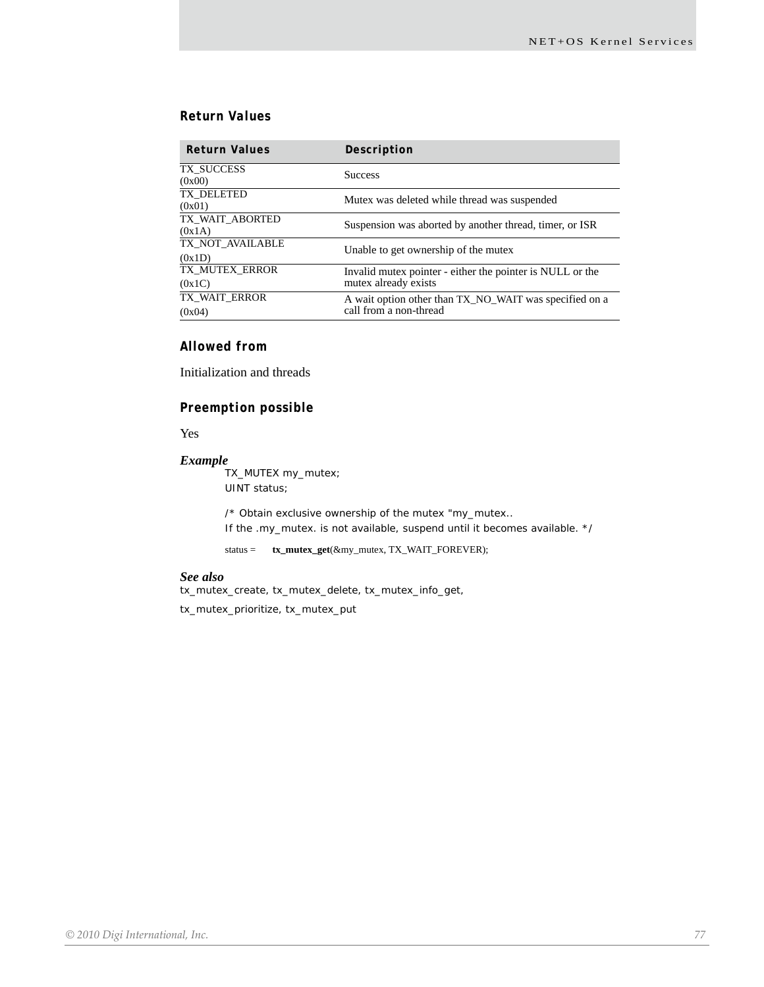## *Return Values*

| <b>Return Values</b>       | Description                                                                       |
|----------------------------|-----------------------------------------------------------------------------------|
| TX_SUCCESS<br>(0x00)       | <b>Success</b>                                                                    |
| TX DELETED<br>(0x01)       | Mutex was deleted while thread was suspended                                      |
| TX_WAIT_ABORTED<br>(0x1A)  | Suspension was aborted by another thread, timer, or ISR                           |
| TX_NOT_AVAILABLE<br>(0x1D) | Unable to get ownership of the mutex                                              |
| TX MUTEX ERROR<br>(0x1C)   | Invalid mutex pointer - either the pointer is NULL or the<br>mutex already exists |
| TX WAIT ERROR<br>(0x04)    | A wait option other than TX_NO_WAIT was specified on a<br>call from a non-thread  |

# *Allowed from*

Initialization and threads

## *Preemption possible*

Yes

## *Example*

TX\_MUTEX my\_mutex; UINT status;

/\* Obtain exclusive ownership of the mutex "my\_mutex.. If the .my\_mutex. is not available, suspend until it becomes available. \*/

status = **tx\_mutex\_get**(&my\_mutex, TX\_WAIT\_FOREVER);

#### *See also*

tx\_mutex\_create, tx\_mutex\_delete, tx\_mutex\_info\_get,

tx\_mutex\_prioritize, tx\_mutex\_put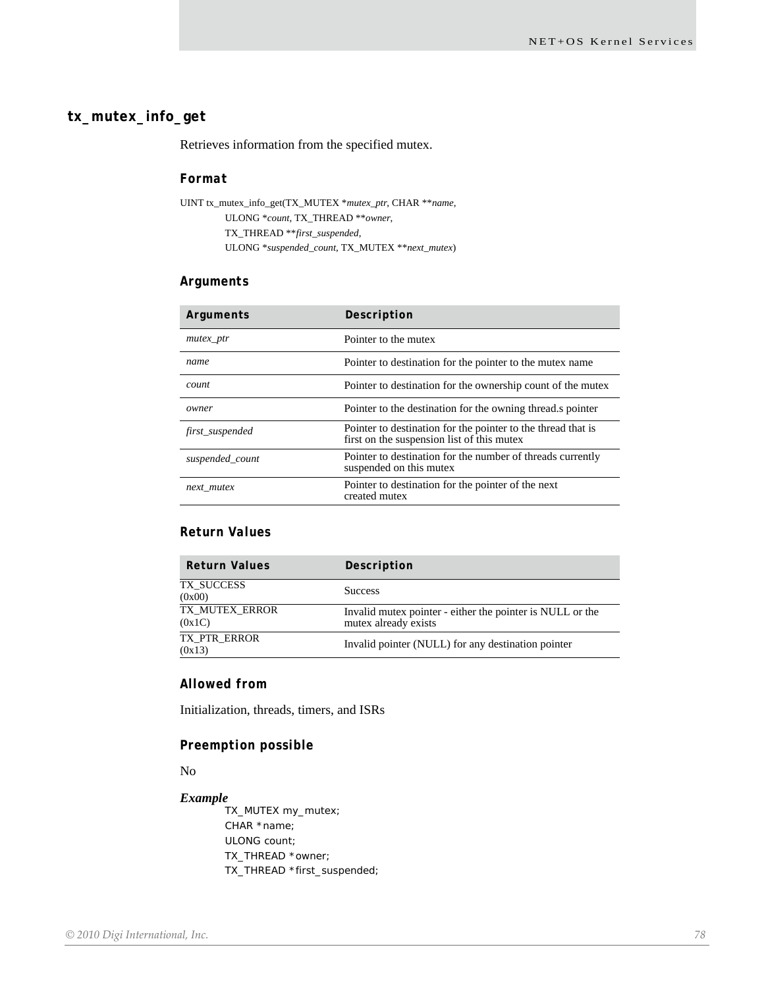## **tx\_mutex\_info\_get**

Retrieves information from the specified mutex.

## *Format*

UINT tx\_mutex\_info\_get(TX\_MUTEX \**mutex\_ptr*, CHAR \*\**name*, ULONG \**count*, TX\_THREAD \*\**owner*, TX\_THREAD \*\**first\_suspended*, ULONG \**suspended\_count*, TX\_MUTEX \*\**next\_mutex*)

## *Arguments*

| Arguments       | Description                                                                                                |
|-----------------|------------------------------------------------------------------------------------------------------------|
| $m$ utex_ptr    | Pointer to the mutex                                                                                       |
| name            | Pointer to destination for the pointer to the mutex name                                                   |
| count           | Pointer to destination for the ownership count of the mutex                                                |
| owner           | Pointer to the destination for the owning thread is pointer                                                |
| first_suspended | Pointer to destination for the pointer to the thread that is<br>first on the suspension list of this mutex |
| suspended count | Pointer to destination for the number of threads currently<br>suspended on this mutex                      |
| next mutex      | Pointer to destination for the pointer of the next<br>created mutex                                        |

# *Return Values*

| Description                                                                       |
|-----------------------------------------------------------------------------------|
| <b>Success</b>                                                                    |
| Invalid mutex pointer - either the pointer is NULL or the<br>mutex already exists |
| Invalid pointer (NULL) for any destination pointer                                |
|                                                                                   |

#### *Allowed from*

Initialization, threads, timers, and ISRs

## *Preemption possible*

No

#### *Example*

TX\_MUTEX my\_mutex; CHAR \*name; ULONG count; TX\_THREAD \*owner; TX\_THREAD \*first\_suspended;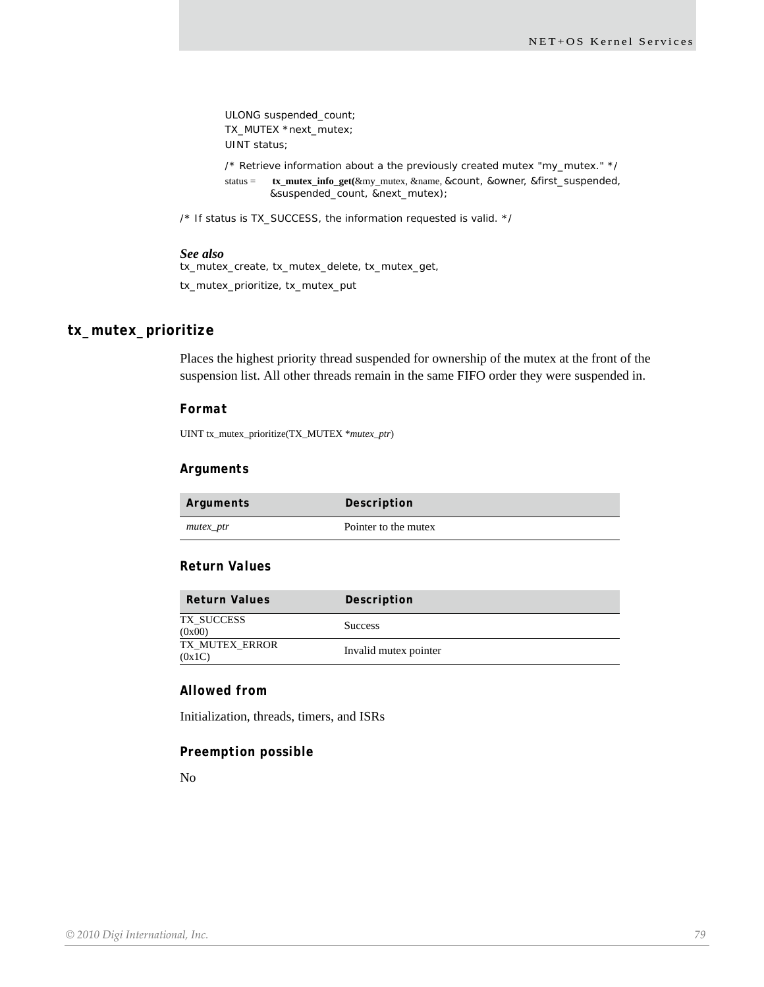ULONG suspended\_count; TX\_MUTEX \*next\_mutex; UINT status;

/\* Retrieve information about a the previously created mutex "my\_mutex." \*/ status = **tx\_mutex\_info\_get(**&my\_mutex, &name, &count, &owner, &first\_suspended, &suspended\_count, &next\_mutex);

/\* If status is TX\_SUCCESS, the information requested is valid. \*/

#### *See also*

tx\_mutex\_create, tx\_mutex\_delete, tx\_mutex\_get, tx\_mutex\_prioritize, tx\_mutex\_put

# **tx\_mutex\_prioritize**

Places the highest priority thread suspended for ownership of the mutex at the front of the suspension list. All other threads remain in the same FIFO order they were suspended in.

#### *Format*

UINT tx\_mutex\_prioritize(TX\_MUTEX \**mutex\_ptr*)

#### *Arguments*

| Arguments | Description          |
|-----------|----------------------|
| mutex_ptr | Pointer to the mutex |

#### *Return Values*

| <b>Return Values</b>     | Description           |
|--------------------------|-----------------------|
| TX_SUCCESS<br>(0x00)     | <b>Success</b>        |
| TX MUTEX ERROR<br>(0x1C) | Invalid mutex pointer |

## *Allowed from*

Initialization, threads, timers, and ISRs

## *Preemption possible*

No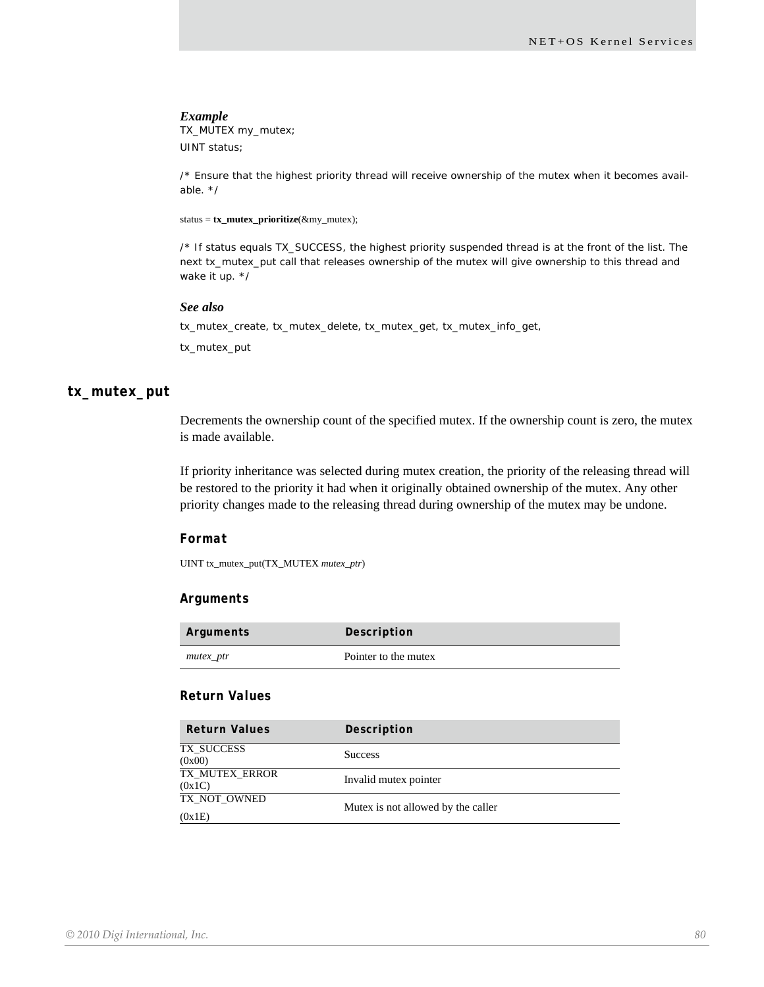TX\_MUTEX my\_mutex; UINT status;

/\* Ensure that the highest priority thread will receive ownership of the mutex when it becomes available. \*/

status = **tx\_mutex\_prioritize**(&my\_mutex);

/\* If status equals TX\_SUCCESS, the highest priority suspended thread is at the front of the list. The next tx\_mutex\_put call that releases ownership of the mutex will give ownership to this thread and wake it up. \*/

#### *See also*

tx\_mutex\_create, tx\_mutex\_delete, tx\_mutex\_get, tx\_mutex\_info\_get,

tx\_mutex\_put

## **tx\_mutex\_put**

Decrements the ownership count of the specified mutex. If the ownership count is zero, the mutex is made available.

If priority inheritance was selected during mutex creation, the priority of the releasing thread will be restored to the priority it had when it originally obtained ownership of the mutex. Any other priority changes made to the releasing thread during ownership of the mutex may be undone.

## *Format*

UINT tx\_mutex\_put(TX\_MUTEX *mutex\_ptr*)

## *Arguments*

| Arguments | Description          |
|-----------|----------------------|
| mutex_ptr | Pointer to the mutex |

## *Return Values*

| <b>Return Values</b>            | Description                        |
|---------------------------------|------------------------------------|
| TX SUCCESS<br>(0x00)            | <b>Success</b>                     |
| <b>TX_MUTEX_ERROR</b><br>(0x1C) | Invalid mutex pointer              |
| TX_NOT_OWNED                    | Mutex is not allowed by the caller |
| (0x1E)                          |                                    |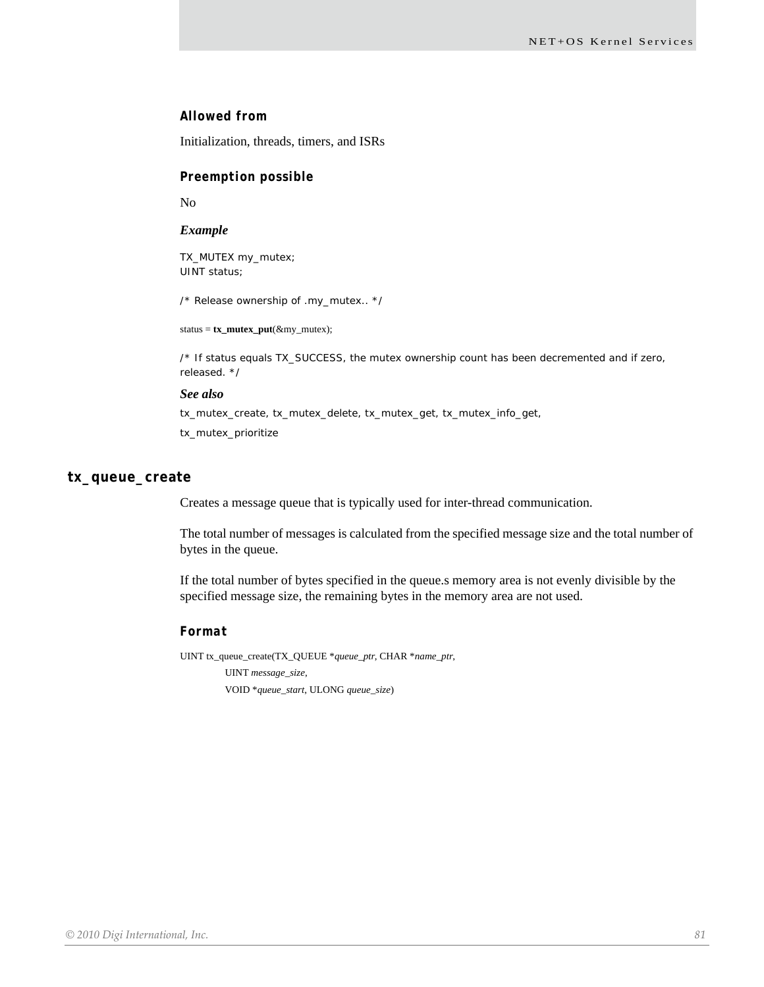## *Allowed from*

Initialization, threads, timers, and ISRs

#### *Preemption possible*

No

#### *Example*

TX\_MUTEX my\_mutex; UINT status;

/\* Release ownership of .my\_mutex.. \*/

status = **tx\_mutex\_put**(&my\_mutex);

/\* If status equals TX\_SUCCESS, the mutex ownership count has been decremented and if zero, released. \*/

#### *See also*

tx\_mutex\_create, tx\_mutex\_delete, tx\_mutex\_get, tx\_mutex\_info\_get, tx\_mutex\_prioritize

### **tx\_queue\_create**

Creates a message queue that is typically used for inter-thread communication.

The total number of messages is calculated from the specified message size and the total number of bytes in the queue.

If the total number of bytes specified in the queue.s memory area is not evenly divisible by the specified message size, the remaining bytes in the memory area are not used.

## *Format*

UINT tx\_queue\_create(TX\_QUEUE \**queue\_ptr*, CHAR \**name\_ptr*, UINT *message\_size*, VOID \**queue\_start*, ULONG *queue\_size*)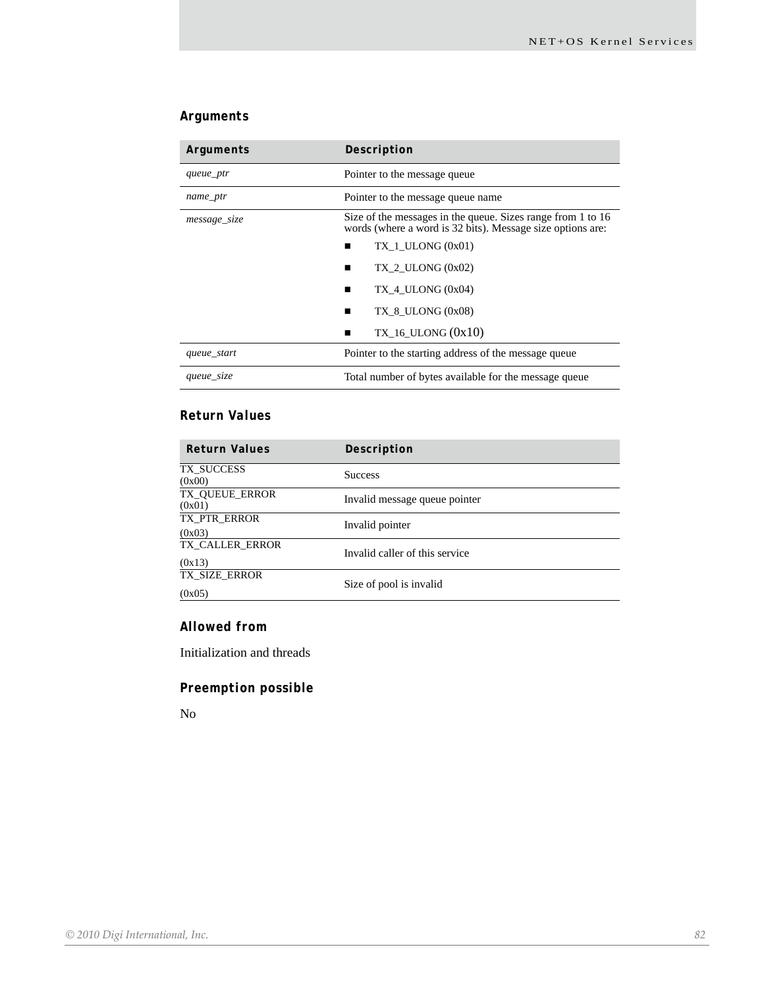# *Arguments*

| Arguments    | Description                                                                                                               |
|--------------|---------------------------------------------------------------------------------------------------------------------------|
| queue_ptr    | Pointer to the message queue                                                                                              |
| name_ptr     | Pointer to the message queue name                                                                                         |
| message_size | Size of the messages in the queue. Sizes range from 1 to 16<br>words (where a word is 32 bits). Message size options are: |
|              | $TX$ 1 ULONG $(0x01)$                                                                                                     |
|              | $TX$ 2 ULONG $(0x02)$                                                                                                     |
|              | $TX$ 4 ULONG $(0x04)$<br>■                                                                                                |
|              | $TX$ 8 ULONG $(0x08)$<br>■                                                                                                |
|              | TX 16 ULONG $(0x10)$                                                                                                      |
| queue_start  | Pointer to the starting address of the message queue                                                                      |
| queue_size   | Total number of bytes available for the message queue                                                                     |

## *Return Values*

| <b>Return Values</b>      | Description                    |
|---------------------------|--------------------------------|
| TX_SUCCESS<br>(0x00)      | <b>Success</b>                 |
| TX_QUEUE_ERROR<br>(0x01)  | Invalid message queue pointer  |
| TX_PTR_ERROR<br>(0x03)    | Invalid pointer                |
| TX_CALLER_ERROR<br>(0x13) | Invalid caller of this service |
| TX_SIZE_ERROR<br>(0x05)   | Size of pool is invalid        |

## *Allowed from*

Initialization and threads

# *Preemption possible*

No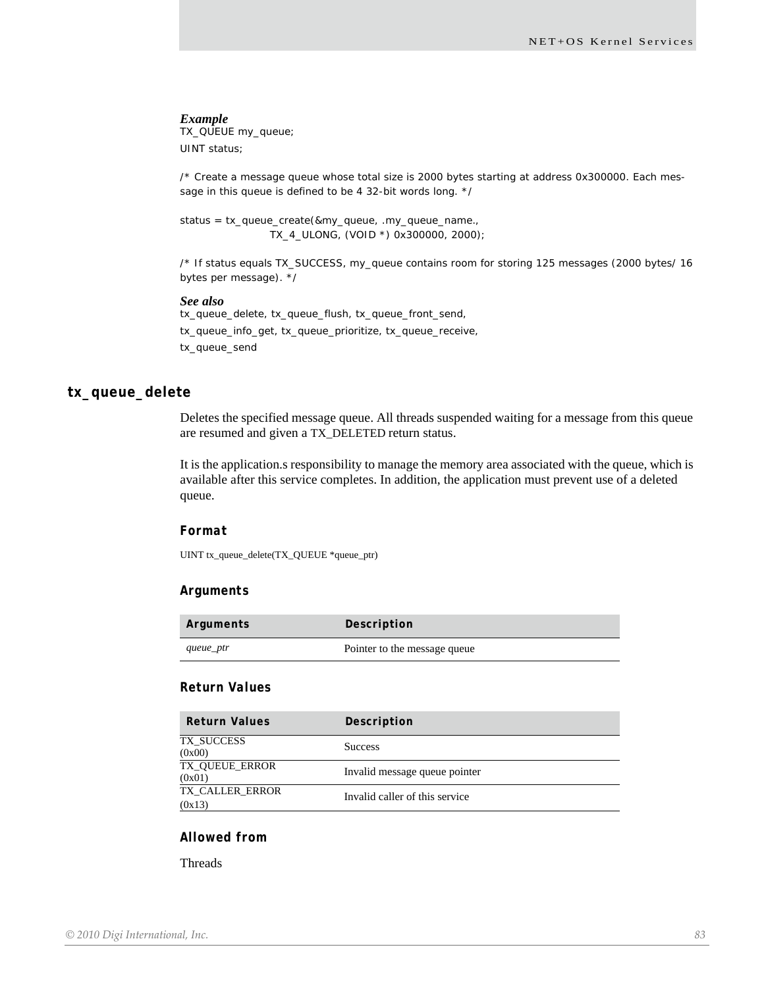TX\_QUEUE my\_queue; UINT status;

/\* Create a message queue whose total size is 2000 bytes starting at address 0x300000. Each message in this queue is defined to be 4 32-bit words long. \*/

status = tx\_queue\_create(&my\_queue, .my\_queue\_name., TX\_4\_ULONG, (VOID \*) 0x300000, 2000);

/\* If status equals TX\_SUCCESS, my\_queue contains room for storing 125 messages (2000 bytes/ 16 bytes per message). \*/

#### *See also*

tx\_queue\_delete, tx\_queue\_flush, tx\_queue\_front\_send, tx\_queue\_info\_get, tx\_queue\_prioritize, tx\_queue\_receive, tx\_queue\_send

## **tx\_queue\_delete**

Deletes the specified message queue. All threads suspended waiting for a message from this queue are resumed and given a TX\_DELETED return status.

It is the application.s responsibility to manage the memory area associated with the queue, which is available after this service completes. In addition, the application must prevent use of a deleted queue.

## *Format*

UINT tx\_queue\_delete(TX\_QUEUE \*queue\_ptr)

#### *Arguments*

| Arguments | Description                  |
|-----------|------------------------------|
| queue_ptr | Pointer to the message queue |

### *Return Values*

| <b>Return Values</b>      | Description                    |
|---------------------------|--------------------------------|
| TX_SUCCESS<br>(0x00)      | <b>Success</b>                 |
| TX_QUEUE_ERROR<br>(0x01)  | Invalid message queue pointer  |
| TX CALLER ERROR<br>(0x13) | Invalid caller of this service |

## *Allowed from*

**Threads**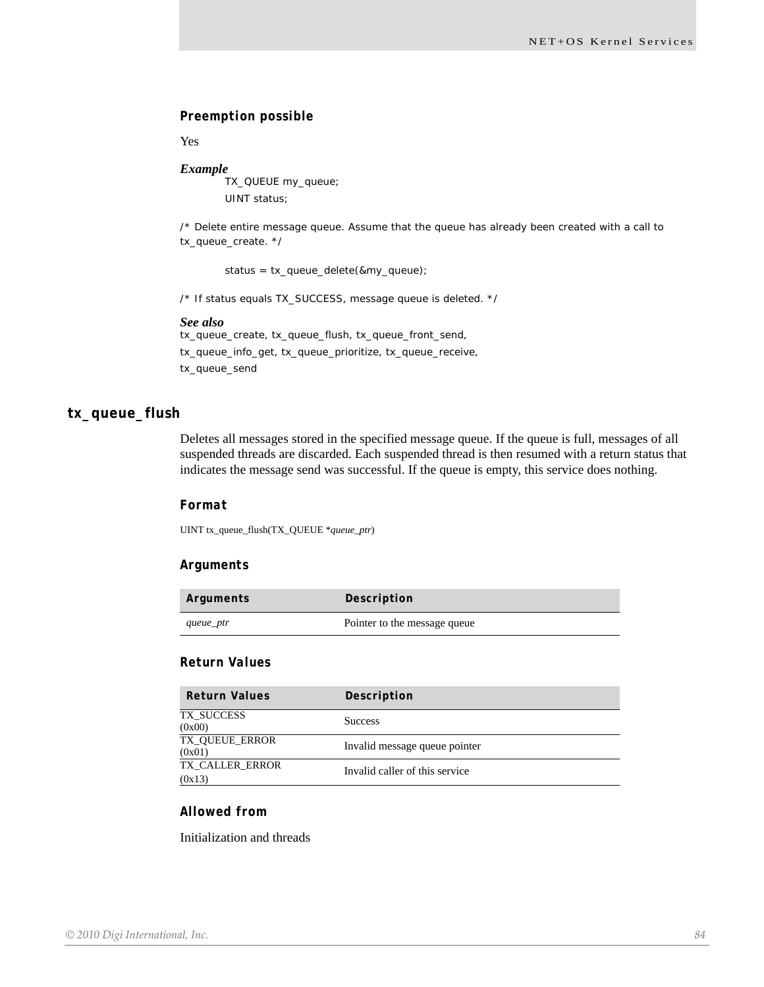## *Preemption possible*

Yes

## *Example*

TX\_QUEUE my\_queue; UINT status;

/\* Delete entire message queue. Assume that the queue has already been created with a call to tx\_queue\_create. \*/

status = tx\_queue\_delete(&my\_queue);

/\* If status equals TX\_SUCCESS, message queue is deleted. \*/

#### *See also*

tx\_queue\_create, tx\_queue\_flush, tx\_queue\_front\_send, tx\_queue\_info\_get, tx\_queue\_prioritize, tx\_queue\_receive, tx\_queue\_send

## **tx\_queue\_flush**

Deletes all messages stored in the specified message queue. If the queue is full, messages of all suspended threads are discarded. Each suspended thread is then resumed with a return status that indicates the message send was successful. If the queue is empty, this service does nothing.

#### *Format*

UINT tx\_queue\_flush(TX\_QUEUE \**queue\_ptr*)

### *Arguments*

| Arguments | Description                  |
|-----------|------------------------------|
| queue_ptr | Pointer to the message queue |

## *Return Values*

| <b>Return Values</b>            | Description                    |
|---------------------------------|--------------------------------|
| TX SUCCESS<br>(0x00)            | <b>Success</b>                 |
| <b>TX OUEUE ERROR</b><br>(0x01) | Invalid message queue pointer  |
| TX CALLER ERROR<br>(0x13)       | Invalid caller of this service |

## *Allowed from*

Initialization and threads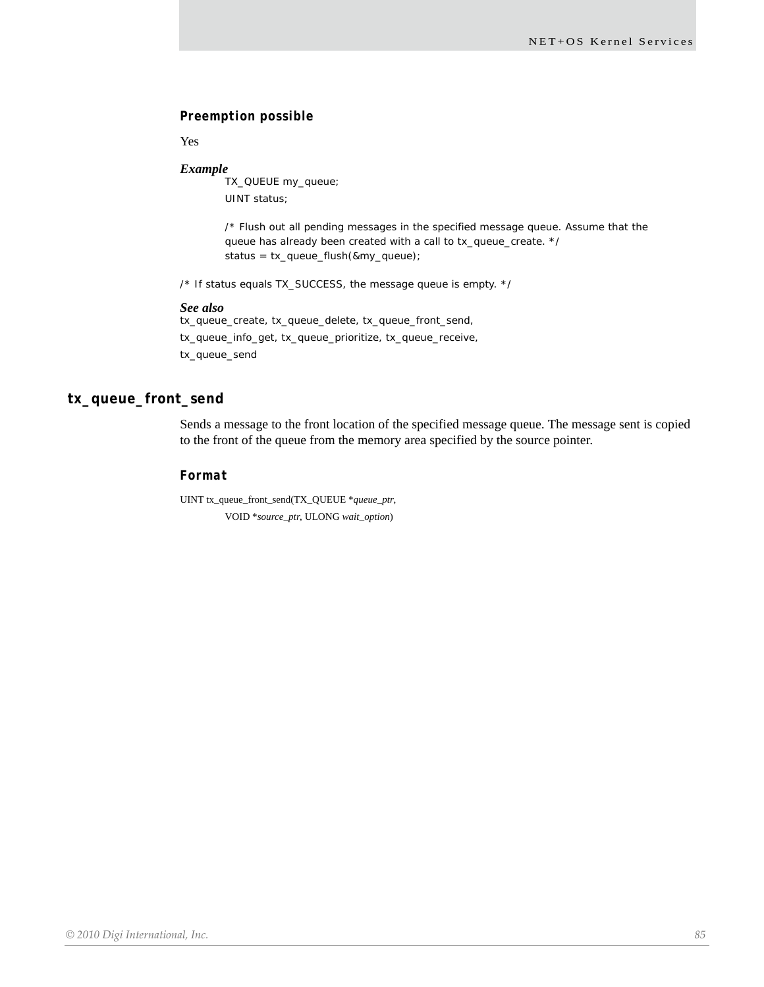## *Preemption possible*

Yes

#### *Example*

TX\_QUEUE my\_queue; UINT status;

/\* Flush out all pending messages in the specified message queue. Assume that the queue has already been created with a call to tx\_queue\_create. \*/ status = tx\_queue\_flush(&my\_queue);

/\* If status equals TX\_SUCCESS, the message queue is empty. \*/

#### *See also*

tx\_queue\_create, tx\_queue\_delete, tx\_queue\_front\_send, tx\_queue\_info\_get, tx\_queue\_prioritize, tx\_queue\_receive, tx\_queue\_send

## **tx\_queue\_front\_send**

Sends a message to the front location of the specified message queue. The message sent is copied to the front of the queue from the memory area specified by the source pointer.

## *Format*

UINT tx\_queue\_front\_send(TX\_QUEUE \**queue\_ptr*, VOID \**source\_ptr*, ULONG *wait\_option*)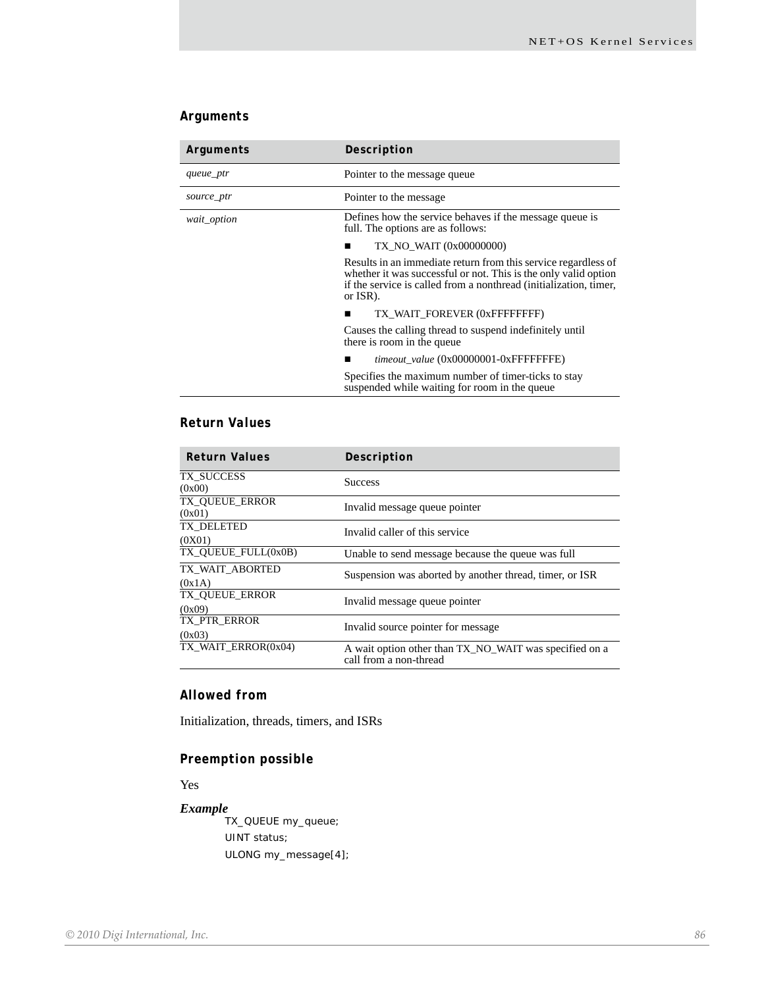# *Arguments*

| Arguments   | Description                                                                                                                                                                                                        |
|-------------|--------------------------------------------------------------------------------------------------------------------------------------------------------------------------------------------------------------------|
| queue_ptr   | Pointer to the message queue                                                                                                                                                                                       |
| source_ptr  | Pointer to the message                                                                                                                                                                                             |
| wait_option | Defines how the service behaves if the message queue is<br>full. The options are as follows:                                                                                                                       |
|             | TX NO WAIT (0x00000000)                                                                                                                                                                                            |
|             | Results in an immediate return from this service regardless of<br>whether it was successful or not. This is the only valid option<br>if the service is called from a nonthread (initialization, timer,<br>or ISR). |
|             | TX WAIT FOREVER (0xFFFFFFFFF)                                                                                                                                                                                      |
|             | Causes the calling thread to suspend indefinitely until<br>there is room in the queue                                                                                                                              |
|             | timeout_value (0x00000001-0xFFFFFFFE)                                                                                                                                                                              |
|             | Specifies the maximum number of timer-ticks to stay<br>suspended while waiting for room in the queue                                                                                                               |

# *Return Values*

| <b>Return Values</b>            | Description                                                                      |
|---------------------------------|----------------------------------------------------------------------------------|
| TX SUCCESS<br>(0x00)            | <b>Success</b>                                                                   |
| <b>TX OUEUE ERROR</b><br>(0x01) | Invalid message queue pointer                                                    |
| TX DELETED<br>(0X01)            | Invalid caller of this service                                                   |
| TX OUEUE FULL(0x0B)             | Unable to send message because the queue was full                                |
| TX WAIT ABORTED<br>(0x1A)       | Suspension was aborted by another thread, timer, or ISR                          |
| <b>TX OUEUE ERROR</b><br>(0x09) | Invalid message queue pointer                                                    |
| TX PTR ERROR<br>(0x03)          | Invalid source pointer for message                                               |
| TX WAIT ERROR(0x04)             | A wait option other than TX_NO_WAIT was specified on a<br>call from a non-thread |

# *Allowed from*

Initialization, threads, timers, and ISRs

# *Preemption possible*

Yes

#### *Example*

TX\_QUEUE my\_queue; UINT status; ULONG my\_message[4];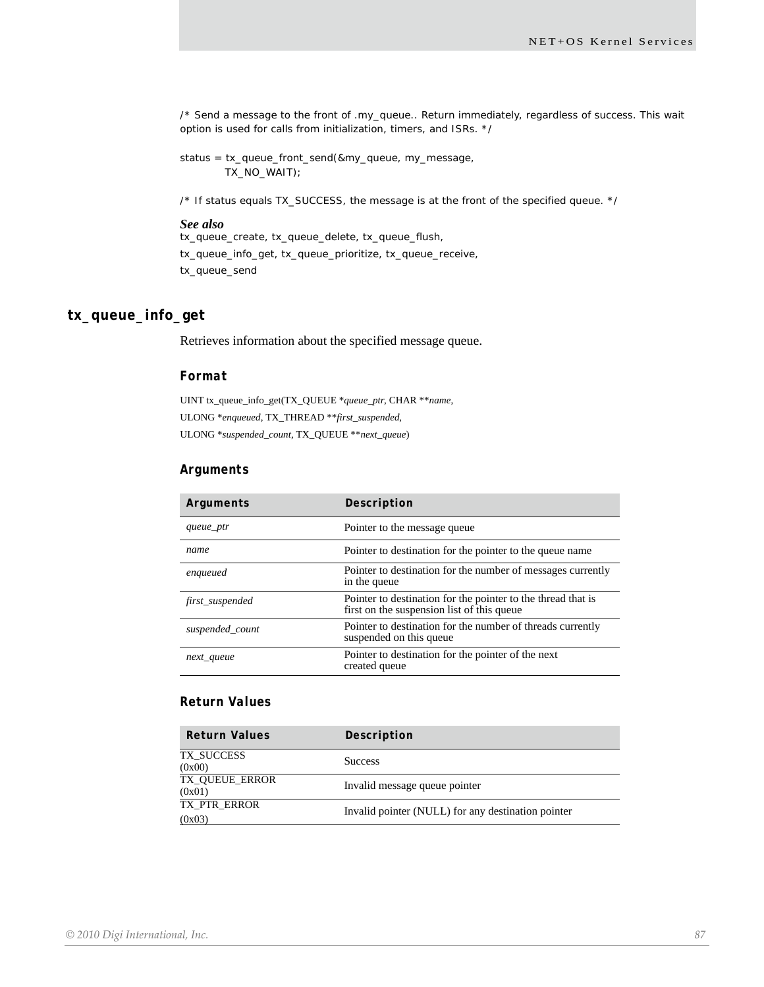/\* Send a message to the front of .my\_queue.. Return immediately, regardless of success. This wait option is used for calls from initialization, timers, and ISRs. \*/

status = tx\_queue\_front\_send(&my\_queue, my\_message, TX\_NO\_WAIT);

/\* If status equals TX\_SUCCESS, the message is at the front of the specified queue. \*/

### *See also*

tx\_queue\_create, tx\_queue\_delete, tx\_queue\_flush, tx\_queue\_info\_get, tx\_queue\_prioritize, tx\_queue\_receive, tx\_queue\_send

## **tx\_queue\_info\_get**

Retrieves information about the specified message queue.

#### *Format*

UINT tx\_queue\_info\_get(TX\_QUEUE \**queue\_ptr*, CHAR \*\**name*, ULONG \**enqueued*, TX\_THREAD \*\**first\_suspended*, ULONG \**suspended\_count*, TX\_QUEUE \*\**next\_queue*)

#### *Arguments*

| Arguments       | Description                                                                                                |
|-----------------|------------------------------------------------------------------------------------------------------------|
| queue_ptr       | Pointer to the message queue                                                                               |
| name            | Pointer to destination for the pointer to the queue name                                                   |
| enqueued        | Pointer to destination for the number of messages currently<br>in the queue                                |
| first_suspended | Pointer to destination for the pointer to the thread that is<br>first on the suspension list of this queue |
| suspended count | Pointer to destination for the number of threads currently<br>suspended on this queue                      |
| next_queue      | Pointer to destination for the pointer of the next<br>created queue                                        |

## *Return Values*

| <b>Return Values</b>     | Description                                        |
|--------------------------|----------------------------------------------------|
| TX SUCCESS<br>(0x00)     | <b>Success</b>                                     |
| TX OUEUE ERROR<br>(0x01) | Invalid message queue pointer                      |
| TX PTR ERROR<br>(0x03)   | Invalid pointer (NULL) for any destination pointer |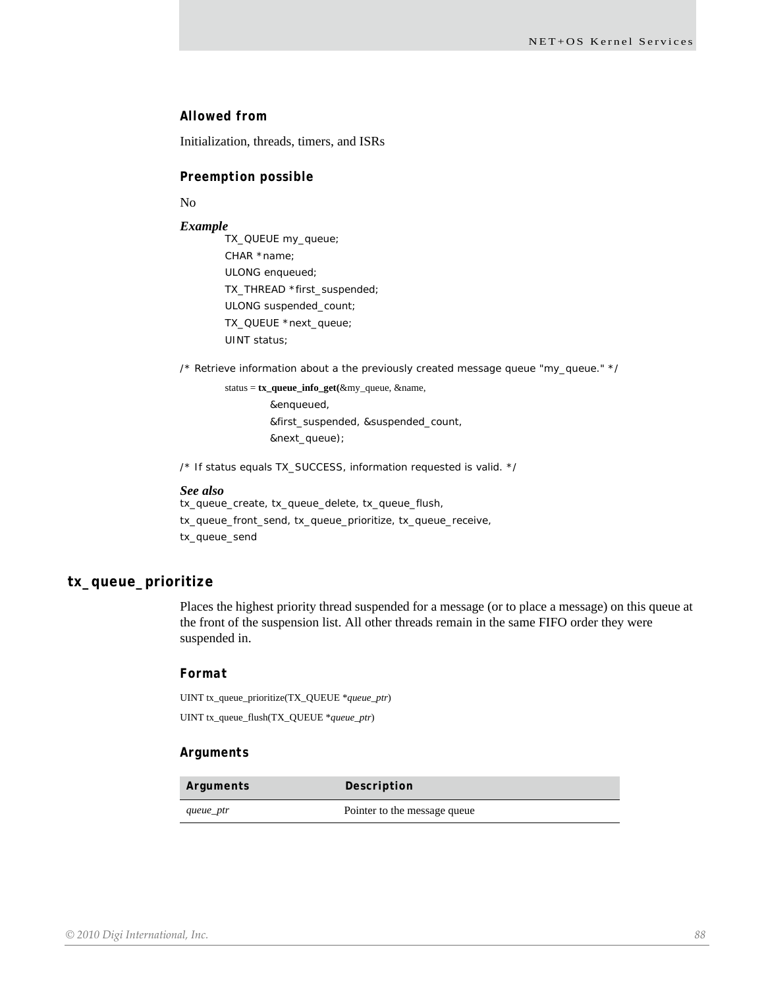## *Allowed from*

Initialization, threads, timers, and ISRs

#### *Preemption possible*

No

#### *Example*

TX\_QUEUE my\_queue; CHAR \*name; ULONG enqueued; TX\_THREAD \*first\_suspended; ULONG suspended\_count; TX\_QUEUE \*next\_queue; UINT status;

/\* Retrieve information about a the previously created message queue "my\_queue." \*/

status = **tx\_queue\_info\_get(**&my\_queue, &name, &enqueued, &first\_suspended, &suspended\_count, &next\_queue);

/\* If status equals TX\_SUCCESS, information requested is valid. \*/

#### *See also*

tx\_queue\_create, tx\_queue\_delete, tx\_queue\_flush, tx\_queue\_front\_send, tx\_queue\_prioritize, tx\_queue\_receive, tx\_queue\_send

## **tx\_queue\_prioritize**

Places the highest priority thread suspended for a message (or to place a message) on this queue at the front of the suspension list. All other threads remain in the same FIFO order they were suspended in.

#### *Format*

UINT tx\_queue\_prioritize(TX\_QUEUE \**queue\_ptr*) UINT tx\_queue\_flush(TX\_QUEUE \**queue\_ptr*)

#### *Arguments*

| Arguments | Description                  |
|-----------|------------------------------|
| queue_ptr | Pointer to the message queue |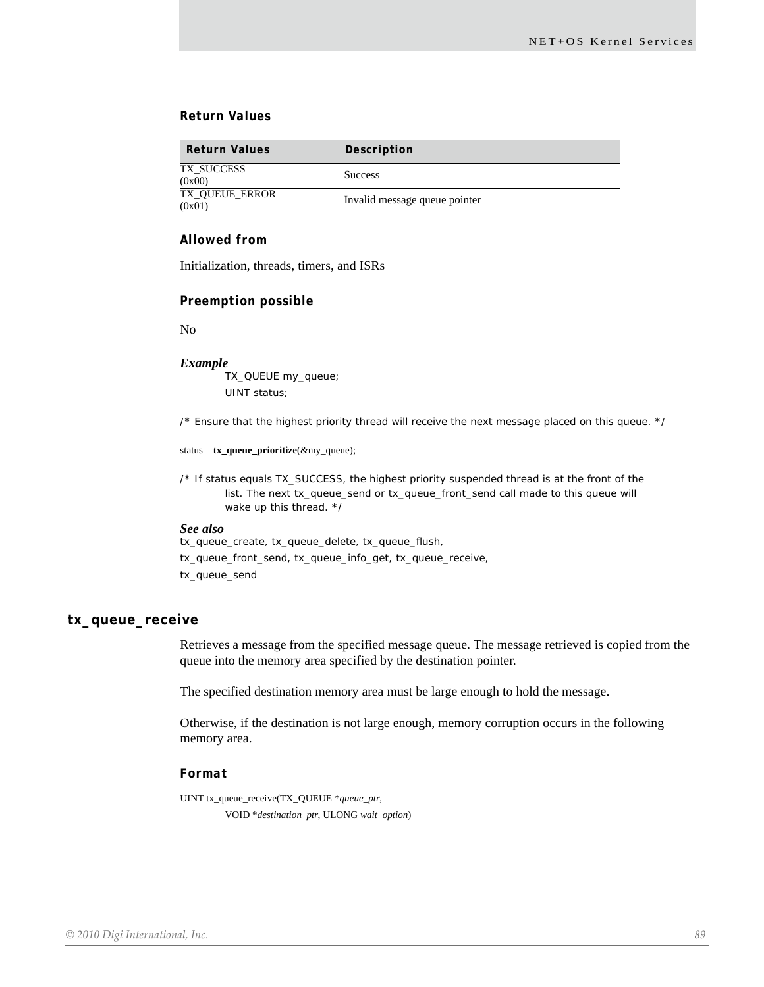## *Return Values*

| <b>Return Values</b>     | Description                   |
|--------------------------|-------------------------------|
| TX SUCCESS<br>(0x00)     | <b>Success</b>                |
| TX_QUEUE_ERROR<br>(0x01) | Invalid message queue pointer |

## *Allowed from*

Initialization, threads, timers, and ISRs

## *Preemption possible*

No

#### *Example*

TX\_QUEUE my\_queue; UINT status;

/\* Ensure that the highest priority thread will receive the next message placed on this queue. \*/

status = **tx\_queue\_prioritize**(&my\_queue);

/\* If status equals TX\_SUCCESS, the highest priority suspended thread is at the front of the list. The next tx\_queue\_send or tx\_queue\_front\_send call made to this queue will wake up this thread. \*/

#### *See also*

tx\_queue\_create, tx\_queue\_delete, tx\_queue\_flush, tx\_queue\_front\_send, tx\_queue\_info\_get, tx\_queue\_receive, tx\_queue\_send

#### **tx\_queue\_receive**

Retrieves a message from the specified message queue. The message retrieved is copied from the queue into the memory area specified by the destination pointer.

The specified destination memory area must be large enough to hold the message.

Otherwise, if the destination is not large enough, memory corruption occurs in the following memory area.

## *Format*

UINT tx\_queue\_receive(TX\_QUEUE \**queue\_ptr*, VOID \**destination\_ptr*, ULONG *wait\_option*)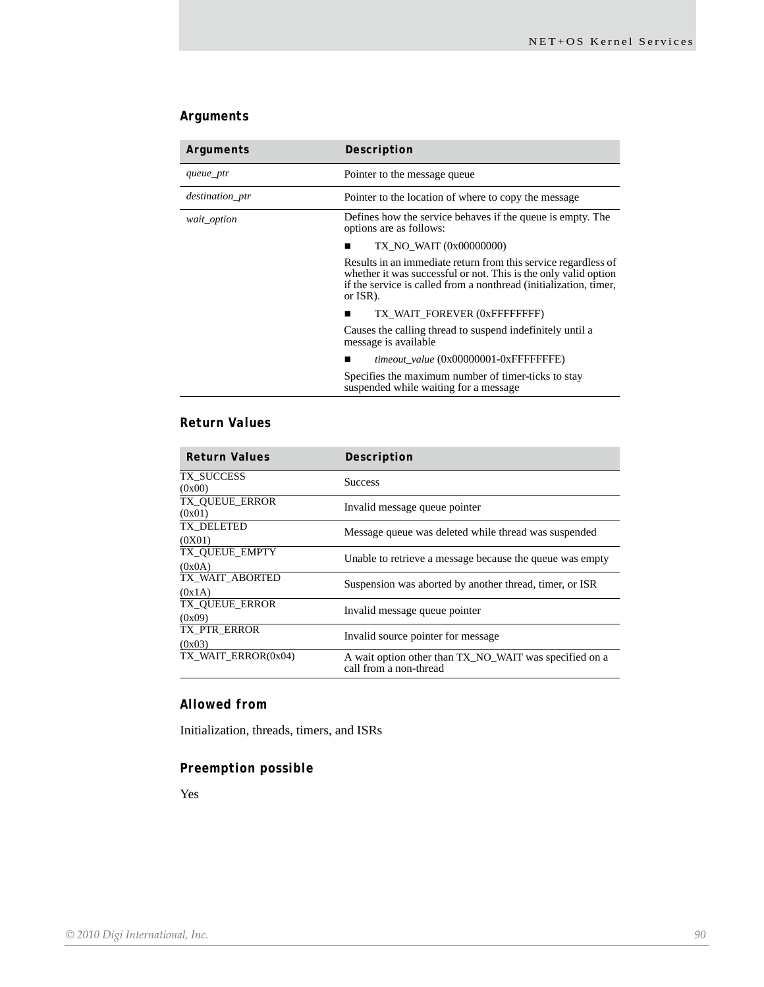# *Arguments*

| Arguments       | Description                                                                                                                                                                                                        |
|-----------------|--------------------------------------------------------------------------------------------------------------------------------------------------------------------------------------------------------------------|
| queue_ptr       | Pointer to the message queue                                                                                                                                                                                       |
| destination_ptr | Pointer to the location of where to copy the message                                                                                                                                                               |
| wait_option     | Defines how the service behaves if the queue is empty. The<br>options are as follows:                                                                                                                              |
|                 | TX NO WAIT (0x00000000)                                                                                                                                                                                            |
|                 | Results in an immediate return from this service regardless of<br>whether it was successful or not. This is the only valid option<br>if the service is called from a nonthread (initialization, timer,<br>or ISR). |
|                 | TX WAIT FOREVER (0xFFFFFFFFF)                                                                                                                                                                                      |
|                 | Causes the calling thread to suspend indefinitely until a<br>message is available                                                                                                                                  |
|                 | timeout value (0x00000001-0xFFFFFFFE)                                                                                                                                                                              |
|                 | Specifies the maximum number of timer-ticks to stay<br>suspended while waiting for a message                                                                                                                       |

# *Return Values*

| <b>Return Values</b>            | Description                                                                      |
|---------------------------------|----------------------------------------------------------------------------------|
| TX SUCCESS<br>(0x00)            | <b>Success</b>                                                                   |
| <b>TX OUEUE ERROR</b><br>(0x01) | Invalid message queue pointer                                                    |
| TX DELETED<br>(0X01)            | Message queue was deleted while thread was suspended                             |
| TX_QUEUE_EMPTY<br>(0x0A)        | Unable to retrieve a message because the queue was empty                         |
| TX WAIT ABORTED<br>(0x1A)       | Suspension was aborted by another thread, timer, or ISR                          |
| TX_QUEUE_ERROR<br>(0x09)        | Invalid message queue pointer                                                    |
| TX PTR ERROR<br>(0x03)          | Invalid source pointer for message                                               |
| TX_WAIT_ERROR(0x04)             | A wait option other than TX_NO_WAIT was specified on a<br>call from a non-thread |

## *Allowed from*

Initialization, threads, timers, and ISRs

# *Preemption possible*

Yes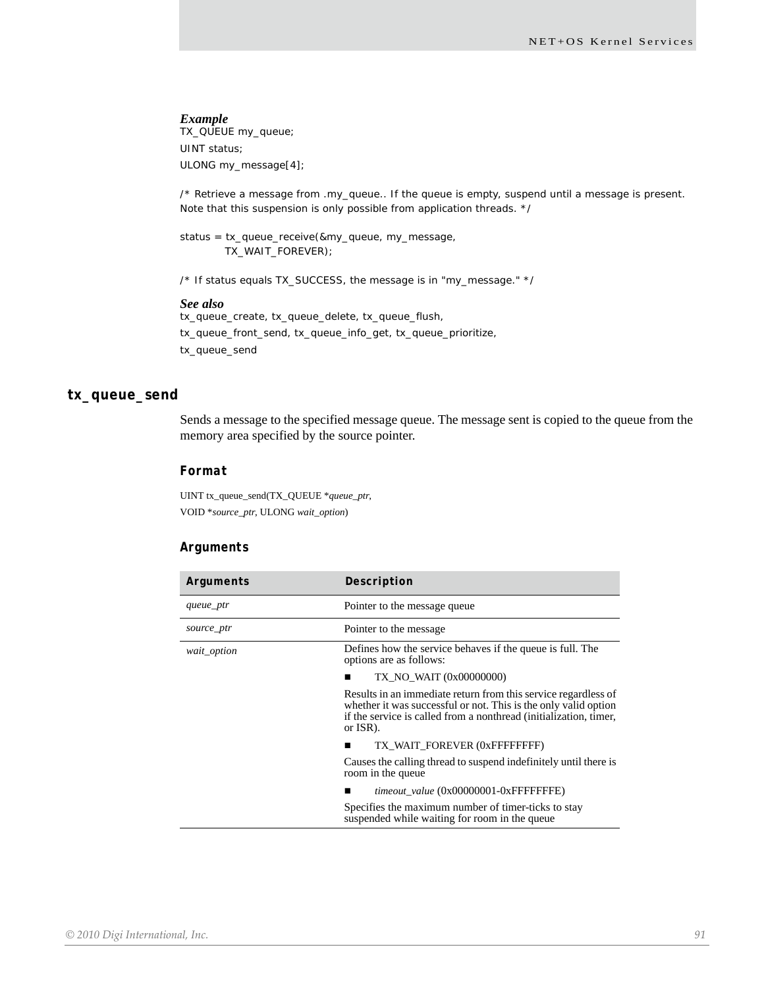TX\_QUEUE my\_queue; UINT status; ULONG my\_message[4];

/\* Retrieve a message from .my\_queue.. If the queue is empty, suspend until a message is present. Note that this suspension is only possible from application threads. \*/

status = tx\_queue\_receive(&my\_queue, my\_message, TX\_WAIT\_FOREVER);

/\* If status equals TX\_SUCCESS, the message is in "my\_message." \*/

#### *See also*

tx\_queue\_create, tx\_queue\_delete, tx\_queue\_flush, tx\_queue\_front\_send, tx\_queue\_info\_get, tx\_queue\_prioritize, tx\_queue\_send

### **tx\_queue\_send**

Sends a message to the specified message queue. The message sent is copied to the queue from the memory area specified by the source pointer.

#### *Format*

UINT tx\_queue\_send(TX\_QUEUE \**queue\_ptr*, VOID \**source\_ptr*, ULONG *wait\_option*)

## *Arguments*

| Arguments   | Description                                                                                                                                                                                                        |
|-------------|--------------------------------------------------------------------------------------------------------------------------------------------------------------------------------------------------------------------|
| queue_ptr   | Pointer to the message queue                                                                                                                                                                                       |
| source_ptr  | Pointer to the message.                                                                                                                                                                                            |
| wait_option | Defines how the service behaves if the queue is full. The<br>options are as follows:                                                                                                                               |
|             | TX NO WAIT (0x00000000)                                                                                                                                                                                            |
|             | Results in an immediate return from this service regardless of<br>whether it was successful or not. This is the only valid option<br>if the service is called from a nonthread (initialization, timer,<br>or ISR). |
|             | TX WAIT FOREVER (0xFFFFFFFFF)<br>■                                                                                                                                                                                 |
|             | Causes the calling thread to suspend indefinitely until there is<br>room in the queue                                                                                                                              |
|             | timeout_value (0x00000001-0xFFFFFFFE)                                                                                                                                                                              |
|             | Specifies the maximum number of timer-ticks to stay<br>suspended while waiting for room in the queue                                                                                                               |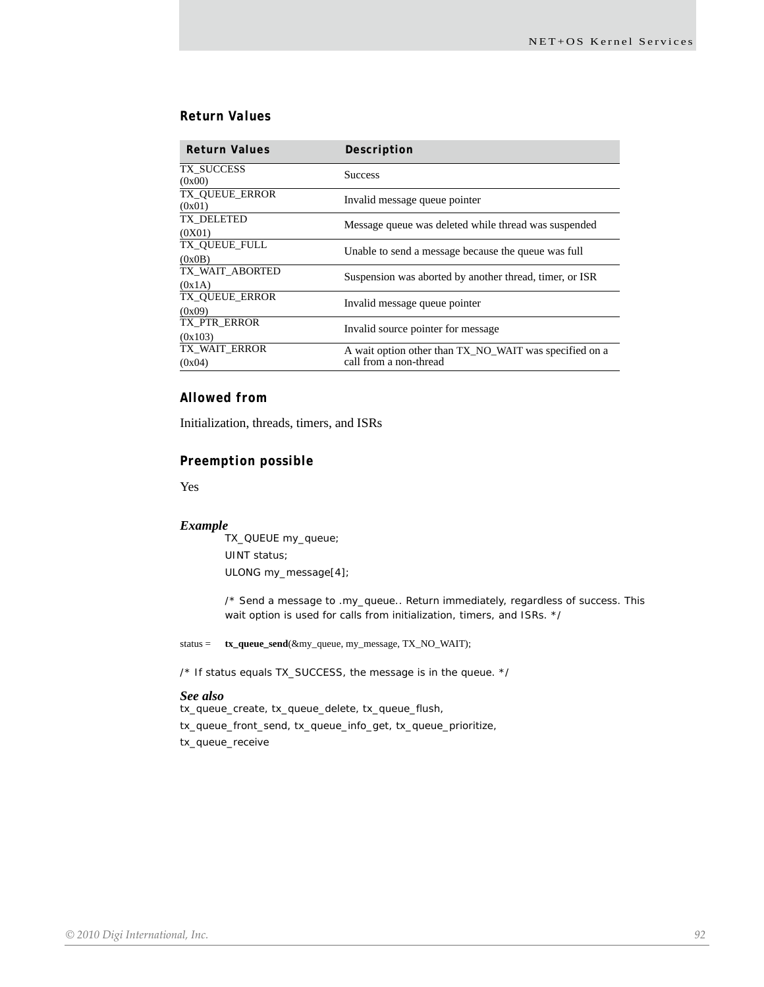## *Return Values*

| <b>Return Values</b>     | Description                                             |
|--------------------------|---------------------------------------------------------|
| TX SUCCESS<br>(0x00)     | <b>Success</b>                                          |
| TX OUEUE ERROR<br>(0x01) | Invalid message queue pointer                           |
| TX DELETED               | Message queue was deleted while thread was suspended    |
| (0X01)                   |                                                         |
| TX OUEUE FULL            | Unable to send a message because the queue was full     |
| (0x0B)                   |                                                         |
| TX WAIT ABORTED          | Suspension was aborted by another thread, timer, or ISR |
| (0x1A)                   |                                                         |
| TX_QUEUE_ERROR           | Invalid message queue pointer                           |
| (0x09)                   |                                                         |
| TX PTR_ERROR             | Invalid source pointer for message.                     |
| (0x103)                  |                                                         |
| TX WAIT ERROR            | A wait option other than TX_NO_WAIT was specified on a  |
| (0x04)                   | call from a non-thread                                  |

## *Allowed from*

Initialization, threads, timers, and ISRs

## *Preemption possible*

Yes

#### *Example*

TX\_QUEUE my\_queue; UINT status; ULONG my\_message[4];

/\* Send a message to .my\_queue.. Return immediately, regardless of success. This wait option is used for calls from initialization, timers, and ISRs. \*/

status = **tx\_queue\_send**(&my\_queue, my\_message, TX\_NO\_WAIT);

/\* If status equals TX\_SUCCESS, the message is in the queue. \*/

#### *See also*

tx\_queue\_create, tx\_queue\_delete, tx\_queue\_flush, tx\_queue\_front\_send, tx\_queue\_info\_get, tx\_queue\_prioritize, tx\_queue\_receive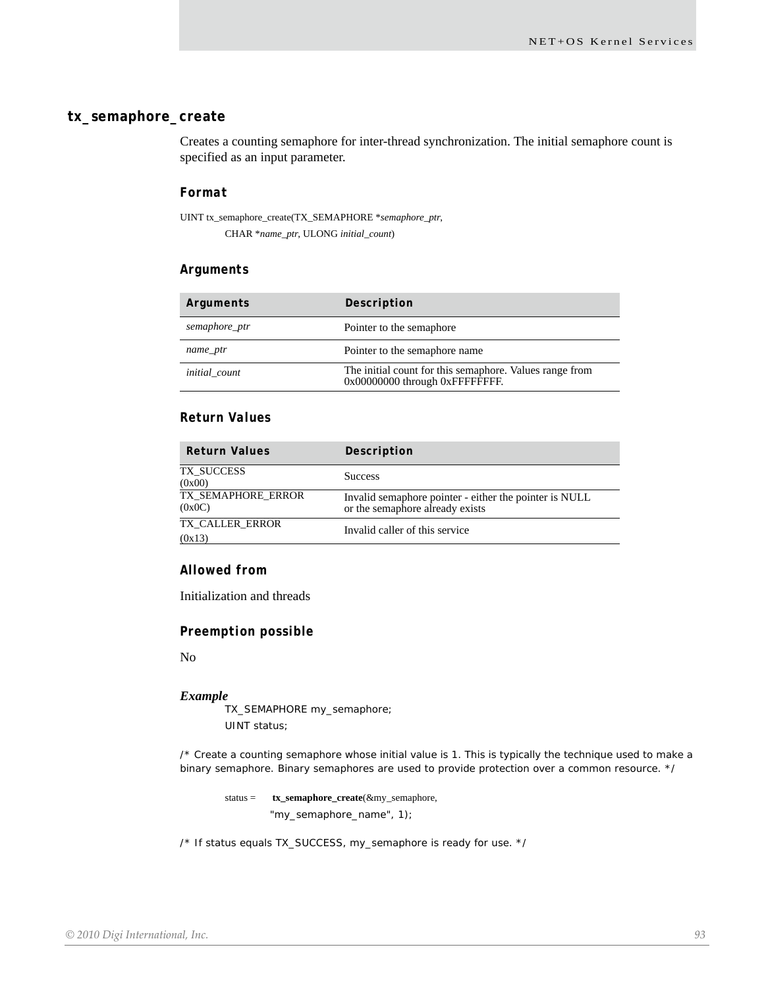## **tx\_semaphore\_create**

Creates a counting semaphore for inter-thread synchronization. The initial semaphore count is specified as an input parameter.

## *Format*

UINT tx\_semaphore\_create(TX\_SEMAPHORE \**semaphore\_ptr*, CHAR \**name\_ptr*, ULONG *initial\_count*)

#### *Arguments*

| Arguments            | Description                                                                                |
|----------------------|--------------------------------------------------------------------------------------------|
| semaphore_ptr        | Pointer to the semaphore                                                                   |
| name_ptr             | Pointer to the semaphore name                                                              |
| <i>initial</i> count | The initial count for this semaphore. Values range from<br>0x00000000 through 0xFFFFFFFFF. |

## *Return Values*

| <b>Return Values</b>         | Description                                                                               |
|------------------------------|-------------------------------------------------------------------------------------------|
| TX SUCCESS<br>(0x00)         | <b>Success</b>                                                                            |
| TX SEMAPHORE ERROR<br>(0x0C) | Invalid semaphore pointer - either the pointer is NULL<br>or the semaphore already exists |
| TX CALLER ERROR<br>(0x13)    | Invalid caller of this service                                                            |

## *Allowed from*

Initialization and threads

## *Preemption possible*

No

#### *Example*

TX\_SEMAPHORE my\_semaphore; UINT status;

/\* Create a counting semaphore whose initial value is 1. This is typically the technique used to make a binary semaphore. Binary semaphores are used to provide protection over a common resource. \*/

status = **tx\_semaphore\_create**(&my\_semaphore, "my\_semaphore\_name", 1);

/\* If status equals TX\_SUCCESS, my\_semaphore is ready for use. \*/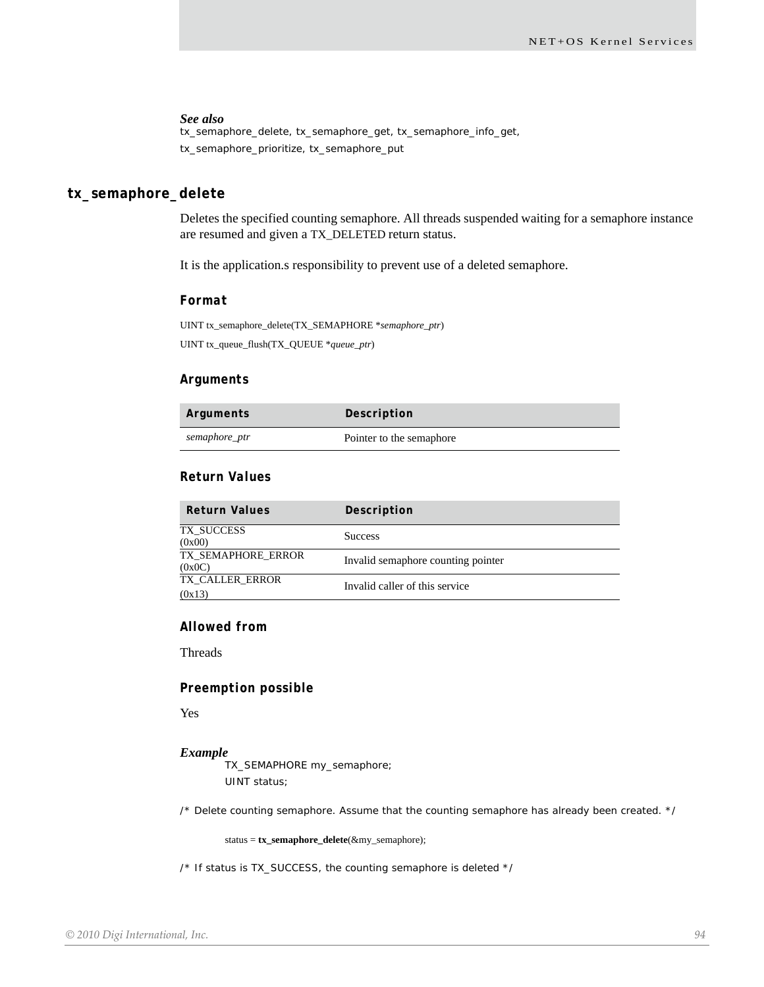#### *See also*

tx\_semaphore\_delete, tx\_semaphore\_get, tx\_semaphore\_info\_get, tx\_semaphore\_prioritize, tx\_semaphore\_put

## **tx\_semaphore\_delete**

Deletes the specified counting semaphore. All threads suspended waiting for a semaphore instance are resumed and given a TX\_DELETED return status.

It is the application.s responsibility to prevent use of a deleted semaphore.

#### *Format*

UINT tx\_semaphore\_delete(TX\_SEMAPHORE \**semaphore\_ptr*) UINT tx\_queue\_flush(TX\_QUEUE \**queue\_ptr*)

#### *Arguments*

| Arguments     | Description              |
|---------------|--------------------------|
| semaphore_ptr | Pointer to the semaphore |

## *Return Values*

| <b>Return Values</b>         | Description                        |
|------------------------------|------------------------------------|
| TX SUCCESS<br>(0x00)         | <b>Success</b>                     |
| TX SEMAPHORE ERROR<br>(0x0C) | Invalid semaphore counting pointer |
| TX CALLER ERROR<br>(0x13)    | Invalid caller of this service     |

## *Allowed from*

Threads

#### *Preemption possible*

Yes

#### *Example*

TX\_SEMAPHORE my\_semaphore; UINT status;

/\* Delete counting semaphore. Assume that the counting semaphore has already been created. \*/

status = **tx\_semaphore\_delete**(&my\_semaphore);

/\* If status is TX\_SUCCESS, the counting semaphore is deleted \*/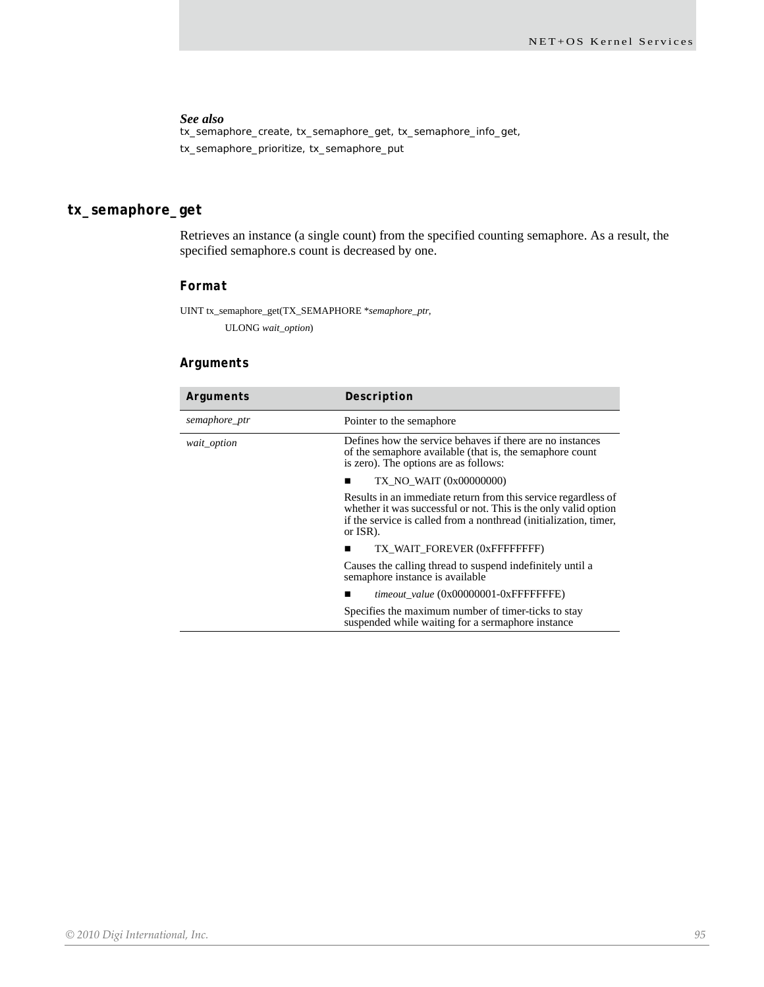## *See also*

tx\_semaphore\_create, tx\_semaphore\_get, tx\_semaphore\_info\_get, tx\_semaphore\_prioritize, tx\_semaphore\_put

# **tx\_semaphore\_get**

Retrieves an instance (a single count) from the specified counting semaphore. As a result, the specified semaphore.s count is decreased by one.

## *Format*

UINT tx\_semaphore\_get(TX\_SEMAPHORE \**semaphore\_ptr*, ULONG *wait\_option*)

## *Arguments*

| Arguments     | Description                                                                                                                                                                                                        |
|---------------|--------------------------------------------------------------------------------------------------------------------------------------------------------------------------------------------------------------------|
| semaphore_ptr | Pointer to the semaphore                                                                                                                                                                                           |
| wait_option   | Defines how the service behaves if there are no instances<br>of the semaphore available (that is, the semaphore count<br>is zero). The options are as follows:                                                     |
|               | TX_NO_WAIT (0x00000000)                                                                                                                                                                                            |
|               | Results in an immediate return from this service regardless of<br>whether it was successful or not. This is the only valid option<br>if the service is called from a nonthread (initialization, timer,<br>or ISR). |
|               | TX WAIT FOREVER (0xFFFFFFFFF)                                                                                                                                                                                      |
|               | Causes the calling thread to suspend indefinitely until a<br>semaphore instance is available                                                                                                                       |
|               | timeout value (0x00000001-0xFFFFFFFE)                                                                                                                                                                              |
|               | Specifies the maximum number of timer-ticks to stay<br>suspended while waiting for a sermaphore instance                                                                                                           |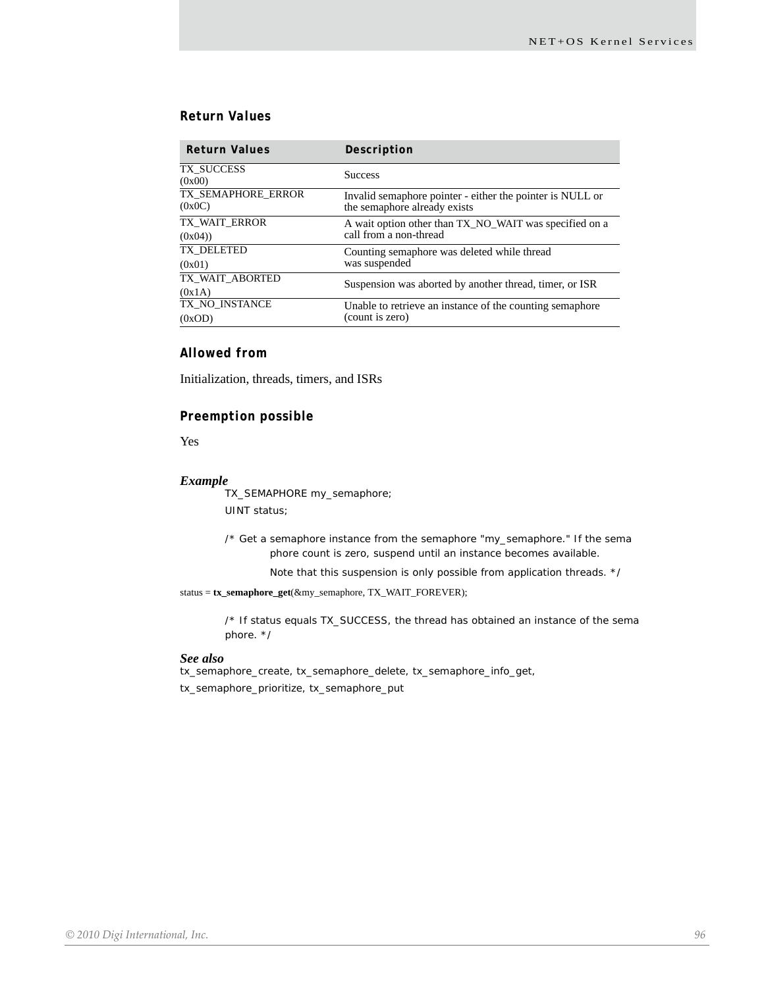## *Return Values*

| <b>Return Values</b>         | Description                                                                               |
|------------------------------|-------------------------------------------------------------------------------------------|
| TX SUCCESS<br>(0x00)         | <b>Success</b>                                                                            |
| TX SEMAPHORE ERROR<br>(0x0C) | Invalid semaphore pointer - either the pointer is NULL or<br>the semaphore already exists |
| TX WAIT ERROR                | A wait option other than TX_NO_WAIT was specified on a                                    |
| (0x04)                       | call from a non-thread                                                                    |
| TX DELETED                   | Counting semaphore was deleted while thread                                               |
| (0x01)                       | was suspended                                                                             |
| TX WAIT ABORTED              | Suspension was aborted by another thread, timer, or ISR                                   |
| (0x1A)                       |                                                                                           |
| TX_NO_INSTANCE               | Unable to retrieve an instance of the counting semaphore<br>(count is zero)               |
| (0xOD)                       |                                                                                           |

## *Allowed from*

Initialization, threads, timers, and ISRs

## *Preemption possible*

Yes

#### *Example*

TX\_SEMAPHORE my\_semaphore; UINT status;

/\* Get a semaphore instance from the semaphore "my\_semaphore." If the sema phore count is zero, suspend until an instance becomes available.

Note that this suspension is only possible from application threads. \*/

status = **tx\_semaphore\_get**(&my\_semaphore, TX\_WAIT\_FOREVER);

/\* If status equals TX\_SUCCESS, the thread has obtained an instance of the sema phore. \*/

#### *See also*

tx\_semaphore\_create, tx\_semaphore\_delete, tx\_semaphore\_info\_get, tx\_semaphore\_prioritize, tx\_semaphore\_put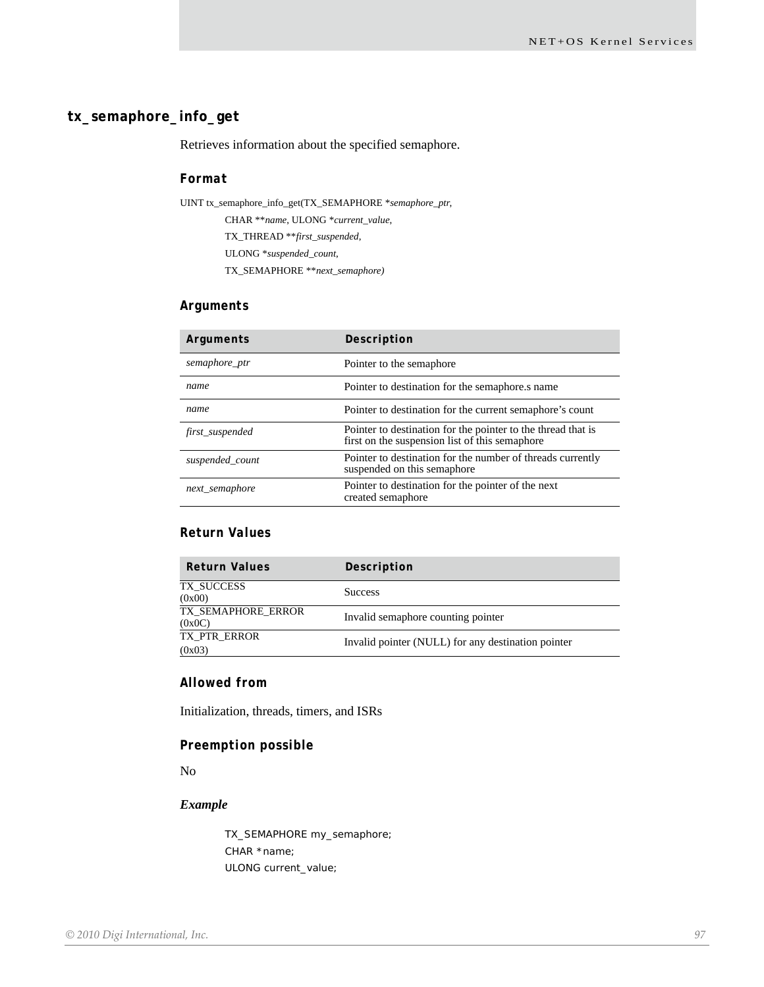## **tx\_semaphore\_info\_get**

Retrieves information about the specified semaphore.

## *Format*

UINT tx\_semaphore\_info\_get(TX\_SEMAPHORE \**semaphore\_ptr*, CHAR \*\**name*, ULONG \**current\_value*, TX\_THREAD \*\**first\_suspended*, ULONG \**suspended\_count*, TX\_SEMAPHORE \*\**next\_semaphore)*

## *Arguments*

| Arguments       | Description                                                                                                    |
|-----------------|----------------------------------------------------------------------------------------------------------------|
| semaphore_ptr   | Pointer to the semaphore                                                                                       |
| name            | Pointer to destination for the semaphore.s name                                                                |
| name            | Pointer to destination for the current semaphore's count                                                       |
| first_suspended | Pointer to destination for the pointer to the thread that is<br>first on the suspension list of this semaphore |
| suspended_count | Pointer to destination for the number of threads currently<br>suspended on this semaphore                      |
| next_semaphore  | Pointer to destination for the pointer of the next<br>created semaphore                                        |

## *Return Values*

| <b>Return Values</b>         | Description                                        |
|------------------------------|----------------------------------------------------|
| TX SUCCESS<br>(0x00)         | <b>Success</b>                                     |
| TX SEMAPHORE ERROR<br>(0x0C) | Invalid semaphore counting pointer                 |
| TX PTR ERROR<br>(0x03)       | Invalid pointer (NULL) for any destination pointer |

## *Allowed from*

Initialization, threads, timers, and ISRs

## *Preemption possible*

No

## *Example*

TX\_SEMAPHORE my\_semaphore; CHAR \*name; ULONG current\_value;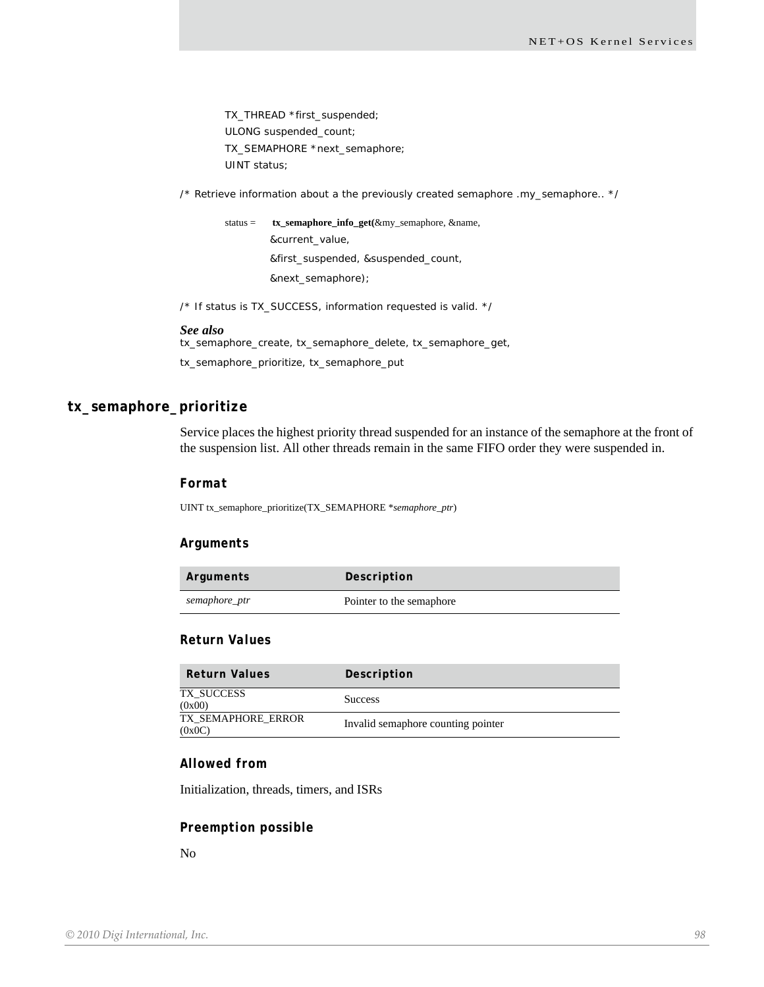TX\_THREAD \*first\_suspended; ULONG suspended\_count; TX\_SEMAPHORE \*next\_semaphore; UINT status;

 $\prime^*$  Retrieve information about a the previously created semaphore .my\_semaphore..  $\prime\prime$ 

status = **tx\_semaphore\_info\_get(**&my\_semaphore, &name, &current\_value, &first\_suspended, &suspended\_count, &next\_semaphore);

/\* If status is TX\_SUCCESS, information requested is valid. \*/

#### *See also*

tx\_semaphore\_create, tx\_semaphore\_delete, tx\_semaphore\_get, tx\_semaphore\_prioritize, tx\_semaphore\_put

# **tx\_semaphore\_prioritize**

Service places the highest priority thread suspended for an instance of the semaphore at the front of the suspension list. All other threads remain in the same FIFO order they were suspended in.

#### *Format*

UINT tx\_semaphore\_prioritize(TX\_SEMAPHORE \**semaphore\_ptr*)

#### *Arguments*

| Arguments     | Description              |
|---------------|--------------------------|
| semaphore_ptr | Pointer to the semaphore |

## *Return Values*

| <b>Return Values</b>         | Description                        |
|------------------------------|------------------------------------|
| TX SUCCESS<br>(0x00)         | <b>Success</b>                     |
| TX SEMAPHORE ERROR<br>(0x0C) | Invalid semaphore counting pointer |

## *Allowed from*

Initialization, threads, timers, and ISRs

#### *Preemption possible*

No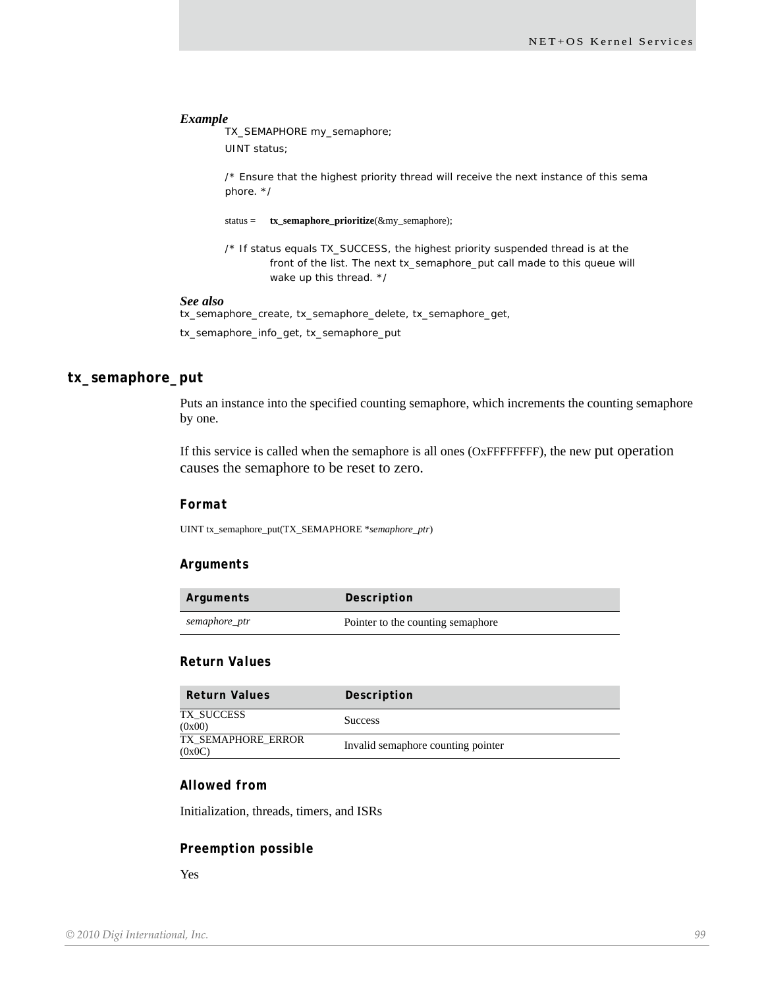TX\_SEMAPHORE my\_semaphore; UINT status;

/\* Ensure that the highest priority thread will receive the next instance of this sema phore. \*/

status = **tx\_semaphore\_prioritize**(&my\_semaphore);

/\* If status equals TX\_SUCCESS, the highest priority suspended thread is at the front of the list. The next tx\_semaphore\_put call made to this queue will wake up this thread. \*/

## *See also*

tx\_semaphore\_create, tx\_semaphore\_delete, tx\_semaphore\_get, tx\_semaphore\_info\_get, tx\_semaphore\_put

## **tx\_semaphore\_put**

Puts an instance into the specified counting semaphore, which increments the counting semaphore by one.

If this service is called when the semaphore is all ones (OxFFFFFFFF), the new put operation causes the semaphore to be reset to zero.

#### *Format*

UINT tx\_semaphore\_put(TX\_SEMAPHORE \**semaphore\_ptr*)

### *Arguments*

| Arguments     | Description                       |
|---------------|-----------------------------------|
| semaphore_ptr | Pointer to the counting semaphore |

## *Return Values*

| <b>Return Values</b>         | Description                        |
|------------------------------|------------------------------------|
| TX SUCCESS<br>(0x00)         | <b>Success</b>                     |
| TX SEMAPHORE ERROR<br>(0x0C) | Invalid semaphore counting pointer |

## *Allowed from*

Initialization, threads, timers, and ISRs

#### *Preemption possible*

Yes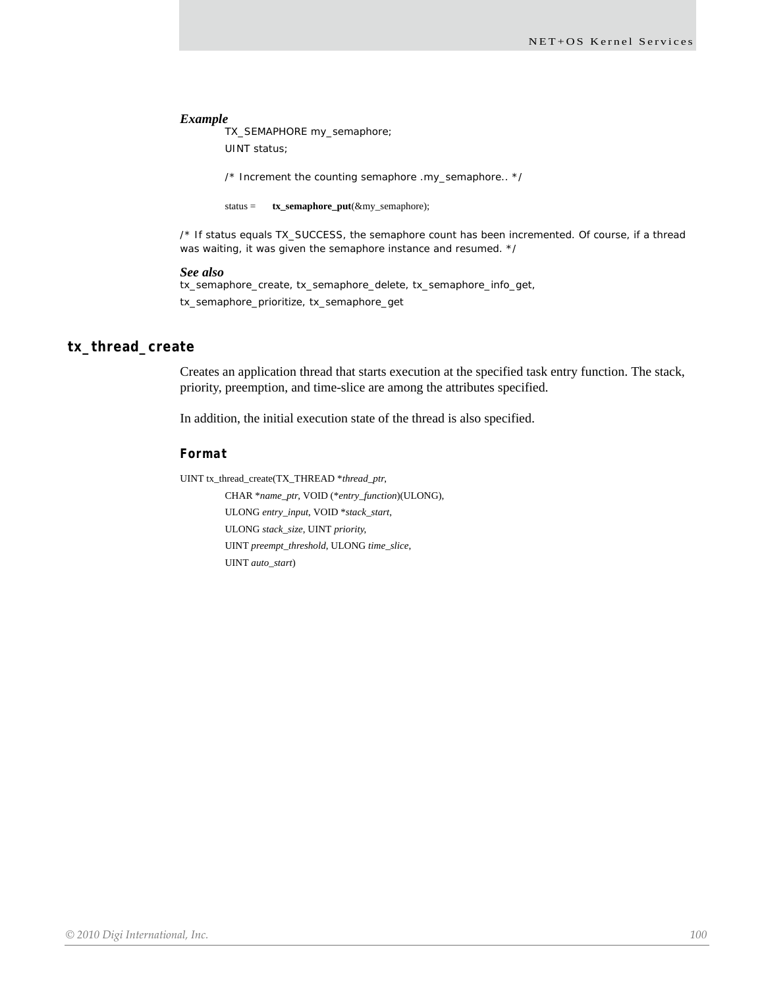TX\_SEMAPHORE my\_semaphore; UINT status;

/\* Increment the counting semaphore .my\_semaphore.. \*/

status = **tx\_semaphore\_put**(&my\_semaphore);

/\* If status equals TX\_SUCCESS, the semaphore count has been incremented. Of course, if a thread was waiting, it was given the semaphore instance and resumed. \*/

#### *See also*

tx\_semaphore\_create, tx\_semaphore\_delete, tx\_semaphore\_info\_get, tx\_semaphore\_prioritize, tx\_semaphore\_get

## **tx\_thread\_create**

Creates an application thread that starts execution at the specified task entry function. The stack, priority, preemption, and time-slice are among the attributes specified.

In addition, the initial execution state of the thread is also specified.

## *Format*

UINT tx\_thread\_create(TX\_THREAD \**thread\_ptr*,

CHAR \**name\_ptr*, VOID (\**entry\_function*)(ULONG), ULONG *entry\_input*, VOID \**stack\_start*, ULONG *stack\_size*, UINT *priority*, UINT *preempt\_threshold*, ULONG *time\_slice*, UINT *auto\_start*)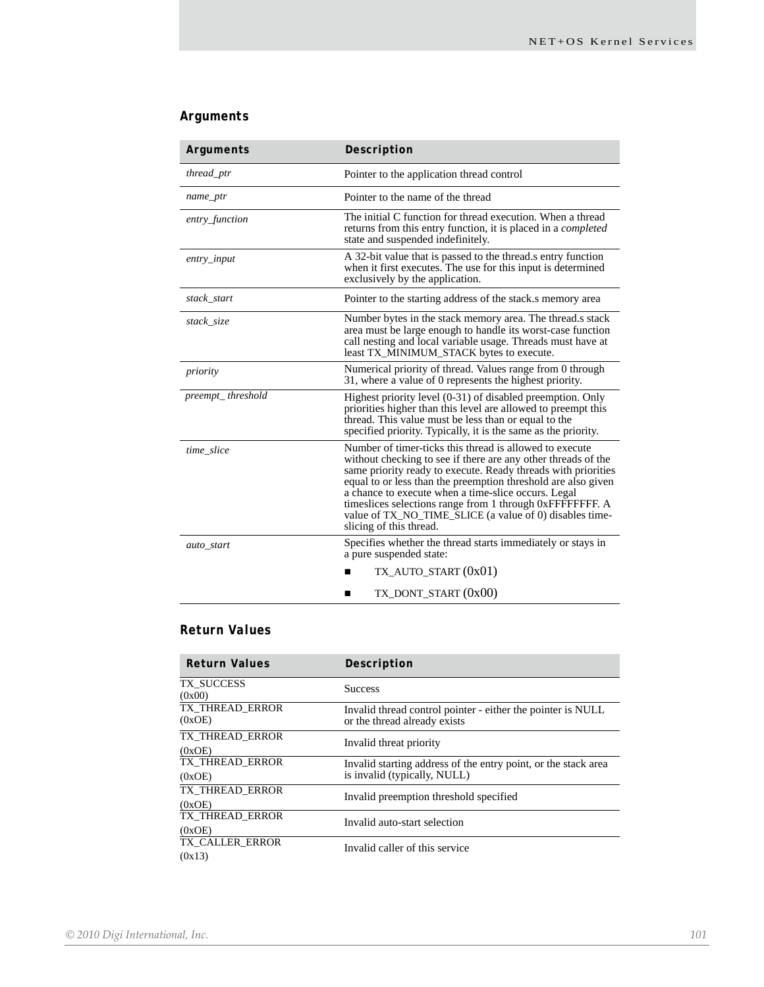# *Arguments*

| Arguments         | Description                                                                                                                                                                                                                                                                                                                                                                                                                                                         |
|-------------------|---------------------------------------------------------------------------------------------------------------------------------------------------------------------------------------------------------------------------------------------------------------------------------------------------------------------------------------------------------------------------------------------------------------------------------------------------------------------|
| thread_ptr        | Pointer to the application thread control                                                                                                                                                                                                                                                                                                                                                                                                                           |
| name_ptr          | Pointer to the name of the thread                                                                                                                                                                                                                                                                                                                                                                                                                                   |
| entry_function    | The initial C function for thread execution. When a thread<br>returns from this entry function, it is placed in a <i>completed</i><br>state and suspended indefinitely.                                                                                                                                                                                                                                                                                             |
| $entry$ _input    | A 32-bit value that is passed to the thread s entry function<br>when it first executes. The use for this input is determined<br>exclusively by the application.                                                                                                                                                                                                                                                                                                     |
| stack_start       | Pointer to the starting address of the stack is memory area                                                                                                                                                                                                                                                                                                                                                                                                         |
| stack_size        | Number bytes in the stack memory area. The thread.s stack<br>area must be large enough to handle its worst-case function<br>call nesting and local variable usage. Threads must have at<br>least TX_MINIMUM_STACK bytes to execute.                                                                                                                                                                                                                                 |
| priority          | Numerical priority of thread. Values range from 0 through<br>31, where a value of 0 represents the highest priority.                                                                                                                                                                                                                                                                                                                                                |
| preempt_threshold | Highest priority level (0-31) of disabled preemption. Only<br>priorities higher than this level are allowed to preempt this<br>thread. This value must be less than or equal to the<br>specified priority. Typically, it is the same as the priority.                                                                                                                                                                                                               |
| time_slice        | Number of timer-ticks this thread is allowed to execute<br>without checking to see if there are any other threads of the<br>same priority ready to execute. Ready threads with priorities<br>equal to or less than the preemption threshold are also given<br>a chance to execute when a time-slice occurs. Legal<br>timeslices selections range from 1 through 0xFFFFFFFF. A<br>value of TX_NO_TIME_SLICE (a value of 0) disables time-<br>slicing of this thread. |
| auto_start        | Specifies whether the thread starts immediately or stays in<br>a pure suspended state:                                                                                                                                                                                                                                                                                                                                                                              |
|                   | $TX_A$ UTO_START $(0x01)$                                                                                                                                                                                                                                                                                                                                                                                                                                           |
|                   | TX_DONT_START (0x00)<br>■                                                                                                                                                                                                                                                                                                                                                                                                                                           |

# *Return Values*

| <b>Return Values</b>      | Description                                                                                    |
|---------------------------|------------------------------------------------------------------------------------------------|
| TX SUCCESS<br>(0x00)      | <b>Success</b>                                                                                 |
| TX THREAD ERROR<br>(0xOE) | Invalid thread control pointer - either the pointer is NULL<br>or the thread already exists    |
| TX THREAD ERROR<br>(0xOE) | Invalid threat priority                                                                        |
| TX THREAD ERROR<br>(0xOE) | Invalid starting address of the entry point, or the stack area<br>is invalid (typically, NULL) |
| TX THREAD ERROR<br>(0xOE) | Invalid preemption threshold specified                                                         |
| TX THREAD ERROR<br>(0xOE) | Invalid auto-start selection                                                                   |
| TX CALLER ERROR<br>(0x13) | Invalid caller of this service                                                                 |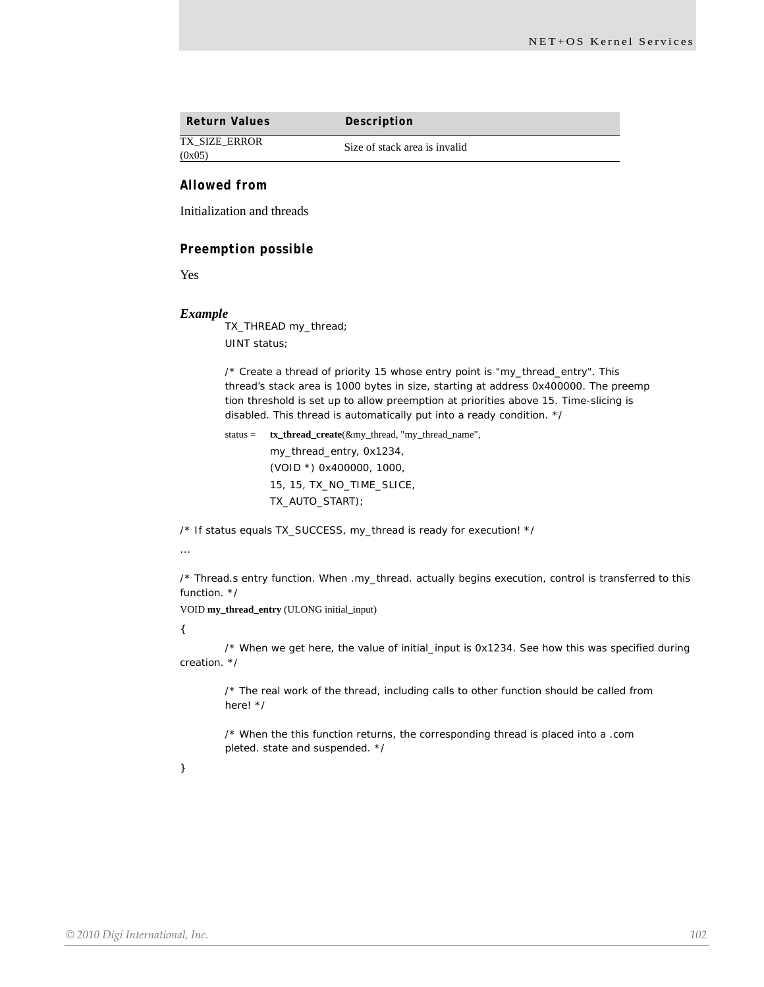| <b>Return Values</b> | Description                   |
|----------------------|-------------------------------|
| <b>TX SIZE ERROR</b> | Size of stack area is invalid |
| (0x05)               |                               |

## *Allowed from*

Initialization and threads

#### *Preemption possible*

Yes

#### *Example*

TX\_THREAD my\_thread; UINT status;

/\* Create a thread of priority 15 whose entry point is "my\_thread\_entry". This thread's stack area is 1000 bytes in size, starting at address 0x400000. The preemp tion threshold is set up to allow preemption at priorities above 15. Time-slicing is disabled. This thread is automatically put into a ready condition. \*/

status = **tx\_thread\_create**(&my\_thread, "my\_thread\_name", my\_thread\_entry, 0x1234, (VOID \*) 0x400000, 1000, 15, 15, TX\_NO\_TIME\_SLICE, TX\_AUTO\_START);

/\* If status equals TX\_SUCCESS, my\_thread is ready for execution! \*/

...

/\* Thread.s entry function. When .my\_thread. actually begins execution, control is transferred to this function. \*/

VOID **my\_thread\_entry** (ULONG initial\_input)

{

/\* When we get here, the value of initial\_input is 0x1234. See how this was specified during creation. \*/

/\* The real work of the thread, including calls to other function should be called from here! \*/

/\* When the this function returns, the corresponding thread is placed into a .com pleted. state and suspended. \*/

}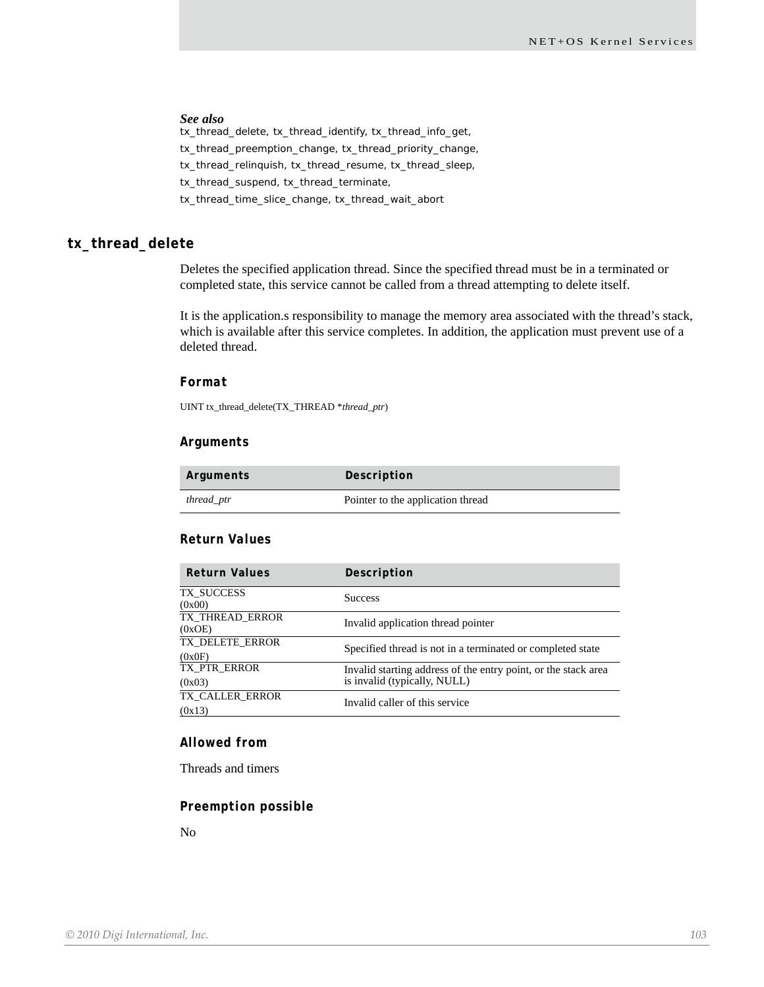## *See also*

tx\_thread\_delete, tx\_thread\_identify, tx\_thread\_info\_get, tx\_thread\_preemption\_change, tx\_thread\_priority\_change, tx\_thread\_relinquish, tx\_thread\_resume, tx\_thread\_sleep, tx\_thread\_suspend, tx\_thread\_terminate, tx\_thread\_time\_slice\_change, tx\_thread\_wait\_abort

## **tx\_thread\_delete**

Deletes the specified application thread. Since the specified thread must be in a terminated or completed state, this service cannot be called from a thread attempting to delete itself.

It is the application.s responsibility to manage the memory area associated with the thread's stack, which is available after this service completes. In addition, the application must prevent use of a deleted thread.

#### *Format*

UINT tx\_thread\_delete(TX\_THREAD \**thread\_ptr*)

## *Arguments*

| Arguments  | Description                       |
|------------|-----------------------------------|
| thread_ptr | Pointer to the application thread |

#### *Return Values*

| <b>Return Values</b>      | Description                                                    |
|---------------------------|----------------------------------------------------------------|
| TX SUCCESS<br>(0x00)      | <b>Success</b>                                                 |
| TX THREAD_ERROR<br>(0xOE) | Invalid application thread pointer                             |
| TX_DELETE_ERROR           | Specified thread is not in a terminated or completed state     |
| (0x0F)                    |                                                                |
| TX PTR ERROR              | Invalid starting address of the entry point, or the stack area |
| (0x03)                    | is invalid (typically, NULL)                                   |
| TX CALLER ERROR           | Invalid caller of this service                                 |
| (0x13)                    |                                                                |

## *Allowed from*

Threads and timers

#### *Preemption possible*

No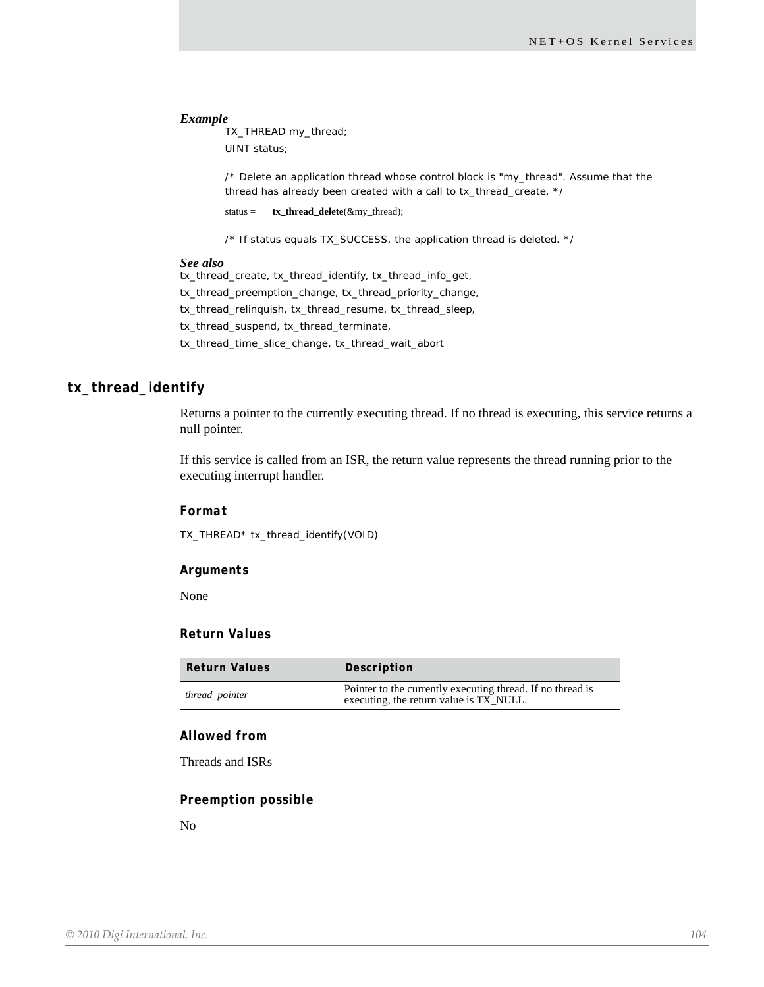TX\_THREAD my\_thread; UINT status;

/\* Delete an application thread whose control block is "my\_thread". Assume that the thread has already been created with a call to tx\_thread\_create. \*/

status = **tx\_thread\_delete**(&my\_thread);

/\* If status equals TX\_SUCCESS, the application thread is deleted. \*/

#### *See also*

tx\_thread\_create, tx\_thread\_identify, tx\_thread\_info\_get, tx\_thread\_preemption\_change, tx\_thread\_priority\_change, tx\_thread\_relinquish, tx\_thread\_resume, tx\_thread\_sleep, tx\_thread\_suspend, tx\_thread\_terminate, tx\_thread\_time\_slice\_change, tx\_thread\_wait\_abort

## **tx\_thread\_identify**

Returns a pointer to the currently executing thread. If no thread is executing, this service returns a null pointer.

If this service is called from an ISR, the return value represents the thread running prior to the executing interrupt handler.

#### *Format*

TX\_THREAD\* tx\_thread\_identify(VOID)

## *Arguments*

None

## *Return Values*

| <b>Return Values</b> | Description                                                                                           |
|----------------------|-------------------------------------------------------------------------------------------------------|
| thread_pointer       | Pointer to the currently executing thread. If no thread is<br>executing, the return value is TX_NULL. |

## *Allowed from*

Threads and ISRs

## *Preemption possible*

No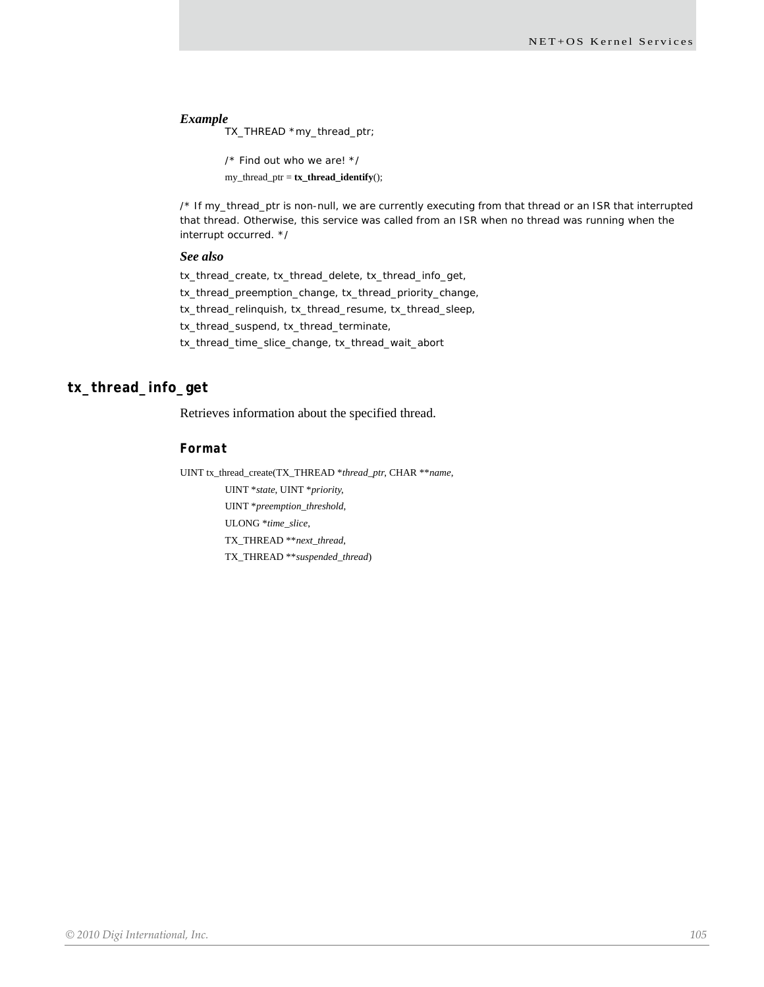TX\_THREAD \*my\_thread\_ptr;

```
/* Find out who we are! */
my_thread_ptr = tx_thread_identify();
```
/\* If my\_thread\_ptr is non-null, we are currently executing from that thread or an ISR that interrupted that thread. Otherwise, this service was called from an ISR when no thread was running when the interrupt occurred. \*/

#### *See also*

tx\_thread\_create, tx\_thread\_delete, tx\_thread\_info\_get, tx\_thread\_preemption\_change, tx\_thread\_priority\_change, tx\_thread\_relinquish, tx\_thread\_resume, tx\_thread\_sleep, tx\_thread\_suspend, tx\_thread\_terminate, tx\_thread\_time\_slice\_change, tx\_thread\_wait\_abort

## **tx\_thread\_info\_get**

Retrieves information about the specified thread.

#### *Format*

UINT tx\_thread\_create(TX\_THREAD \**thread\_ptr*, CHAR \*\**name*, UINT \**state*, UINT \**priority*, UINT \**preemption\_threshold*, ULONG \**time\_slice*, TX\_THREAD \*\**next\_thread*, TX\_THREAD \*\**suspended\_thread*)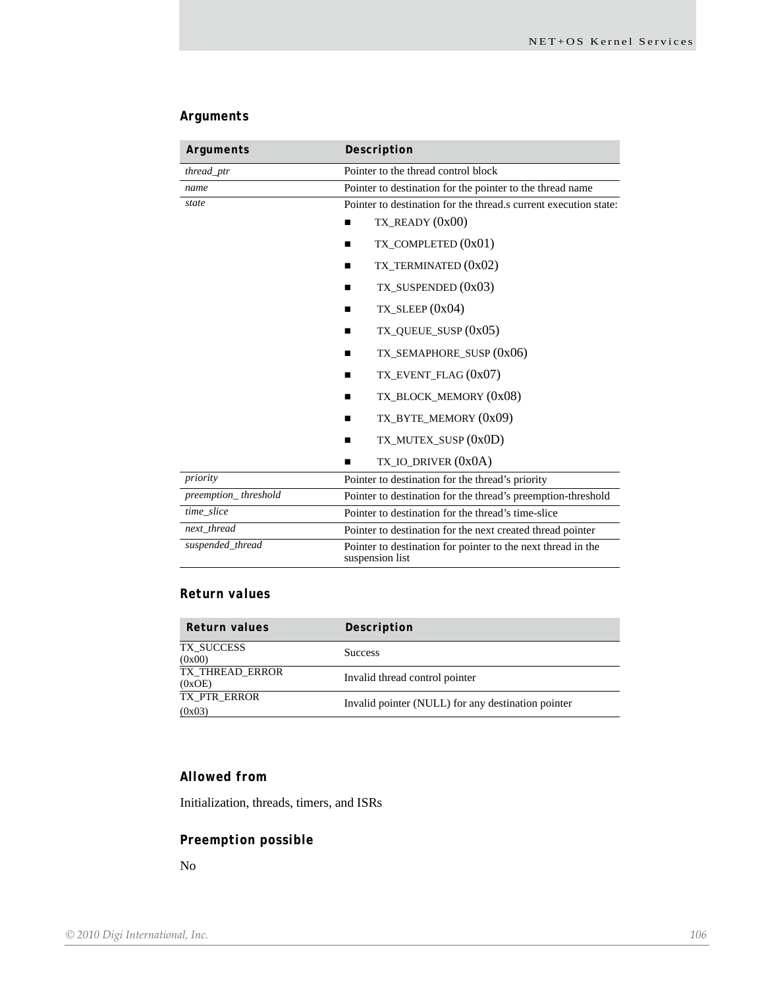# *Arguments*

| Arguments            | Description                                                                     |
|----------------------|---------------------------------------------------------------------------------|
| thread_ptr           | Pointer to the thread control block                                             |
| name                 | Pointer to destination for the pointer to the thread name                       |
| state                | Pointer to destination for the thread, a current execution state:               |
|                      | $TX$ <sub>_READY</sub> $(0x00)$<br>п                                            |
|                      | TX_COMPLETED $(0x01)$<br>ш                                                      |
|                      | TX TERMINATED (0x02)<br>ш                                                       |
|                      | TX_SUSPENDED (0x03)                                                             |
|                      | TX_SLEEP $(0x04)$<br>■                                                          |
|                      | $TX$ <sub>-</sub> QUEUE_SUSP $(0x05)$<br>П                                      |
|                      | TX_SEMAPHORE_SUSP (0x06)<br>ш                                                   |
|                      | $TX$ EVENT FLAG $(0x07)$<br>■                                                   |
|                      | TX_BLOCK_MEMORY (0x08)<br>ш                                                     |
|                      | TX_BYTE_MEMORY (0x09)<br>П                                                      |
|                      | TX_MUTEX_SUSP (0x0D)<br>п                                                       |
|                      | TX_IO_DRIVER (0x0A)                                                             |
| priority             | Pointer to destination for the thread's priority                                |
| preemption_threshold | Pointer to destination for the thread's preemption-threshold                    |
| time_slice           | Pointer to destination for the thread's time-slice                              |
| next thread          | Pointer to destination for the next created thread pointer                      |
| suspended_thread     | Pointer to destination for pointer to the next thread in the<br>suspension list |

# *Return values*

| Return values             | Description                                        |
|---------------------------|----------------------------------------------------|
| TX SUCCESS<br>(0x00)      | <b>Success</b>                                     |
| TX THREAD ERROR<br>(0xOE) | Invalid thread control pointer                     |
| TX PTR ERROR<br>(0x03)    | Invalid pointer (NULL) for any destination pointer |

# *Allowed from*

Initialization, threads, timers, and ISRs

# *Preemption possible*

No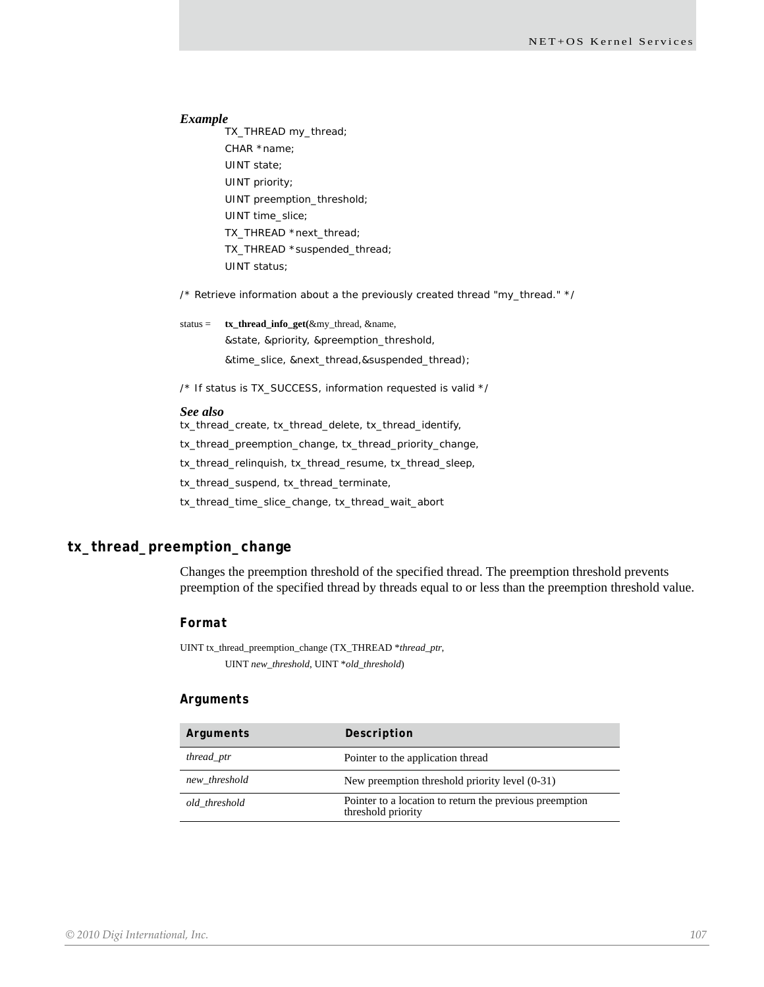TX\_THREAD my\_thread; CHAR \*name; UINT state; UINT priority; UINT preemption\_threshold; UINT time\_slice; TX\_THREAD \*next\_thread; TX\_THREAD \*suspended\_thread; UINT status;

/\* Retrieve information about a the previously created thread "my\_thread." \*/

status = **tx\_thread\_info\_get(**&my\_thread, &name, &state, &priority, &preemption\_threshold, &time\_slice, &next\_thread,&suspended\_thread);

/\* If status is TX\_SUCCESS, information requested is valid \*/

#### *See also*

tx\_thread\_create, tx\_thread\_delete, tx\_thread\_identify,

tx\_thread\_preemption\_change, tx\_thread\_priority\_change,

tx\_thread\_relinquish, tx\_thread\_resume, tx\_thread\_sleep,

tx\_thread\_suspend, tx\_thread\_terminate,

tx\_thread\_time\_slice\_change, tx\_thread\_wait\_abort

## **tx\_thread\_preemption\_change**

Changes the preemption threshold of the specified thread. The preemption threshold prevents preemption of the specified thread by threads equal to or less than the preemption threshold value.

## *Format*

UINT tx\_thread\_preemption\_change (TX\_THREAD \**thread\_ptr*, UINT *new\_threshold*, UINT \**old\_threshold*)

## *Arguments*

| Arguments     | Description                                                                   |
|---------------|-------------------------------------------------------------------------------|
| thread_ptr    | Pointer to the application thread                                             |
| new_threshold | New preemption threshold priority level (0-31)                                |
| old threshold | Pointer to a location to return the previous preemption<br>threshold priority |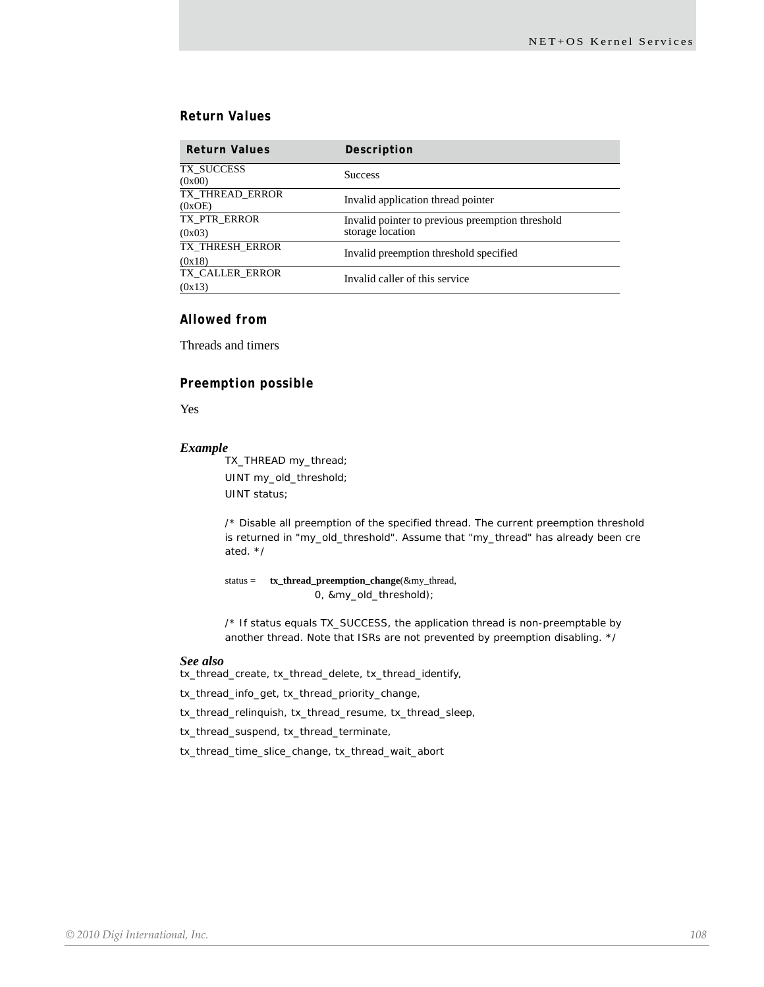## *Return Values*

| <b>Return Values</b>      | Description                                      |
|---------------------------|--------------------------------------------------|
| TX SUCCESS<br>(0x00)      | <b>Success</b>                                   |
| TX_THREAD_ERROR<br>(0xOE) | Invalid application thread pointer               |
| TX PTR_ERROR              | Invalid pointer to previous preemption threshold |
| (0x03)                    | storage location                                 |
| TX THRESH ERROR           | Invalid preemption threshold specified           |
| (0x18)                    |                                                  |
| TX CALLER ERROR           | Invalid caller of this service                   |
| (0x13)                    |                                                  |

## *Allowed from*

Threads and timers

## *Preemption possible*

Yes

#### *Example*

TX\_THREAD my\_thread; UINT my\_old\_threshold; UINT status;

/\* Disable all preemption of the specified thread. The current preemption threshold is returned in "my\_old\_threshold". Assume that "my\_thread" has already been cre ated. \*/

status = **tx\_thread\_preemption\_change**(&my\_thread, 0, &my\_old\_threshold);

/\* If status equals TX\_SUCCESS, the application thread is non-preemptable by another thread. Note that ISRs are not prevented by preemption disabling. \*/

#### *See also*

tx\_thread\_create, tx\_thread\_delete, tx\_thread\_identify,

tx\_thread\_info\_get, tx\_thread\_priority\_change,

tx\_thread\_relinquish, tx\_thread\_resume, tx\_thread\_sleep,

tx\_thread\_suspend, tx\_thread\_terminate,

tx\_thread\_time\_slice\_change, tx\_thread\_wait\_abort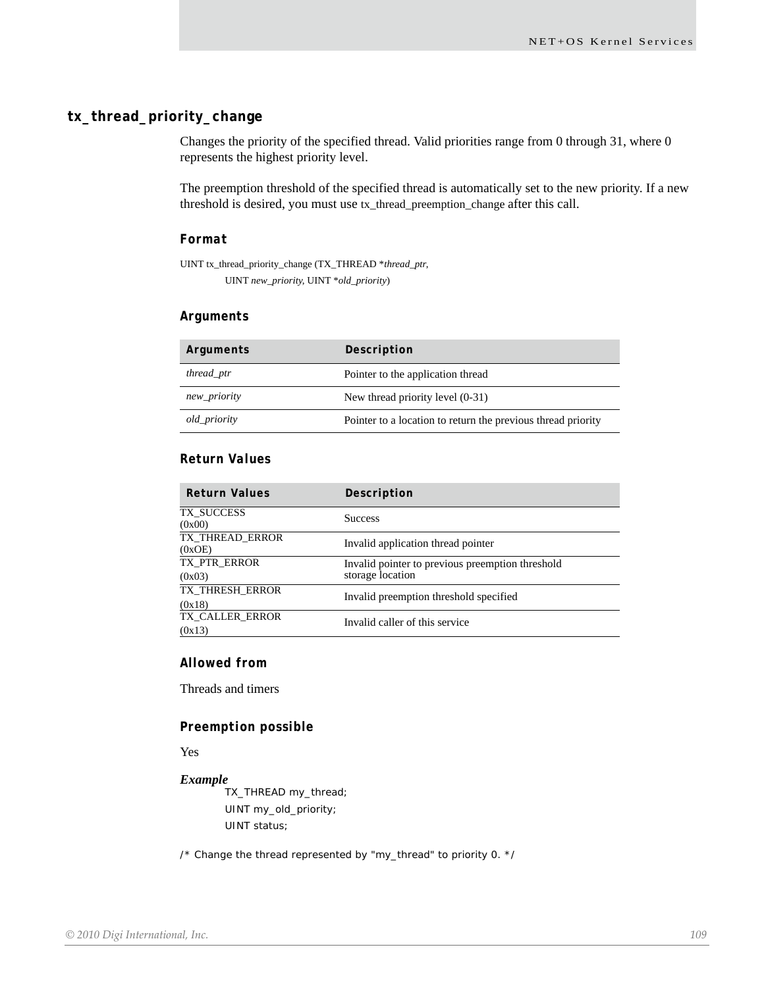# **tx\_thread\_priority\_change**

Changes the priority of the specified thread. Valid priorities range from 0 through 31, where 0 represents the highest priority level.

The preemption threshold of the specified thread is automatically set to the new priority. If a new threshold is desired, you must use tx\_thread\_preemption\_change after this call.

#### *Format*

UINT tx\_thread\_priority\_change (TX\_THREAD \**thread\_ptr*, UINT *new\_priority*, UINT \**old\_priority*)

#### *Arguments*

| Arguments    | Description                                                  |
|--------------|--------------------------------------------------------------|
| thread_ptr   | Pointer to the application thread                            |
| new_priority | New thread priority level (0-31)                             |
| old_priority | Pointer to a location to return the previous thread priority |

# *Return Values*

| <b>Return Values</b>      | Description                                                          |
|---------------------------|----------------------------------------------------------------------|
| TX SUCCESS<br>(0x00)      | <b>Success</b>                                                       |
| TX THREAD_ERROR<br>(0xOE) | Invalid application thread pointer                                   |
| TX_PTR_ERROR<br>(0x03)    | Invalid pointer to previous preemption threshold<br>storage location |
| TX THRESH ERROR<br>(0x18) | Invalid preemption threshold specified                               |
| TX CALLER ERROR<br>(0x13) | Invalid caller of this service                                       |

#### *Allowed from*

Threads and timers

#### *Preemption possible*

Yes

#### *Example*

TX\_THREAD my\_thread; UINT my\_old\_priority; UINT status;

/\* Change the thread represented by "my\_thread" to priority 0. \*/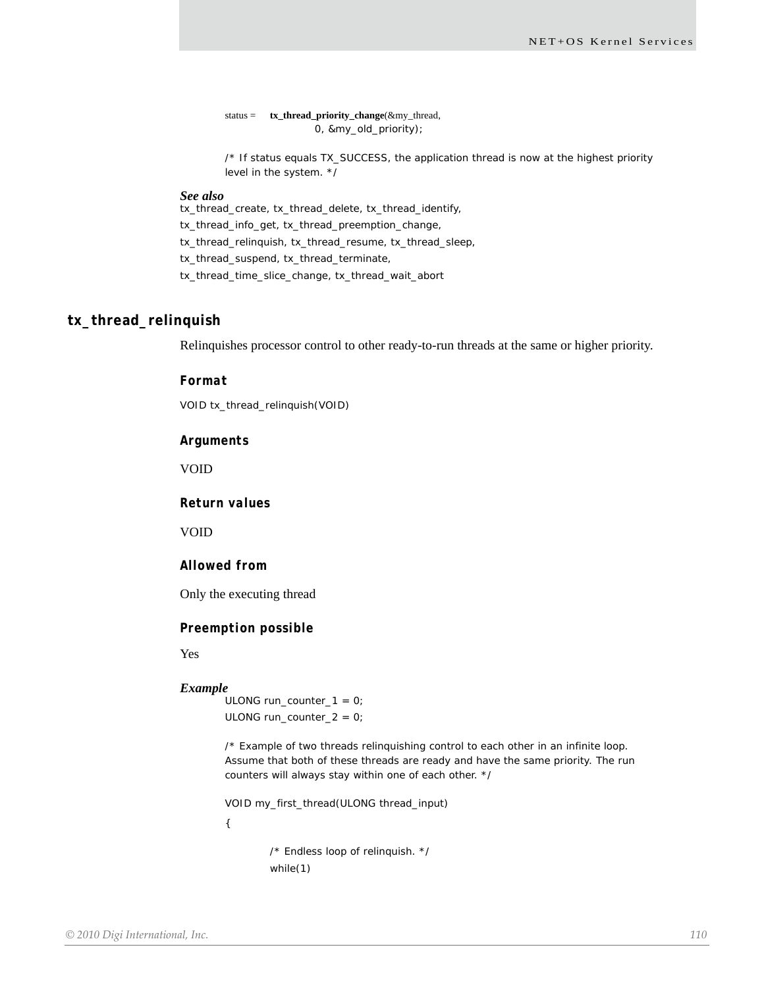status = **tx\_thread\_priority\_change**(&my\_thread, 0, &my\_old\_priority);

/\* If status equals TX\_SUCCESS, the application thread is now at the highest priority level in the system. \*/

#### *See also*

tx\_thread\_create, tx\_thread\_delete, tx\_thread\_identify,

tx\_thread\_info\_get, tx\_thread\_preemption\_change,

tx\_thread\_relinquish, tx\_thread\_resume, tx\_thread\_sleep,

tx\_thread\_suspend, tx\_thread\_terminate,

tx\_thread\_time\_slice\_change, tx\_thread\_wait\_abort

#### **tx\_thread\_relinquish**

Relinquishes processor control to other ready-to-run threads at the same or higher priority.

#### *Format*

VOID tx\_thread\_relinquish(VOID)

#### *Arguments*

VOID

*Return values*

VOID

#### *Allowed from*

Only the executing thread

#### *Preemption possible*

Yes

#### *Example*

ULONG run\_counter\_1 =  $0$ ; ULONG run\_counter\_2 = 0;

/\* Example of two threads relinquishing control to each other in an infinite loop. Assume that both of these threads are ready and have the same priority. The run counters will always stay within one of each other. \*/

VOID my\_first\_thread(ULONG thread\_input)

{

/\* Endless loop of relinquish. \*/ while(1)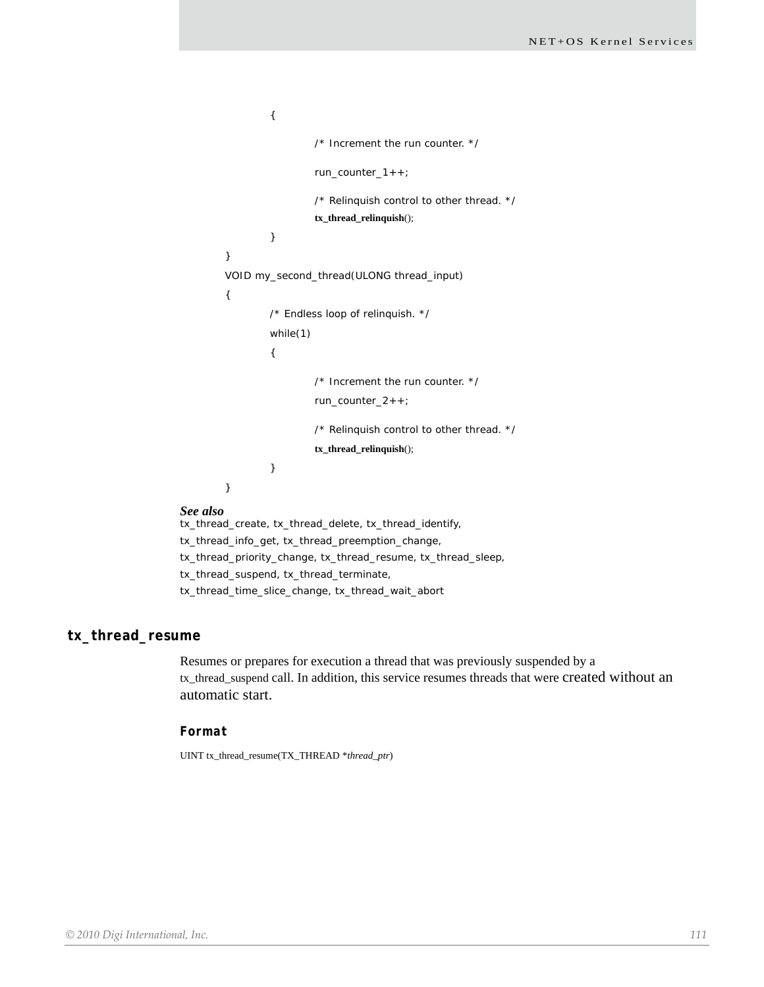```
{
                          /* Increment the run counter. */
                          run_counter_1++;
                          /* Relinquish control to other thread. */
                          tx_thread_relinquish();
                 }
        }
        VOID my_second_thread(ULONG thread_input)
        {
                 /* Endless loop of relinquish. */
                 while(1)
                 {
                          /* Increment the run counter. */
                          run_counter_2++;
                          /* Relinquish control to other thread. */
                          tx_thread_relinquish();
                 }
        }
tx_thread_create, tx_thread_delete, tx_thread_identify,
```
*See also*

tx\_thread\_info\_get, tx\_thread\_preemption\_change, tx\_thread\_priority\_change, tx\_thread\_resume, tx\_thread\_sleep, tx\_thread\_suspend, tx\_thread\_terminate, tx\_thread\_time\_slice\_change, tx\_thread\_wait\_abort

#### **tx\_thread\_resume**

Resumes or prepares for execution a thread that was previously suspended by a tx\_thread\_suspend call. In addition, this service resumes threads that were created without an automatic start.

#### *Format*

UINT tx\_thread\_resume(TX\_THREAD \**thread\_ptr*)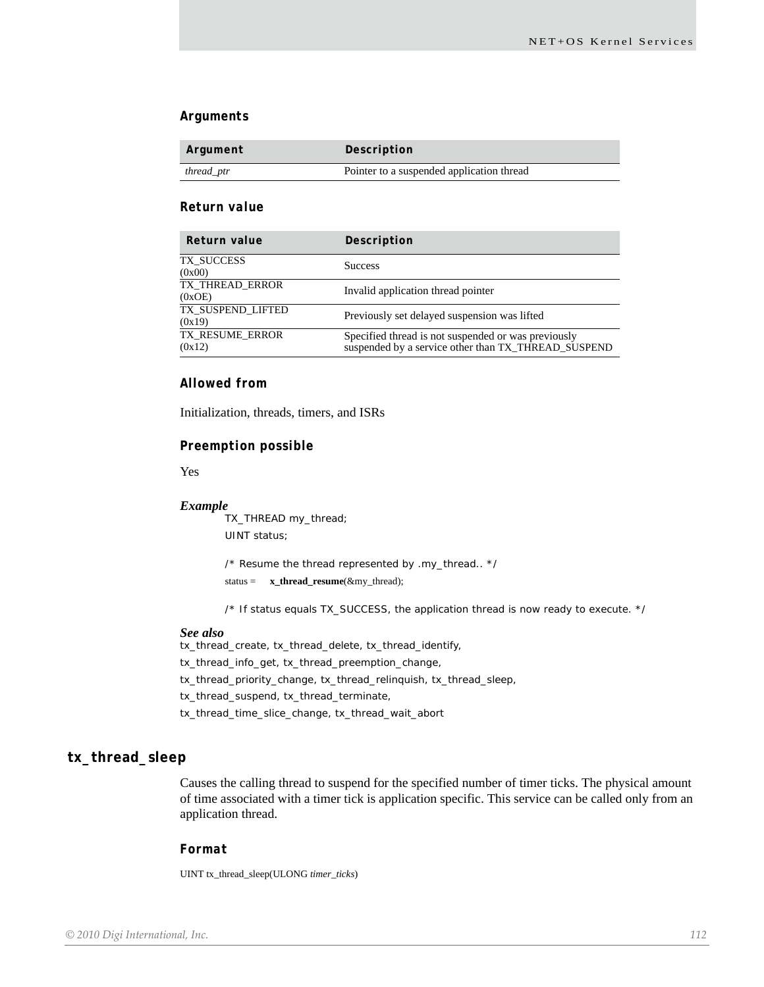#### *Arguments*

| Argument   | Description                               |
|------------|-------------------------------------------|
| thread_ptr | Pointer to a suspended application thread |

#### *Return value*

| Return value                | Description                                                                                                |
|-----------------------------|------------------------------------------------------------------------------------------------------------|
| TX SUCCESS<br>(0x00)        | <b>Success</b>                                                                                             |
| TX_THREAD_ERROR<br>(0xOE)   | Invalid application thread pointer                                                                         |
| TX SUSPEND LIFTED<br>(0x19) | Previously set delayed suspension was lifted                                                               |
| TX RESUME ERROR<br>(0x12)   | Specified thread is not suspended or was previously<br>suspended by a service other than TX_THREAD_SUSPEND |

#### *Allowed from*

Initialization, threads, timers, and ISRs

#### *Preemption possible*

Yes

#### *Example*

TX\_THREAD my\_thread; UINT status;

/\* Resume the thread represented by .my\_thread.. \*/

status = **x\_thread\_resume**(&my\_thread);

/\* If status equals TX\_SUCCESS, the application thread is now ready to execute. \*/

#### *See also*

tx\_thread\_create, tx\_thread\_delete, tx\_thread\_identify, tx\_thread\_info\_get, tx\_thread\_preemption\_change, tx\_thread\_priority\_change, tx\_thread\_relinquish, tx\_thread\_sleep, tx\_thread\_suspend, tx\_thread\_terminate, tx\_thread\_time\_slice\_change, tx\_thread\_wait\_abort

### **tx\_thread\_sleep**

Causes the calling thread to suspend for the specified number of timer ticks. The physical amount of time associated with a timer tick is application specific. This service can be called only from an application thread.

#### *Format*

UINT tx\_thread\_sleep(ULONG *timer\_ticks*)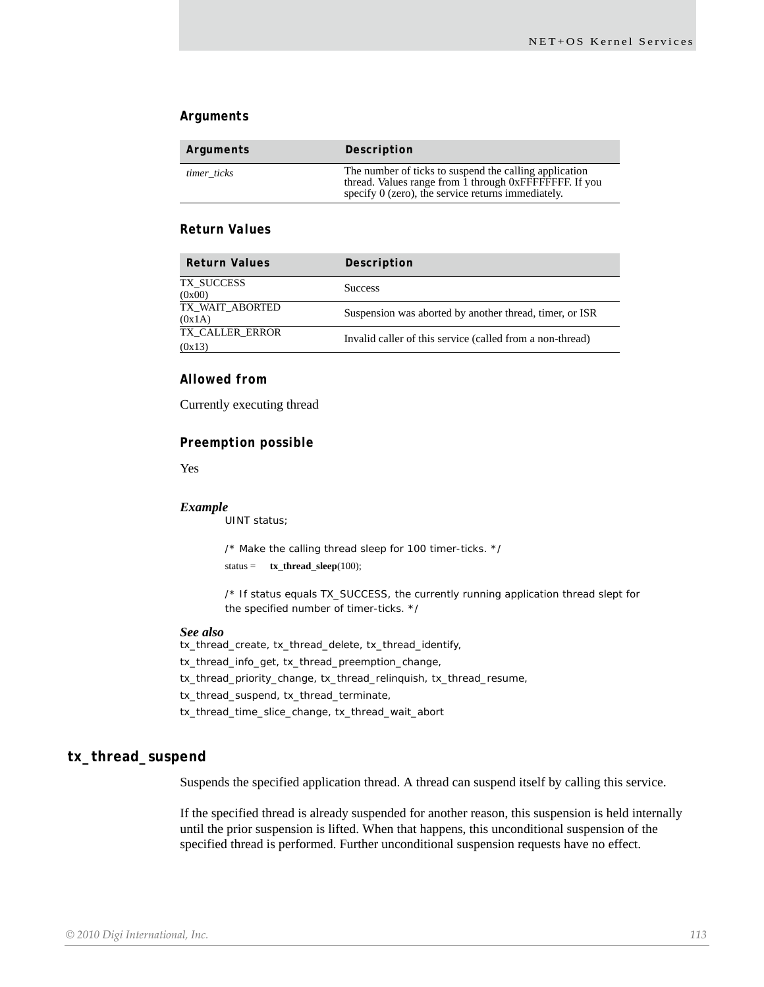#### *Arguments*

| Arguments   | Description                                                                                                                                                             |
|-------------|-------------------------------------------------------------------------------------------------------------------------------------------------------------------------|
| timer ticks | The number of ticks to suspend the calling application<br>thread. Values range from 1 through 0xFFFFFFFFF. If you<br>specify 0 (zero), the service returns immediately. |

#### *Return Values*

| <b>Return Values</b>      | Description                                               |
|---------------------------|-----------------------------------------------------------|
| TX SUCCESS<br>(0x00)      | <b>Success</b>                                            |
| TX WAIT ABORTED<br>(0x1A) | Suspension was aborted by another thread, timer, or ISR   |
| TX CALLER ERROR<br>(0x13) | Invalid caller of this service (called from a non-thread) |

#### *Allowed from*

Currently executing thread

#### *Preemption possible*

Yes

#### *Example*

UINT status;

/\* Make the calling thread sleep for 100 timer-ticks. \*/ status = **tx\_thread\_sleep**(100);

/\* If status equals TX\_SUCCESS, the currently running application thread slept for the specified number of timer-ticks. \*/

#### *See also*

tx\_thread\_create, tx\_thread\_delete, tx\_thread\_identify, tx\_thread\_info\_get, tx\_thread\_preemption\_change, tx\_thread\_priority\_change, tx\_thread\_relinquish, tx\_thread\_resume, tx\_thread\_suspend, tx\_thread\_terminate, tx\_thread\_time\_slice\_change, tx\_thread\_wait\_abort

#### **tx\_thread\_suspend**

Suspends the specified application thread. A thread can suspend itself by calling this service.

If the specified thread is already suspended for another reason, this suspension is held internally until the prior suspension is lifted. When that happens, this unconditional suspension of the specified thread is performed. Further unconditional suspension requests have no effect.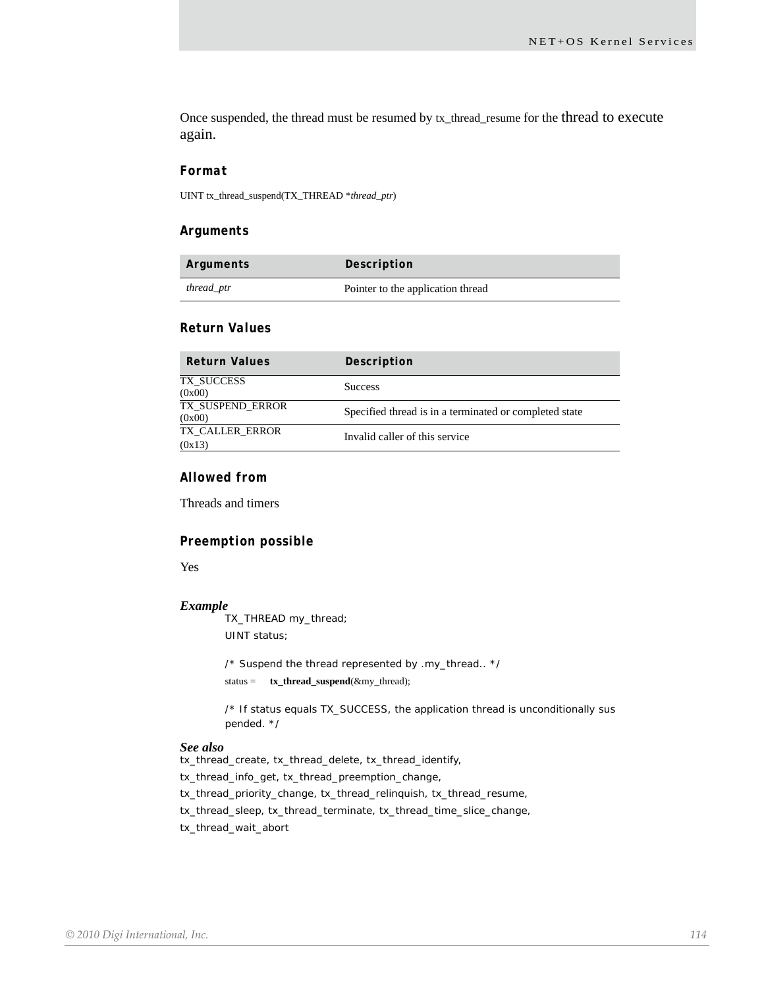Once suspended, the thread must be resumed by tx\_thread\_resume for the thread to execute again.

#### *Format*

UINT tx\_thread\_suspend(TX\_THREAD \**thread\_ptr*)

#### *Arguments*

| Arguments  | Description                       |
|------------|-----------------------------------|
| thread_ptr | Pointer to the application thread |

#### *Return Values*

| <b>Return Values</b>       | Description                                            |
|----------------------------|--------------------------------------------------------|
| TX SUCCESS<br>(0x00)       | <b>Success</b>                                         |
| TX SUSPEND ERROR<br>(0x00) | Specified thread is in a terminated or completed state |
| TX CALLER ERROR<br>(0x13)  | Invalid caller of this service                         |

#### *Allowed from*

Threads and timers

#### *Preemption possible*

Yes

#### *Example*

TX\_THREAD my\_thread; UINT status;

/\* Suspend the thread represented by .my\_thread.. \*/ status = **tx\_thread\_suspend**(&my\_thread);

/\* If status equals TX\_SUCCESS, the application thread is unconditionally sus pended. \*/

#### *See also*

tx\_thread\_create, tx\_thread\_delete, tx\_thread\_identify, tx\_thread\_info\_get, tx\_thread\_preemption\_change, tx\_thread\_priority\_change, tx\_thread\_relinquish, tx\_thread\_resume, tx\_thread\_sleep, tx\_thread\_terminate, tx\_thread\_time\_slice\_change, tx\_thread\_wait\_abort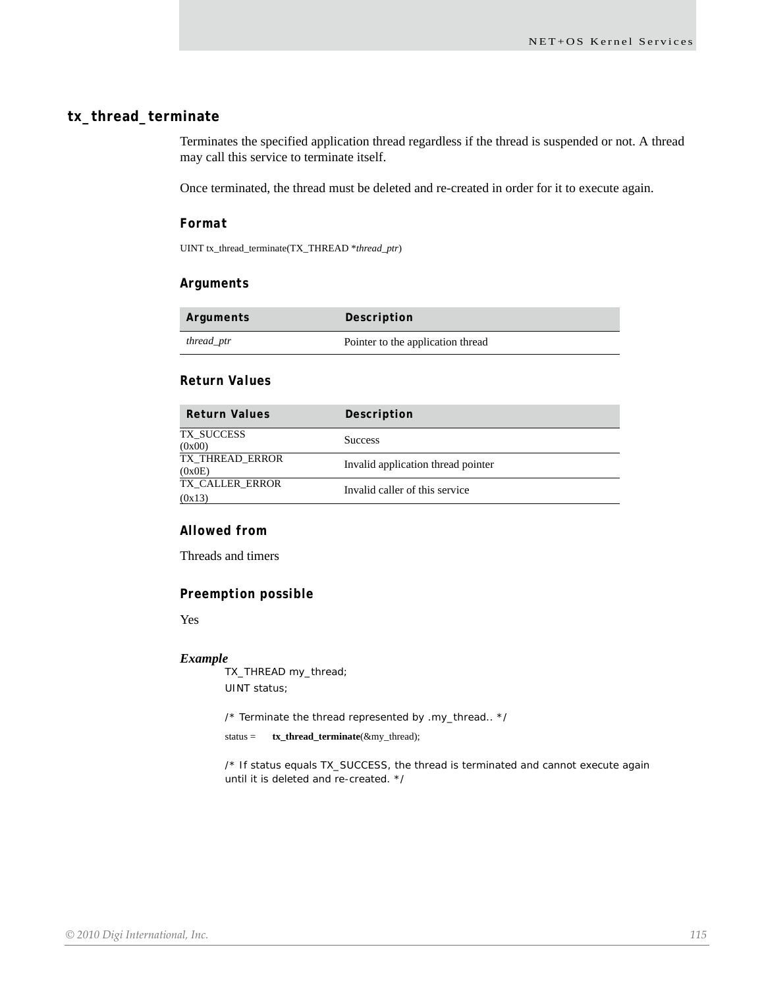### **tx\_thread\_terminate**

Terminates the specified application thread regardless if the thread is suspended or not. A thread may call this service to terminate itself.

Once terminated, the thread must be deleted and re-created in order for it to execute again.

#### *Format*

UINT tx\_thread\_terminate(TX\_THREAD \**thread\_ptr*)

#### *Arguments*

| Arguments  | Description                       |
|------------|-----------------------------------|
| thread_ptr | Pointer to the application thread |

### *Return Values*

| <b>Return Values</b>      | Description                        |
|---------------------------|------------------------------------|
| TX SUCCESS<br>(0x00)      | <b>Success</b>                     |
| TX THREAD ERROR<br>(0x0E) | Invalid application thread pointer |
| TX CALLER ERROR<br>(0x13) | Invalid caller of this service     |

#### *Allowed from*

Threads and timers

#### *Preemption possible*

Yes

#### *Example*

TX\_THREAD my\_thread; UINT status;

/\* Terminate the thread represented by .my\_thread.. \*/

status = **tx\_thread\_terminate**(&my\_thread);

/\* If status equals TX\_SUCCESS, the thread is terminated and cannot execute again until it is deleted and re-created. \*/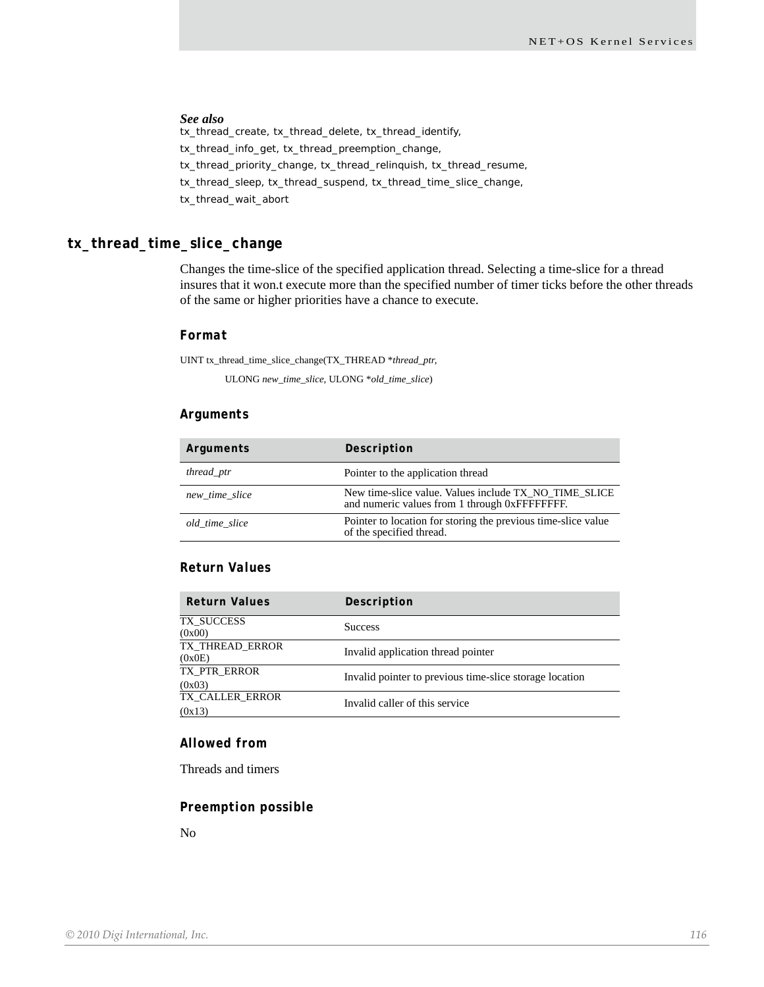#### *See also*

tx\_thread\_create, tx\_thread\_delete, tx\_thread\_identify, tx\_thread\_info\_get, tx\_thread\_preemption\_change, tx\_thread\_priority\_change, tx\_thread\_relinquish, tx\_thread\_resume, tx\_thread\_sleep, tx\_thread\_suspend, tx\_thread\_time\_slice\_change, tx\_thread\_wait\_abort

#### **tx\_thread\_time\_slice\_change**

Changes the time-slice of the specified application thread. Selecting a time-slice for a thread insures that it won.t execute more than the specified number of timer ticks before the other threads of the same or higher priorities have a chance to execute.

#### *Format*

UINT tx\_thread\_time\_slice\_change(TX\_THREAD \**thread\_ptr*,

ULONG *new\_time\_slice*, ULONG \**old\_time\_slice*)

#### *Arguments*

| Arguments      | Description                                                                                            |
|----------------|--------------------------------------------------------------------------------------------------------|
| thread_ptr     | Pointer to the application thread                                                                      |
| new time slice | New time-slice value. Values include TX NO TIME SLICE<br>and numeric values from 1 through 0xFFFFFFFF. |
| old time slice | Pointer to location for storing the previous time-slice value<br>of the specified thread.              |

#### *Return Values*

| <b>Return Values</b>             | Description                                             |
|----------------------------------|---------------------------------------------------------|
| TX SUCCESS<br>(0x00)             | <b>Success</b>                                          |
| <b>TX_THREAD_ERROR</b><br>(0x0E) | Invalid application thread pointer                      |
| TX PTR ERROR<br>(0x03)           | Invalid pointer to previous time-slice storage location |
| TX CALLER ERROR<br>(0x13)        | Invalid caller of this service                          |

#### *Allowed from*

Threads and timers

#### *Preemption possible*

No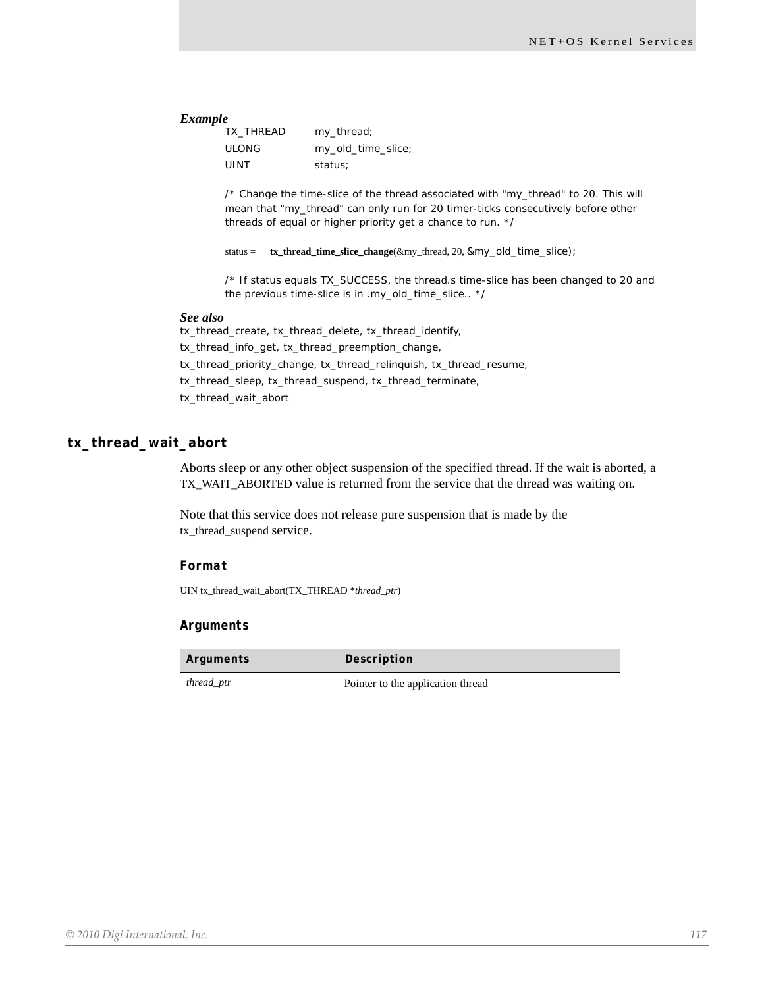#### *Example*

| TX THREAD    | my_thread;         |
|--------------|--------------------|
| <b>ULONG</b> | my_old_time_slice; |
| <b>UINT</b>  | status:            |

/\* Change the time-slice of the thread associated with "my\_thread" to 20. This will mean that "my\_thread" can only run for 20 timer-ticks consecutively before other threads of equal or higher priority get a chance to run. \*/

status = **tx\_thread\_time\_slice\_change**(&my\_thread, 20, &my\_old\_time\_slice);

/\* If status equals TX\_SUCCESS, the thread.s time-slice has been changed to 20 and the previous time-slice is in .my\_old\_time\_slice.. \*/

#### *See also*

tx\_thread\_create, tx\_thread\_delete, tx\_thread\_identify, tx\_thread\_info\_get, tx\_thread\_preemption\_change, tx\_thread\_priority\_change, tx\_thread\_relinquish, tx\_thread\_resume, tx\_thread\_sleep, tx\_thread\_suspend, tx\_thread\_terminate, tx\_thread\_wait\_abort

#### **tx\_thread\_wait\_abort**

Aborts sleep or any other object suspension of the specified thread. If the wait is aborted, a TX\_WAIT\_ABORTED value is returned from the service that the thread was waiting on.

Note that this service does not release pure suspension that is made by the tx\_thread\_suspend service.

#### *Format*

UIN tx\_thread\_wait\_abort(TX\_THREAD \**thread\_ptr*)

#### *Arguments*

| Arguments  | Description                       |
|------------|-----------------------------------|
| thread_ptr | Pointer to the application thread |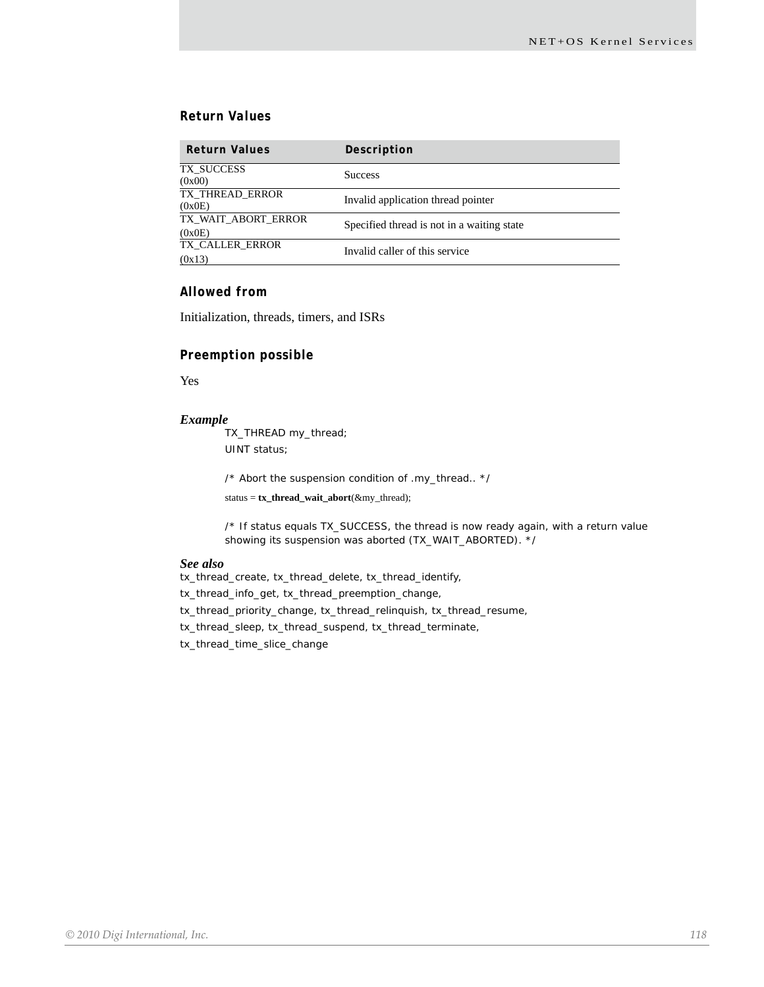#### *Return Values*

| <b>Return Values</b>          | Description                                |
|-------------------------------|--------------------------------------------|
| TX SUCCESS<br>(0x00)          | <b>Success</b>                             |
| TX THREAD ERROR<br>(0x0E)     | Invalid application thread pointer         |
| TX WAIT ABORT ERROR<br>(0x0E) | Specified thread is not in a waiting state |
| TX CALLER ERROR<br>(0x13)     | Invalid caller of this service             |

#### *Allowed from*

Initialization, threads, timers, and ISRs

#### *Preemption possible*

Yes

#### *Example*

TX\_THREAD my\_thread; UINT status;

/\* Abort the suspension condition of .my\_thread.. \*/

status = **tx\_thread\_wait\_abort**(&my\_thread);

/\* If status equals TX\_SUCCESS, the thread is now ready again, with a return value showing its suspension was aborted (TX\_WAIT\_ABORTED). \*/

#### *See also*

tx\_thread\_create, tx\_thread\_delete, tx\_thread\_identify, tx\_thread\_info\_get, tx\_thread\_preemption\_change, tx\_thread\_priority\_change, tx\_thread\_relinquish, tx\_thread\_resume, tx\_thread\_sleep, tx\_thread\_suspend, tx\_thread\_terminate, tx\_thread\_time\_slice\_change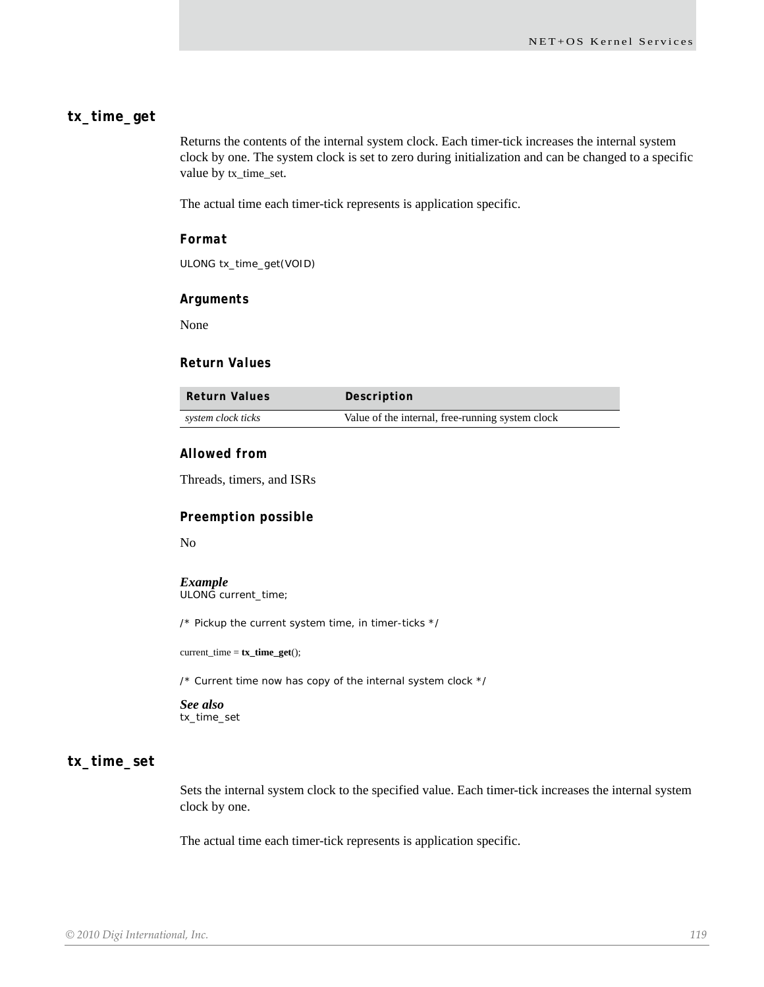#### **tx\_time\_get**

Returns the contents of the internal system clock. Each timer-tick increases the internal system clock by one. The system clock is set to zero during initialization and can be changed to a specific value by tx\_time\_set.

The actual time each timer-tick represents is application specific.

#### *Format*

ULONG tx\_time\_get(VOID)

#### *Arguments*

None

#### *Return Values*

| Return Values      | Description                                      |
|--------------------|--------------------------------------------------|
| system clock ticks | Value of the internal, free-running system clock |

#### *Allowed from*

Threads, timers, and ISRs

#### *Preemption possible*

No

#### *Example*

ULONG current\_time;

/\* Pickup the current system time, in timer-ticks \*/

current\_time = **tx\_time\_get**();

/\* Current time now has copy of the internal system clock \*/

#### *See also* tx\_time\_set

# **tx\_time\_set**

Sets the internal system clock to the specified value. Each timer-tick increases the internal system clock by one.

The actual time each timer-tick represents is application specific.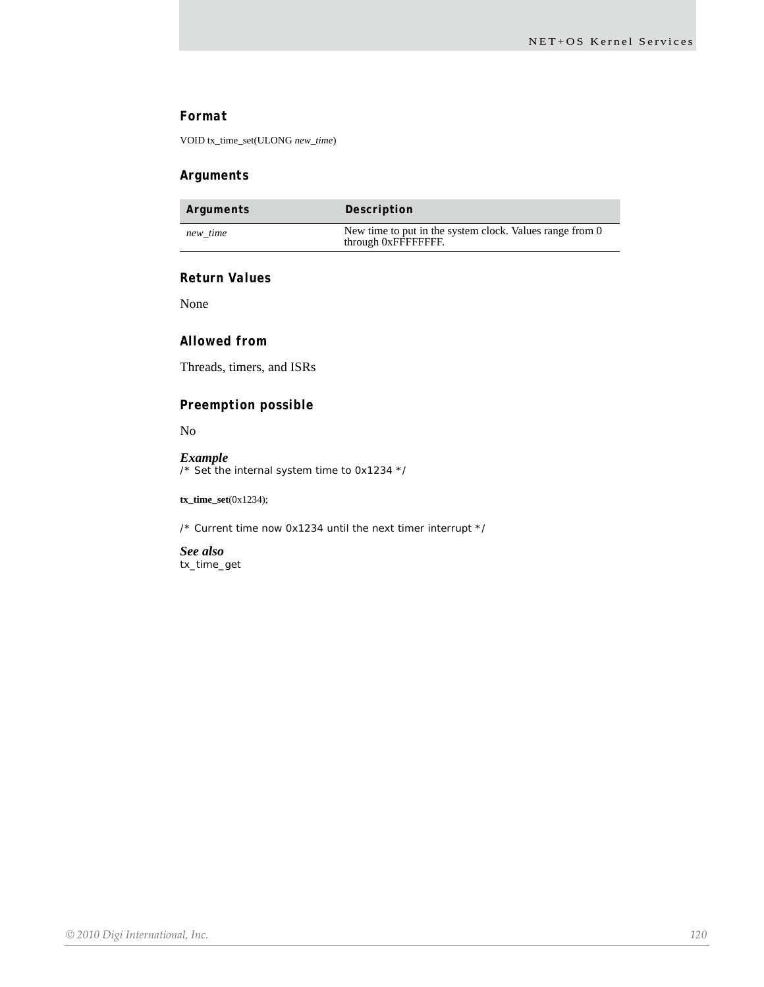#### *Format*

VOID tx\_time\_set(ULONG *new\_time*)

#### *Arguments*

| Arguments | Description                                                                     |
|-----------|---------------------------------------------------------------------------------|
| new time  | New time to put in the system clock. Values range from 0<br>through 0xFFFFFFFF. |

#### *Return Values*

None

#### *Allowed from*

Threads, timers, and ISRs

#### *Preemption possible*

No

#### *Example* /\* Set the internal system time to 0x1234 \*/

**tx\_time\_set**(0x1234);

/\* Current time now 0x1234 until the next timer interrupt \*/

*See also* tx\_time\_get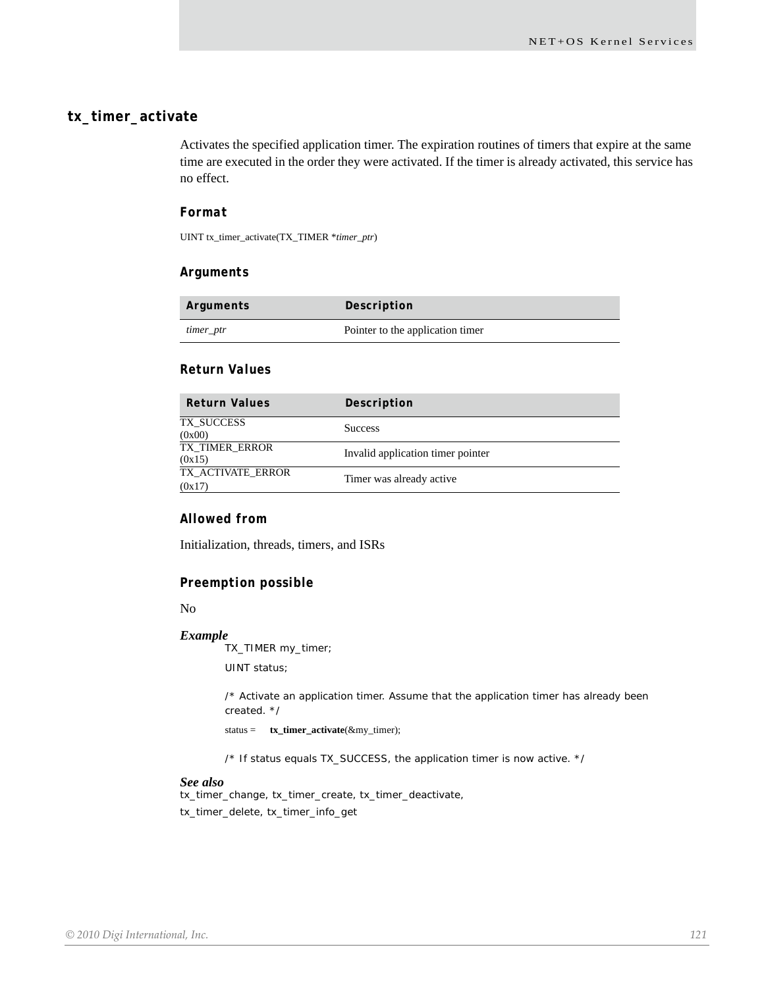### **tx\_timer\_activate**

Activates the specified application timer. The expiration routines of timers that expire at the same time are executed in the order they were activated. If the timer is already activated, this service has no effect.

#### *Format*

UINT tx\_timer\_activate(TX\_TIMER \**timer\_ptr*)

#### *Arguments*

| Arguments | Description                      |
|-----------|----------------------------------|
| timer_ptr | Pointer to the application timer |

#### *Return Values*

| <b>Return Values</b>        | Description                       |
|-----------------------------|-----------------------------------|
| TX SUCCESS<br>(0x00)        | <b>Success</b>                    |
| TX TIMER ERROR<br>(0x15)    | Invalid application timer pointer |
| TX ACTIVATE ERROR<br>(0x17) | Timer was already active          |

#### *Allowed from*

Initialization, threads, timers, and ISRs

#### *Preemption possible*

No

#### *Example*

TX\_TIMER my\_timer;

UINT status;

/\* Activate an application timer. Assume that the application timer has already been created. \*/

status = **tx\_timer\_activate**(&my\_timer);

/\* If status equals TX\_SUCCESS, the application timer is now active. \*/

#### *See also*

tx\_timer\_change, tx\_timer\_create, tx\_timer\_deactivate, tx\_timer\_delete, tx\_timer\_info\_get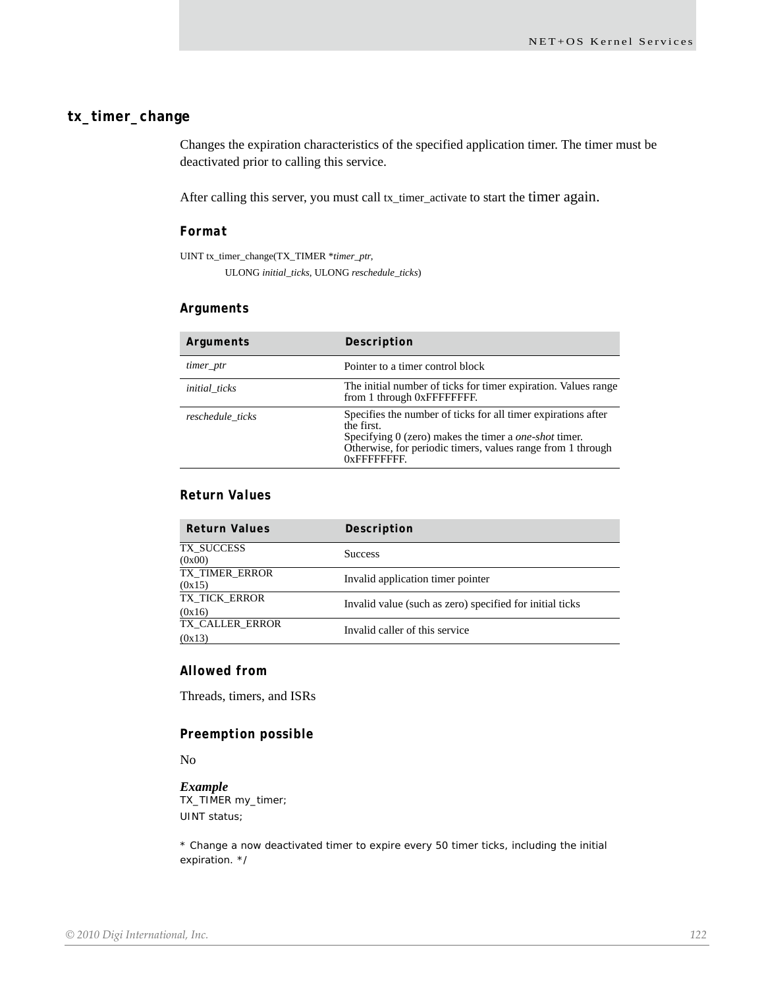# **tx\_timer\_change**

Changes the expiration characteristics of the specified application timer. The timer must be deactivated prior to calling this service.

After calling this server, you must call tx\_timer\_activate to start the timer again.

#### *Format*

UINT tx\_timer\_change(TX\_TIMER \**timer\_ptr*,

ULONG *initial\_ticks*, ULONG *reschedule\_ticks*)

#### *Arguments*

| Arguments            | Description                                                                                                                                                                                                                   |
|----------------------|-------------------------------------------------------------------------------------------------------------------------------------------------------------------------------------------------------------------------------|
| timer_ptr            | Pointer to a timer control block                                                                                                                                                                                              |
| <i>initial</i> ticks | The initial number of ticks for timer expiration. Values range<br>from 1 through 0xFFFFFFFF.                                                                                                                                  |
| reschedule ticks     | Specifies the number of ticks for all timer expirations after<br>the first.<br>Specifying 0 (zero) makes the timer a <i>one-shot</i> timer.<br>Otherwise, for periodic timers, values range from 1 through<br>$0x$ FFFFFFFFF. |

### *Return Values*

| <b>Return Values</b>      | Description                                              |
|---------------------------|----------------------------------------------------------|
| TX SUCCESS<br>(0x00)      | <b>Success</b>                                           |
| TX TIMER ERROR<br>(0x15)  | Invalid application timer pointer                        |
| TX TICK ERROR<br>(0x16)   | Invalid value (such as zero) specified for initial ticks |
| TX CALLER ERROR<br>(0x13) | Invalid caller of this service                           |

#### *Allowed from*

Threads, timers, and ISRs

#### *Preemption possible*

No

#### *Example*

TX\_TIMER my\_timer; UINT status;

\* Change a now deactivated timer to expire every 50 timer ticks, including the initial expiration. \*/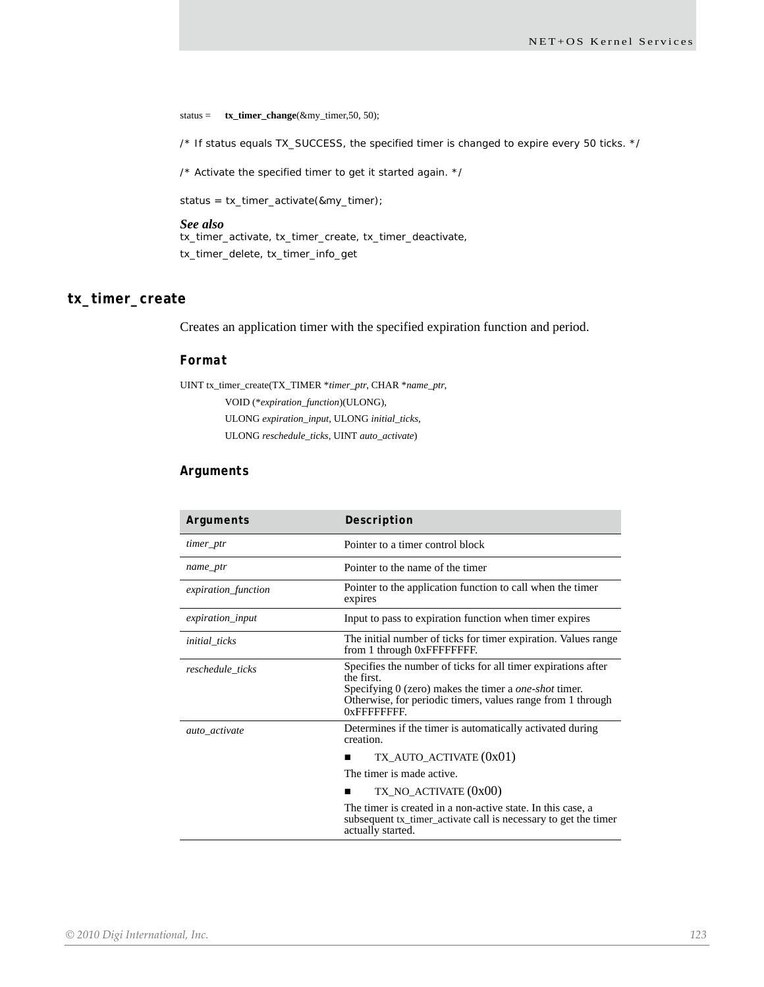status = **tx\_timer\_change**(&my\_timer,50, 50);

/\* If status equals TX\_SUCCESS, the specified timer is changed to expire every 50 ticks. \*/

/\* Activate the specified timer to get it started again. \*/

status = tx\_timer\_activate(&my\_timer);

#### *See also*

tx\_timer\_activate, tx\_timer\_create, tx\_timer\_deactivate, tx\_timer\_delete, tx\_timer\_info\_get

#### **tx\_timer\_create**

Creates an application timer with the specified expiration function and period.

#### *Format*

UINT tx\_timer\_create(TX\_TIMER \**timer\_ptr*, CHAR \**name\_ptr*, VOID (\**expiration\_function*)(ULONG), ULONG *expiration\_input*, ULONG *initial\_ticks*, ULONG *reschedule\_ticks*, UINT *auto\_activate*)

#### *Arguments*

| Arguments            | Description                                                                                                                                                                                                                  |
|----------------------|------------------------------------------------------------------------------------------------------------------------------------------------------------------------------------------------------------------------------|
| timer_ptr            | Pointer to a timer control block                                                                                                                                                                                             |
| name_ptr             | Pointer to the name of the timer                                                                                                                                                                                             |
| expiration_function  | Pointer to the application function to call when the timer<br>expires                                                                                                                                                        |
| expiration_input     | Input to pass to expiration function when timer expires                                                                                                                                                                      |
| <i>initial_ticks</i> | The initial number of ticks for timer expiration. Values range<br>from 1 through 0xFFFFFFFF.                                                                                                                                 |
| reschedule_ticks     | Specifies the number of ticks for all timer expirations after<br>the first.<br>Specifying 0 (zero) makes the timer a <i>one-shot</i> timer.<br>Otherwise, for periodic timers, values range from 1 through<br>$0x$ FFFFFFFFF |
| auto activate        | Determines if the timer is automatically activated during<br>creation.                                                                                                                                                       |
|                      | TX_AUTO_ACTIVATE (0x01)                                                                                                                                                                                                      |
|                      | The timer is made active.                                                                                                                                                                                                    |
|                      | $TX_NO_ACTIVATE (0x00)$                                                                                                                                                                                                      |
|                      | The timer is created in a non-active state. In this case, a<br>subsequent tx_timer_activate call is necessary to get the timer<br>actually started.                                                                          |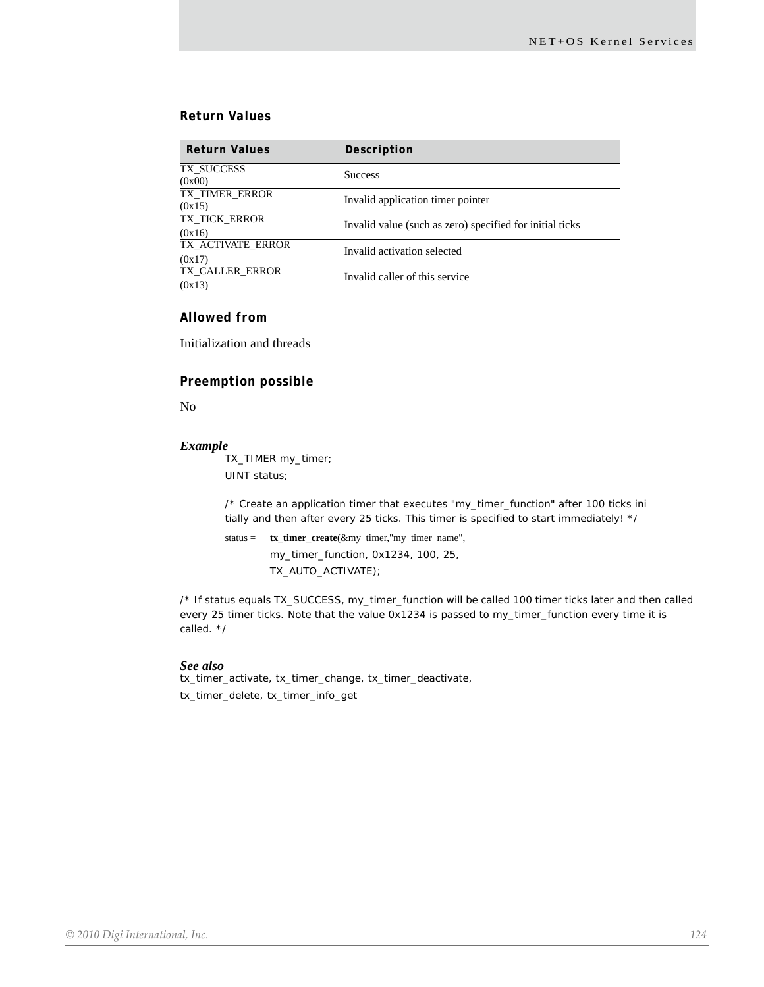#### *Return Values*

| <b>Return Values</b>        | Description                                              |
|-----------------------------|----------------------------------------------------------|
| TX SUCCESS<br>(0x00)        | <b>Success</b>                                           |
| TX TIMER ERROR<br>(0x15)    | Invalid application timer pointer                        |
| TX TICK ERROR<br>(0x16)     | Invalid value (such as zero) specified for initial ticks |
| TX ACTIVATE ERROR<br>(0x17) | Invalid activation selected                              |
| TX CALLER ERROR<br>(0x13)   | Invalid caller of this service                           |

#### *Allowed from*

Initialization and threads

#### *Preemption possible*

No

#### *Example*

TX\_TIMER my\_timer; UINT status;

/\* Create an application timer that executes "my\_timer\_function" after 100 ticks ini tially and then after every 25 ticks. This timer is specified to start immediately! \*/

```
status = tx_timer_create(&my_timer,"my_timer_name", 
        my_timer_function, 0x1234, 100, 25,
        TX_AUTO_ACTIVATE);
```
/\* If status equals TX\_SUCCESS, my\_timer\_function will be called 100 timer ticks later and then called every 25 timer ticks. Note that the value 0x1234 is passed to my\_timer\_function every time it is called. \*/

#### *See also*

tx\_timer\_activate, tx\_timer\_change, tx\_timer\_deactivate, tx\_timer\_delete, tx\_timer\_info\_get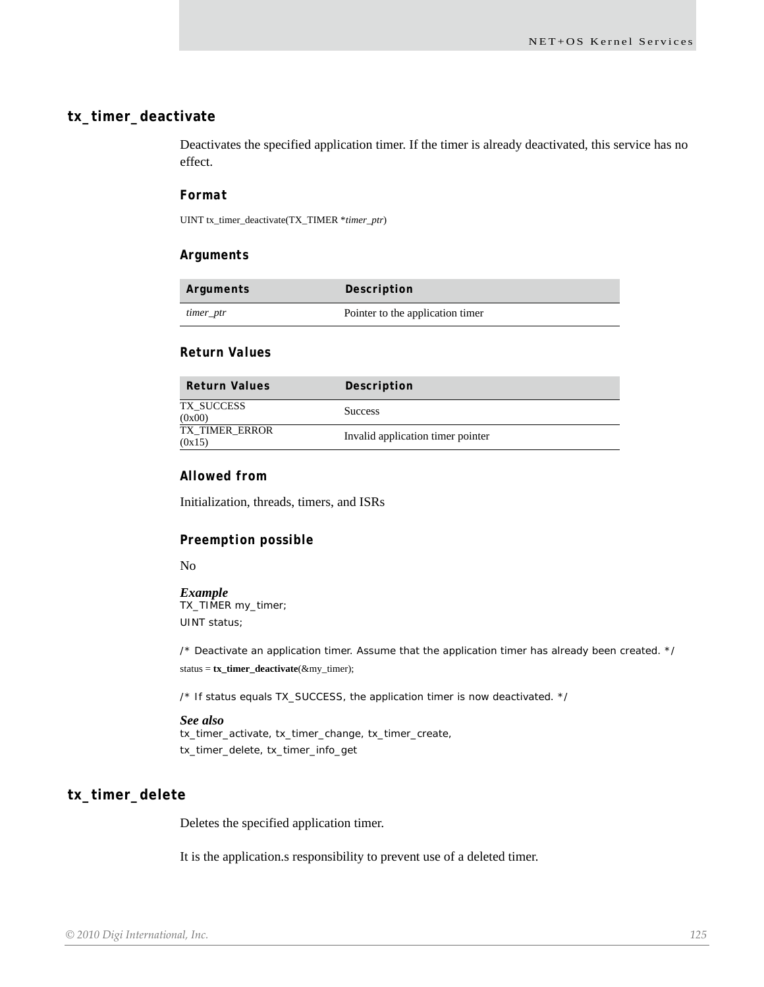#### **tx\_timer\_deactivate**

Deactivates the specified application timer. If the timer is already deactivated, this service has no effect.

#### *Format*

UINT tx\_timer\_deactivate(TX\_TIMER \**timer\_ptr*)

#### *Arguments*

| Arguments | Description                      |
|-----------|----------------------------------|
| timer_ptr | Pointer to the application timer |

#### *Return Values*

| <b>Return Values</b>     | Description                       |
|--------------------------|-----------------------------------|
| TX SUCCESS<br>(0x00)     | <b>Success</b>                    |
| TX TIMER ERROR<br>(0x15) | Invalid application timer pointer |

#### *Allowed from*

Initialization, threads, timers, and ISRs

#### *Preemption possible*

No

#### *Example*

TX\_TIMER my\_timer; UINT status;

/\* Deactivate an application timer. Assume that the application timer has already been created. \*/ status = **tx\_timer\_deactivate**(&my\_timer);

/\* If status equals TX\_SUCCESS, the application timer is now deactivated. \*/

#### *See also*

tx\_timer\_activate, tx\_timer\_change, tx\_timer\_create, tx\_timer\_delete, tx\_timer\_info\_get

# **tx\_timer\_delete**

Deletes the specified application timer.

It is the application.s responsibility to prevent use of a deleted timer.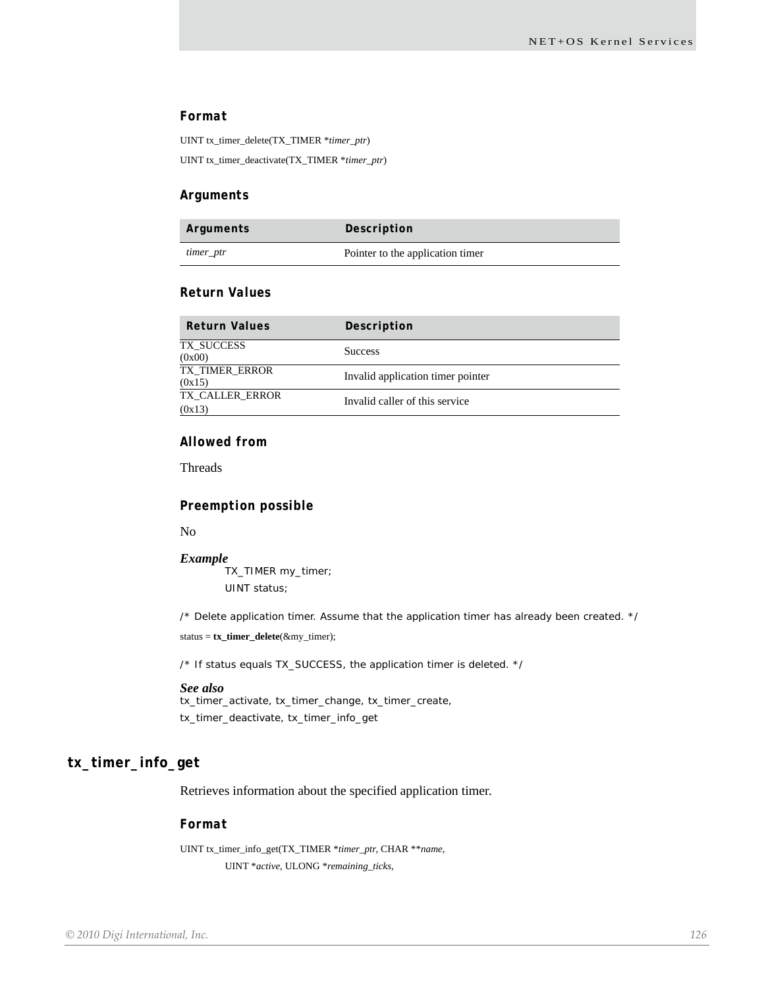#### *Format*

UINT tx\_timer\_delete(TX\_TIMER \**timer\_ptr*) UINT tx\_timer\_deactivate(TX\_TIMER \**timer\_ptr*)

#### *Arguments*

| Arguments | Description                      |
|-----------|----------------------------------|
| timer_ptr | Pointer to the application timer |

#### *Return Values*

| <b>Return Values</b>      | Description                       |
|---------------------------|-----------------------------------|
| TX SUCCESS<br>(0x00)      | <b>Success</b>                    |
| TX TIMER ERROR<br>(0x15)  | Invalid application timer pointer |
| TX CALLER ERROR<br>(0x13) | Invalid caller of this service    |

#### *Allowed from*

Threads

#### *Preemption possible*

No

*Example* TX\_TIMER my\_timer; UINT status;

/\* Delete application timer. Assume that the application timer has already been created. \*/ status = **tx\_timer\_delete**(&my\_timer);

/\* If status equals TX\_SUCCESS, the application timer is deleted. \*/

#### *See also*

tx\_timer\_activate, tx\_timer\_change, tx\_timer\_create, tx\_timer\_deactivate, tx\_timer\_info\_get

# **tx\_timer\_info\_get**

Retrieves information about the specified application timer.

#### *Format*

UINT tx\_timer\_info\_get(TX\_TIMER \**timer\_ptr*, CHAR \*\**name*, UINT \**active*, ULONG \**remaining\_ticks*,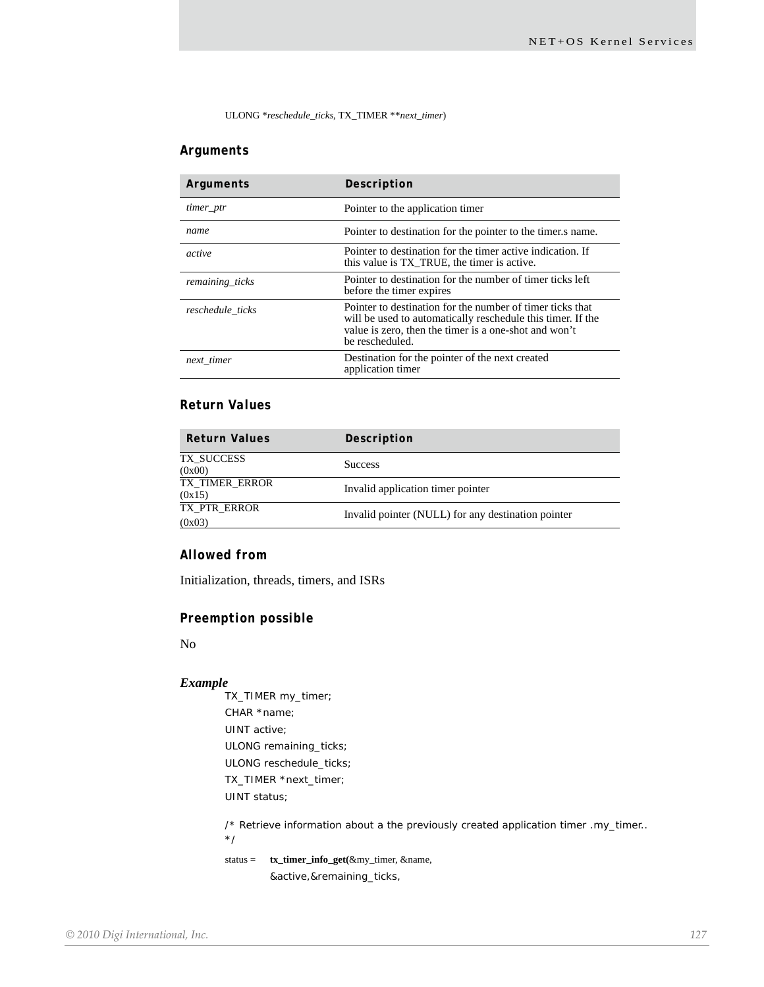ULONG \**reschedule\_ticks*, TX\_TIMER \*\**next\_timer*)

#### *Arguments*

| Arguments        | Description                                                                                                                                                                                          |
|------------------|------------------------------------------------------------------------------------------------------------------------------------------------------------------------------------------------------|
| timer_ptr        | Pointer to the application timer                                                                                                                                                                     |
| name             | Pointer to destination for the pointer to the timer s name.                                                                                                                                          |
| active           | Pointer to destination for the timer active indication. If<br>this value is TX_TRUE, the timer is active.                                                                                            |
| remaining_ticks  | Pointer to destination for the number of timer ticks left<br>before the timer expires                                                                                                                |
| reschedule ticks | Pointer to destination for the number of timer ticks that<br>will be used to automatically reschedule this timer. If the<br>value is zero, then the timer is a one-shot and won't<br>be rescheduled. |
| next timer       | Destination for the pointer of the next created<br>application timer                                                                                                                                 |

# *Return Values*

| <b>Return Values</b>     | Description                                        |
|--------------------------|----------------------------------------------------|
| TX SUCCESS<br>(0x00)     | <b>Success</b>                                     |
| TX TIMER ERROR<br>(0x15) | Invalid application timer pointer                  |
| TX PTR ERROR<br>(0x03)   | Invalid pointer (NULL) for any destination pointer |

#### *Allowed from*

Initialization, threads, timers, and ISRs

#### *Preemption possible*

No

#### *Example*

TX\_TIMER my\_timer; CHAR \*name; UINT active; ULONG remaining\_ticks; ULONG reschedule\_ticks; TX\_TIMER \*next\_timer; UINT status;

/\* Retrieve information about a the previously created application timer .my\_timer..

\*/

status = **tx\_timer\_info\_get(**&my\_timer, &name,

&active,&remaining\_ticks,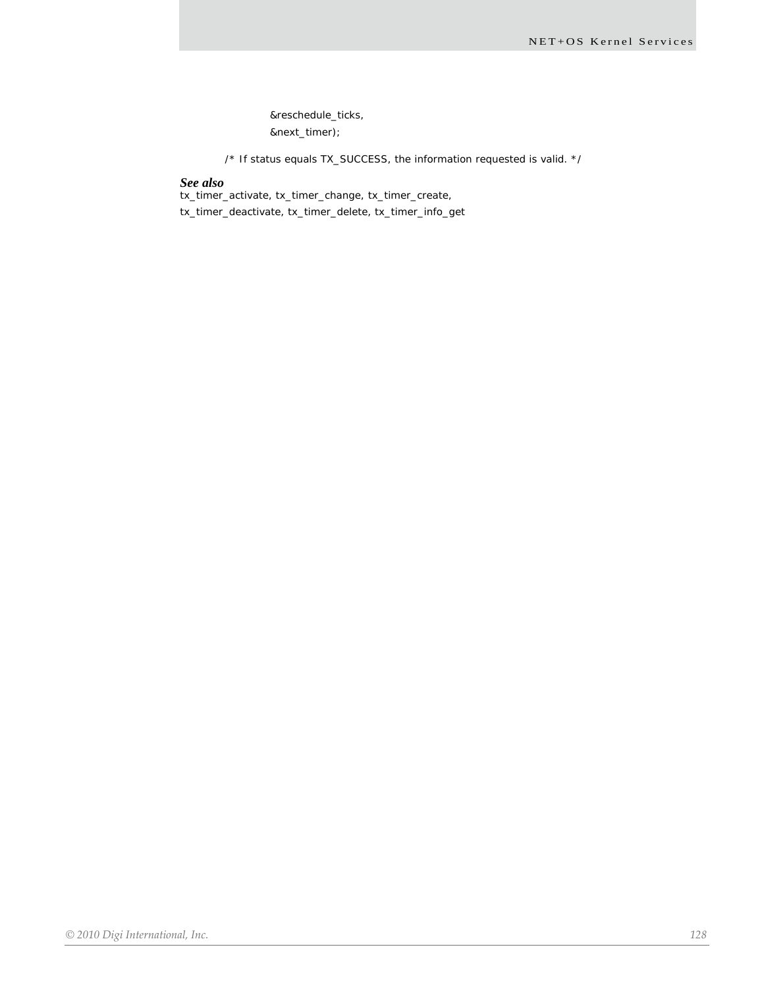&reschedule\_ticks, &next\_timer);

/\* If status equals TX\_SUCCESS, the information requested is valid. \*/

#### *See also*

tx\_timer\_activate, tx\_timer\_change, tx\_timer\_create,

tx\_timer\_deactivate, tx\_timer\_delete, tx\_timer\_info\_get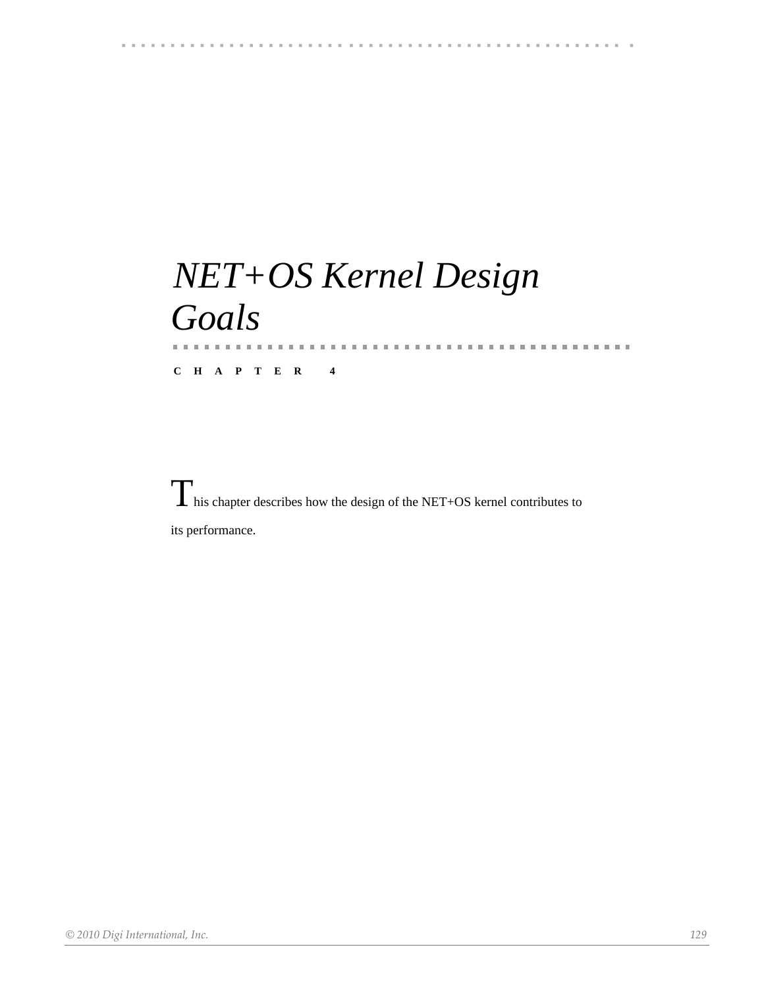# 

# *NET+OS Kernel Design Goals* a.<br>H

**CHAPTER 4**

This chapter describes how the design of the NET+OS kernel contributes to its performance.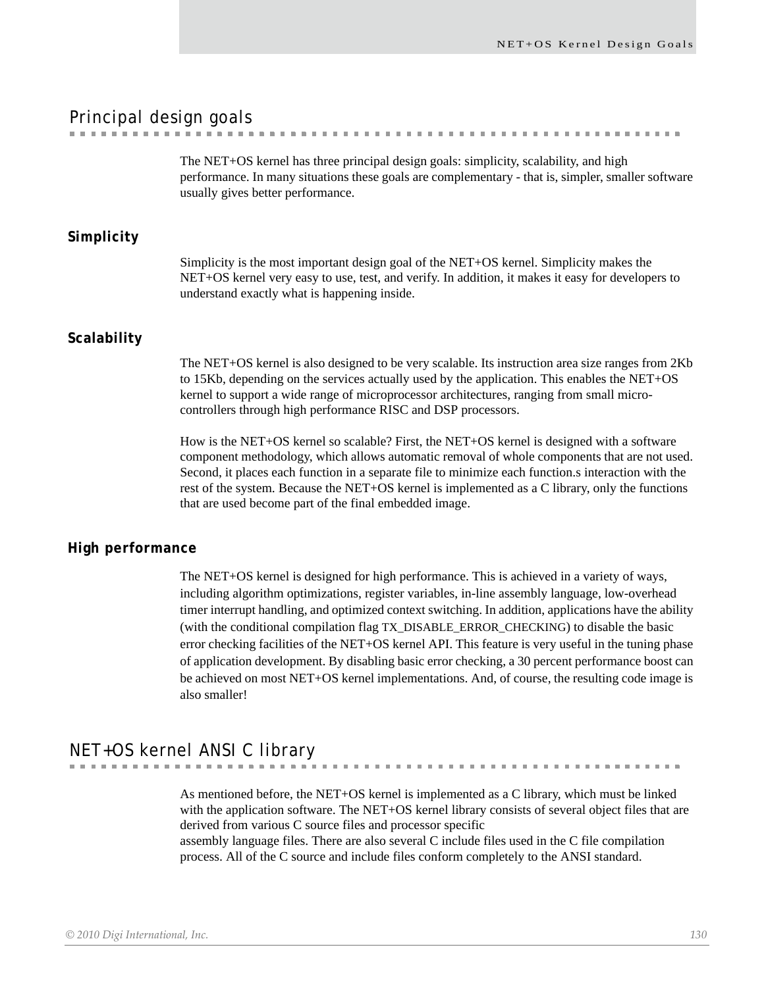. . . . . . . . . . . . .

# Principal design goals

The NET+OS kernel has three principal design goals: simplicity, scalability, and high performance. In many situations these goals are complementary - that is, simpler, smaller software usually gives better performance.

. . . . . . . . . . . . . . . . .

#### **Simplicity**

Simplicity is the most important design goal of the NET+OS kernel. Simplicity makes the NET+OS kernel very easy to use, test, and verify. In addition, it makes it easy for developers to understand exactly what is happening inside.

#### **Scalability**

The NET+OS kernel is also designed to be very scalable. Its instruction area size ranges from 2Kb to 15Kb, depending on the services actually used by the application. This enables the NET+OS kernel to support a wide range of microprocessor architectures, ranging from small microcontrollers through high performance RISC and DSP processors.

How is the NET+OS kernel so scalable? First, the NET+OS kernel is designed with a software component methodology, which allows automatic removal of whole components that are not used. Second, it places each function in a separate file to minimize each function.s interaction with the rest of the system. Because the NET+OS kernel is implemented as a C library, only the functions that are used become part of the final embedded image.

#### **High performance**

The NET+OS kernel is designed for high performance. This is achieved in a variety of ways, including algorithm optimizations, register variables, in-line assembly language, low-overhead timer interrupt handling, and optimized context switching. In addition, applications have the ability (with the conditional compilation flag TX\_DISABLE\_ERROR\_CHECKING) to disable the basic error checking facilities of the NET+OS kernel API. This feature is very useful in the tuning phase of application development. By disabling basic error checking, a 30 percent performance boost can be achieved on most NET+OS kernel implementations. And, of course, the resulting code image is also smaller!

# NET+OS kernel ANSI C library

As mentioned before, the NET+OS kernel is implemented as a C library, which must be linked with the application software. The NET+OS kernel library consists of several object files that are derived from various C source files and processor specific assembly language files. There are also several C include files used in the C file compilation

process. All of the C source and include files conform completely to the ANSI standard.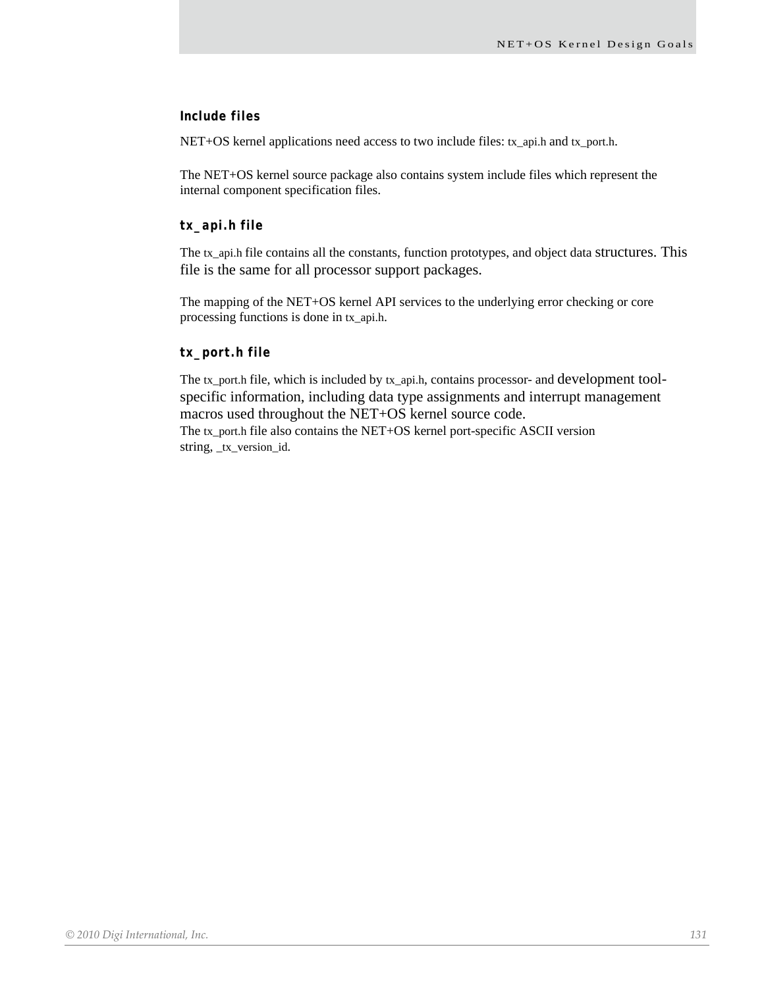#### *Include files*

NET+OS kernel applications need access to two include files: tx\_api.h and tx\_port.h.

The NET+OS kernel source package also contains system include files which represent the internal component specification files.

#### *tx\_api.h file*

The tx\_api.h file contains all the constants, function prototypes, and object data structures. This file is the same for all processor support packages.

The mapping of the NET+OS kernel API services to the underlying error checking or core processing functions is done in tx\_api.h.

#### *tx\_port.h file*

The tx\_port.h file, which is included by tx\_api.h, contains processor- and development toolspecific information, including data type assignments and interrupt management macros used throughout the NET+OS kernel source code. The tx\_port.h file also contains the NET+OS kernel port-specific ASCII version string, \_tx\_version\_id.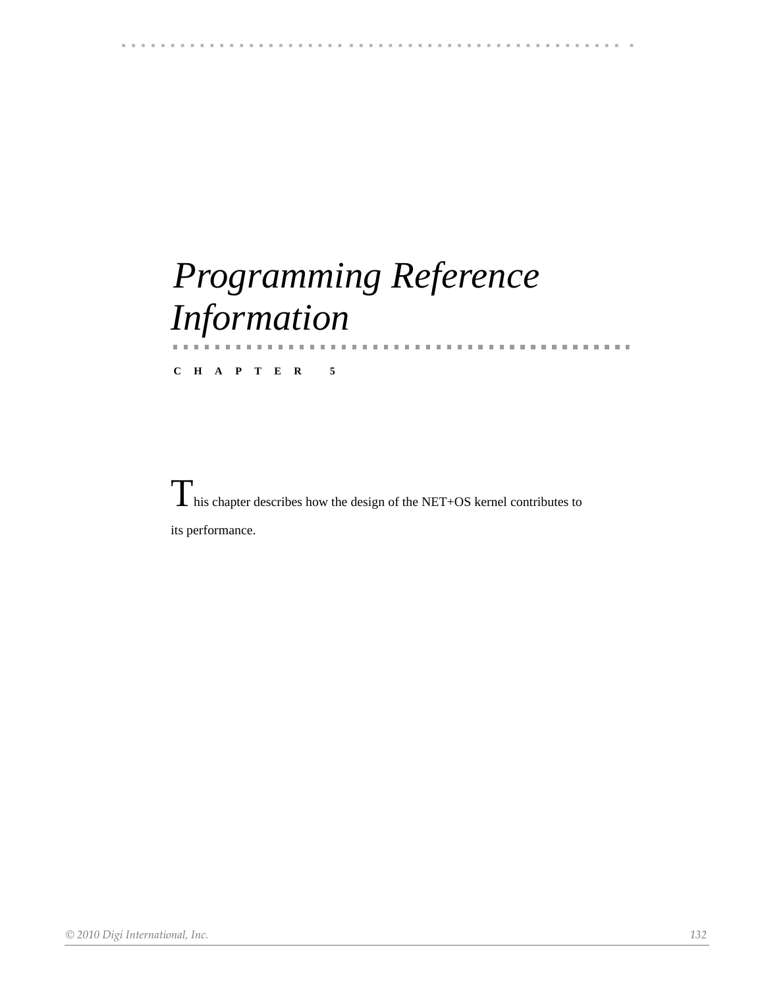### 

# *Programming Reference Information*

**CHAPTER 5**

 $\prod$  his chapter describes how the design of the NET+OS kernel contributes to its performance.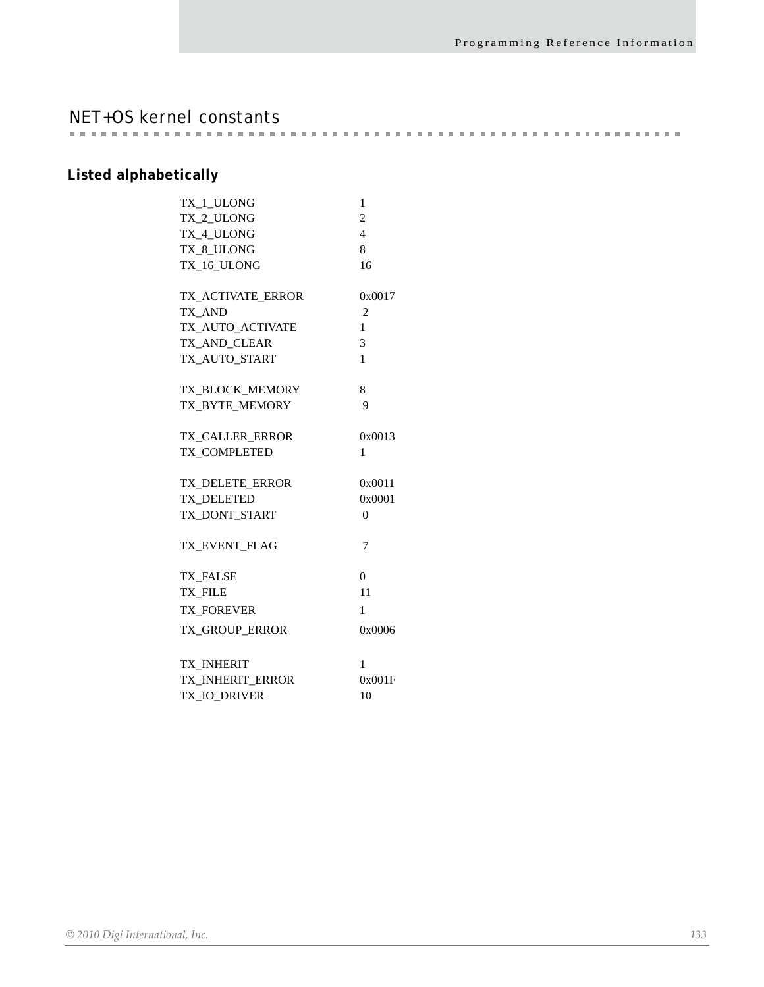NET+OS kernel constants

# **Listed alphabetically**

| TX 1 ULONG             | 1              |
|------------------------|----------------|
| TX 2 ULONG             | $\overline{2}$ |
| TX 4 ULONG             | $\overline{4}$ |
| TX_8_ULONG             | 8              |
| TX_16_ULONG            | 16             |
| TX_ACTIVATE_ERROR      | 0x0017         |
| TX AND                 | $\overline{2}$ |
| TX_AUTO_ACTIVATE       | 1              |
| TX AND CLEAR           | $\overline{3}$ |
| TX AUTO START          | 1              |
| TX_BLOCK_MEMORY        | 8              |
| TX_BYTE_MEMORY         | 9              |
| TX_CALLER_ERROR        | 0x0013         |
| TX_COMPLETED           | 1              |
| <b>TX DELETE ERROR</b> | 0x0011         |
| <b>TX DELETED</b>      | 0x0001         |
| TX_DONT_START          | 0              |
| TX_EVENT_FLAG          | $\overline{7}$ |
| <b>TX FALSE</b>        | $\overline{0}$ |
| <b>TX FILE</b>         | 11             |
| <b>TX_FOREVER</b>      | 1              |
| TX_GROUP_ERROR         | 0x0006         |
| <b>TX INHERIT</b>      | 1              |
| TX_INHERIT_ERROR       | 0x001F         |
| TX_IO_DRIVER           | 10             |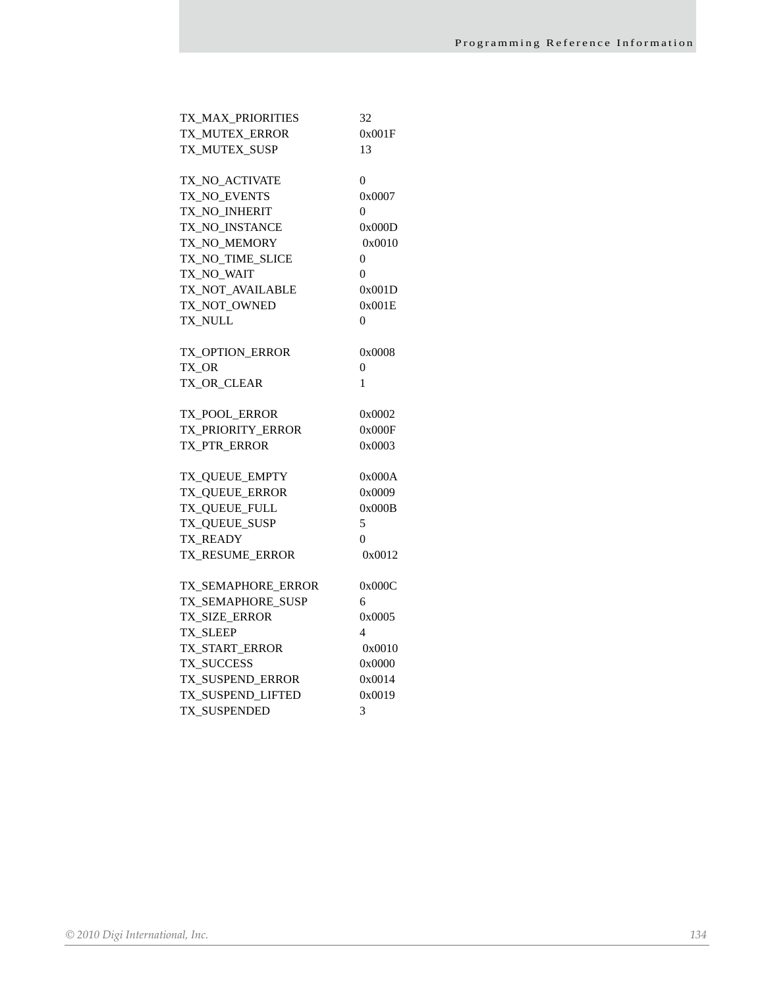| TX_MAX_PRIORITIES  | 32             |
|--------------------|----------------|
| TX_MUTEX_ERROR     | 0x001F         |
| TX MUTEX SUSP      | 13             |
|                    |                |
| TX NO ACTIVATE     | $\overline{0}$ |
| TX_NO_EVENTS       | 0x0007         |
| TX_NO_INHERIT      | 0              |
| TX NO INSTANCE     | 0x000D         |
| TX_NO_MEMORY       | 0x0010         |
| TX_NO_TIME_SLICE   | 0              |
| TX_NO_WAIT         | $\theta$       |
| TX_NOT_AVAILABLE   | 0x001D         |
| TX_NOT_OWNED       | 0x001E         |
| TX_NULL            | $\overline{0}$ |
| TX_OPTION_ERROR    | 0x0008         |
| TX OR              | 0              |
| TX OR CLEAR        | 1              |
|                    |                |
| TX_POOL_ERROR      | 0x0002         |
| TX PRIORITY ERROR  | 0x000F         |
| TX PTR ERROR       | 0x0003         |
| TX_QUEUE_EMPTY     | 0x000A         |
| TX_QUEUE_ERROR     | 0x0009         |
| TX_QUEUE_FULL      | 0x000B         |
| TX_QUEUE_SUSP      | 5              |
| <b>TX READY</b>    | $\theta$       |
| TX RESUME ERROR    | 0x0012         |
| TX_SEMAPHORE_ERROR | 0x000C         |
| TX SEMAPHORE SUSP  | 6              |
| TX_SIZE_ERROR      | 0x0005         |
| <b>TX SLEEP</b>    | 4              |
| TX_START_ERROR     | 0x0010         |
| TX_SUCCESS         | 0x0000         |
|                    |                |
| TX_SUSPEND_ERROR   | 0x0014         |
| TX_SUSPEND_LIFTED  | 0x0019         |
| TX_SUSPENDED       | 3              |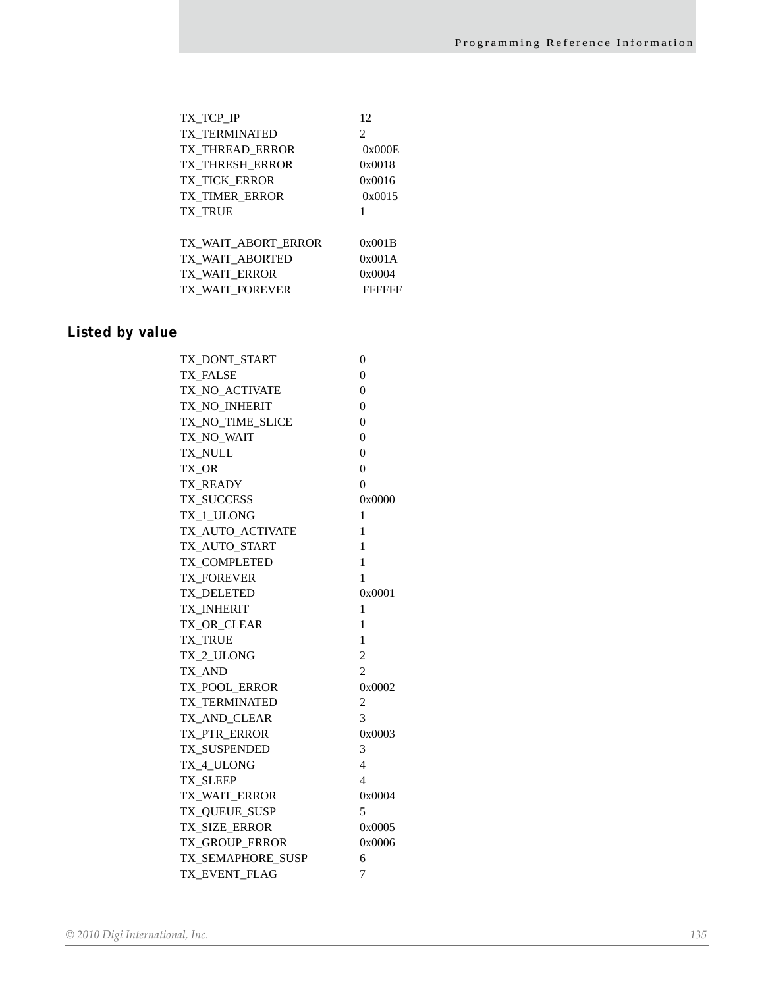| TX TCP IP              | 12                            |
|------------------------|-------------------------------|
| <b>TX TERMINATED</b>   | $\mathfrak{D}_{\mathfrak{p}}$ |
| TX THREAD ERROR        | 0x000E                        |
| <b>TX THRESH ERROR</b> | 0x0018                        |
| <b>TX TICK ERROR</b>   | 0x0016                        |
| <b>TX TIMER ERROR</b>  | 0x0015                        |
| <b>TX TRUE</b>         | 1                             |
| TX WAIT ABORT ERROR    | 0x001B                        |
| TX WAIT ABORTED        | 0x001A                        |
| TX WAIT ERROR          | 0x0004                        |
| TX WAIT FOREVER        | FFFFFF                        |

# **Listed by value**

| TX_DONT_START         | 0              |
|-----------------------|----------------|
| TX_FALSE              | $\theta$       |
| TX_NO_ACTIVATE        | $\theta$       |
| TX NO INHERIT         | 0              |
| TX_NO_TIME_SLICE      | $\theta$       |
| TX_NO_WAIT            | $\overline{0}$ |
| TX_NULL               | $\theta$       |
| TX_OR                 | $\theta$       |
| <b>TX READY</b>       | $\overline{0}$ |
| TX_SUCCESS            | 0x0000         |
| TX_1_ULONG            | 1              |
| TX AUTO ACTIVATE      | 1              |
| TX_AUTO_START         | 1              |
| <b>TX COMPLETED</b>   | 1              |
| <b>TX FOREVER</b>     | 1              |
| TX DELETED            | 0x0001         |
| TX_INHERIT            | 1              |
| TX OR CLEAR           | 1              |
| <b>TX TRUE</b>        | 1              |
| TX_2_ULONG            | $\overline{c}$ |
| TX_AND                | $\overline{2}$ |
| TX_POOL_ERROR         | 0x0002         |
| <b>TX TERMINATED</b>  | 2              |
| TX_AND_CLEAR          | 3              |
| TX_PTR_ERROR          | 0x0003         |
| TX_SUSPENDED          | 3              |
| TX 4 ULONG            | 4              |
| <b>TX SLEEP</b>       | 4              |
| TX_WAIT_ERROR         | 0x0004         |
| TX_QUEUE_SUSP         | 5              |
| TX_SIZE_ERROR         | 0x0005         |
| <b>TX GROUP ERROR</b> | 0x0006         |
| TX_SEMAPHORE_SUSP     | 6              |
| TX_EVENT_FLAG         | 7              |
|                       |                |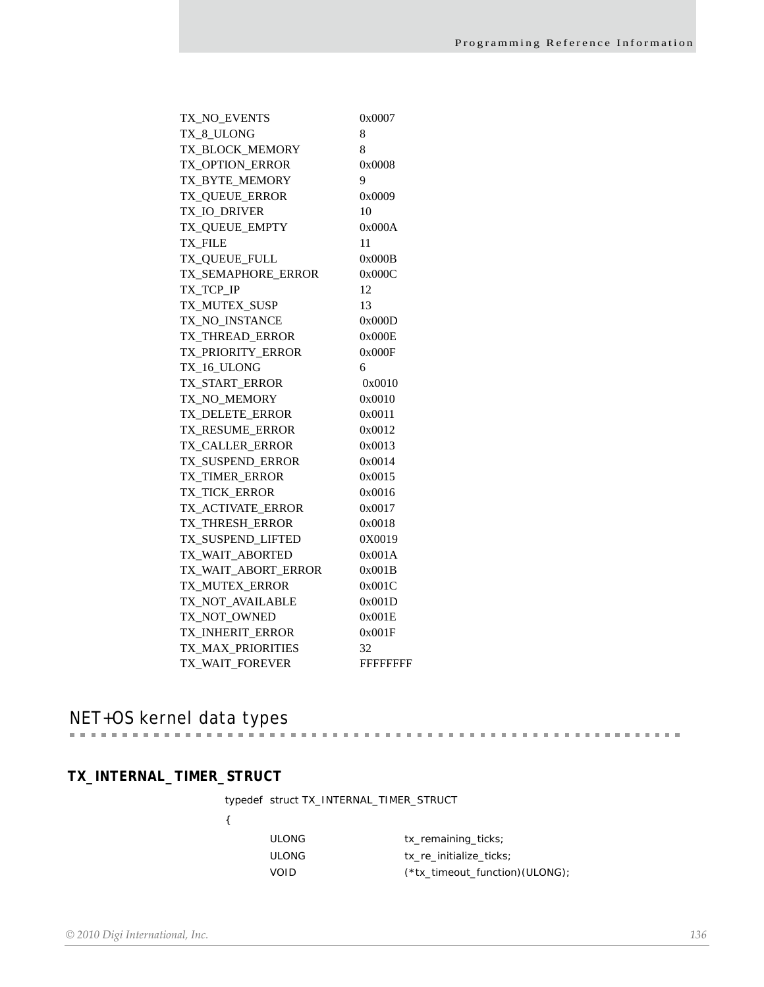| TX NO EVENTS        | 0x0007           |
|---------------------|------------------|
| TX_8_ULONG          | 8                |
| TX BLOCK MEMORY     | 8                |
| TX_OPTION_ERROR     | 0x0008           |
| TX_BYTE_MEMORY      | 9                |
| TX_QUEUE_ERROR      | 0x0009           |
| TX_IO_DRIVER        | 10               |
| TX_QUEUE_EMPTY      | 0x000A           |
| TX_FILE             | 11               |
| TX_QUEUE_FULL       | 0x000B           |
| TX SEMAPHORE ERROR  | 0x000C           |
| TX TCP IP           | 12               |
| TX_MUTEX_SUSP       | 13               |
| TX_NO_INSTANCE      | 0x000D           |
| TX_THREAD_ERROR     | 0x000E           |
| TX_PRIORITY_ERROR   | 0x000F           |
| TX_16_ULONG         | 6                |
| TX_START_ERROR      | 0x0010           |
| TX_NO_MEMORY        | 0x0010           |
| TX_DELETE_ERROR     | 0x0011           |
| TX_RESUME_ERROR     | 0x0012           |
| TX CALLER ERROR     | 0x0013           |
| TX SUSPEND ERROR    | 0x0014           |
| TX_TIMER_ERROR      | 0x0015           |
| TX_TICK_ERROR       | 0x0016           |
| TX_ACTIVATE_ERROR   | 0x0017           |
| TX_THRESH_ERROR     | 0x0018           |
| TX_SUSPEND_LIFTED   | 0X0019           |
| TX_WAIT_ABORTED     | 0x001A           |
| TX_WAIT_ABORT_ERROR | 0x001B           |
| TX MUTEX ERROR      | 0x001C           |
| TX NOT AVAILABLE    | 0x001D           |
| TX_NOT_OWNED        | 0x001E           |
| TX_INHERIT_ERROR    | 0x001F           |
| TX_MAX_PRIORITIES   | 32               |
| TX_WAIT_FOREVER     | <b>FFFFFFFFF</b> |

NET+OS kernel data types

# **TX\_INTERNAL\_TIMER\_STRUCT**

typedef struct TX\_INTERNAL\_TIMER\_STRUCT

| ٩      |  |
|--------|--|
| 9<br>× |  |

| ULONG | tx remaining ticks;               |
|-------|-----------------------------------|
| ULONG | tx re initialize ticks;           |
| VOID  | $(*tx_timeout_function)$ (ULONG); |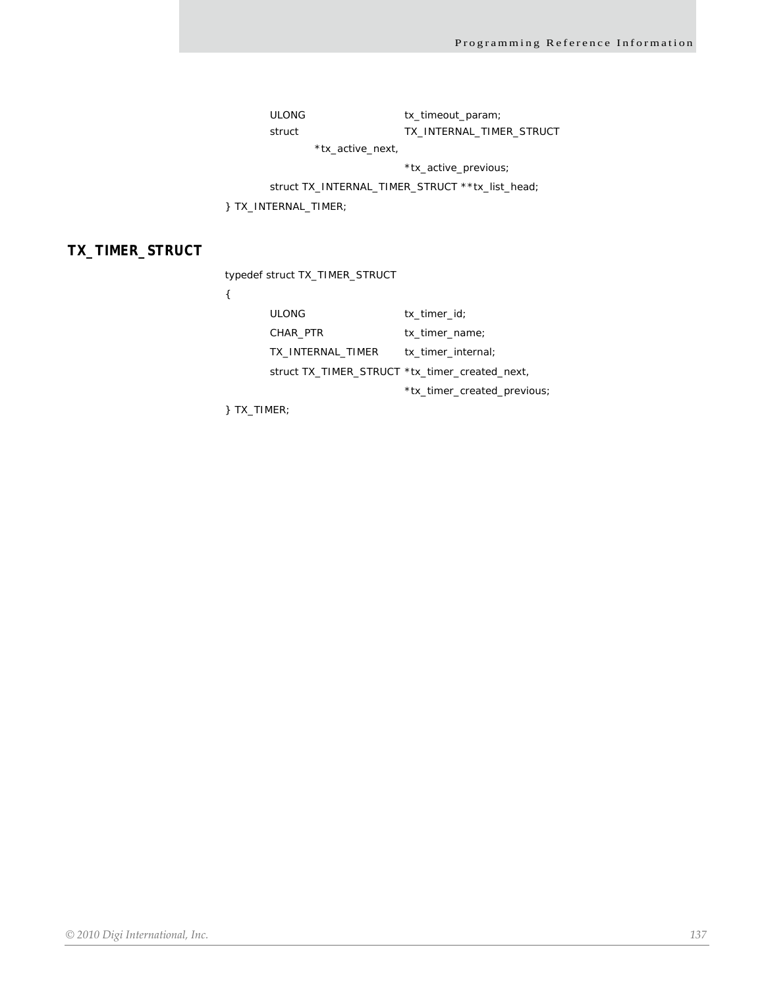ULONG tx\_timeout\_param; struct TX\_INTERNAL\_TIMER\_STRUCT

\*tx\_active\_next,

\*tx\_active\_previous;

struct TX\_INTERNAL\_TIMER\_STRUCT \*\*tx\_list\_head;

} TX\_INTERNAL\_TIMER;

# **TX\_TIMER\_STRUCT**

typedef struct TX\_TIMER\_STRUCT

| <b>ULONG</b>                                   | tx timer id;                |
|------------------------------------------------|-----------------------------|
| CHAR PTR                                       | tx timer name;              |
| TX INTERNAL TIMER                              | tx timer internal;          |
| struct TX TIMER STRUCT *tx timer created next, |                             |
|                                                | *tx_timer_created_previous; |

} TX\_TIMER;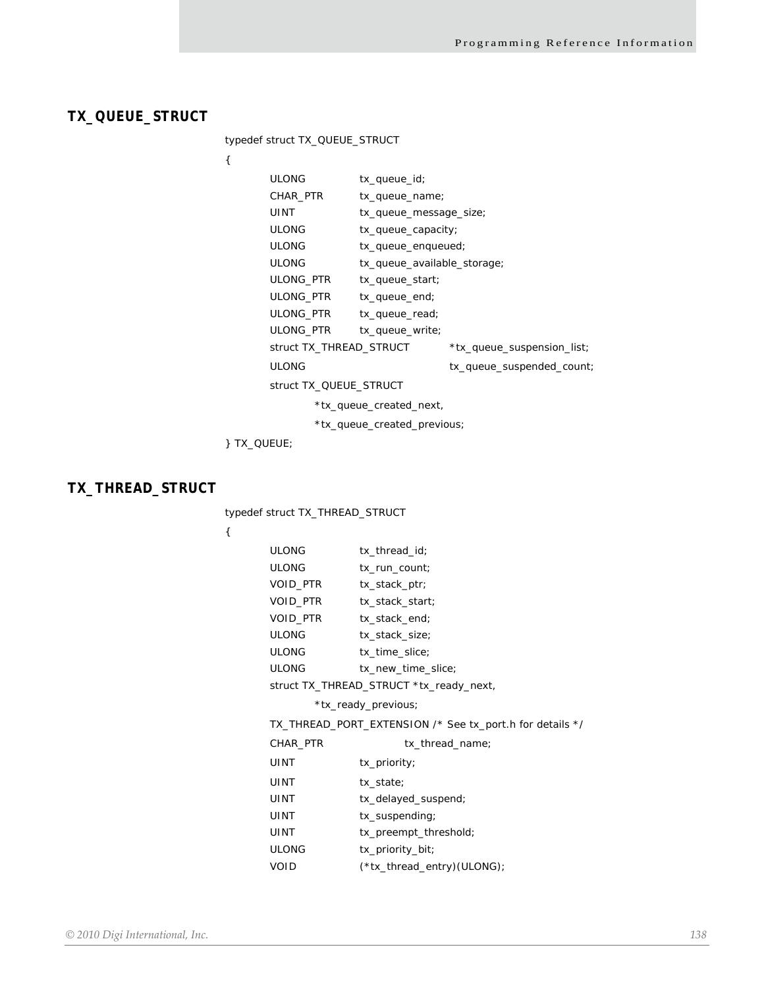# **TX\_QUEUE\_STRUCT**

typedef struct TX\_QUEUE\_STRUCT

{

| ULONG                   | tx_queue_id;                |                            |
|-------------------------|-----------------------------|----------------------------|
| CHAR PTR                | tx_queue_name;              |                            |
| UINT                    | tx_queue_message_size;      |                            |
| ULONG                   | tx_queue_capacity;          |                            |
| <b>ULONG</b>            | tx_queue_enqueued;          |                            |
| ULONG                   | tx_queue_available_storage; |                            |
| ULONG PTR               | $tx_$ queue_start;          |                            |
| ULONG PTR               | tx_queue_end;               |                            |
| ULONG PTR               | tx_queue_read;              |                            |
| ULONG_PTR               | tx_queue_write;             |                            |
| struct TX_THREAD_STRUCT |                             | *tx_queue_suspension_list; |
| ULONG                   |                             | tx_queue_suspended_count;  |
| struct TX QUEUE STRUCT  |                             |                            |

\*tx\_queue\_created\_next,

\*tx\_queue\_created\_previous;

} TX\_QUEUE;

# **TX\_THREAD\_STRUCT**

typedef struct TX\_THREAD\_STRUCT

| ULONG                                                    | tx_thread_id;              |  |
|----------------------------------------------------------|----------------------------|--|
| ULONG                                                    | tx_run_count;              |  |
| VOID_PTR                                                 | tx_stack_ptr;              |  |
| VOID_PTR                                                 | tx_stack_start;            |  |
| VOID_PTR                                                 | tx_stack_end;              |  |
| <b>ULONG</b>                                             | tx_stack_size;             |  |
| ULONG                                                    | tx_time_slice;             |  |
| ULONG                                                    | tx_new_time_slice;         |  |
| struct TX_THREAD_STRUCT *tx_ready_next,                  |                            |  |
| *tx_ready_previous;                                      |                            |  |
| TX_THREAD_PORT_EXTENSION /* See tx_port.h for details */ |                            |  |
| CHAR_PTR                                                 | tx_thread_name;            |  |
| UINT                                                     | $tx\_priority$             |  |
| UINT                                                     | tx_state;                  |  |
| UINT                                                     | tx_delayed_suspend;        |  |
| UINT                                                     | tx_suspending;             |  |
| UINT                                                     | tx_preempt_threshold;      |  |
| ULONG                                                    | tx_priority_bit;           |  |
| VOID                                                     | (*tx_thread_entry)(ULONG); |  |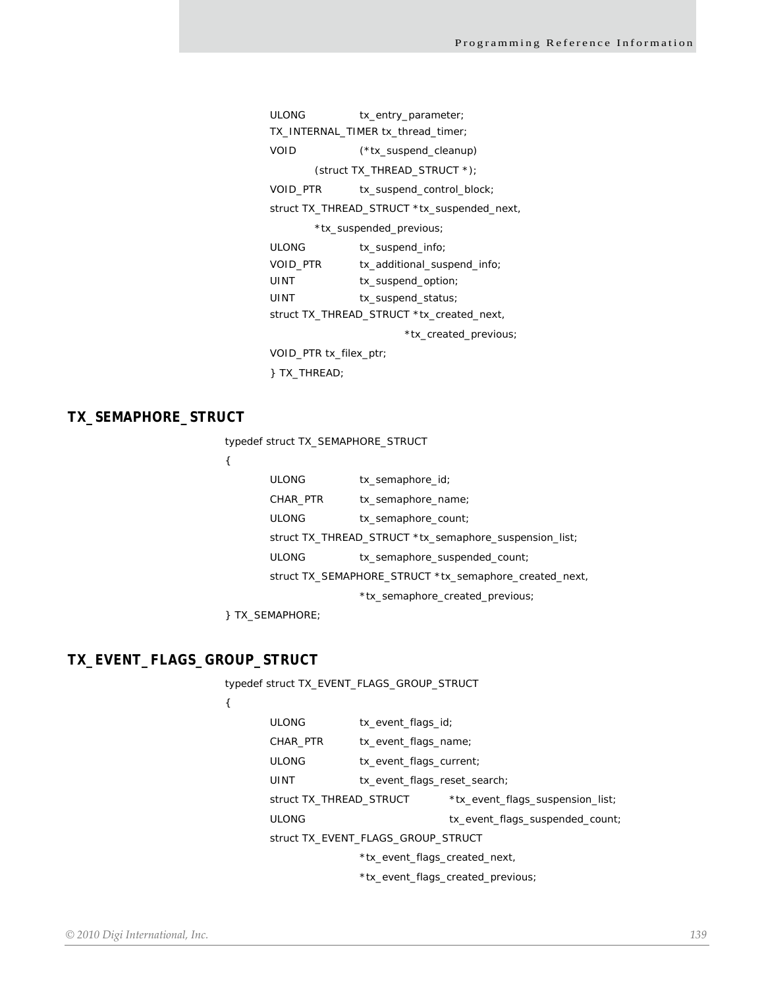| tx_entry_parameter;                         |  |  |
|---------------------------------------------|--|--|
| TX INTERNAL TIMER tx thread timer;          |  |  |
| (*tx_suspend_cleanup)                       |  |  |
| (struct TX THREAD STRUCT $*$ );             |  |  |
| tx_suspend_control_block;                   |  |  |
| struct TX_THREAD_STRUCT *tx_suspended_next, |  |  |
| *tx_suspended_previous;                     |  |  |
| tx_suspend_info;                            |  |  |
| tx_additional_suspend_info;                 |  |  |
| tx_suspend_option;                          |  |  |
| tx_suspend_status;                          |  |  |
| struct TX_THREAD_STRUCT *tx_created_next,   |  |  |
| *tx_created_previous;                       |  |  |
| VOID_PTR tx_filex_ptr;                      |  |  |
| TX THREAD;                                  |  |  |
|                                             |  |  |

# **TX\_SEMAPHORE\_STRUCT**

typedef struct TX\_SEMAPHORE\_STRUCT

```
{
```

| <b>ULONG</b>                                           | tx_semaphore_id;              |  |
|--------------------------------------------------------|-------------------------------|--|
| CHAR PTR                                               | tx_semaphore_name;            |  |
| <b>ULONG</b>                                           | tx_semaphore_count;           |  |
| struct TX_THREAD_STRUCT *tx_semaphore_suspension_list; |                               |  |
| <b>ULONG</b>                                           | tx_semaphore_suspended_count; |  |
| struct TX_SEMAPHORE_STRUCT *tx_semaphore_created_next, |                               |  |
| *tx_semaphore_created_previous;                        |                               |  |

} TX\_SEMAPHORE;

# **TX\_EVENT\_FLAGS\_GROUP\_STRUCT**

typedef struct TX\_EVENT\_FLAGS\_GROUP\_STRUCT

| <b>ULONG</b>                                                | tx_event_flags_id;           |                                 |
|-------------------------------------------------------------|------------------------------|---------------------------------|
| CHAR PTR                                                    | tx_event_flags_name;         |                                 |
| <b>ULONG</b>                                                | tx_event_flags_current;      |                                 |
| UINT                                                        | tx_event_flags_reset_search; |                                 |
| struct TX_THREAD_STRUCT<br>*tx_event_flags_suspension_list; |                              |                                 |
| <b>ULONG</b>                                                |                              | tx_event_flags_suspended_count; |
| struct TX EVENT FLAGS GROUP STRUCT                          |                              |                                 |
| *tx_event_flags_created_next,                               |                              |                                 |
| *tx_event_flags_created_previous;                           |                              |                                 |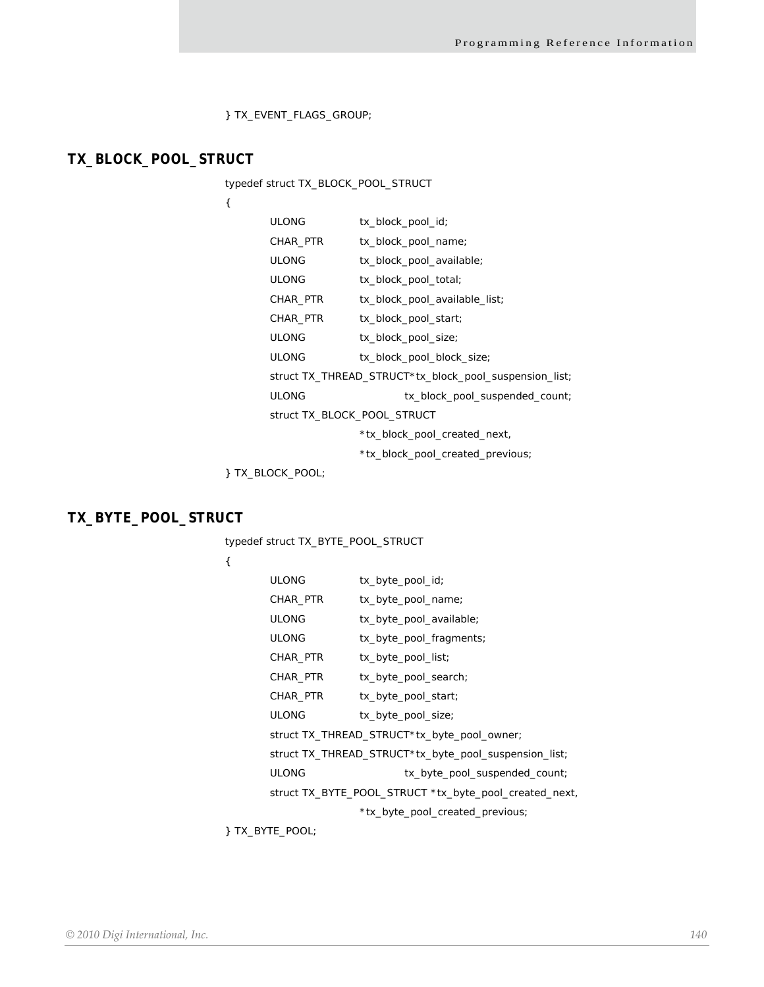} TX\_EVENT\_FLAGS\_GROUP;

# **TX\_BLOCK\_POOL\_STRUCT**

typedef struct TX\_BLOCK\_POOL\_STRUCT

{

| <b>ULONG</b>                | tx_block_pool_id;                                      |
|-----------------------------|--------------------------------------------------------|
| CHAR_PTR                    | tx_block_pool_name;                                    |
| <b>ULONG</b>                | tx_block_pool_available;                               |
| <b>ULONG</b>                | tx_block_pool_total;                                   |
| CHAR_PTR                    | tx_block_pool_available_list;                          |
| CHAR_PTR                    | tx_block_pool_start;                                   |
| <b>ULONG</b>                | tx_block_pool_size;                                    |
| <b>ULONG</b>                | tx_block_pool_block_size;                              |
|                             | struct TX_THREAD_STRUCT*tx_block_pool_suspension_list; |
| <b>ULONG</b>                | tx_block_pool_suspended_count;                         |
| struct TX BLOCK POOL STRUCT |                                                        |
|                             | *tx_block_pool_created_next,                           |
|                             | *tx_block_pool_created_previous;                       |
| TX BLOCK POOL;              |                                                        |

# **TX\_BYTE\_POOL\_STRUCT**

typedef struct TX\_BYTE\_POOL\_STRUCT

{

| <b>ULONG</b>                                           | tx_byte_pool_id;        |  |
|--------------------------------------------------------|-------------------------|--|
| CHAR_PTR                                               | tx_byte_pool_name;      |  |
| <b>ULONG</b>                                           | tx_byte_pool_available; |  |
| <b>ULONG</b>                                           | tx_byte_pool_fragments; |  |
| CHAR PTR                                               | tx_byte_pool_list;      |  |
| CHAR PTR                                               | tx_byte_pool_search;    |  |
| CHAR_PTR                                               | tx_byte_pool_start;     |  |
| <b>ULONG</b>                                           | tx_byte_pool_size;      |  |
| struct TX_THREAD_STRUCT*tx_byte_pool_owner;            |                         |  |
| struct TX_THREAD_STRUCT*tx_byte_pool_suspension_list;  |                         |  |
| <b>ULONG</b><br>tx_byte_pool_suspended_count;          |                         |  |
| struct TX_BYTE_POOL_STRUCT *tx_byte_pool_created_next, |                         |  |
| *tx_byte_pool_created_previous;                        |                         |  |

} TX\_BYTE\_POOL;